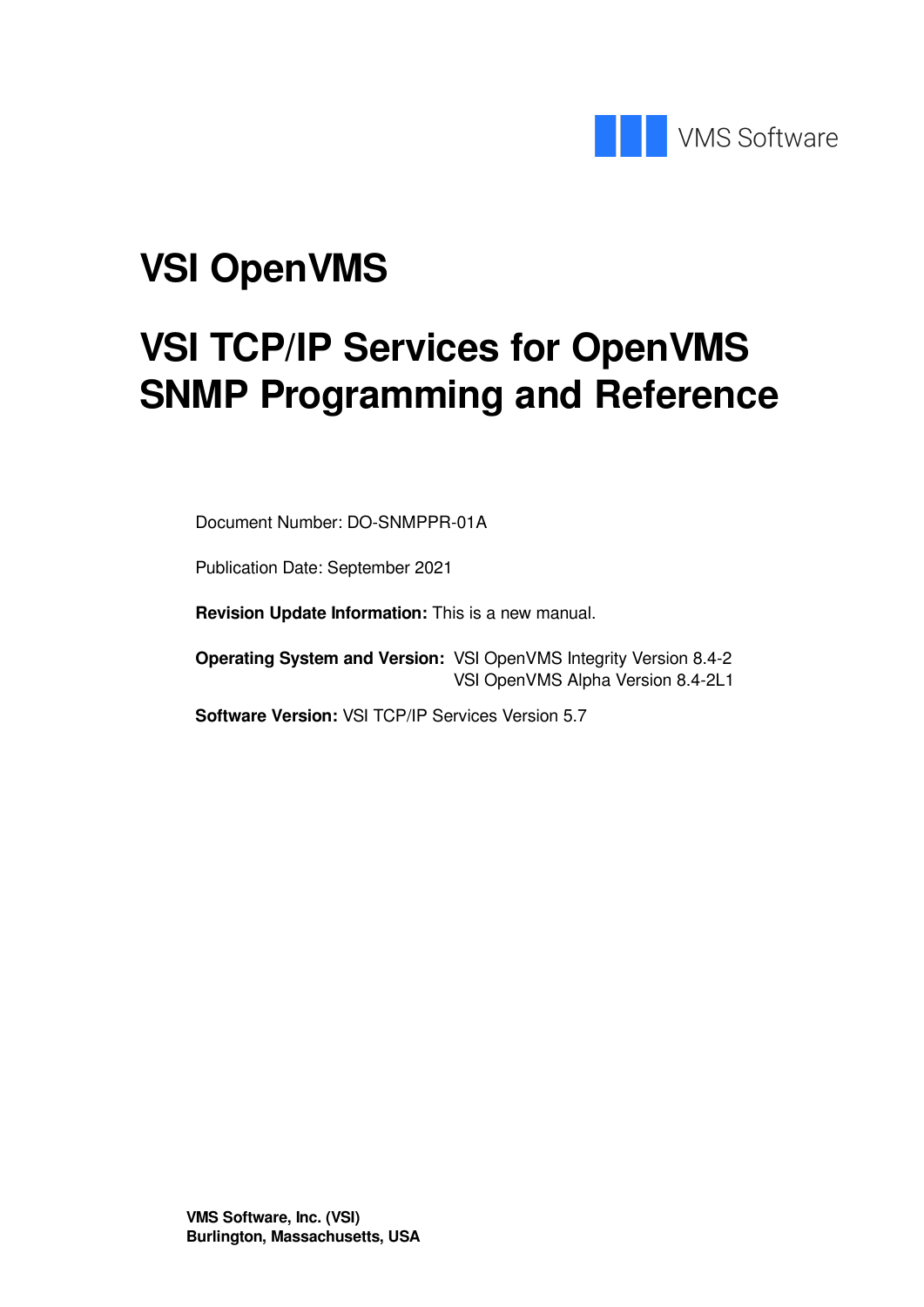

# **VSI OpenVMS**

# **VSI TCP/IP Services for OpenVMS SNMP Programming and Reference**

Document Number: DO-SNMPPR-01A

Publication Date: September 2021

**Revision Update Information:** This is a new manual.

**Operating System and Version:** VSI OpenVMS Integrity Version 8.4-2 VSI OpenVMS Alpha Version 8.4-2L1

**Software Version:** VSI TCP/IP Services Version 5.7

**VMS Software, Inc. (VSI) Burlington, Massachusetts, USA**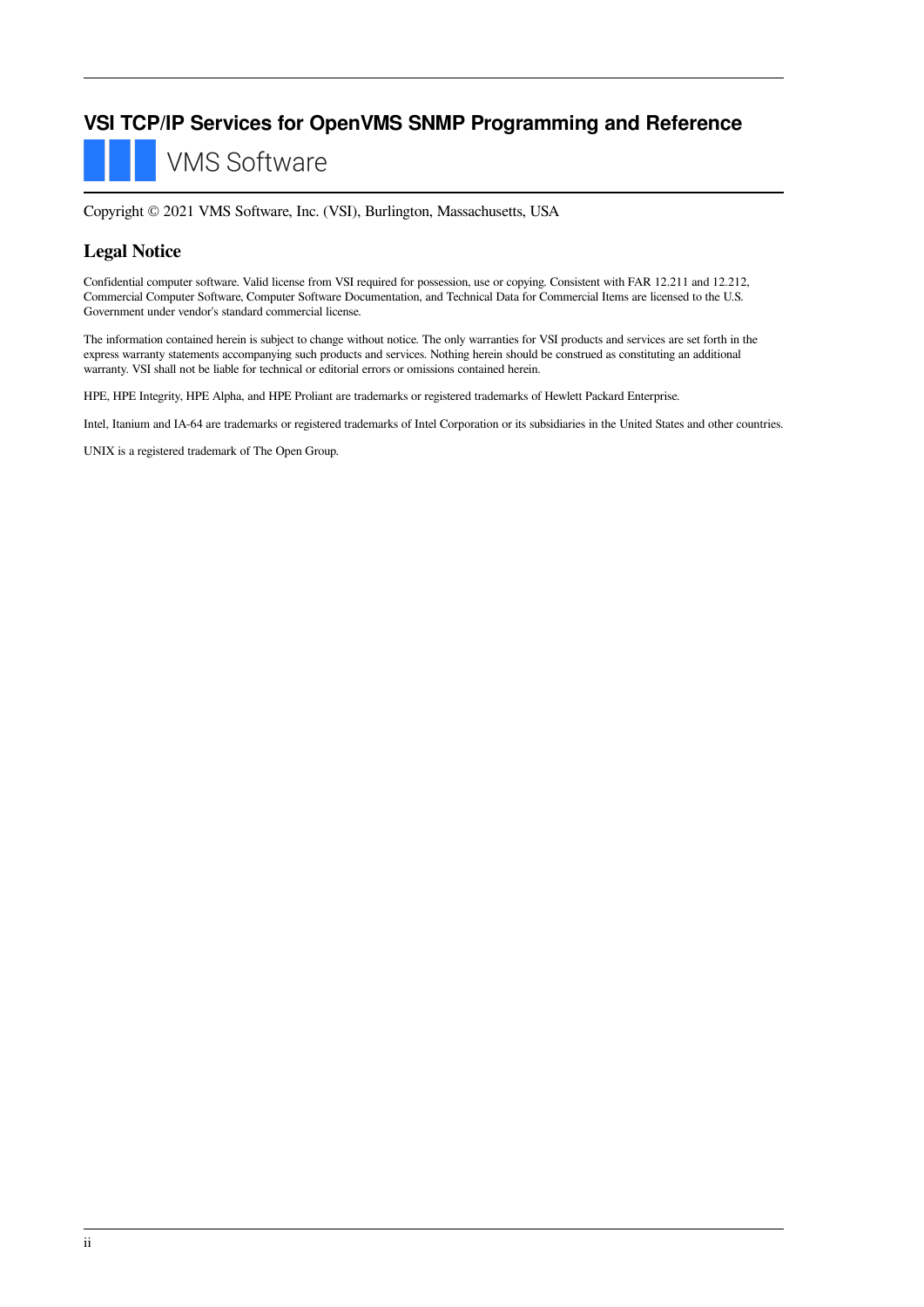#### **VSI TCP/IP Services for OpenVMS SNMP Programming and Reference**

**VMS Software** 

Copyright © 2021 VMS Software, Inc. (VSI), Burlington, Massachusetts, USA

#### **Legal Notice**

Confidential computer software. Valid license from VSI required for possession, use or copying. Consistent with FAR 12.211 and 12.212, Commercial Computer Software, Computer Software Documentation, and Technical Data for Commercial Items are licensed to the U.S. Government under vendor's standard commercial license.

The information contained herein is subject to change without notice. The only warranties for VSI products and services are set forth in the express warranty statements accompanying such products and services. Nothing herein should be construed as constituting an additional warranty. VSI shall not be liable for technical or editorial errors or omissions contained herein.

HPE, HPE Integrity, HPE Alpha, and HPE Proliant are trademarks or registered trademarks of Hewlett Packard Enterprise.

Intel, Itanium and IA-64 are trademarks or registered trademarks of Intel Corporation or its subsidiaries in the United States and other countries.

UNIX is a registered trademark of The Open Group.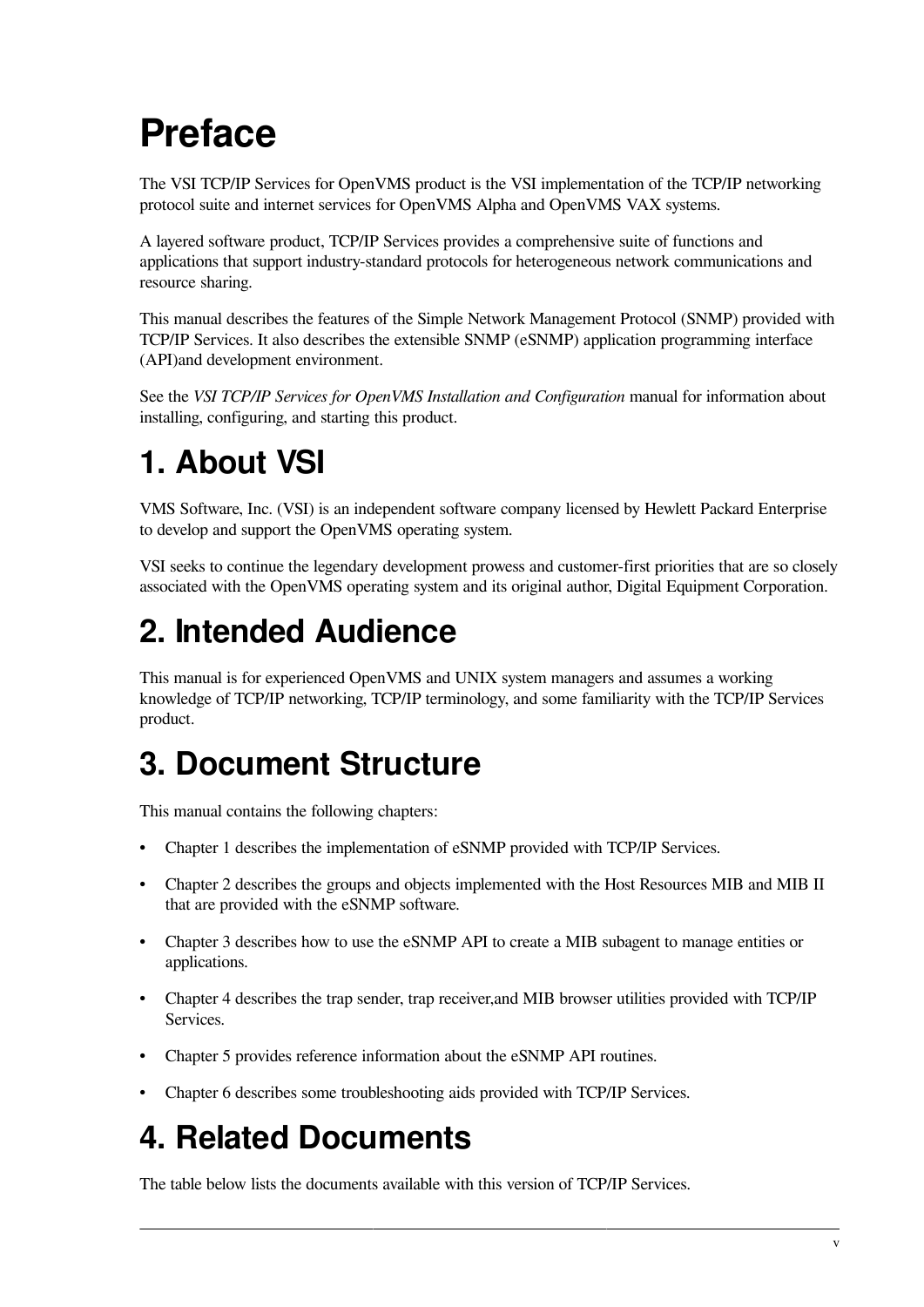# <span id="page-4-0"></span>**Preface**

The VSI TCP/IP Services for OpenVMS product is the VSI implementation of the TCP/IP networking protocol suite and internet services for OpenVMS Alpha and OpenVMS VAX systems.

A layered software product, TCP/IP Services provides a comprehensive suite of functions and applications that support industry-standard protocols for heterogeneous network communications and resource sharing.

This manual describes the features of the Simple Network Management Protocol (SNMP) provided with TCP/IP Services. It also describes the extensible SNMP (eSNMP) application programming interface (API)and development environment.

See the *VSI TCP/IP Services for OpenVMS Installation and Configuration* manual for information about installing, configuring, and starting this product.

## <span id="page-4-1"></span>**1. About VSI**

VMS Software, Inc. (VSI) is an independent software company licensed by Hewlett Packard Enterprise to develop and support the OpenVMS operating system.

VSI seeks to continue the legendary development prowess and customer-first priorities that are so closely associated with the OpenVMS operating system and its original author, Digital Equipment Corporation.

## <span id="page-4-2"></span>**2. Intended Audience**

This manual is for experienced OpenVMS and UNIX system managers and assumes a working knowledge of TCP/IP networking, TCP/IP terminology, and some familiarity with the TCP/IP Services product.

## <span id="page-4-3"></span>**3. Document Structure**

This manual contains the following chapters:

- [Chapter](#page-8-0) 1 describes the implementation of eSNMP provided with TCP/IP Services.
- [Chapter](#page-18-0) 2 describes the groups and objects implemented with the Host Resources MIB and MIB II that are provided with the eSNMP software.
- [Chapter](#page-26-0) 3 describes how to use the eSNMP API to create a MIB subagent to manage entities or applications.
- [Chapter](#page-40-0) 4 describes the trap sender, trap receiver,and MIB browser utilities provided with TCP/IP Services.
- [Chapter](#page-54-0) 5 provides reference information about the eSNMP API routines.
- [Chapter](#page-100-0) 6 describes some troubleshooting aids provided with TCP/IP Services.

## <span id="page-4-4"></span>**4. Related Documents**

The table below lists the documents available with this version of TCP/IP Services.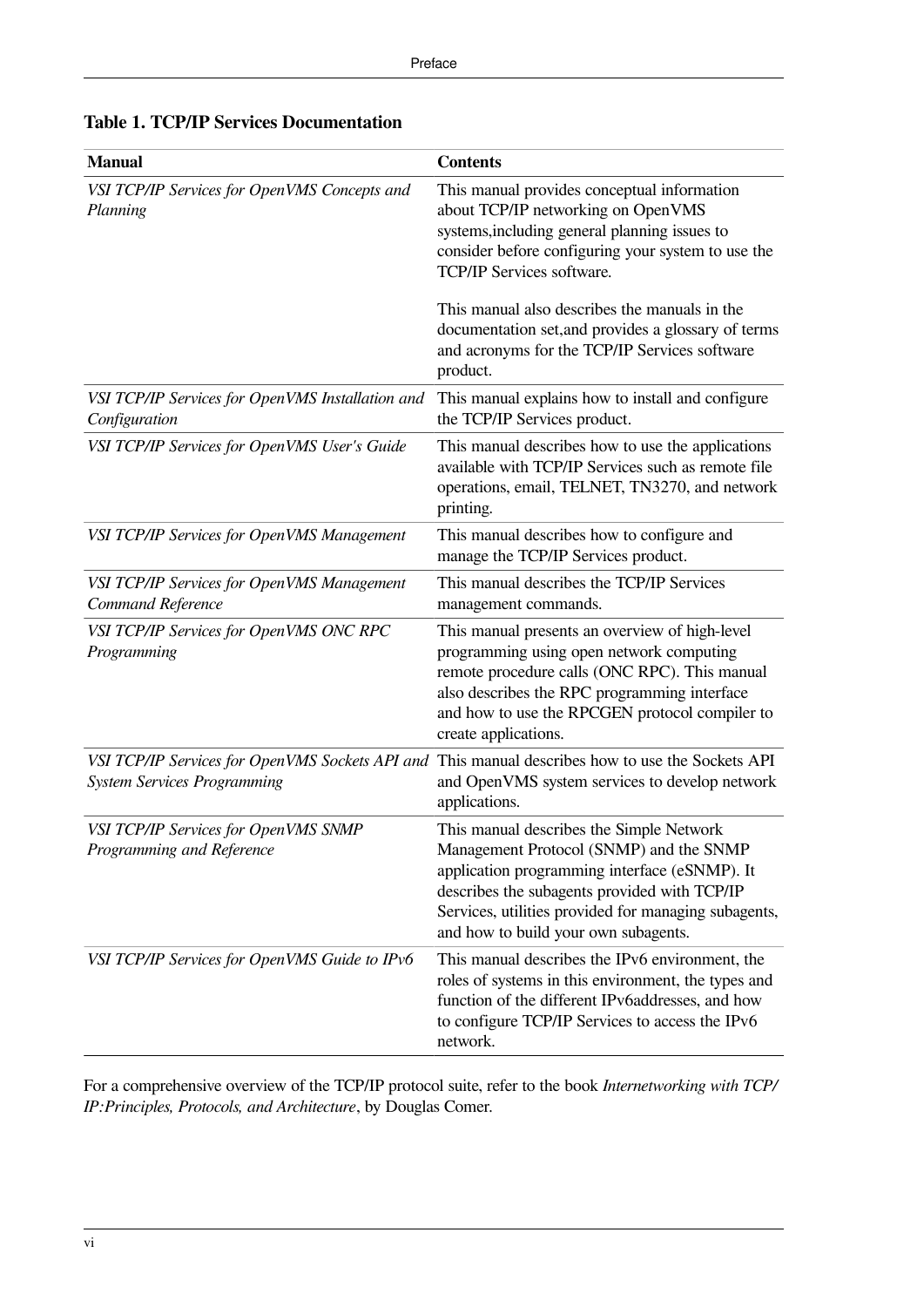| Manual                                                                                | <b>Contents</b>                                                                                                                                                                                                                                                                      |
|---------------------------------------------------------------------------------------|--------------------------------------------------------------------------------------------------------------------------------------------------------------------------------------------------------------------------------------------------------------------------------------|
| VSI TCP/IP Services for OpenVMS Concepts and<br>Planning                              | This manual provides conceptual information<br>about TCP/IP networking on OpenVMS<br>systems, including general planning issues to<br>consider before configuring your system to use the<br><b>TCP/IP Services software.</b><br>This manual also describes the manuals in the        |
|                                                                                       | documentation set, and provides a glossary of terms<br>and acronyms for the TCP/IP Services software<br>product.                                                                                                                                                                     |
| VSI TCP/IP Services for OpenVMS Installation and<br>Configuration                     | This manual explains how to install and configure<br>the TCP/IP Services product.                                                                                                                                                                                                    |
| VSI TCP/IP Services for OpenVMS User's Guide                                          | This manual describes how to use the applications<br>available with TCP/IP Services such as remote file<br>operations, email, TELNET, TN3270, and network<br>printing.                                                                                                               |
| VSI TCP/IP Services for OpenVMS Management                                            | This manual describes how to configure and<br>manage the TCP/IP Services product.                                                                                                                                                                                                    |
| VSI TCP/IP Services for OpenVMS Management<br>Command Reference                       | This manual describes the TCP/IP Services<br>management commands.                                                                                                                                                                                                                    |
| VSI TCP/IP Services for OpenVMS ONC RPC<br>Programming                                | This manual presents an overview of high-level<br>programming using open network computing<br>remote procedure calls (ONC RPC). This manual<br>also describes the RPC programming interface<br>and how to use the RPCGEN protocol compiler to<br>create applications.                |
| VSI TCP/IP Services for OpenVMS Sockets API and<br><b>System Services Programming</b> | This manual describes how to use the Sockets API<br>and OpenVMS system services to develop network<br>applications.                                                                                                                                                                  |
| VSI TCP/IP Services for OpenVMS SNMP<br>Programming and Reference                     | This manual describes the Simple Network<br>Management Protocol (SNMP) and the SNMP<br>application programming interface (eSNMP). It<br>describes the subagents provided with TCP/IP<br>Services, utilities provided for managing subagents,<br>and how to build your own subagents. |
| VSI TCP/IP Services for OpenVMS Guide to IPv6                                         | This manual describes the IPv6 environment, the<br>roles of systems in this environment, the types and<br>function of the different IPv6addresses, and how<br>to configure TCP/IP Services to access the IPv6<br>network.                                                            |

#### **Table 1. TCP/IP Services Documentation**

For a comprehensive overview of the TCP/IP protocol suite, refer to the book *Internetworking with TCP/ IP:Principles, Protocols, and Architecture*, by Douglas Comer.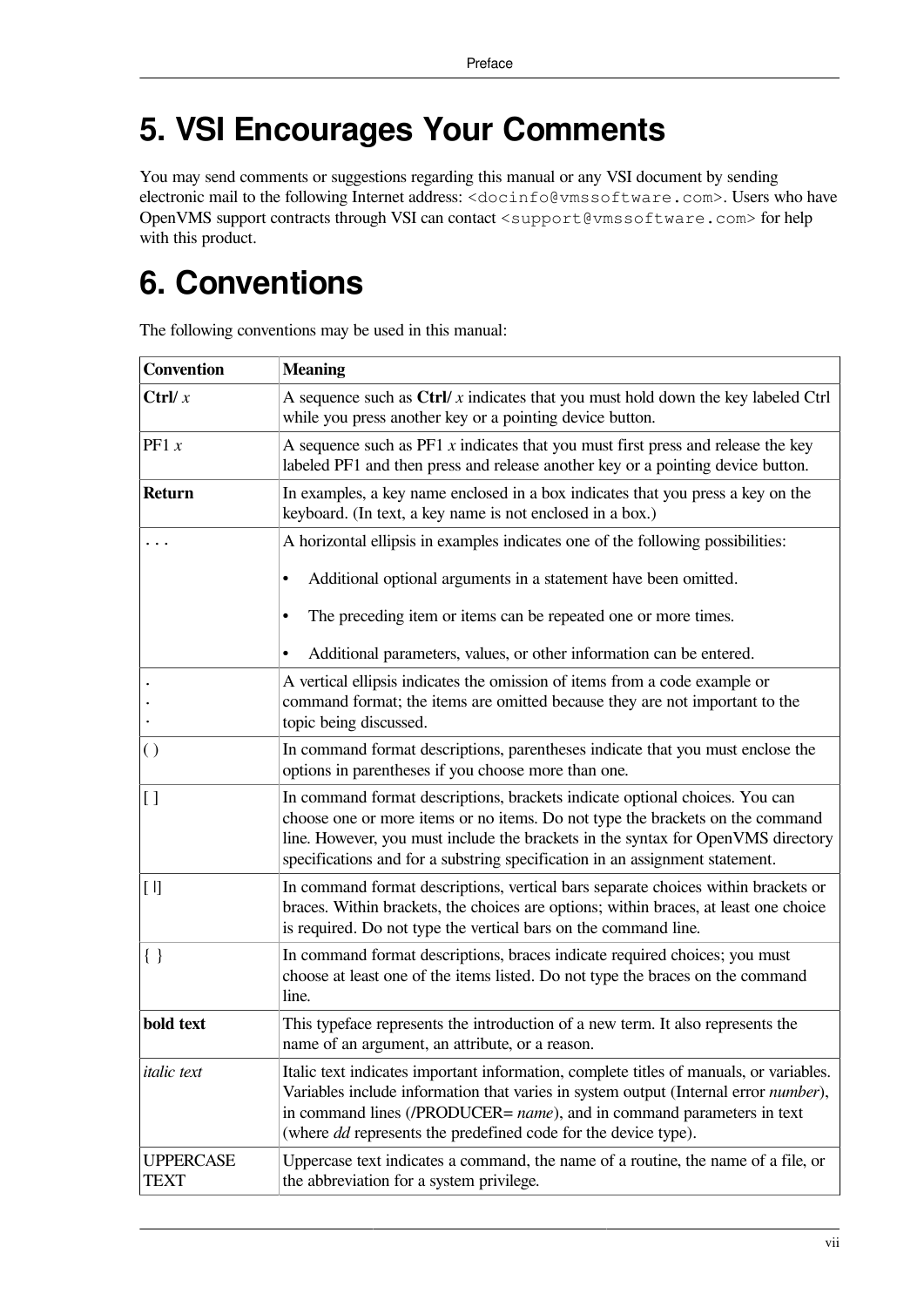## <span id="page-6-0"></span>**5. VSI Encourages Your Comments**

You may send comments or suggestions regarding this manual or any VSI document by sending electronic mail to the following Internet address: <docinfo@vmssoftware.com>. Users who have OpenVMS support contracts through VSI can contact <support@vmssoftware.com> for help with this product.

## <span id="page-6-1"></span>**6. Conventions**

| <b>Convention</b>        | <b>Meaning</b>                                                                                                                                                                                                                                                                                                                   |
|--------------------------|----------------------------------------------------------------------------------------------------------------------------------------------------------------------------------------------------------------------------------------------------------------------------------------------------------------------------------|
| Ctrl/ $x$                | A sequence such as $\text{Ctrl}/x$ indicates that you must hold down the key labeled $\text{Ctrl}$<br>while you press another key or a pointing device button.                                                                                                                                                                   |
| PF1 $x$                  | A sequence such as $PF1 x$ indicates that you must first press and release the key<br>labeled PF1 and then press and release another key or a pointing device button.                                                                                                                                                            |
| Return                   | In examples, a key name enclosed in a box indicates that you press a key on the<br>keyboard. (In text, a key name is not enclosed in a box.)                                                                                                                                                                                     |
|                          | A horizontal ellipsis in examples indicates one of the following possibilities:                                                                                                                                                                                                                                                  |
|                          | Additional optional arguments in a statement have been omitted.<br>$\bullet$                                                                                                                                                                                                                                                     |
|                          | The preceding item or items can be repeated one or more times.                                                                                                                                                                                                                                                                   |
|                          | Additional parameters, values, or other information can be entered.                                                                                                                                                                                                                                                              |
|                          | A vertical ellipsis indicates the omission of items from a code example or<br>command format; the items are omitted because they are not important to the<br>topic being discussed.                                                                                                                                              |
| $\left( \right)$         | In command format descriptions, parentheses indicate that you must enclose the<br>options in parentheses if you choose more than one.                                                                                                                                                                                            |
| 1]                       | In command format descriptions, brackets indicate optional choices. You can<br>choose one or more items or no items. Do not type the brackets on the command<br>line. However, you must include the brackets in the syntax for OpenVMS directory<br>specifications and for a substring specification in an assignment statement. |
| $[ \; ]$                 | In command format descriptions, vertical bars separate choices within brackets or<br>braces. Within brackets, the choices are options; within braces, at least one choice<br>is required. Do not type the vertical bars on the command line.                                                                                     |
| $\{ \; \}$               | In command format descriptions, braces indicate required choices; you must<br>choose at least one of the items listed. Do not type the braces on the command<br>line.                                                                                                                                                            |
| bold text                | This typeface represents the introduction of a new term. It also represents the<br>name of an argument, an attribute, or a reason.                                                                                                                                                                                               |
| <i>italic</i> text       | Italic text indicates important information, complete titles of manuals, or variables.<br>Variables include information that varies in system output (Internal error number),<br>in command lines (/PRODUCER= name), and in command parameters in text<br>(where <i>dd</i> represents the predefined code for the device type).  |
| <b>UPPERCASE</b><br>TEXT | Uppercase text indicates a command, the name of a routine, the name of a file, or<br>the abbreviation for a system privilege.                                                                                                                                                                                                    |

The following conventions may be used in this manual: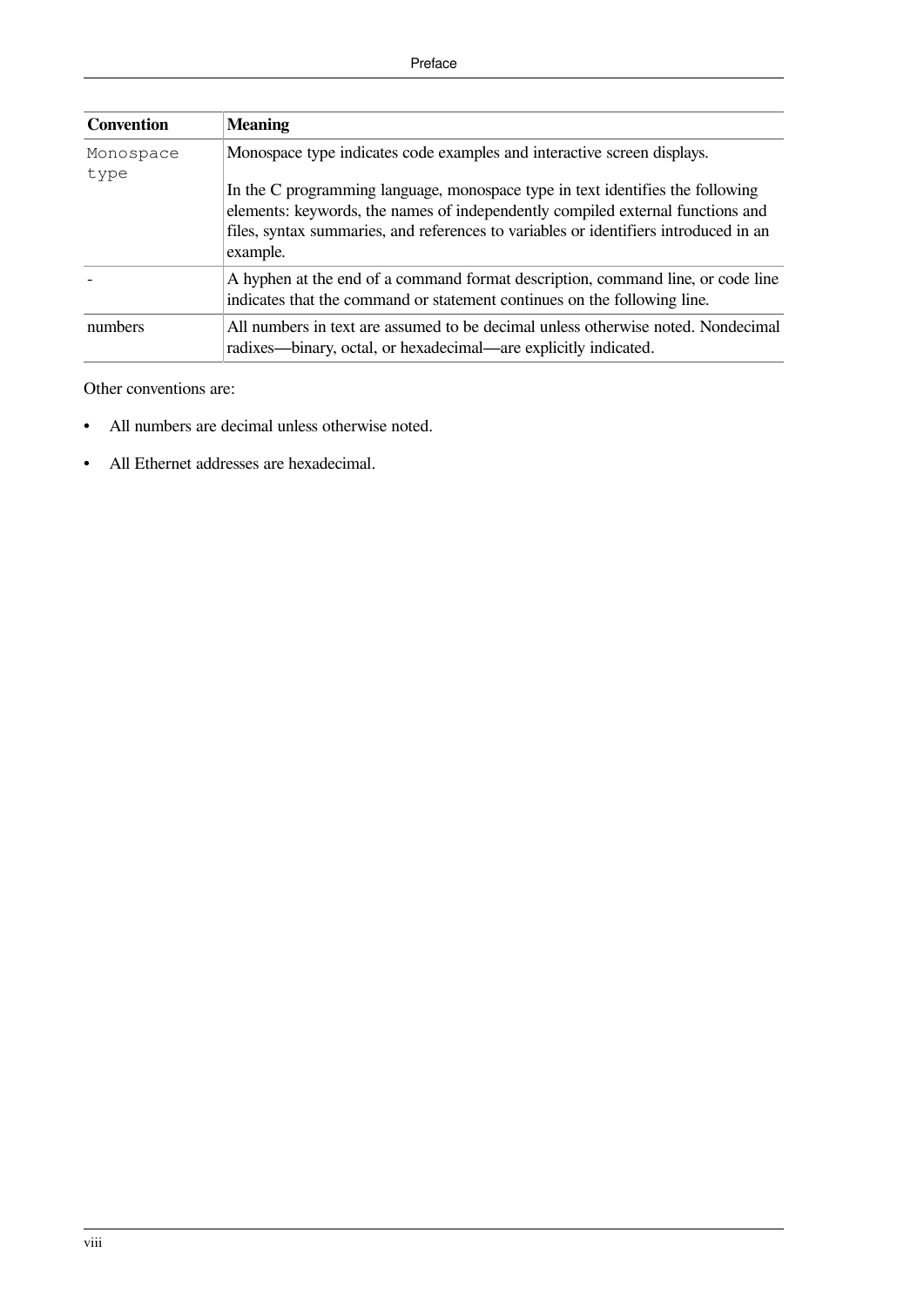| <b>Convention</b> | <b>Meaning</b>                                                                                                                                                                                                                                                       |
|-------------------|----------------------------------------------------------------------------------------------------------------------------------------------------------------------------------------------------------------------------------------------------------------------|
| Monospace         | Monospace type indicates code examples and interactive screen displays.                                                                                                                                                                                              |
| type              | In the C programming language, monospace type in text identifies the following<br>elements: keywords, the names of independently compiled external functions and<br>files, syntax summaries, and references to variables or identifiers introduced in an<br>example. |
|                   | A hyphen at the end of a command format description, command line, or code line<br>indicates that the command or statement continues on the following line.                                                                                                          |
| numbers           | All numbers in text are assumed to be decimal unless otherwise noted. Nondecimal<br>radixes—binary, octal, or hexadecimal—are explicitly indicated.                                                                                                                  |

Other conventions are:

- All numbers are decimal unless otherwise noted.
- All Ethernet addresses are hexadecimal.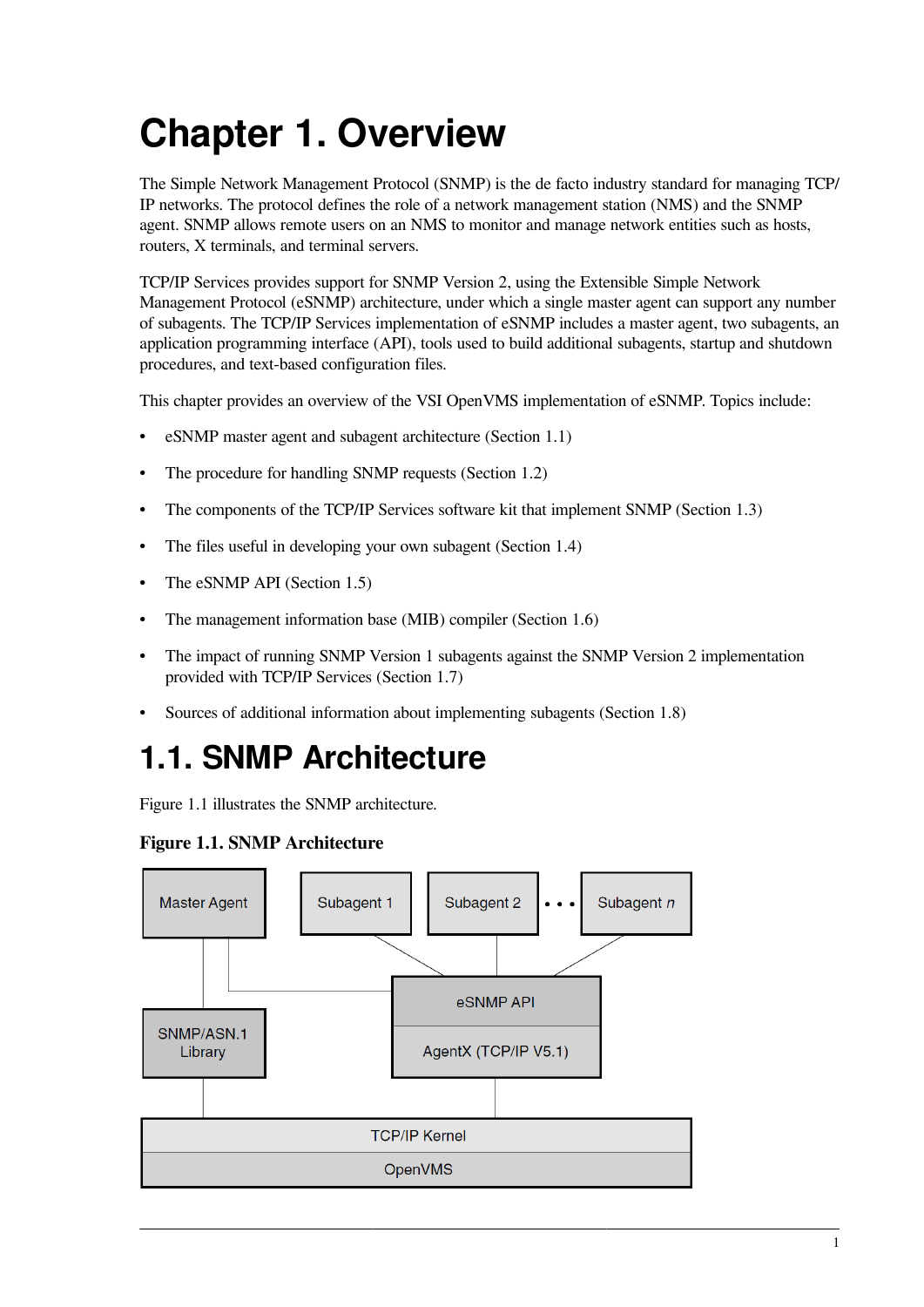# <span id="page-8-0"></span>**Chapter 1. Overview**

The Simple Network Management Protocol (SNMP) is the de facto industry standard for managing TCP/ IP networks. The protocol defines the role of a network management station (NMS) and the SNMP agent. SNMP allows remote users on an NMS to monitor and manage network entities such as hosts, routers, X terminals, and terminal servers.

TCP/IP Services provides support for SNMP Version 2, using the Extensible Simple Network Management Protocol (eSNMP) architecture, under which a single master agent can support any number of subagents. The TCP/IP Services implementation of eSNMP includes a master agent, two subagents, an application programming interface (API), tools used to build additional subagents, startup and shutdown procedures, and text-based configuration files.

This chapter provides an overview of the VSI OpenVMS implementation of eSNMP. Topics include:

- eSNMP master agent and subagent architecture [\(Section](#page-8-1) 1.1)
- The procedure for handling SNMP requests ([Section](#page-9-0) 1.2)
- The components of the TCP/IP Services software kit that implement SNMP [\(Section](#page-11-0) 1.3)
- The files useful in developing your own subagent ([Section](#page-12-0) 1.4)
- The eSNMP API [\(Section](#page-13-0) 1.5)
- The management information base (MIB) compiler ([Section](#page-14-1) 1.6)
- The impact of running SNMP Version 1 subagents against the SNMP Version 2 implementation provided with TCP/IP Services [\(Section](#page-14-2) 1.7)
- Sources of additional information about implementing subagents ([Section](#page-16-0) 1.8)

### <span id="page-8-1"></span>**1.1. SNMP Architecture**

<span id="page-8-2"></span>[Figure](#page-8-2) 1.1 illustrates the SNMP architecture.

#### **Figure 1.1. SNMP Architecture**

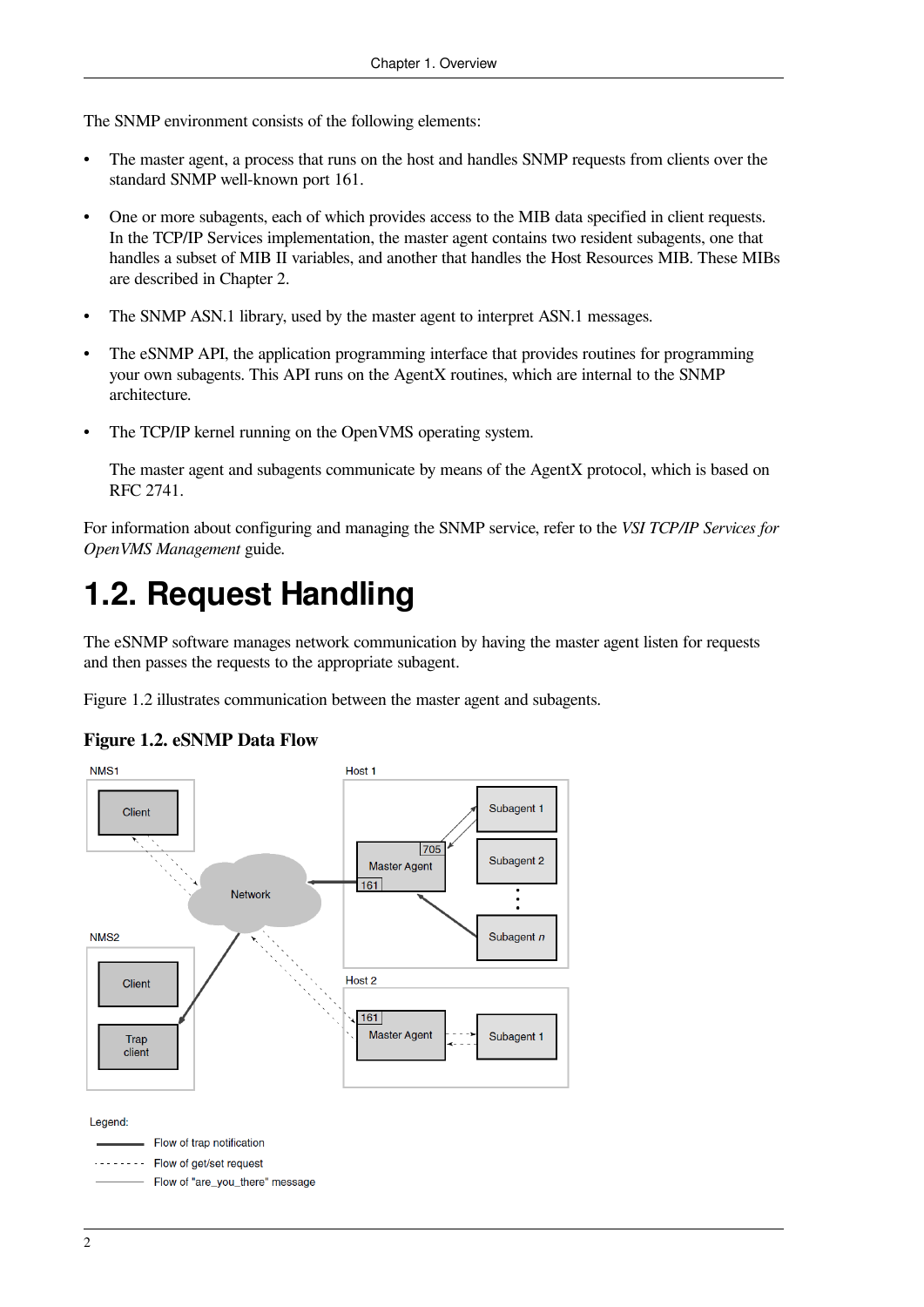The SNMP environment consists of the following elements:

- The master agent, a process that runs on the host and handles SNMP requests from clients over the standard SNMP well-known port 161.
- One or more subagents, each of which provides access to the MIB data specified in client requests. In the TCP/IP Services implementation, the master agent contains two resident subagents, one that handles a subset of MIB II variables, and another that handles the Host Resources MIB. These MIBs are described in [Chapter](#page-18-0) 2.
- The SNMP ASN.1 library, used by the master agent to interpret ASN.1 messages.
- The eSNMP API, the application programming interface that provides routines for programming your own subagents. This API runs on the AgentX routines, which are internal to the SNMP architecture.
- The TCP/IP kernel running on the OpenVMS operating system.

The master agent and subagents communicate by means of the AgentX protocol, which is based on RFC 2741.

For information about configuring and managing the SNMP service, refer to the *VSI TCP/IP Services for OpenVMS Management* guide.

### <span id="page-9-0"></span>**1.2. Request Handling**

The eSNMP software manages network communication by having the master agent listen for requests and then passes the requests to the appropriate subagent.

<span id="page-9-1"></span>[Figure](#page-9-1) 1.2 illustrates communication between the master agent and subagents.



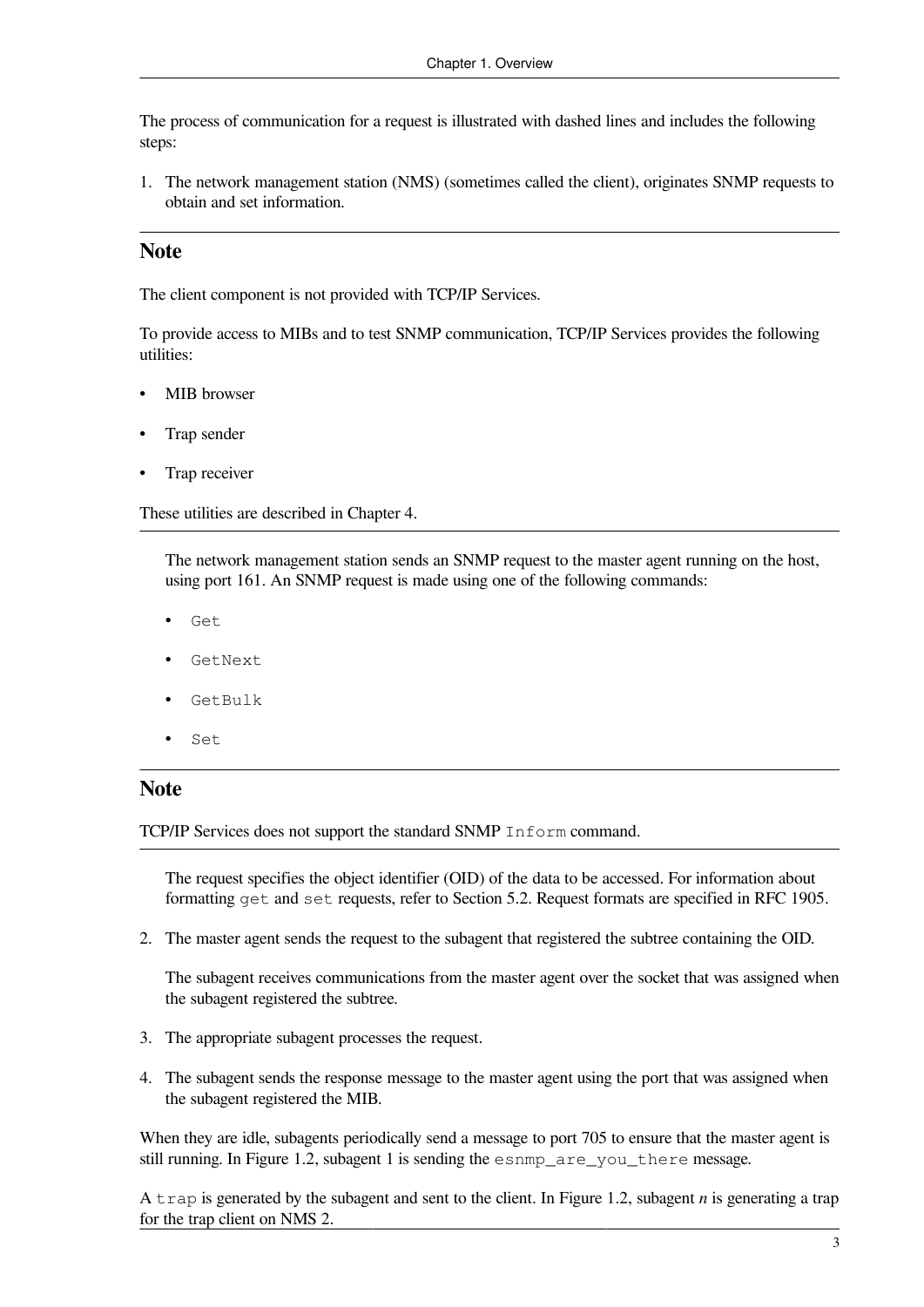The process of communication for a request is illustrated with dashed lines and includes the following steps:

1. The network management station (NMS) (sometimes called the client), originates SNMP requests to obtain and set information.

#### **Note**

The client component is not provided with TCP/IP Services.

To provide access to MIBs and to test SNMP communication, TCP/IP Services provides the following utilities:

- MIB browser
- Trap sender
- Trap receiver

These utilities are described in [Chapter](#page-40-0) 4.

The network management station sends an SNMP request to the master agent running on the host, using port 161. An SNMP request is made using one of the following commands:

- Get
- GetNext
- GetBulk
- Set

#### **Note**

TCP/IP Services does not support the standard SNMP Inform command.

The request specifies the object identifier (OID) of the data to be accessed. For information about formatting get and set requests, refer to [Section](#page-67-0) 5.2. Request formats are specified in RFC 1905.

2. The master agent sends the request to the subagent that registered the subtree containing the OID.

The subagent receives communications from the master agent over the socket that was assigned when the subagent registered the subtree.

- 3. The appropriate subagent processes the request.
- 4. The subagent sends the response message to the master agent using the port that was assigned when the subagent registered the MIB.

When they are idle, subagents periodically send a message to port 705 to ensure that the master agent is still running. In [Figure](#page-9-1) 1.2, subagent 1 is sending the esnmp\_are\_you\_there message.

A trap is generated by the subagent and sent to the client. In [Figure](#page-9-1) 1.2, subagent *n* is generating a trap for the trap client on NMS 2.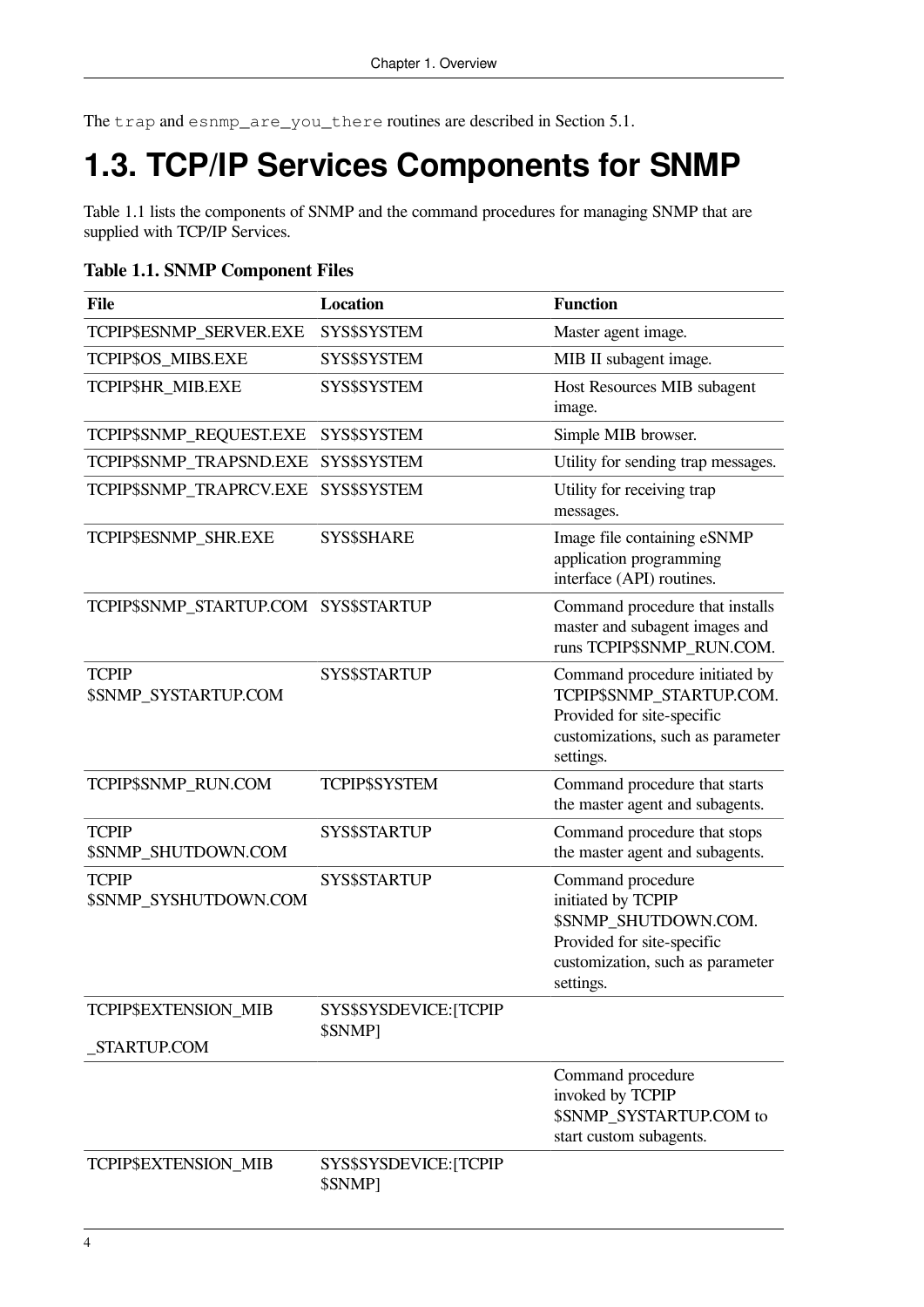The trap and esnmp\_are\_you\_there routines are described in [Section](#page-54-1) 5.1.

## <span id="page-11-0"></span>**1.3. TCP/IP Services Components for SNMP**

[Table](#page-11-1) 1.1 lists the components of SNMP and the command procedures for managing SNMP that are supplied with TCP/IP Services.

#### <span id="page-11-1"></span>**Table 1.1. SNMP Component Files**

| <b>File</b>                                  | <b>Location</b>                   | <b>Function</b>                                                                                                                                |
|----------------------------------------------|-----------------------------------|------------------------------------------------------------------------------------------------------------------------------------------------|
| TCPIP\$ESNMP_SERVER.EXE                      | SYS\$SYSTEM                       | Master agent image.                                                                                                                            |
| TCPIP\$OS_MIBS.EXE                           | SYS\$SYSTEM                       | MIB II subagent image.                                                                                                                         |
| TCPIP\$HR_MIB.EXE                            | SYS\$SYSTEM                       | Host Resources MIB subagent<br>image.                                                                                                          |
| TCPIP\$SNMP_REQUEST.EXE                      | SYS\$SYSTEM                       | Simple MIB browser.                                                                                                                            |
| TCPIP\$SNMP TRAPSND.EXE                      | SYS\$SYSTEM                       | Utility for sending trap messages.                                                                                                             |
| TCPIP\$SNMP_TRAPRCV.EXE                      | SYS\$SYSTEM                       | Utility for receiving trap<br>messages.                                                                                                        |
| TCPIP\$ESNMP_SHR.EXE                         | <b>SYS\$SHARE</b>                 | Image file containing eSNMP<br>application programming<br>interface (API) routines.                                                            |
| TCPIP\$SNMP_STARTUP.COM                      | <b>SYS\$STARTUP</b>               | Command procedure that installs<br>master and subagent images and<br>runs TCPIP\$SNMP RUN.COM.                                                 |
| <b>TCPIP</b><br>\$SNMP_SYSTARTUP.COM         | <b>SYS\$STARTUP</b>               | Command procedure initiated by<br>TCPIP\$SNMP_STARTUP.COM.<br>Provided for site-specific<br>customizations, such as parameter<br>settings.     |
| TCPIP\$SNMP_RUN.COM                          | <b>TCPIP\$SYSTEM</b>              | Command procedure that starts<br>the master agent and subagents.                                                                               |
| <b>TCPIP</b><br>\$SNMP_SHUTDOWN.COM          | SYS\$STARTUP                      | Command procedure that stops<br>the master agent and subagents.                                                                                |
| <b>TCPIP</b><br><b>\$SNMP SYSHUTDOWN.COM</b> | <b>SYS\$STARTUP</b>               | Command procedure<br>initiated by TCPIP<br>\$SNMP_SHUTDOWN.COM.<br>Provided for site-specific<br>customization, such as parameter<br>settings. |
| TCPIP\$EXTENSION_MIB                         | SYS\$SYSDEVICE: [TCPIP<br>\$SNMP] |                                                                                                                                                |
| STARTUP.COM                                  |                                   | Command procedure<br>invoked by TCPIP<br>\$SNMP_SYSTARTUP.COM to<br>start custom subagents.                                                    |
| TCPIP\$EXTENSION_MIB                         | SYS\$SYSDEVICE: [TCPIP<br>\$SNMP] |                                                                                                                                                |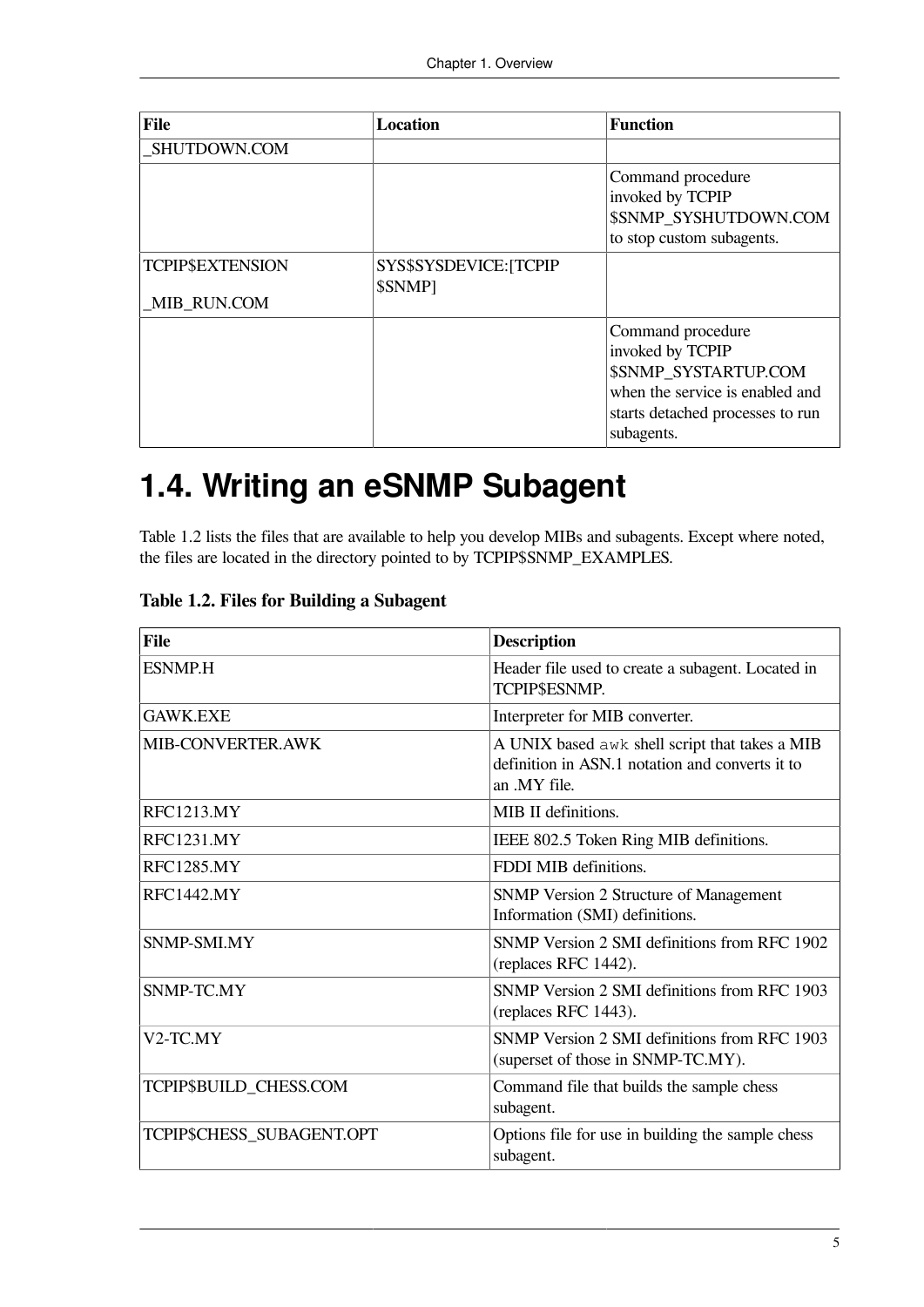| <b>File</b>                            | <b>Location</b>                   | <b>Function</b>                                                                                                                                           |
|----------------------------------------|-----------------------------------|-----------------------------------------------------------------------------------------------------------------------------------------------------------|
| SHUTDOWN.COM                           |                                   |                                                                                                                                                           |
|                                        |                                   | Command procedure<br>invoked by TCPIP<br><b>\$SNMP SYSHUTDOWN.COM</b><br>to stop custom subagents.                                                        |
| <b>TCPIP\$EXTENSION</b><br>MIB RUN.COM | SYS\$SYSDEVICE: [TCPIP<br>\$SNMP1 |                                                                                                                                                           |
|                                        |                                   | Command procedure<br>invoked by TCPIP<br><b>\$SNMP SYSTARTUP.COM</b><br>when the service is enabled and<br>starts detached processes to run<br>subagents. |

## <span id="page-12-0"></span>**1.4. Writing an eSNMP Subagent**

[Table](#page-12-1) 1.2 lists the files that are available to help you develop MIBs and subagents. Except where noted, the files are located in the directory pointed to by TCPIP\$SNMP\_EXAMPLES.

| <b>File</b>               | <b>Description</b>                                                                                                |
|---------------------------|-------------------------------------------------------------------------------------------------------------------|
| <b>ESNMP.H</b>            | Header file used to create a subagent. Located in<br>TCPIP\$ESNMP.                                                |
| <b>GAWK EXE</b>           | Interpreter for MIB converter.                                                                                    |
| MIB-CONVERTER.AWK         | A UNIX based awk shell script that takes a MIB<br>definition in ASN.1 notation and converts it to<br>an .MY file. |
| <b>RFC1213.MY</b>         | MIB II definitions.                                                                                               |
| <b>RFC1231.MY</b>         | IEEE 802.5 Token Ring MIB definitions.                                                                            |
| <b>RFC1285.MY</b>         | FDDI MIB definitions.                                                                                             |
| <b>RFC1442.MY</b>         | <b>SNMP Version 2 Structure of Management</b><br>Information (SMI) definitions.                                   |
| SNMP-SMLMY                | SNMP Version 2 SMI definitions from RFC 1902<br>(replaces RFC 1442).                                              |
| SNMP-TC.MY                | SNMP Version 2 SMI definitions from RFC 1903<br>(replaces RFC 1443).                                              |
| V2-TC.MY                  | SNMP Version 2 SMI definitions from RFC 1903<br>(superset of those in SNMP-TC.MY).                                |
| TCPIP\$BUILD_CHESS.COM    | Command file that builds the sample chess<br>subagent.                                                            |
| TCPIP\$CHESS_SUBAGENT.OPT | Options file for use in building the sample chess<br>subagent.                                                    |

<span id="page-12-1"></span>**Table 1.2. Files for Building a Subagent**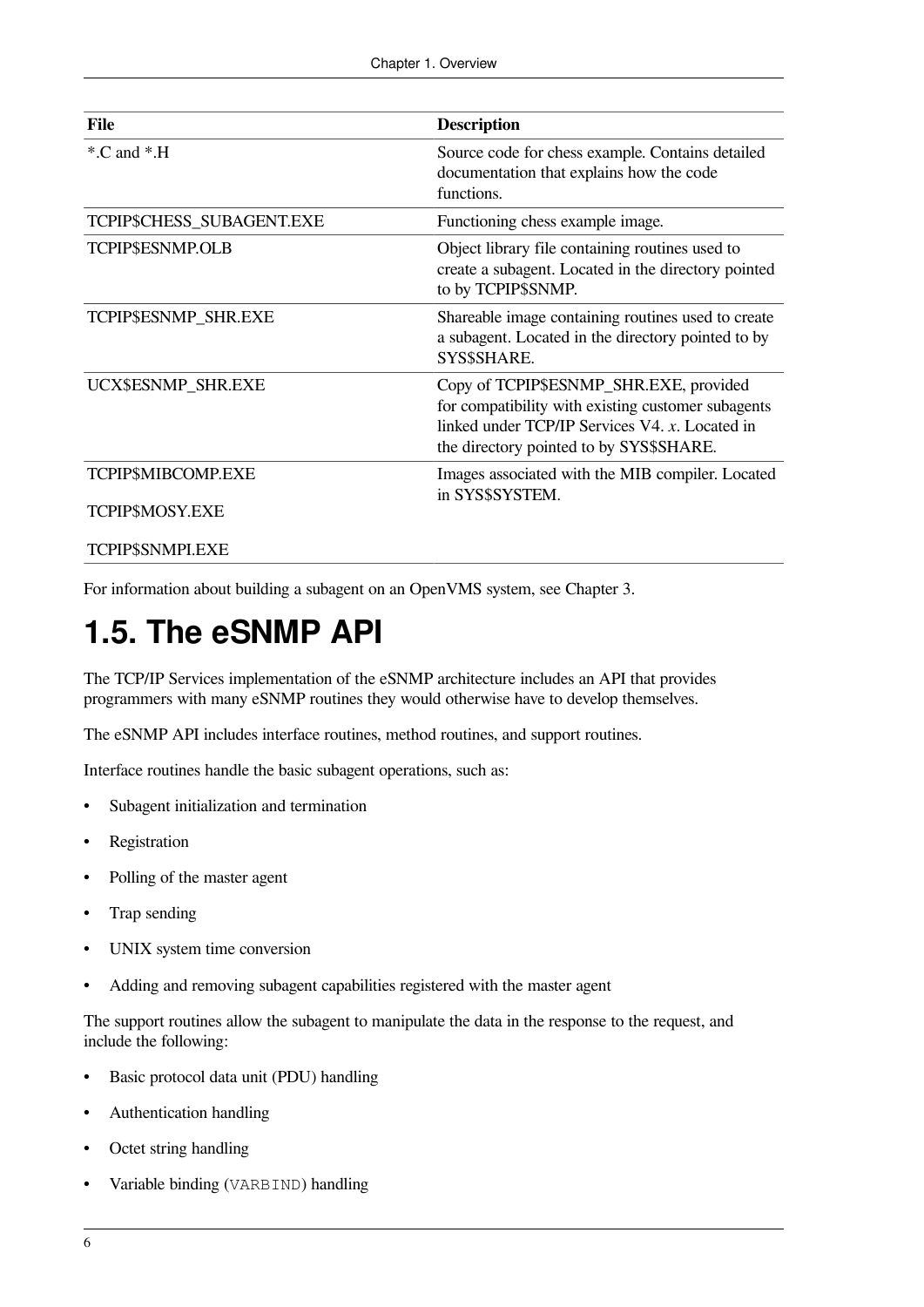| File                      | <b>Description</b>                                                                                                                                                                        |
|---------------------------|-------------------------------------------------------------------------------------------------------------------------------------------------------------------------------------------|
| $^*$ .C and $^*$ .H       | Source code for chess example. Contains detailed<br>documentation that explains how the code<br>functions.                                                                                |
| TCPIP\$CHESS_SUBAGENT.EXE | Functioning chess example image.                                                                                                                                                          |
| TCPIP\$ESNMP.OLB          | Object library file containing routines used to<br>create a subagent. Located in the directory pointed<br>to by TCPIP\$SNMP.                                                              |
| TCPIP\$ESNMP_SHR.EXE      | Shareable image containing routines used to create<br>a subagent. Located in the directory pointed to by<br>SYS\$SHARE.                                                                   |
| UCX\$ESNMP_SHR.EXE        | Copy of TCPIP\$ESNMP_SHR.EXE, provided<br>for compatibility with existing customer subagents<br>linked under TCP/IP Services V4. x. Located in<br>the directory pointed to by SYS\$SHARE. |
| TCPIP\$MIBCOMP.EXE        | Images associated with the MIB compiler. Located                                                                                                                                          |
| TCPIP\$MOSY.EXE           | in SYS\$SYSTEM.                                                                                                                                                                           |
| TCPIP\$SNMPI.EXE          |                                                                                                                                                                                           |

For information about building a subagent on an OpenVMS system, see [Chapter](#page-26-0) 3.

### <span id="page-13-0"></span>**1.5. The eSNMP API**

The TCP/IP Services implementation of the eSNMP architecture includes an API that provides programmers with many eSNMP routines they would otherwise have to develop themselves.

The eSNMP API includes interface routines, method routines, and support routines.

Interface routines handle the basic subagent operations, such as:

- Subagent initialization and termination
- **Registration**
- Polling of the master agent
- Trap sending
- UNIX system time conversion
- Adding and removing subagent capabilities registered with the master agent

The support routines allow the subagent to manipulate the data in the response to the request, and include the following:

- Basic protocol data unit (PDU) handling
- Authentication handling
- Octet string handling
- Variable binding (VARBIND) handling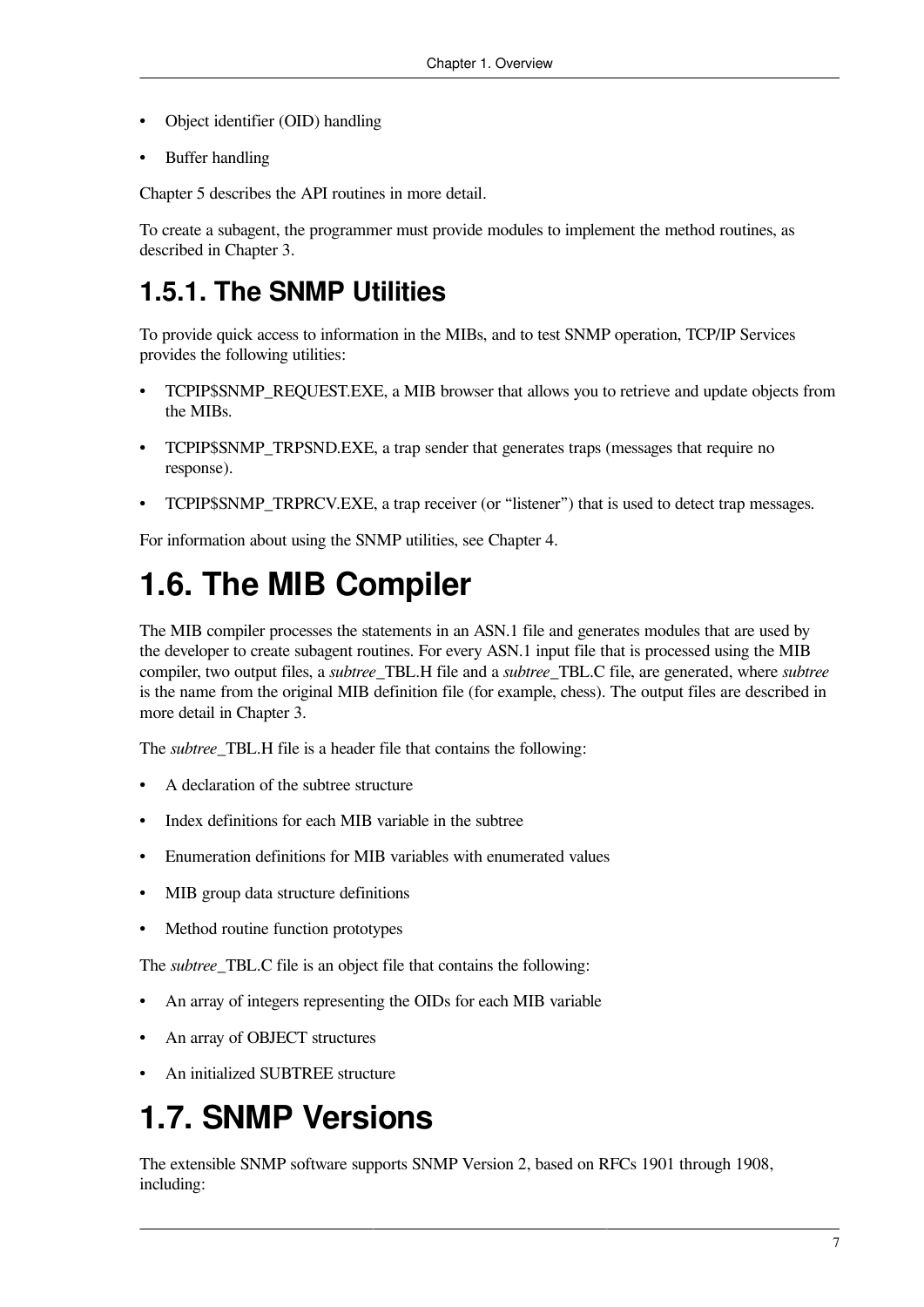- Object identifier (OID) handling
- Buffer handling

[Chapter](#page-54-0) 5 describes the API routines in more detail.

To create a subagent, the programmer must provide modules to implement the method routines, as described in [Chapter](#page-26-0) 3.

### <span id="page-14-0"></span>**1.5.1. The SNMP Utilities**

To provide quick access to information in the MIBs, and to test SNMP operation, TCP/IP Services provides the following utilities:

- TCPIP\$SNMP\_REQUEST.EXE, a MIB browser that allows you to retrieve and update objects from the MIBs.
- TCPIP\$SNMP\_TRPSND.EXE, a trap sender that generates traps (messages that require no response).
- TCPIP\$SNMP\_TRPRCV.EXE, a trap receiver (or "listener") that is used to detect trap messages.

For information about using the SNMP utilities, see [Chapter](#page-40-0) 4.

### <span id="page-14-1"></span>**1.6. The MIB Compiler**

The MIB compiler processes the statements in an ASN.1 file and generates modules that are used by the developer to create subagent routines. For every ASN.1 input file that is processed using the MIB compiler, two output files, a *subtree*\_TBL.H file and a *subtree*\_TBL.C file, are generated, where *subtree* is the name from the original MIB definition file (for example, chess). The output files are described in more detail in [Chapter](#page-26-0) 3.

The *subtree* TBL.H file is a header file that contains the following:

- A declaration of the subtree structure
- Index definitions for each MIB variable in the subtree
- Enumeration definitions for MIB variables with enumerated values
- MIB group data structure definitions
- Method routine function prototypes

The *subtree*\_TBL.C file is an object file that contains the following:

- An array of integers representing the OIDs for each MIB variable
- An array of OBJECT structures
- An initialized SUBTREE structure

### <span id="page-14-2"></span>**1.7. SNMP Versions**

The extensible SNMP software supports SNMP Version 2, based on RFCs 1901 through 1908, including: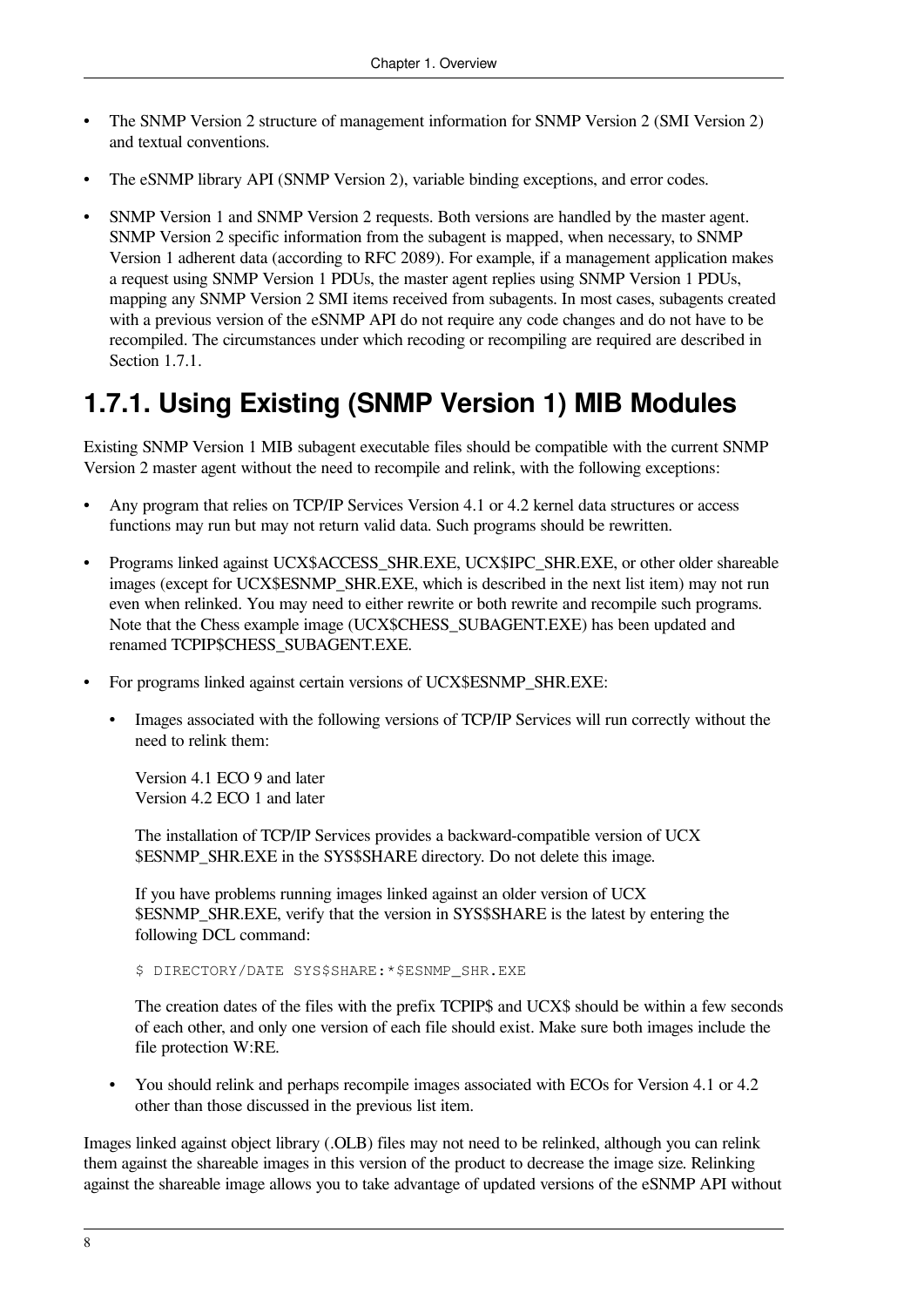- The SNMP Version 2 structure of management information for SNMP Version 2 (SMI Version 2) and textual conventions.
- The eSNMP library API (SNMP Version 2), variable binding exceptions, and error codes.
- SNMP Version 1 and SNMP Version 2 requests. Both versions are handled by the master agent. SNMP Version 2 specific information from the subagent is mapped, when necessary, to SNMP Version 1 adherent data (according to RFC 2089). For example, if a management application makes a request using SNMP Version 1 PDUs, the master agent replies using SNMP Version 1 PDUs, mapping any SNMP Version 2 SMI items received from subagents. In most cases, subagents created with a previous version of the eSNMP API do not require any code changes and do not have to be recompiled. The circumstances under which recoding or recompiling are required are described in [Section](#page-15-0) 1.7.1.

### <span id="page-15-0"></span>**1.7.1. Using Existing (SNMP Version 1) MIB Modules**

Existing SNMP Version 1 MIB subagent executable files should be compatible with the current SNMP Version 2 master agent without the need to recompile and relink, with the following exceptions:

- Any program that relies on TCP/IP Services Version 4.1 or 4.2 kernel data structures or access functions may run but may not return valid data. Such programs should be rewritten.
- Programs linked against UCX\$ACCESS\_SHR.EXE, UCX\$IPC\_SHR.EXE, or other older shareable images (except for UCX\$ESNMP\_SHR.EXE, which is described in the next list item) may not run even when relinked. You may need to either rewrite or both rewrite and recompile such programs. Note that the Chess example image (UCX\$CHESS\_SUBAGENT.EXE) has been updated and renamed TCPIP\$CHESS\_SUBAGENT.EXE.
- For programs linked against certain versions of UCX\$ESNMP\_SHR.EXE:
	- Images associated with the following versions of TCP/IP Services will run correctly without the need to relink them:

Version 4.1 ECO 9 and later Version 4.2 ECO 1 and later

The installation of TCP/IP Services provides a backward-compatible version of UCX \$ESNMP\_SHR.EXE in the SYS\$SHARE directory. Do not delete this image.

If you have problems running images linked against an older version of UCX \$ESNMP\_SHR.EXE, verify that the version in SYS\$SHARE is the latest by entering the following DCL command:

\$ DIRECTORY/DATE SYS\$SHARE:\*\$ESNMP\_SHR.EXE

The creation dates of the files with the prefix TCPIP\$ and UCX\$ should be within a few seconds of each other, and only one version of each file should exist. Make sure both images include the file protection W:RE.

• You should relink and perhaps recompile images associated with ECOs for Version 4.1 or 4.2 other than those discussed in the previous list item.

Images linked against object library (.OLB) files may not need to be relinked, although you can relink them against the shareable images in this version of the product to decrease the image size. Relinking against the shareable image allows you to take advantage of updated versions of the eSNMP API without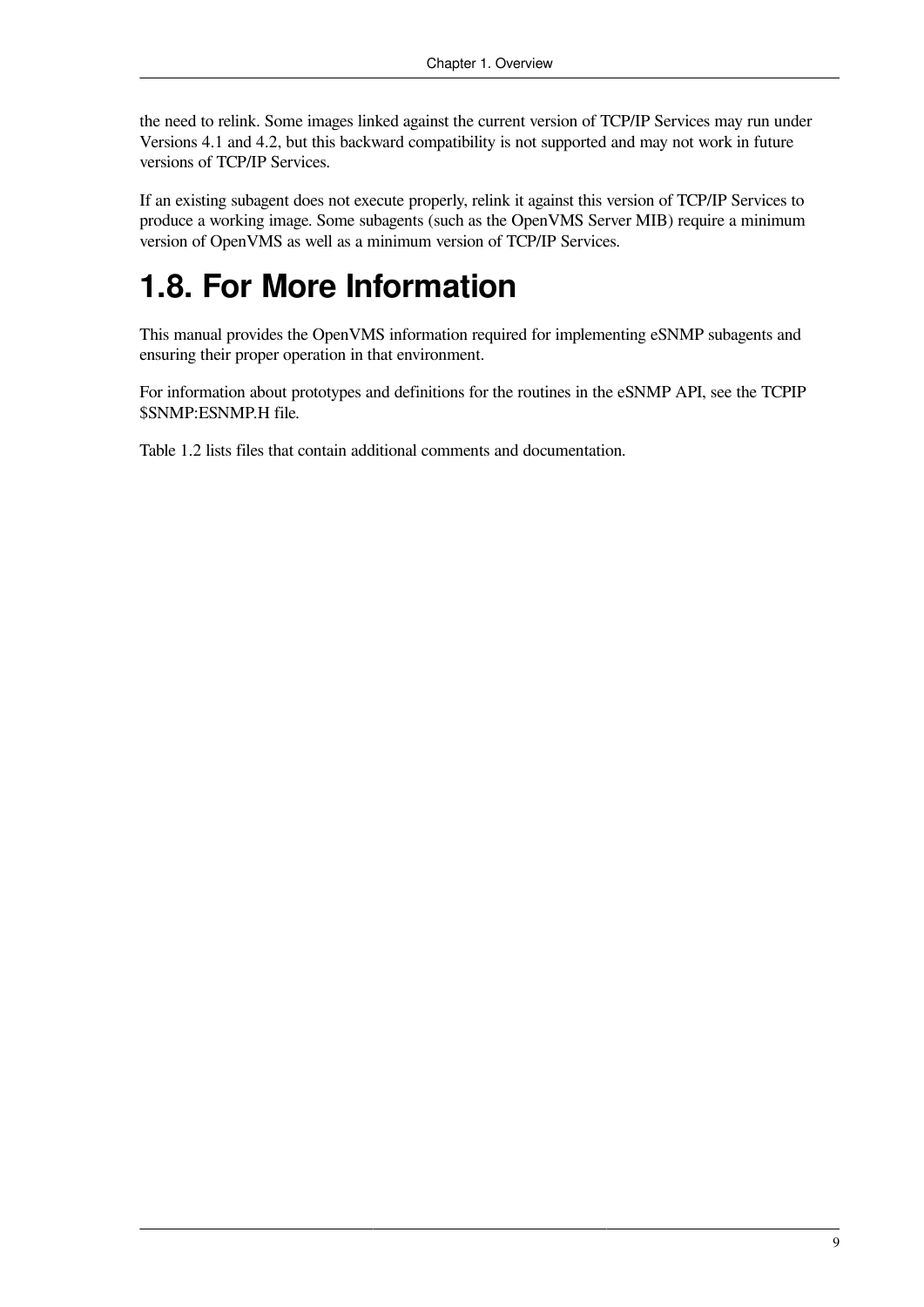the need to relink. Some images linked against the current version of TCP/IP Services may run under Versions 4.1 and 4.2, but this backward compatibility is not supported and may not work in future versions of TCP/IP Services.

If an existing subagent does not execute properly, relink it against this version of TCP/IP Services to produce a working image. Some subagents (such as the OpenVMS Server MIB) require a minimum version of OpenVMS as well as a minimum version of TCP/IP Services.

### <span id="page-16-0"></span>**1.8. For More Information**

This manual provides the OpenVMS information required for implementing eSNMP subagents and ensuring their proper operation in that environment.

For information about prototypes and definitions for the routines in the eSNMP API, see the TCPIP \$SNMP:ESNMP.H file.

[Table](#page-12-1) 1.2 lists files that contain additional comments and documentation.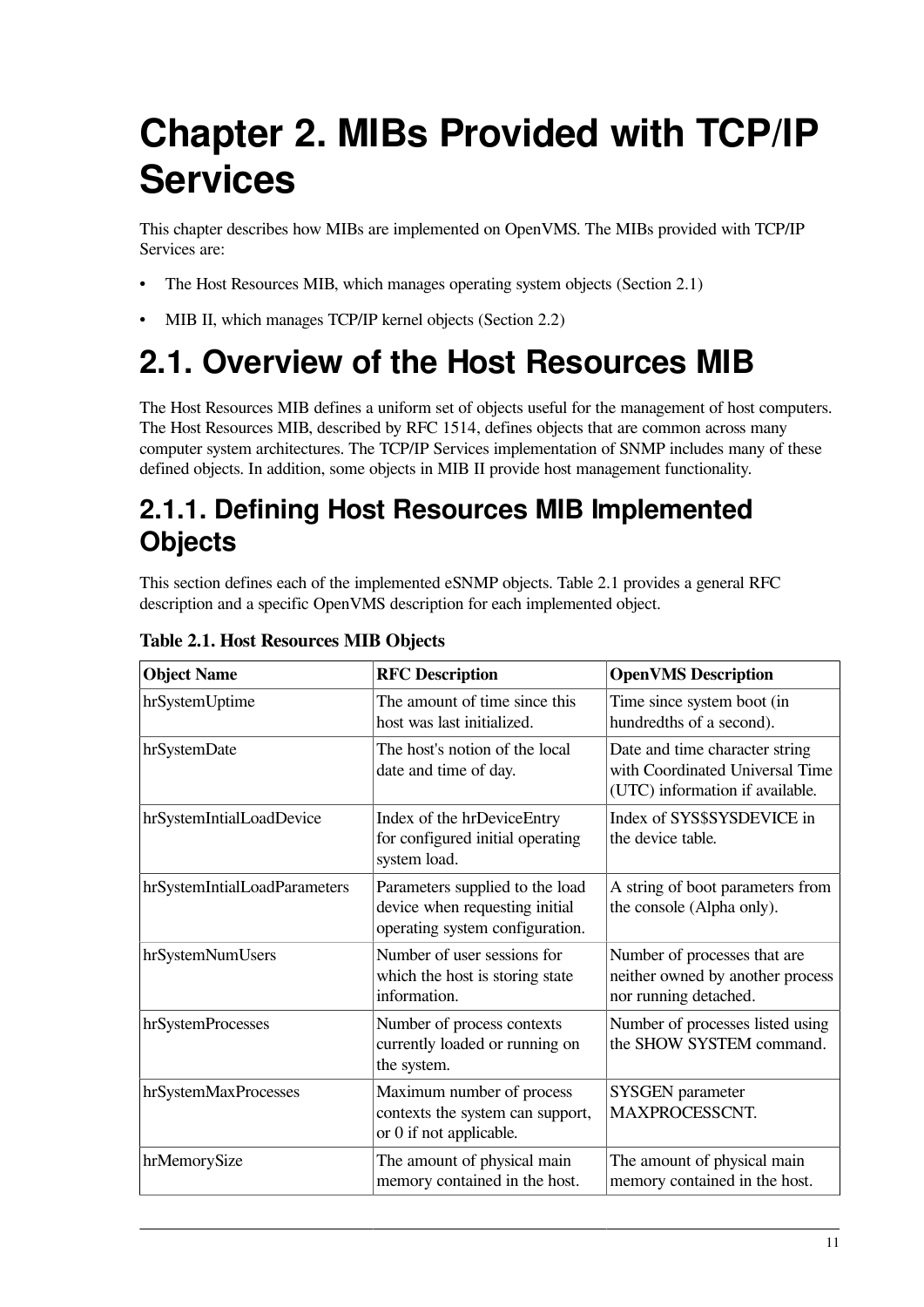# <span id="page-18-0"></span>**Chapter 2. MIBs Provided with TCP/IP Services**

This chapter describes how MIBs are implemented on OpenVMS. The MIBs provided with TCP/IP Services are:

- The Host Resources MIB, which manages operating system objects ([Section](#page-18-1) 2.1)
- MIB II, which manages TCP/IP kernel objects ([Section](#page-22-0) 2.2)

## <span id="page-18-1"></span>**2.1. Overview of the Host Resources MIB**

The Host Resources MIB defines a uniform set of objects useful for the management of host computers. The Host Resources MIB, described by RFC 1514, defines objects that are common across many computer system architectures. The TCP/IP Services implementation of SNMP includes many of these defined objects. In addition, some objects in MIB II provide host management functionality.

### <span id="page-18-2"></span>**2.1.1. Defining Host Resources MIB Implemented Objects**

This section defines each of the implemented eSNMP objects. [Table](#page-18-3) 2.1 provides a general RFC description and a specific OpenVMS description for each implemented object.

| <b>Object Name</b>           | <b>RFC</b> Description                                                                               | <b>OpenVMS Description</b>                                                                           |
|------------------------------|------------------------------------------------------------------------------------------------------|------------------------------------------------------------------------------------------------------|
| hrSystemUptime               | The amount of time since this<br>host was last initialized.                                          | Time since system boot (in<br>hundredths of a second).                                               |
| hrSystemDate                 | The host's notion of the local<br>date and time of day.                                              | Date and time character string<br>with Coordinated Universal Time<br>(UTC) information if available. |
| hrSystemIntialLoadDevice     | Index of the hrDeviceEntry<br>for configured initial operating<br>system load.                       | Index of SYS\$SYSDEVICE in<br>the device table.                                                      |
| hrSystemIntialLoadParameters | Parameters supplied to the load<br>device when requesting initial<br>operating system configuration. | A string of boot parameters from<br>the console (Alpha only).                                        |
| hrSystemNumUsers             | Number of user sessions for<br>which the host is storing state<br>information.                       | Number of processes that are<br>neither owned by another process<br>nor running detached.            |
| hrSystemProcesses            | Number of process contexts<br>currently loaded or running on<br>the system.                          | Number of processes listed using<br>the SHOW SYSTEM command.                                         |
| hrSystemMaxProcesses         | Maximum number of process<br>contexts the system can support,<br>or 0 if not applicable.             | <b>SYSGEN</b> parameter<br>MAXPROCESSCNT.                                                            |
| hrMemorySize                 | The amount of physical main<br>memory contained in the host.                                         | The amount of physical main<br>memory contained in the host.                                         |

<span id="page-18-3"></span>**Table 2.1. Host Resources MIB Objects**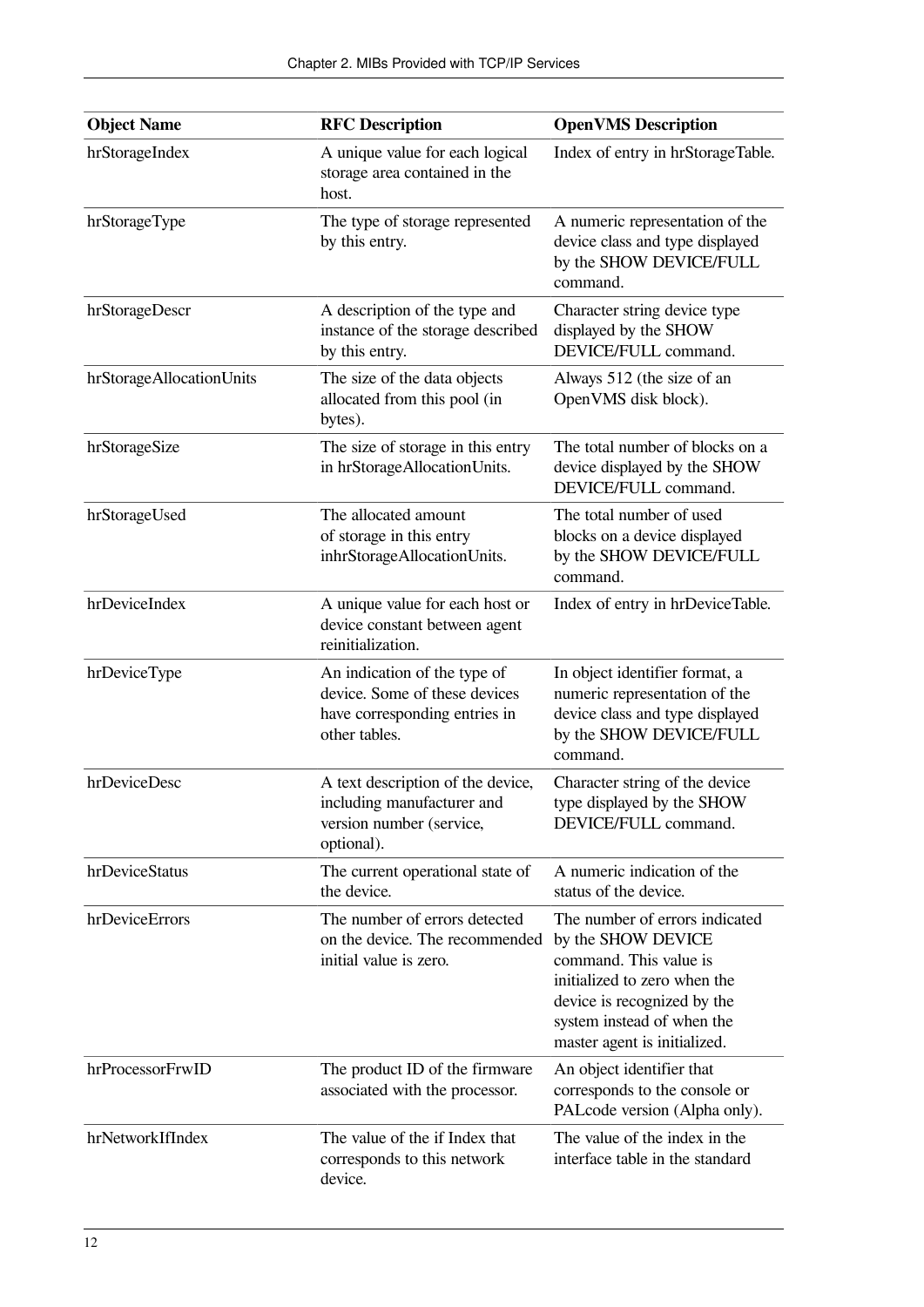| <b>Object Name</b>       | <b>RFC Description</b>                                                                                          | <b>OpenVMS</b> Description                                                                                                                                                                                  |
|--------------------------|-----------------------------------------------------------------------------------------------------------------|-------------------------------------------------------------------------------------------------------------------------------------------------------------------------------------------------------------|
| hrStorageIndex           | A unique value for each logical<br>storage area contained in the<br>host.                                       | Index of entry in hrStorageTable.                                                                                                                                                                           |
| hrStorageType            | The type of storage represented<br>by this entry.                                                               | A numeric representation of the<br>device class and type displayed<br>by the SHOW DEVICE/FULL<br>command.                                                                                                   |
| hrStorageDescr           | A description of the type and<br>instance of the storage described<br>by this entry.                            | Character string device type<br>displayed by the SHOW<br>DEVICE/FULL command.                                                                                                                               |
| hrStorageAllocationUnits | The size of the data objects<br>allocated from this pool (in<br>bytes).                                         | Always 512 (the size of an<br>OpenVMS disk block).                                                                                                                                                          |
| hrStorageSize            | The size of storage in this entry<br>in hrStorageAllocationUnits.                                               | The total number of blocks on a<br>device displayed by the SHOW<br>DEVICE/FULL command.                                                                                                                     |
| hrStorageUsed            | The allocated amount<br>of storage in this entry<br>inhrStorageAllocationUnits.                                 | The total number of used<br>blocks on a device displayed<br>by the SHOW DEVICE/FULL<br>command.                                                                                                             |
| hrDeviceIndex            | A unique value for each host or<br>device constant between agent<br>reinitialization.                           | Index of entry in hrDeviceTable.                                                                                                                                                                            |
| hrDeviceType             | An indication of the type of<br>device. Some of these devices<br>have corresponding entries in<br>other tables. | In object identifier format, a<br>numeric representation of the<br>device class and type displayed<br>by the SHOW DEVICE/FULL<br>command.                                                                   |
| hrDeviceDesc             | A text description of the device,<br>including manufacturer and<br>version number (service,<br>optional).       | Character string of the device<br>type displayed by the SHOW<br>DEVICE/FULL command.                                                                                                                        |
| hrDeviceStatus           | The current operational state of<br>the device.                                                                 | A numeric indication of the<br>status of the device.                                                                                                                                                        |
| hrDeviceErrors           | The number of errors detected<br>on the device. The recommended<br>initial value is zero.                       | The number of errors indicated<br>by the SHOW DEVICE<br>command. This value is<br>initialized to zero when the<br>device is recognized by the<br>system instead of when the<br>master agent is initialized. |
| hrProcessorFrwID         | The product ID of the firmware<br>associated with the processor.                                                | An object identifier that<br>corresponds to the console or<br>PALcode version (Alpha only).                                                                                                                 |
| hrNetworkIfIndex         | The value of the if Index that<br>corresponds to this network<br>device.                                        | The value of the index in the<br>interface table in the standard                                                                                                                                            |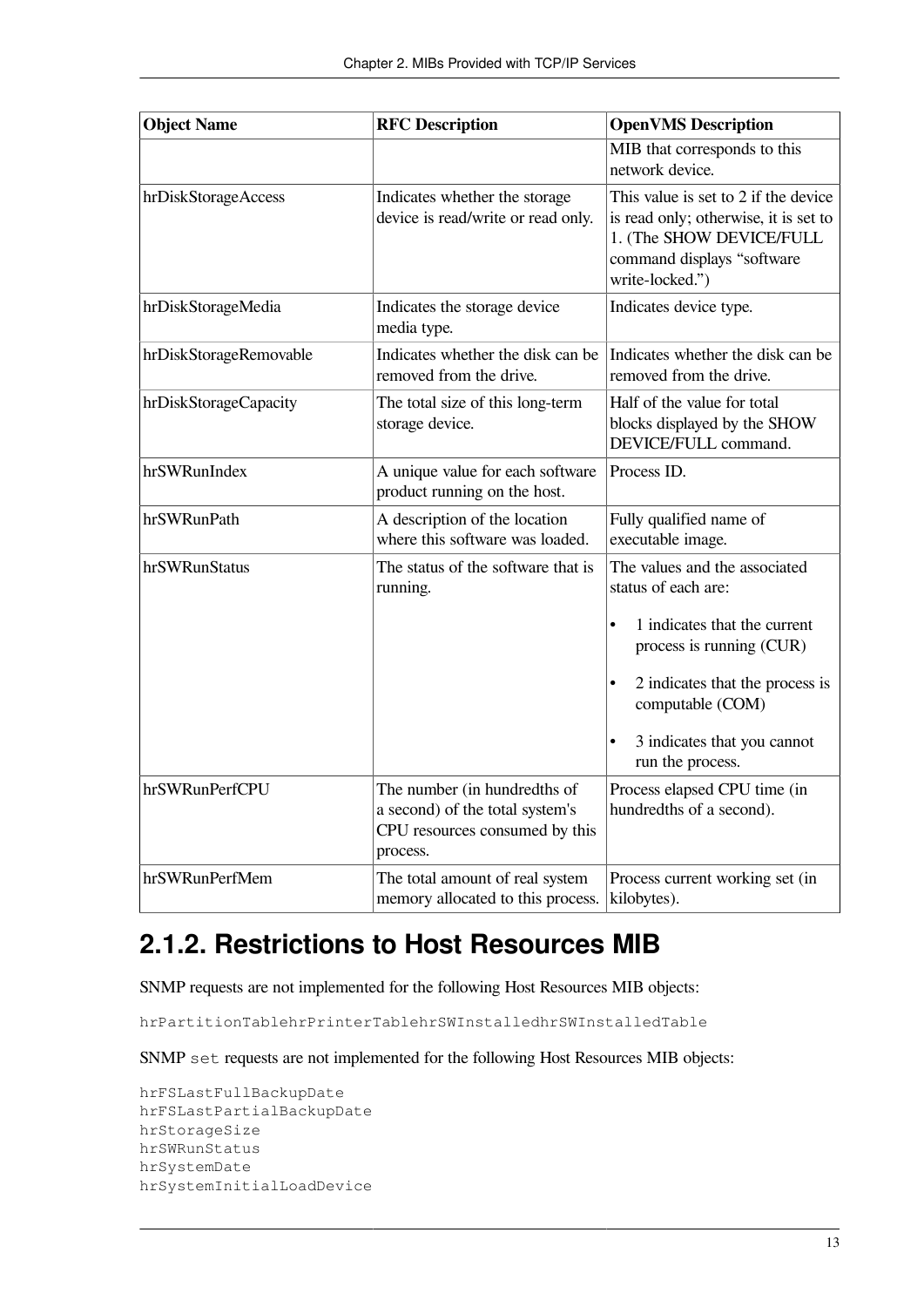| <b>Object Name</b>              | <b>RFC</b> Description                                                         | <b>OpenVMS</b> Description                                                                                                                                                                                                                                                           |
|---------------------------------|--------------------------------------------------------------------------------|--------------------------------------------------------------------------------------------------------------------------------------------------------------------------------------------------------------------------------------------------------------------------------------|
|                                 |                                                                                | MIB that corresponds to this<br>network device.                                                                                                                                                                                                                                      |
| hrDiskStorageAccess             | Indicates whether the storage<br>device is read/write or read only.            | This value is set to 2 if the device<br>is read only; otherwise, it is set to<br>1. (The SHOW DEVICE/FULL<br>command displays "software<br>write-locked.")                                                                                                                           |
| hrDiskStorageMedia              | Indicates the storage device<br>media type.                                    | Indicates device type.                                                                                                                                                                                                                                                               |
| hrDiskStorageRemovable          | Indicates whether the disk can be<br>removed from the drive.                   | Indicates whether the disk can be<br>removed from the drive.                                                                                                                                                                                                                         |
| hrDiskStorageCapacity           | The total size of this long-term<br>storage device.                            | Half of the value for total<br>blocks displayed by the SHOW<br>DEVICE/FULL command.                                                                                                                                                                                                  |
| hrSWRunIndex                    | A unique value for each software<br>product running on the host.               | Process ID.                                                                                                                                                                                                                                                                          |
| hrSWRunPath                     | A description of the location<br>where this software was loaded.               | Fully qualified name of<br>executable image.                                                                                                                                                                                                                                         |
| hrSWRunStatus<br>hrSWRunPerfCPU | The status of the software that is<br>running.<br>The number (in hundredths of | The values and the associated<br>status of each are:<br>1 indicates that the current<br>$\bullet$<br>process is running (CUR)<br>2 indicates that the process is<br>$\bullet$<br>computable (COM)<br>3 indicates that you cannot<br>run the process.<br>Process elapsed CPU time (in |
|                                 | a second) of the total system's<br>CPU resources consumed by this<br>process.  | hundredths of a second).                                                                                                                                                                                                                                                             |
| hrSWRunPerfMem                  | The total amount of real system<br>memory allocated to this process.           | Process current working set (in<br>kilobytes).                                                                                                                                                                                                                                       |

### <span id="page-20-0"></span>**2.1.2. Restrictions to Host Resources MIB**

SNMP requests are not implemented for the following Host Resources MIB objects:

hrPartitionTablehrPrinterTablehrSWInstalledhrSWInstalledTable

SNMP set requests are not implemented for the following Host Resources MIB objects:

```
hrFSLastFullBackupDate
hrFSLastPartialBackupDate
hrStorageSize
hrSWRunStatus
hrSystemDate
hrSystemInitialLoadDevice
```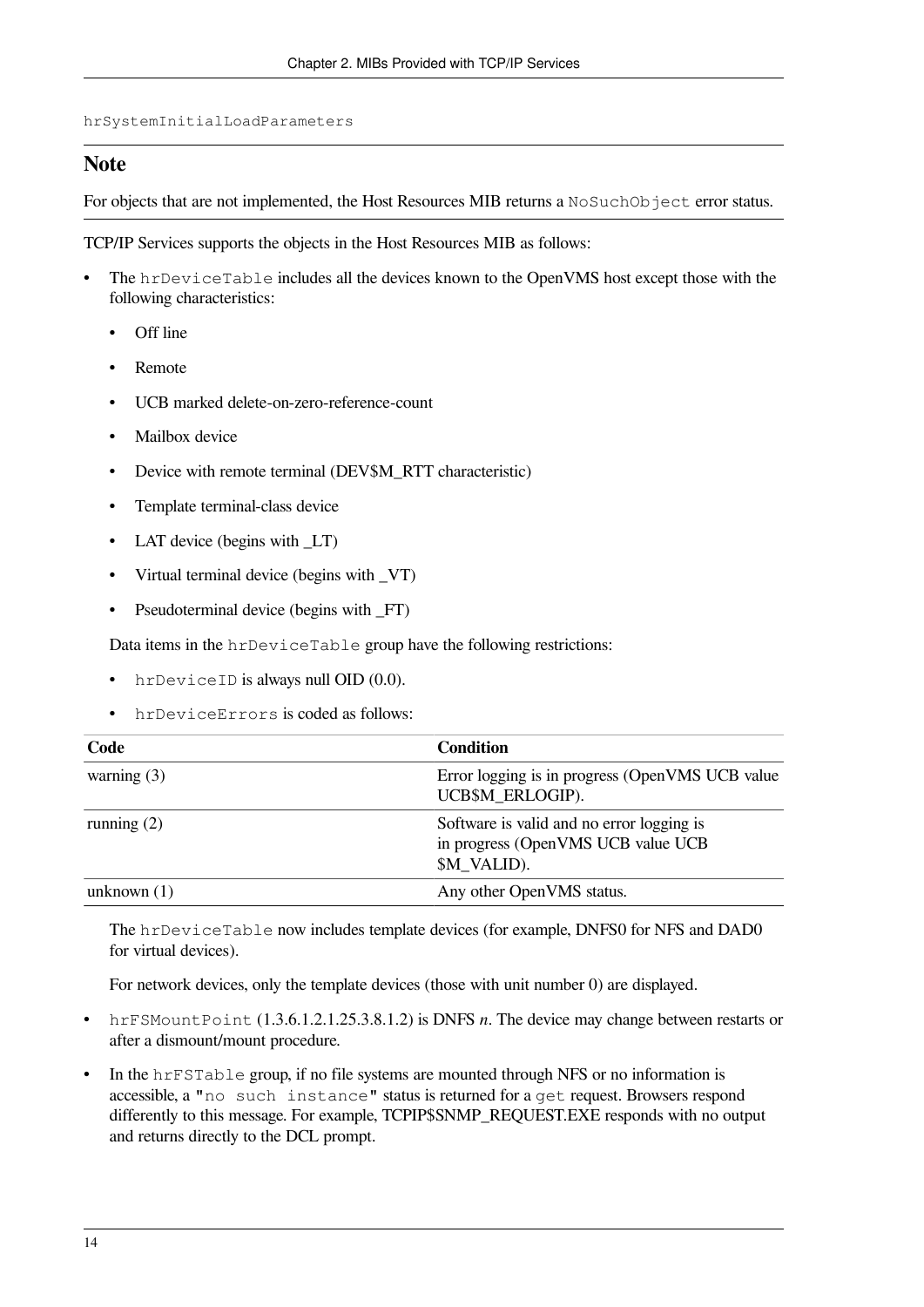hrSystemInitialLoadParameters

#### **Note**

For objects that are not implemented, the Host Resources MIB returns a NoSuchObject error status.

TCP/IP Services supports the objects in the Host Resources MIB as follows:

- The hrDeviceTable includes all the devices known to the OpenVMS host except those with the following characteristics:
	- Off line
	- Remote
	- UCB marked delete-on-zero-reference-count
	- Mailbox device
	- Device with remote terminal (DEV\$M\_RTT characteristic)
	- Template terminal-class device
	- LAT device (begins with  $LT$ )
	- Virtual terminal device (begins with VT)
	- Pseudoterminal device (begins with \_FT)

Data items in the hrDeviceTable group have the following restrictions:

- hrDeviceID is always null OID (0.0).
- hrDeviceErrors is coded as follows:

| Code          | <b>Condition</b>                                                                               |
|---------------|------------------------------------------------------------------------------------------------|
| warning $(3)$ | Error logging is in progress (OpenVMS UCB value)<br>UCB\$M ERLOGIP).                           |
| running $(2)$ | Software is valid and no error logging is<br>in progress (OpenVMS UCB value UCB<br>\$M_VALID). |
| unknown $(1)$ | Any other OpenVMS status.                                                                      |

The hrDeviceTable now includes template devices (for example, DNFS0 for NFS and DAD0 for virtual devices).

For network devices, only the template devices (those with unit number 0) are displayed.

- hrFSMountPoint (1.3.6.1.2.1.25.3.8.1.2) is DNFS *n*. The device may change between restarts or after a dismount/mount procedure.
- In the hrFSTable group, if no file systems are mounted through NFS or no information is accessible, a "no such instance" status is returned for a get request. Browsers respond differently to this message. For example, TCPIP\$SNMP\_REQUEST.EXE responds with no output and returns directly to the DCL prompt.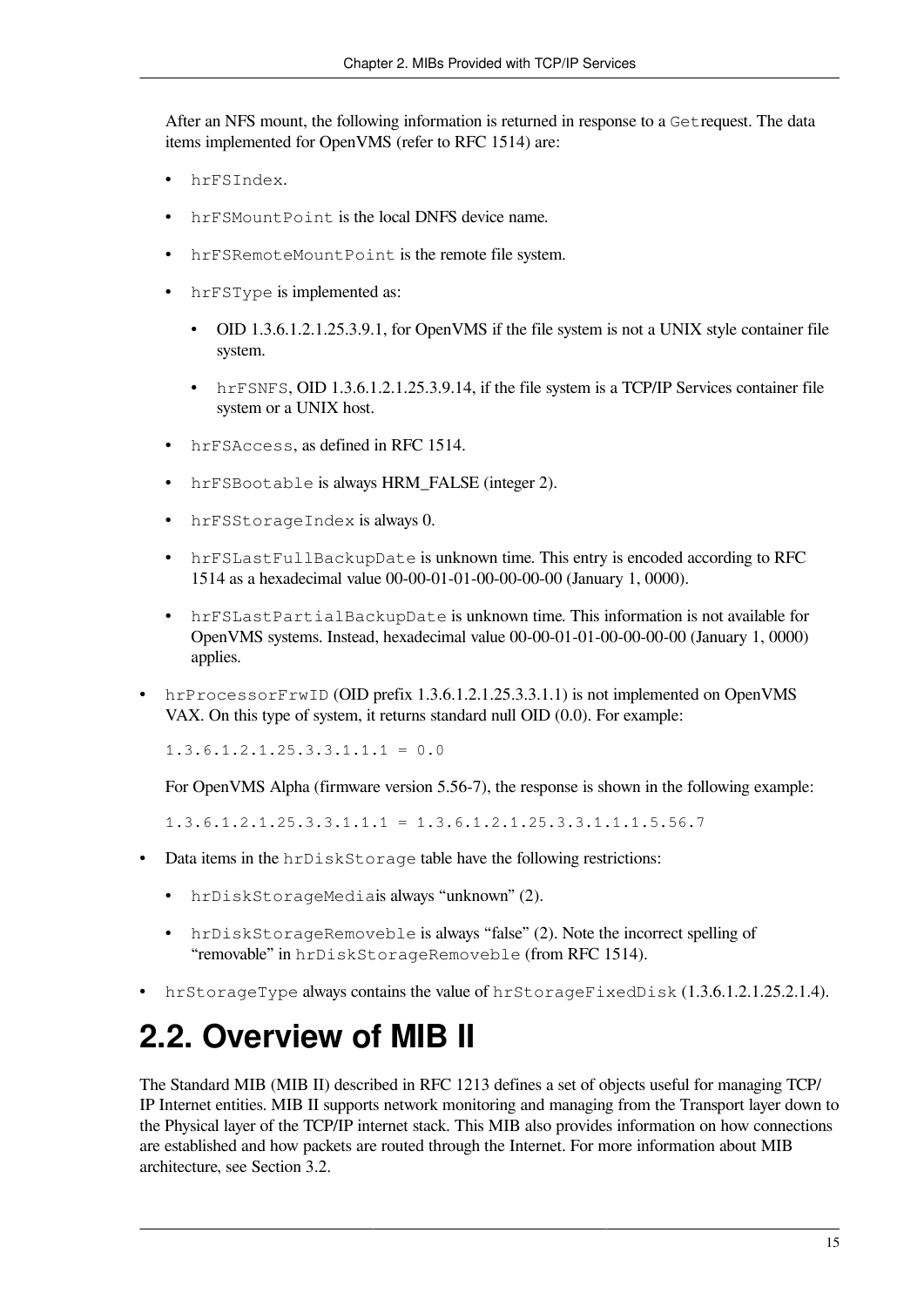After an NFS mount, the following information is returned in response to a Getrequest. The data items implemented for OpenVMS (refer to RFC 1514) are:

- hrFSIndex.
- hrFSMount Point is the local DNFS device name.
- hrFSRemoteMountPoint is the remote file system.
- hrFSType is implemented as:
	- OID 1.3.6.1.2.1.25.3.9.1, for OpenVMS if the file system is not a UNIX style container file system.
	- hrFSNFS, OID 1.3.6.1.2.1.25.3.9.14, if the file system is a TCP/IP Services container file system or a UNIX host.
- hrFSAccess, as defined in RFC 1514.
- hrFSBootable is always HRM\_FALSE (integer 2).
- hrFSStorageIndex is always 0.
- hrFSLastFullBackupDate is unknown time. This entry is encoded according to RFC 1514 as a hexadecimal value 00-00-01-01-00-00-00-00 (January 1, 0000).
- hrFSLastPartialBackupDate is unknown time. This information is not available for OpenVMS systems. Instead, hexadecimal value 00-00-01-01-00-00-00-00 (January 1, 0000) applies.
- hrProcessorFrwID (OID prefix 1.3.6.1.2.1.25.3.3.1.1) is not implemented on OpenVMS VAX. On this type of system, it returns standard null OID (0.0). For example:

 $1.3.6.1.2.1.25.3.3.1.1.1 = 0.0$ 

For OpenVMS Alpha (firmware version 5.56-7), the response is shown in the following example:

 $1.3.6.1.2.1.25.3.3.1.1.1 = 1.3.6.1.2.1.25.3.3.1.1.1.5.56.7$ 

- Data items in the hrDiskStorage table have the following restrictions:
	- hrDiskStorageMediais always "unknown" (2).
	- hrDiskStorageRemoveble is always "false" (2). Note the incorrect spelling of "removable" in hrDiskStorageRemoveble (from RFC 1514).
- hrStorageType always contains the value of hrStorageFixedDisk (1.3.6.1.2.1.25.2.1.4).

## <span id="page-22-0"></span>**2.2. Overview of MIB II**

The Standard MIB (MIB II) described in RFC 1213 defines a set of objects useful for managing TCP/ IP Internet entities. MIB II supports network monitoring and managing from the Transport layer down to the Physical layer of the TCP/IP internet stack. This MIB also provides information on how connections are established and how packets are routed through the Internet. For more information about MIB architecture, see [Section](#page-26-2) 3.2.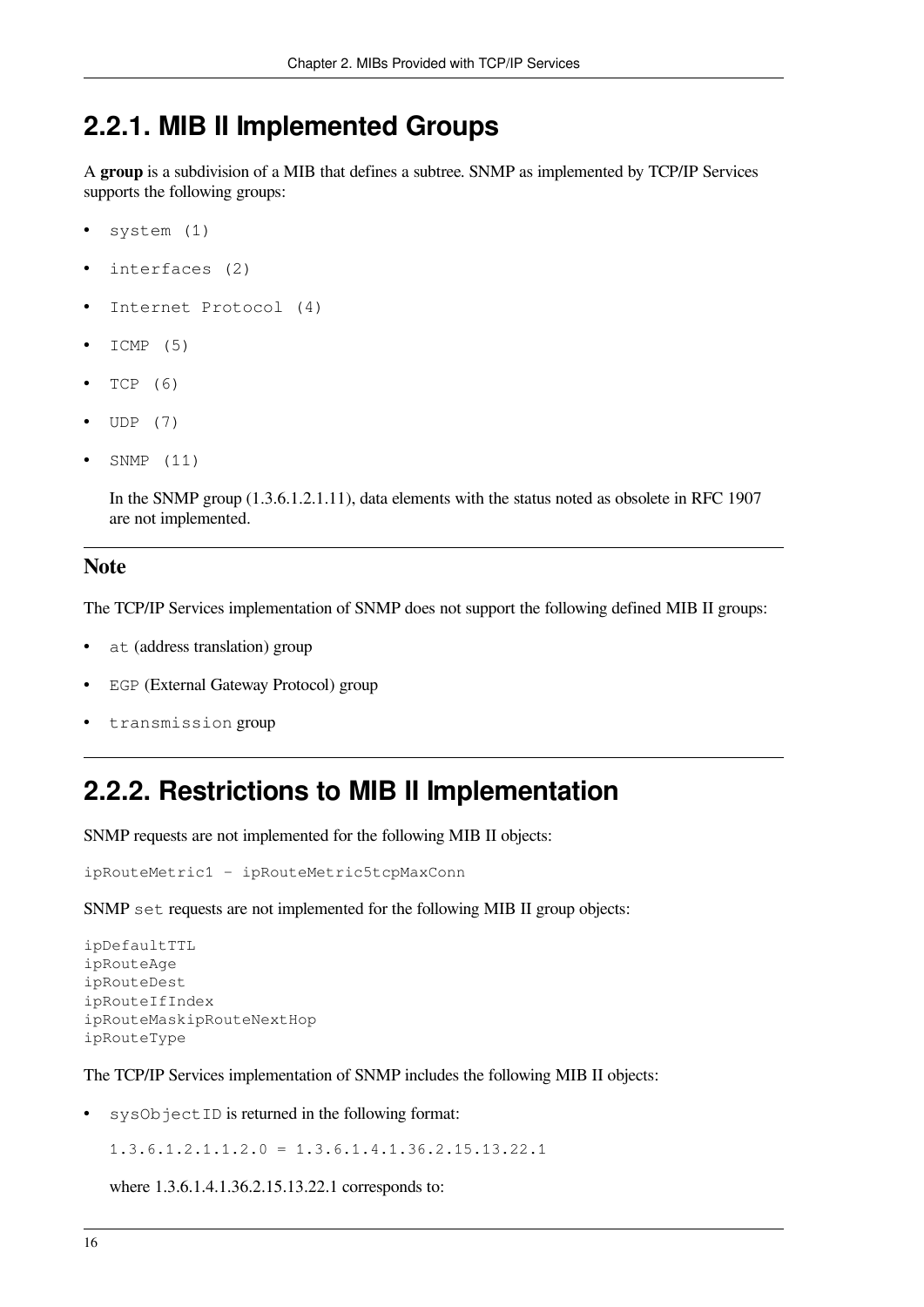### <span id="page-23-0"></span>**2.2.1. MIB II Implemented Groups**

A **group** is a subdivision of a MIB that defines a subtree. SNMP as implemented by TCP/IP Services supports the following groups:

- system (1)
- interfaces (2)
- Internet Protocol (4)
- ICMP (5)
- TCP (6)
- UDP (7)
- SNMP (11)

In the SNMP group (1.3.6.1.2.1.11), data elements with the status noted as obsolete in RFC 1907 are not implemented.

#### **Note**

The TCP/IP Services implementation of SNMP does not support the following defined MIB II groups:

- at (address translation) group
- EGP (External Gateway Protocol) group
- transmission group

### <span id="page-23-1"></span>**2.2.2. Restrictions to MIB II Implementation**

SNMP requests are not implemented for the following MIB II objects:

```
ipRouteMetric1 - ipRouteMetric5tcpMaxConn
```
SNMP set requests are not implemented for the following MIB II group objects:

```
ipDefaultTTL
ipRouteAge
ipRouteDest
ipRouteIfIndex
ipRouteMaskipRouteNextHop
ipRouteType
```
The TCP/IP Services implementation of SNMP includes the following MIB II objects:

sysObjectID is returned in the following format:

 $1.3.6.1.2.1.1.2.0 = 1.3.6.1.4.1.36.2.15.13.22.1$ 

where 1.3.6.1.4.1.36.2.15.13.22.1 corresponds to: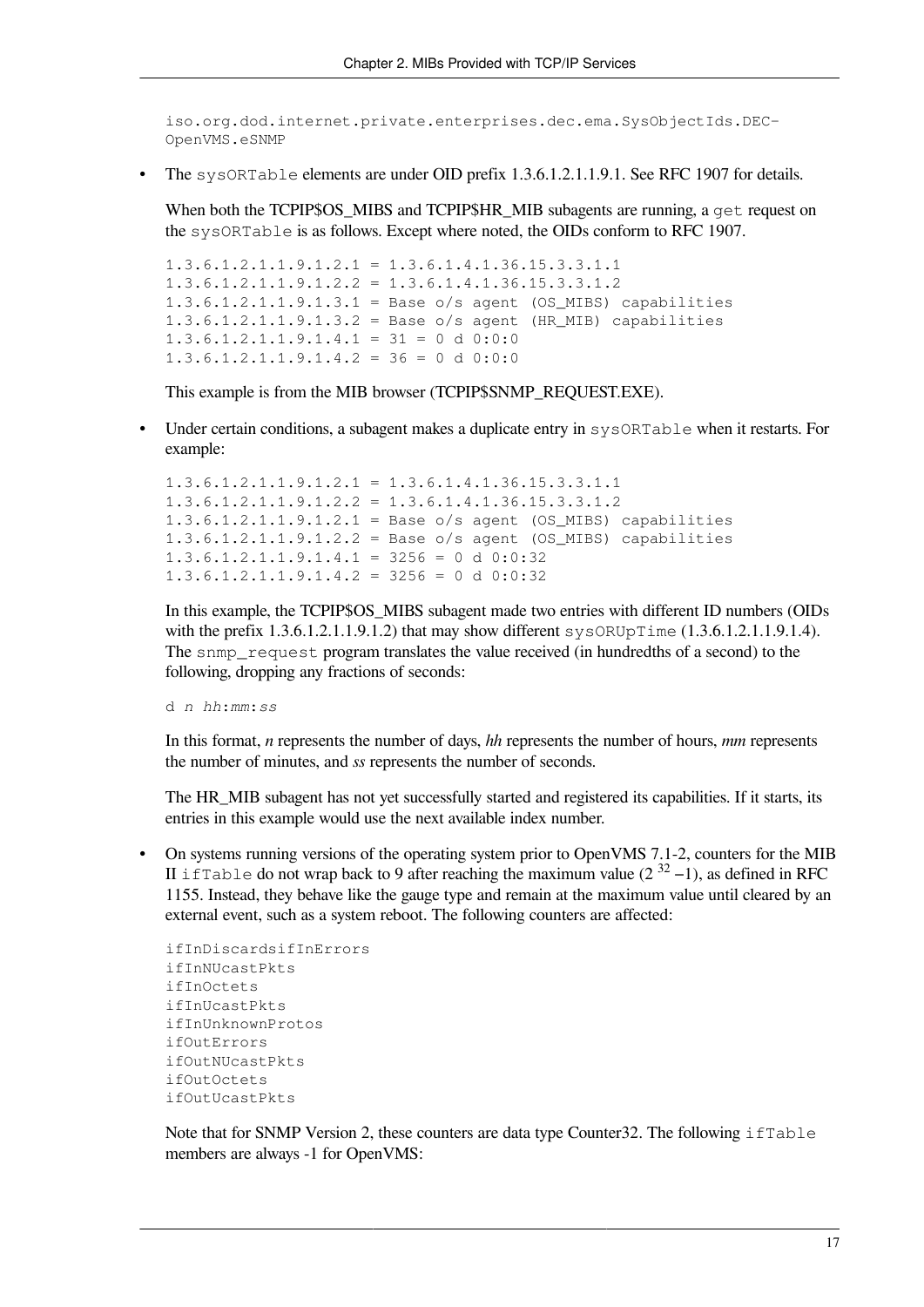iso.org.dod.internet.private.enterprises.dec.ema.SysObjectIds.DEC-OpenVMS.eSNMP

The sysORTable elements are under OID prefix 1.3.6.1.2.1.1.9.1. See RFC 1907 for details.

When both the TCPIP\$OS MIBS and TCPIP\$HR MIB subagents are running, a get request on the sysORTable is as follows. Except where noted, the OIDs conform to RFC 1907.

```
1.3.6.1.2.1.1.9.1.2.1 = 1.3.6.1.4.1.36.15.3.3.1.11.3.6.1.2.1.1.9.1.2.2 = 1.3.6.1.4.1.36.15.3.3.1.21.3.6.1.2.1.1.9.1.3.1 = Base o/s agent (OS_MIBS) capabilities
1.3.6.1.2.1.1.9.1.3.2 = Base o/s agent (HR_MIB) capabilities
1.3.6.1.2.1.1.9.1.4.1 = 31 = 0 d 0:0:01.3.6.1.2.1.1.9.1.4.2 = 36 = 0 d 0:0:0
```
This example is from the MIB browser (TCPIP\$SNMP\_REQUEST.EXE).

• Under certain conditions, a subagent makes a duplicate entry in sysORTable when it restarts. For example:

```
1.3.6.1.2.1.1.9.1.2.1 = 1.3.6.1.4.1.36.15.3.3.1.11.3.6.1.2.1.1.9.1.2.2 = 1.3.6.1.4.1.36.15.3.3.1.21.3.6.1.2.1.1.9.1.2.1 = Base o/s agent (OS_MIBS) capabilities
1.3.6.1.2.1.1.9.1.2.2 = Base 0/s agent (OS MIBS) capabilities
1.3.6.1.2.1.1.9.1.4.1 = 3256 = 0 d 0:0:321.3.6.1.2.1.1.9.1.4.2 = 3256 = 0 d 0:0:32
```
In this example, the TCPIP\$OS\_MIBS subagent made two entries with different ID numbers (OIDs with the prefix  $1.3.6.1.2.1.1.9.1.2$ ) that may show different  $sysORUpTime (1.3.6.1.2.1.1.9.1.4)$ . The snmp\_request program translates the value received (in hundredths of a second) to the following, dropping any fractions of seconds:

d *n hh*:*mm*:*ss*

In this format, *n* represents the number of days, *hh* represents the number of hours, *mm* represents the number of minutes, and *ss* represents the number of seconds.

The HR\_MIB subagent has not yet successfully started and registered its capabilities. If it starts, its entries in this example would use the next available index number.

• On systems running versions of the operating system prior to OpenVMS 7.1-2, counters for the MIB II if Table do not wrap back to 9 after reaching the maximum value  $(2^{32} - 1)$ , as defined in RFC 1155. Instead, they behave like the gauge type and remain at the maximum value until cleared by an external event, such as a system reboot. The following counters are affected:

```
ifInDiscardsifInErrors
ifInNUcastPkts
ifInOctets
ifInUcastPkts
ifInUnknownProtos
ifOutErrors
ifOutNUcastPkts
ifOutOctets
ifOutUcastPkts
```
Note that for SNMP Version 2, these counters are data type Counter 32. The following  $ifTable$ members are always -1 for OpenVMS: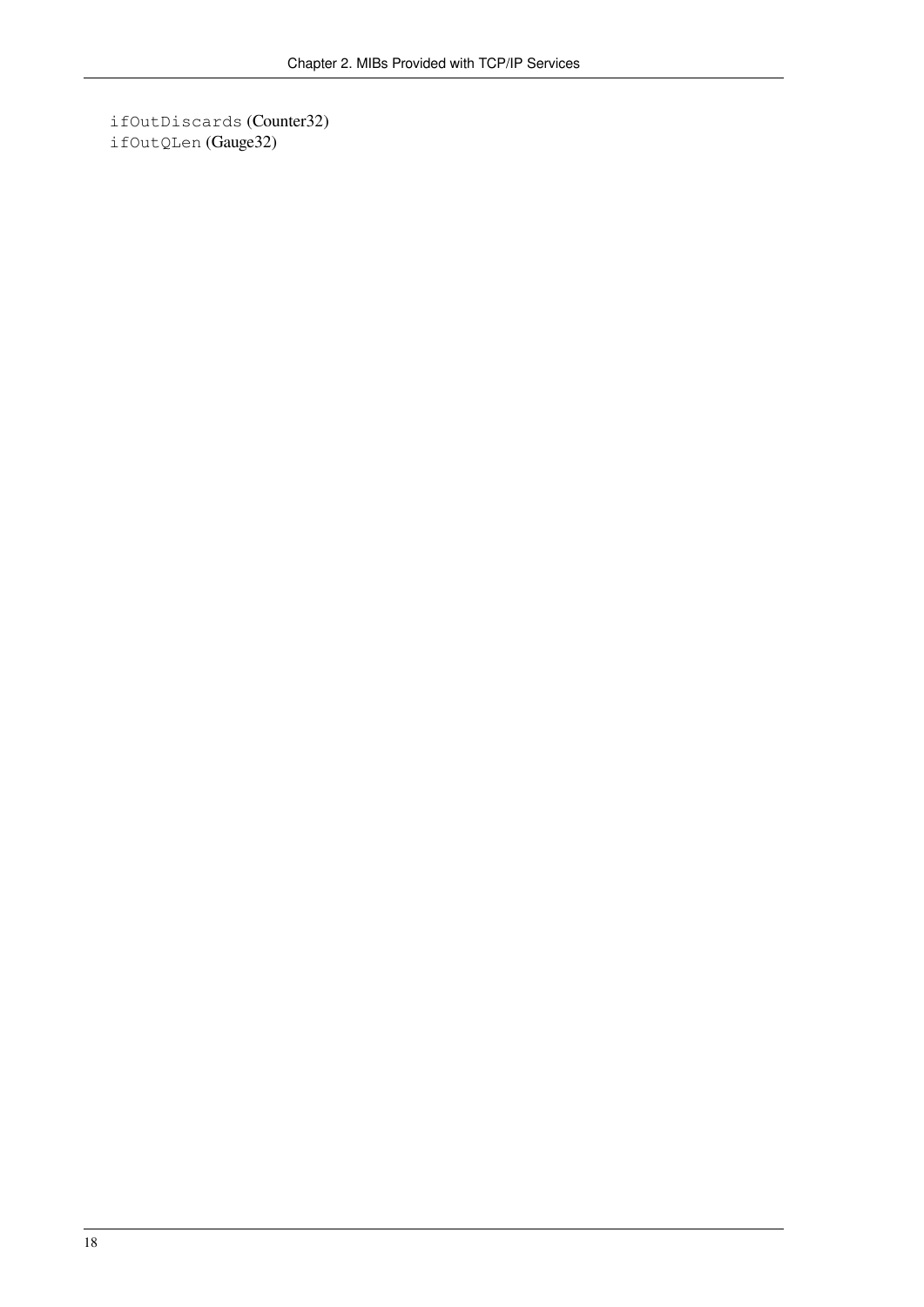ifOutDiscards (Counter32) ifOutQLen (Gauge32)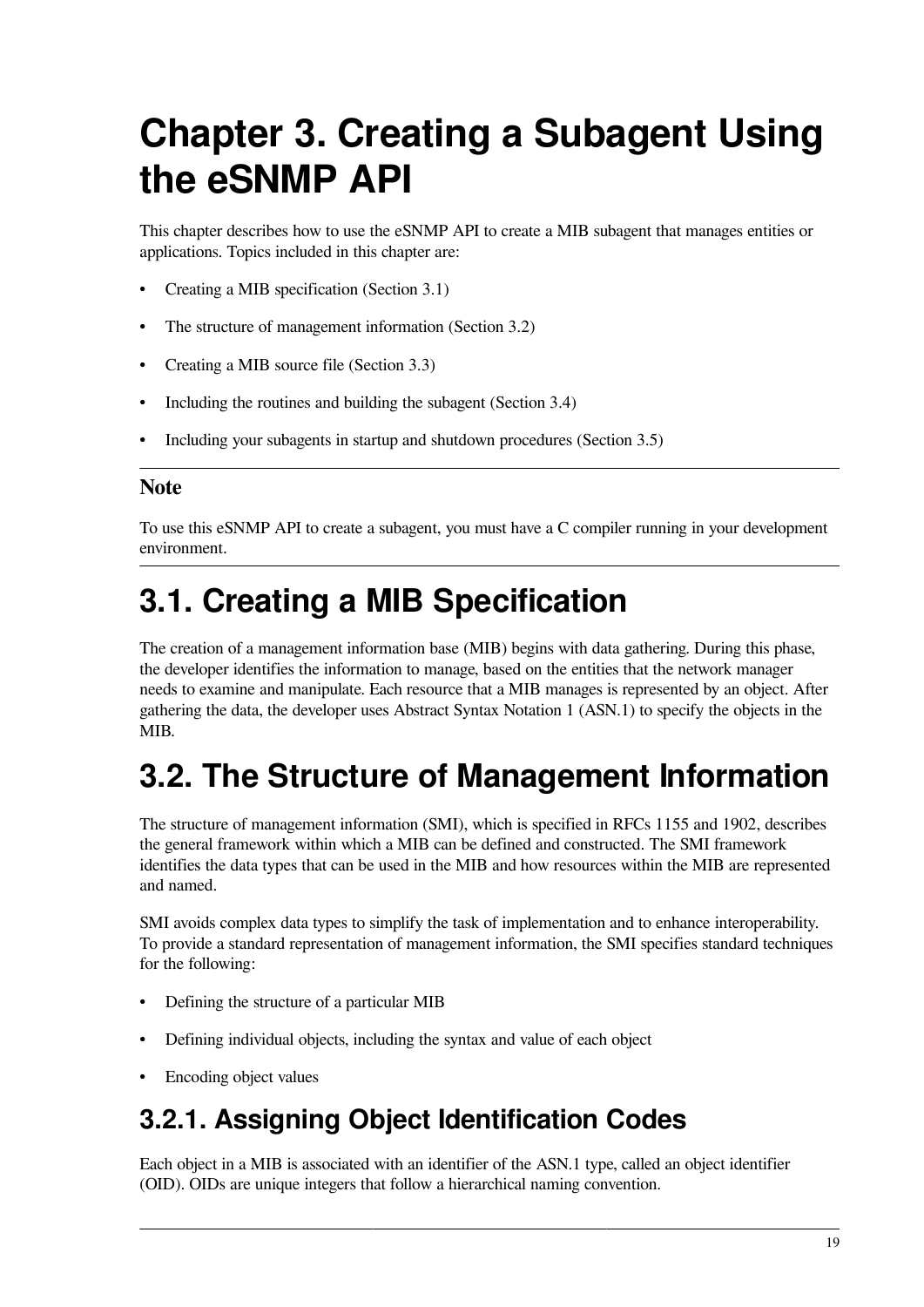# <span id="page-26-0"></span>**Chapter 3. Creating a Subagent Using the eSNMP API**

This chapter describes how to use the eSNMP API to create a MIB subagent that manages entities or applications. Topics included in this chapter are:

- Creating a MIB specification [\(Section](#page-26-1) 3.1)
- The structure of management information ([Section](#page-26-2) 3.2)
- Creating a MIB source file [\(Section](#page-29-0) 3.3)
- Including the routines and building the subagent [\(Section](#page-36-0) 3.4)
- Including your subagents in startup and shutdown procedures [\(Section](#page-37-0) 3.5)

#### **Note**

To use this eSNMP API to create a subagent, you must have a C compiler running in your development environment.

## <span id="page-26-1"></span>**3.1. Creating a MIB Specification**

The creation of a management information base (MIB) begins with data gathering. During this phase, the developer identifies the information to manage, based on the entities that the network manager needs to examine and manipulate. Each resource that a MIB manages is represented by an object. After gathering the data, the developer uses Abstract Syntax Notation 1 (ASN.1) to specify the objects in the MIB.

### <span id="page-26-2"></span>**3.2. The Structure of Management Information**

The structure of management information (SMI), which is specified in RFCs 1155 and 1902, describes the general framework within which a MIB can be defined and constructed. The SMI framework identifies the data types that can be used in the MIB and how resources within the MIB are represented and named.

SMI avoids complex data types to simplify the task of implementation and to enhance interoperability. To provide a standard representation of management information, the SMI specifies standard techniques for the following:

- Defining the structure of a particular MIB
- Defining individual objects, including the syntax and value of each object
- Encoding object values

### <span id="page-26-3"></span>**3.2.1. Assigning Object Identification Codes**

Each object in a MIB is associated with an identifier of the ASN.1 type, called an object identifier (OID). OIDs are unique integers that follow a hierarchical naming convention.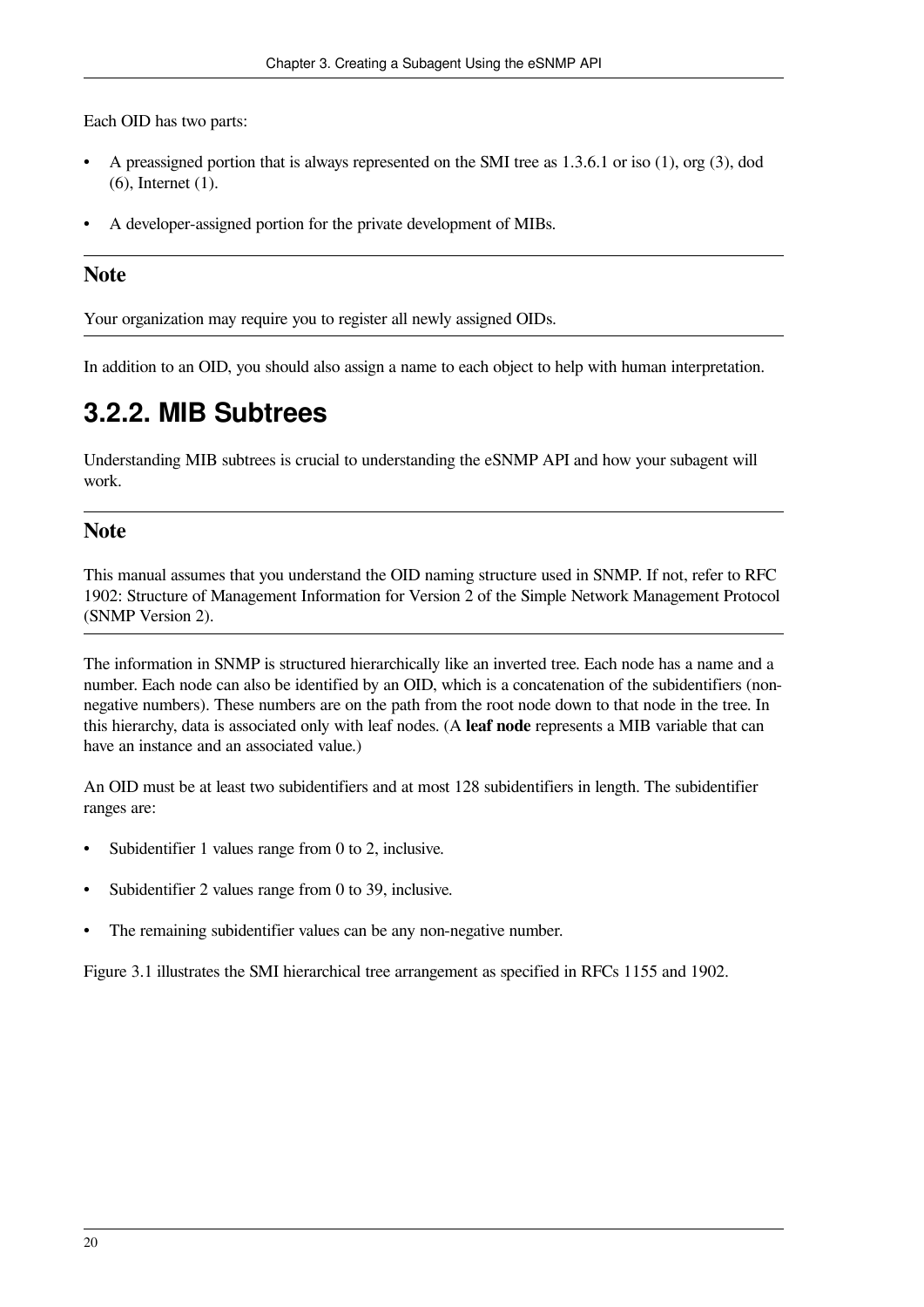Each OID has two parts:

- A preassigned portion that is always represented on the SMI tree as 1.3.6.1 or iso (1), org (3), dod (6), Internet (1).
- A developer-assigned portion for the private development of MIBs.

#### **Note**

Your organization may require you to register all newly assigned OIDs.

<span id="page-27-0"></span>In addition to an OID, you should also assign a name to each object to help with human interpretation.

### **3.2.2. MIB Subtrees**

Understanding MIB subtrees is crucial to understanding the eSNMP API and how your subagent will work.

#### **Note**

This manual assumes that you understand the OID naming structure used in SNMP. If not, refer to RFC 1902: Structure of Management Information for Version 2 of the Simple Network Management Protocol (SNMP Version 2).

The information in SNMP is structured hierarchically like an inverted tree. Each node has a name and a number. Each node can also be identified by an OID, which is a concatenation of the subidentifiers (nonnegative numbers). These numbers are on the path from the root node down to that node in the tree. In this hierarchy, data is associated only with leaf nodes. (A **leaf node** represents a MIB variable that can have an instance and an associated value.)

An OID must be at least two subidentifiers and at most 128 subidentifiers in length. The subidentifier ranges are:

- Subidentifier 1 values range from 0 to 2, inclusive.
- Subidentifier 2 values range from 0 to 39, inclusive.
- The remaining subidentifier values can be any non-negative number.

[Figure](#page-28-0) 3.1 illustrates the SMI hierarchical tree arrangement as specified in RFCs 1155 and 1902.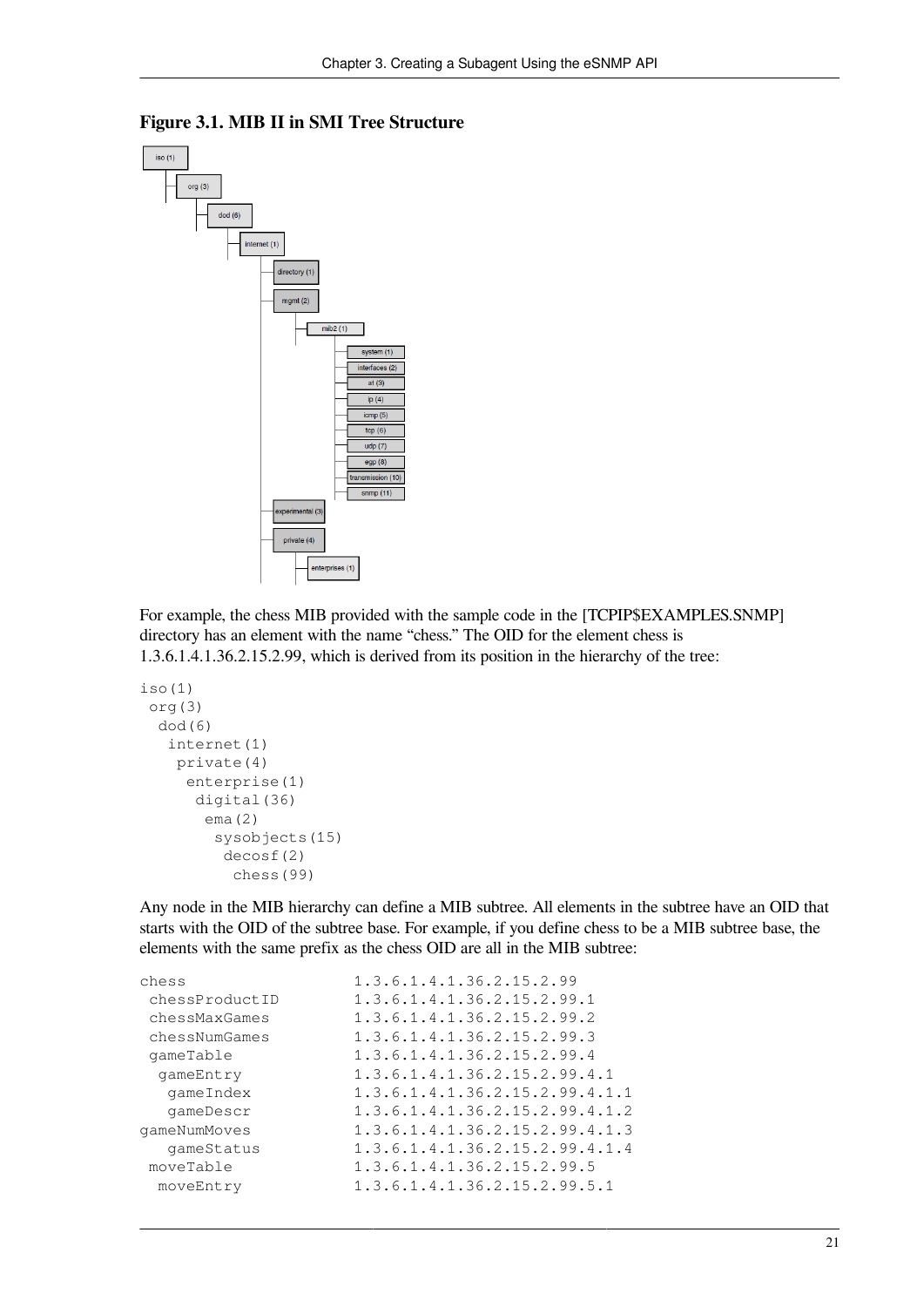

#### <span id="page-28-0"></span>**Figure 3.1. MIB II in SMI Tree Structure**

For example, the chess MIB provided with the sample code in the [TCPIP\$EXAMPLES.SNMP] directory has an element with the name "chess." The OID for the element chess is 1.3.6.1.4.1.36.2.15.2.99, which is derived from its position in the hierarchy of the tree:

```
iso(1)
  org(3)
   dod(6)
    internet(1)
     private(4)
      enterprise(1)
        digital(36)
         ema(2)
          sysobjects(15)
           decosf(2)
            chess(99)
```
Any node in the MIB hierarchy can define a MIB subtree. All elements in the subtree have an OID that starts with the OID of the subtree base. For example, if you define chess to be a MIB subtree base, the elements with the same prefix as the chess OID are all in the MIB subtree:

| chess          | 1.3.6.1.4.1.36.2.15.2.99       |
|----------------|--------------------------------|
| chessProductID | 1.3.6.1.4.1.36.2.15.2.99.1     |
| chessMaxGames  | 1.3.6.1.4.1.36.2.15.2.99.2     |
| chessNumGames  | 1.3.6.1.4.1.36.2.15.2.99.3     |
| qameTable      | 1.3.6.1.4.1.36.2.15.2.99.4     |
| qameEntry      | 1.3.6.1.4.1.36.2.15.2.99.4.1   |
| qameIndex      | 1.3.6.1.4.1.36.2.15.2.99.4.1.1 |
| qameDescr      | 1.3.6.1.4.1.36.2.15.2.99.4.1.2 |
| qameNumMoves   | 1.3.6.1.4.1.36.2.15.2.99.4.1.3 |
| qameStatus     | 1.3.6.1.4.1.36.2.15.2.99.4.1.4 |
| moveTable      | 1.3.6.1.4.1.36.2.15.2.99.5     |
| moveEntry      | 1.3.6.1.4.1.36.2.15.2.99.5.1   |
|                |                                |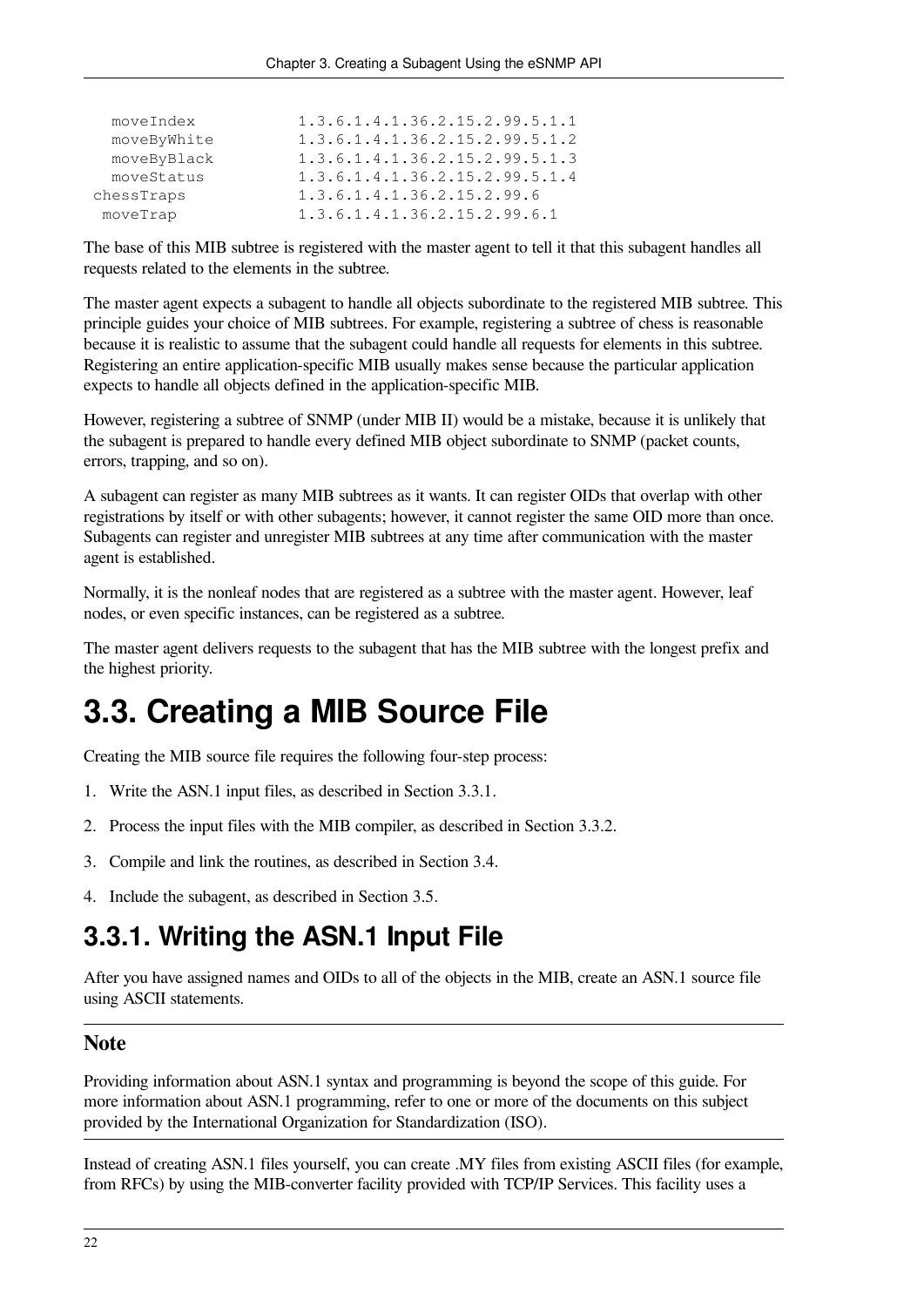| moveIndex   | 1.3.6.1.4.1.36.2.15.2.99.5.1.1 |
|-------------|--------------------------------|
| moveByWhite | 1.3.6.1.4.1.36.2.15.2.99.5.1.2 |
| moveByBlack | 1.3.6.1.4.1.36.2.15.2.99.5.1.3 |
| moveStatus  | 1.3.6.1.4.1.36.2.15.2.99.5.1.4 |
| chessTraps  | 1.3.6.1.4.1.36.2.15.2.99.6     |
| moveTrap    | 1.3.6.1.4.1.36.2.15.2.99.6.1   |

The base of this MIB subtree is registered with the master agent to tell it that this subagent handles all requests related to the elements in the subtree.

The master agent expects a subagent to handle all objects subordinate to the registered MIB subtree. This principle guides your choice of MIB subtrees. For example, registering a subtree of chess is reasonable because it is realistic to assume that the subagent could handle all requests for elements in this subtree. Registering an entire application-specific MIB usually makes sense because the particular application expects to handle all objects defined in the application-specific MIB.

However, registering a subtree of SNMP (under MIB II) would be a mistake, because it is unlikely that the subagent is prepared to handle every defined MIB object subordinate to SNMP (packet counts, errors, trapping, and so on).

A subagent can register as many MIB subtrees as it wants. It can register OIDs that overlap with other registrations by itself or with other subagents; however, it cannot register the same OID more than once. Subagents can register and unregister MIB subtrees at any time after communication with the master agent is established.

Normally, it is the nonleaf nodes that are registered as a subtree with the master agent. However, leaf nodes, or even specific instances, can be registered as a subtree.

The master agent delivers requests to the subagent that has the MIB subtree with the longest prefix and the highest priority.

### <span id="page-29-0"></span>**3.3. Creating a MIB Source File**

Creating the MIB source file requires the following four-step process:

- 1. Write the ASN.1 input files, as described in [Section](#page-29-1) 3.3.1.
- 2. Process the input files with the MIB compiler, as described in [Section](#page-30-0) 3.3.2.
- 3. Compile and link the routines, as described in [Section](#page-36-0) 3.4.
- <span id="page-29-1"></span>4. Include the subagent, as described in [Section](#page-37-0) 3.5.

### **3.3.1. Writing the ASN.1 Input File**

After you have assigned names and OIDs to all of the objects in the MIB, create an ASN.1 source file using ASCII statements.

#### **Note**

Providing information about ASN.1 syntax and programming is beyond the scope of this guide. For more information about ASN.1 programming, refer to one or more of the documents on this subject provided by the International Organization for Standardization (ISO).

Instead of creating ASN.1 files yourself, you can create .MY files from existing ASCII files (for example, from RFCs) by using the MIB-converter facility provided with TCP/IP Services. This facility uses a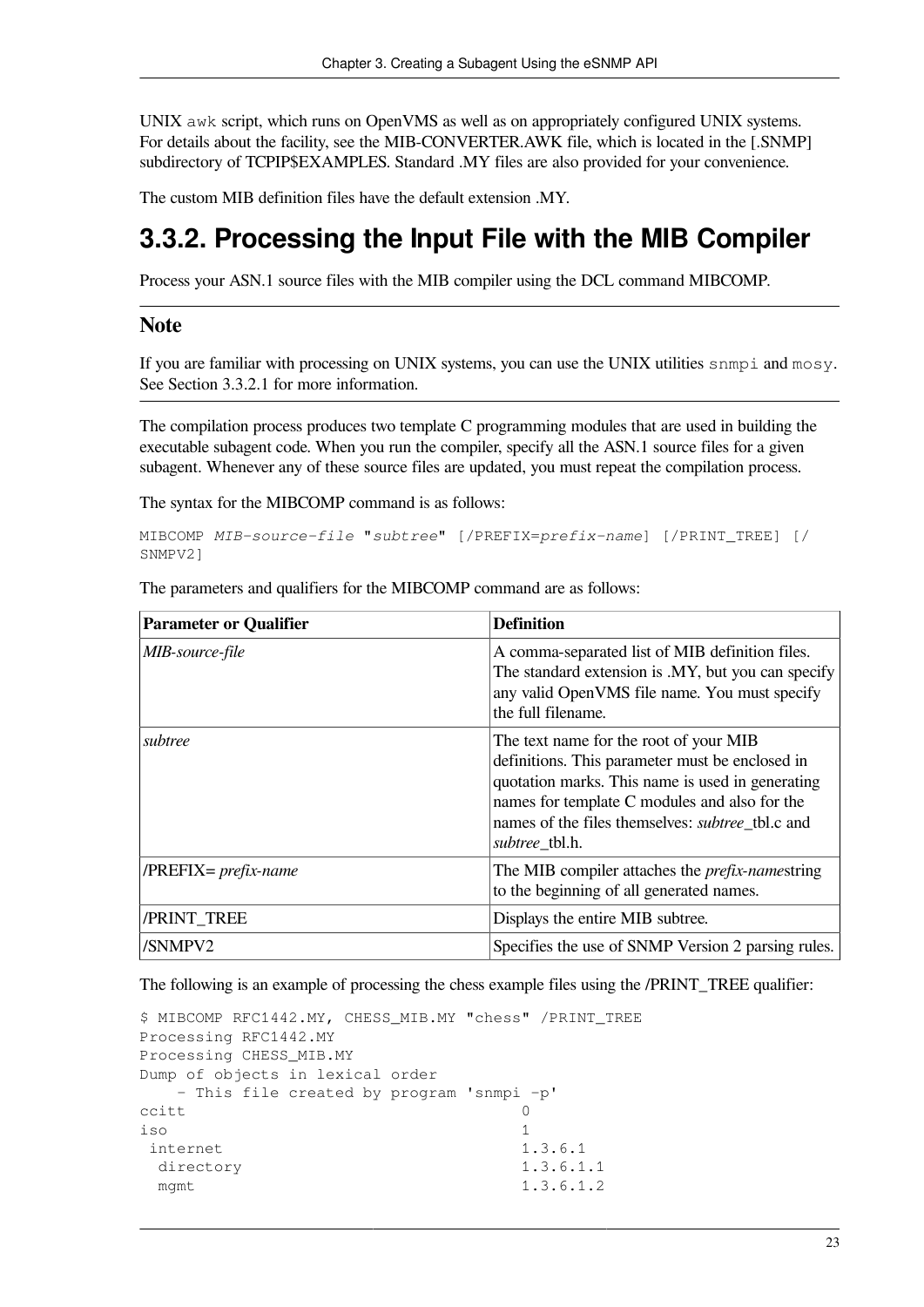UNIX awk script, which runs on OpenVMS as well as on appropriately configured UNIX systems. For details about the facility, see the MIB-CONVERTER.AWK file, which is located in the [.SNMP] subdirectory of TCPIP\$EXAMPLES. Standard .MY files are also provided for your convenience.

The custom MIB definition files have the default extension .MY.

### <span id="page-30-0"></span>**3.3.2. Processing the Input File with the MIB Compiler**

Process your ASN.1 source files with the MIB compiler using the DCL command MIBCOMP.

#### **Note**

If you are familiar with processing on UNIX systems, you can use the UNIX utilities snmpi and mosy. See [Section](#page-32-0) 3.3.2.1 for more information.

The compilation process produces two template C programming modules that are used in building the executable subagent code. When you run the compiler, specify all the ASN.1 source files for a given subagent. Whenever any of these source files are updated, you must repeat the compilation process.

The syntax for the MIBCOMP command is as follows:

```
MIBCOMP MIB-source-file "subtree" [/PREFIX=prefix-name] [/PRINT_TREE] [/
SNMPV2]
```

| <b>Parameter or Qualifier</b> | <b>Definition</b>                                                                                                                                                                                                                                                           |
|-------------------------------|-----------------------------------------------------------------------------------------------------------------------------------------------------------------------------------------------------------------------------------------------------------------------------|
| MIB-source-file               | A comma-separated list of MIB definition files.<br>The standard extension is .MY, but you can specify<br>any valid OpenVMS file name. You must specify<br>the full filename.                                                                                                |
| subtree                       | The text name for the root of your MIB<br>definitions. This parameter must be enclosed in<br>quotation marks. This name is used in generating<br>names for template C modules and also for the<br>names of the files themselves: <i>subtree</i> tbl.c and<br>subtree tbl.h. |
| $/PREFIX = prefix-name$       | The MIB compiler attaches the <i>prefix-namestring</i><br>to the beginning of all generated names.                                                                                                                                                                          |
| /PRINT_TREE                   | Displays the entire MIB subtree.                                                                                                                                                                                                                                            |
| /SNMPV2                       | Specifies the use of SNMP Version 2 parsing rules.                                                                                                                                                                                                                          |

The parameters and qualifiers for the MIBCOMP command are as follows:

The following is an example of processing the chess example files using the /PRINT\_TREE qualifier:

```
$ MIBCOMP RFC1442.MY, CHESS_MIB.MY "chess" /PRINT_TREE
Processing RFC1442.MY
Processing CHESS_MIB.MY
Dump of objects in lexical order
   – This file created by program 'snmpi -p'
ccitt and \sim 0
iso 1
internet 1.3.6.1
 directory 1.3.6.1.1
 mgmt 1.3.6.1.2
```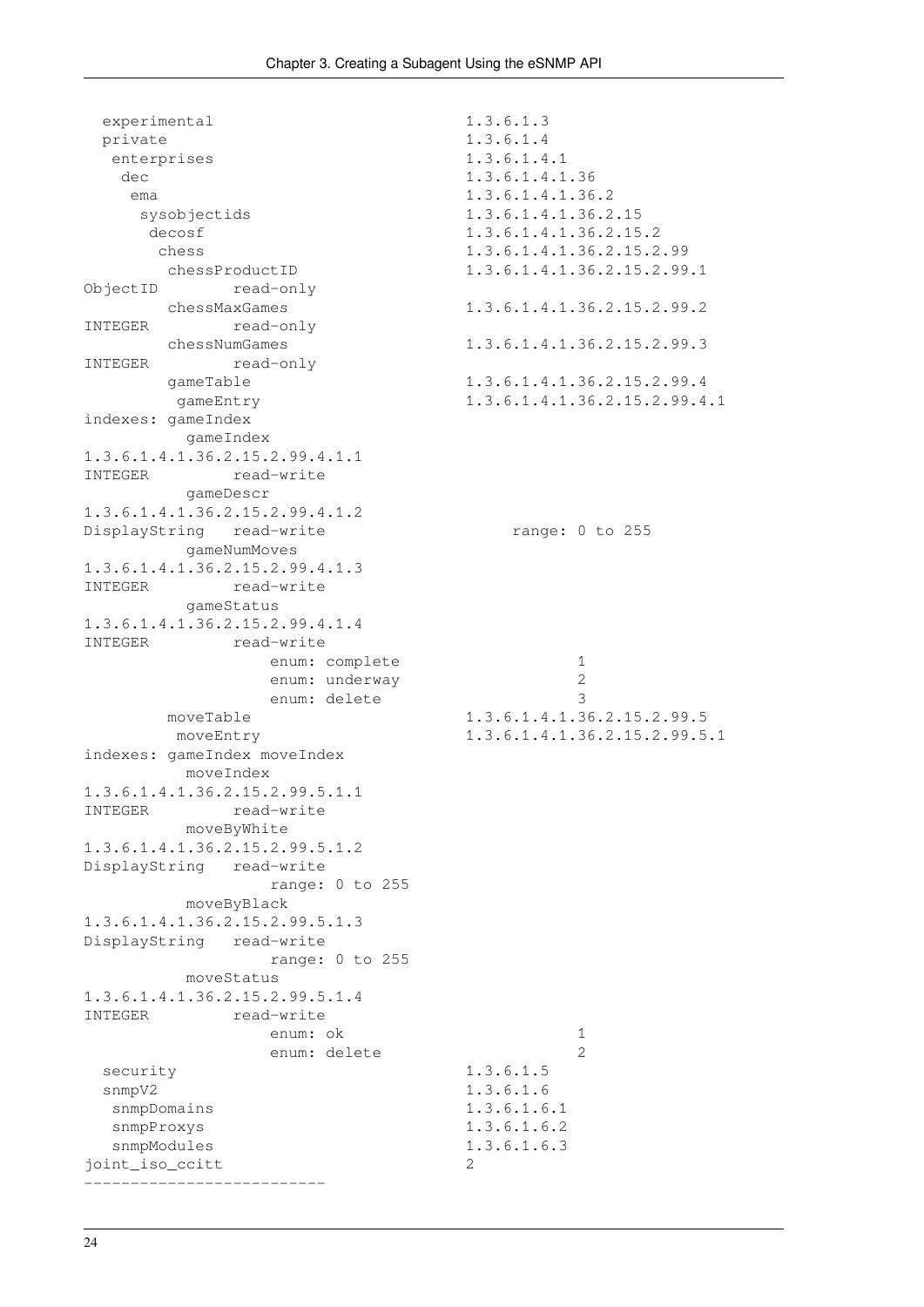```
experimental 1.3.6.1.3
  private 1.3.6.1.4
 enterprises 1.3.6.1.4.1
  dec 1.3.6.1.4.1.36
   ema 1.3.6.1.4.1.36.2
    sysobjectids 1.3.6.1.4.1.36.2.15
    decosf 1.3.6.1.4.1.36.2.15.2
      chess 1.3.6.1.4.1.36.2.15.2.99
      chessProductID 1.3.6.1.4.1.36.2.15.2.99.1
ObjectID read-only
      chessMaxGames 1.3.6.1.4.1.36.2.15.2.99.2
INTEGER read-only
      chessNumGames 1.3.6.1.4.1.36.2.15.2.99.3
INTEGER read-only
     gameTable 1.3.6.1.4.1.36.2.15.2.99.4
       gameEntry 1.3.6.1.4.1.36.2.15.2.99.4.1
indexes: gameIndex
       gameIndex
1.3.6.1.4.1.36.2.15.2.99.4.1.1
INTEGER read-write
        gameDescr
1.3.6.1.4.1.36.2.15.2.99.4.1.2
DisplayString read-write mange: 0 to 255
        gameNumMoves
1.3.6.1.4.1.36.2.15.2.99.4.1.3
INTEGER read-write
       gameStatus
1.3.6.1.4.1.36.2.15.2.99.4.1.4
INTEGER read-write
             enum: complete 1
             enum: underway 2
             enum: delete 3
     moveTable 1.3.6.1.4.1.36.2.15.2.99.5
       moveEntry 1.3.6.1.4.1.36.2.15.2.99.5.1
indexes: gameIndex moveIndex
       moveIndex
1.3.6.1.4.1.36.2.15.2.99.5.1.1
INTEGER read-write
       moveByWhite
1.3.6.1.4.1.36.2.15.2.99.5.1.2
DisplayString read-write
             range: 0 to 255
       moveByBlack
1.3.6.1.4.1.36.2.15.2.99.5.1.3
DisplayString read-write
             range: 0 to 255
       moveStatus
1.3.6.1.4.1.36.2.15.2.99.5.1.4
INTEGER read-write
             enum: ok 1
             enum: delete 2
 security 1.3.6.1.5
 snmpV2 1.3.6.1.6
 snmpDomains 1.3.6.1.6.1
  snmpProxys 1.3.6.1.6.2
 snmpModules 1.3.6.1.6.3
joint iso ccitt 2
 --------------------------
```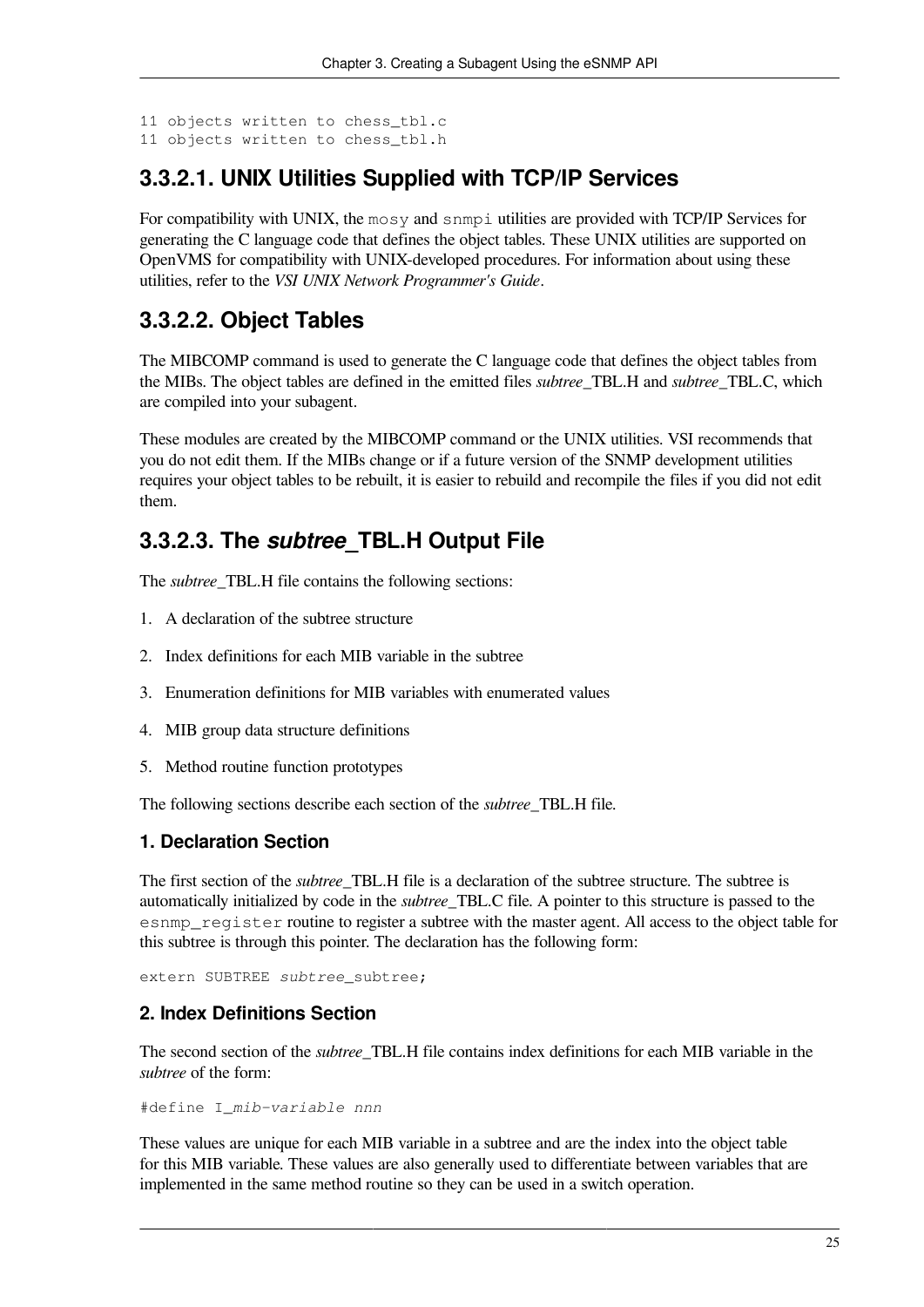```
11 objects written to chess_tbl.c
11 objects written to chess_tbl.h
```
#### <span id="page-32-0"></span>**3.3.2.1. UNIX Utilities Supplied with TCP/IP Services**

For compatibility with UNIX, the mosy and snmpi utilities are provided with TCP/IP Services for generating the C language code that defines the object tables. These UNIX utilities are supported on OpenVMS for compatibility with UNIX-developed procedures. For information about using these utilities, refer to the *VSI UNIX Network Programmer's Guide*.

#### <span id="page-32-1"></span>**3.3.2.2. Object Tables**

The MIBCOMP command is used to generate the C language code that defines the object tables from the MIBs. The object tables are defined in the emitted files *subtree*\_TBL.H and *subtree*\_TBL.C, which are compiled into your subagent.

These modules are created by the MIBCOMP command or the UNIX utilities. VSI recommends that you do not edit them. If the MIBs change or if a future version of the SNMP development utilities requires your object tables to be rebuilt, it is easier to rebuild and recompile the files if you did not edit them.

#### <span id="page-32-2"></span>**3.3.2.3. The** *subtree***\_TBL.H Output File**

The *subtree* TBL.H file contains the following sections:

- 1. A declaration of the subtree structure
- 2. Index definitions for each MIB variable in the subtree
- 3. Enumeration definitions for MIB variables with enumerated values
- 4. MIB group data structure definitions
- 5. Method routine function prototypes

The following sections describe each section of the *subtree*\_TBL.H file.

#### **1. Declaration Section**

The first section of the *subtree*\_TBL.H file is a declaration of the subtree structure. The subtree is automatically initialized by code in the *subtree*\_TBL.C file. A pointer to this structure is passed to the esnmp\_register routine to register a subtree with the master agent. All access to the object table for this subtree is through this pointer. The declaration has the following form:

extern SUBTREE *subtree* subtree;

#### **2. Index Definitions Section**

The second section of the *subtree*\_TBL.H file contains index definitions for each MIB variable in the *subtree* of the form:

#define I\_*mib-variable nnn*

These values are unique for each MIB variable in a subtree and are the index into the object table for this MIB variable. These values are also generally used to differentiate between variables that are implemented in the same method routine so they can be used in a switch operation.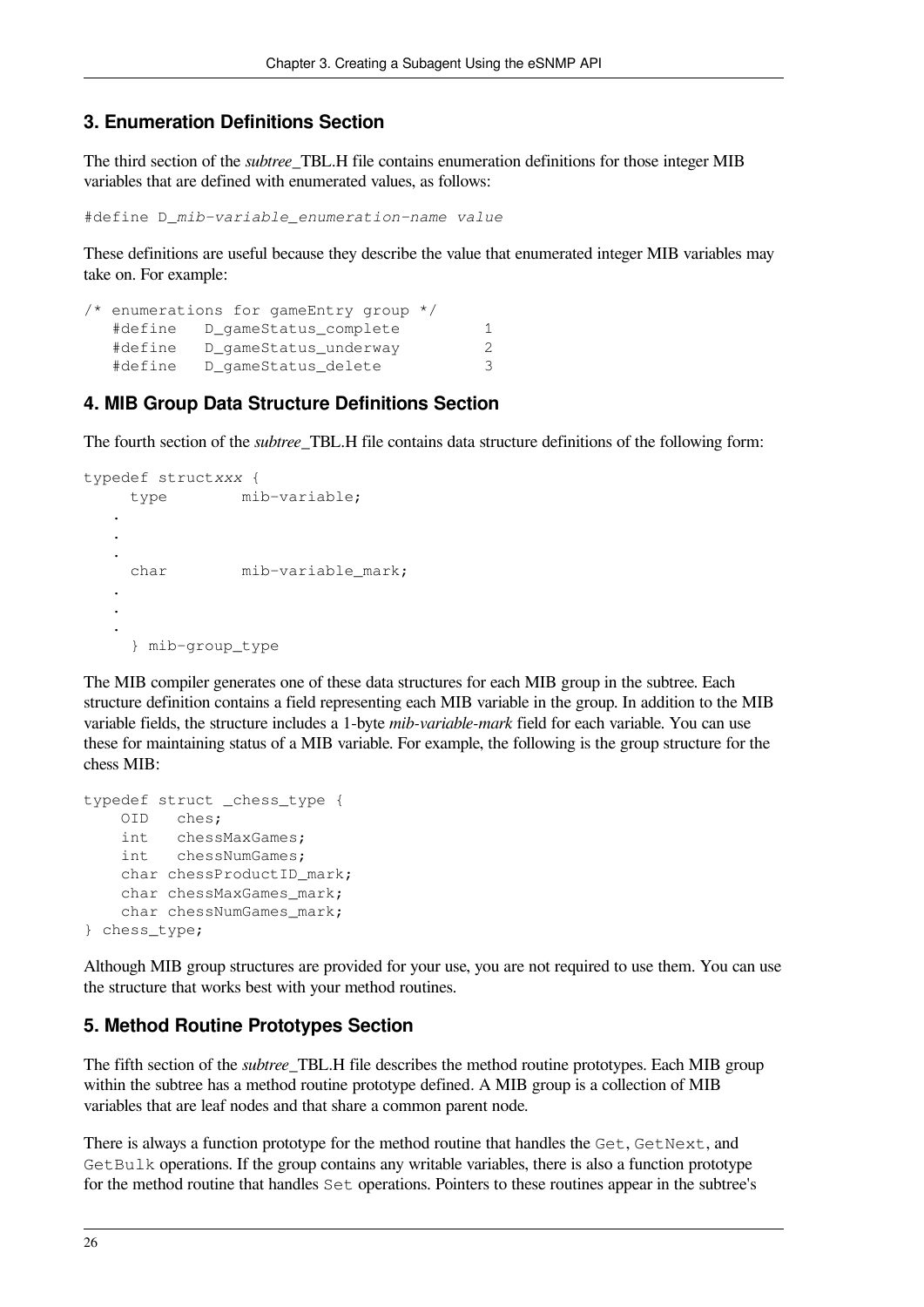#### **3. Enumeration Definitions Section**

The third section of the *subtree*\_TBL.H file contains enumeration definitions for those integer MIB variables that are defined with enumerated values, as follows:

```
#define D_mib-variable_enumeration-name value
```
These definitions are useful because they describe the value that enumerated integer MIB variables may take on. For example:

```
/* enumerations for gameEntry group */
   #define D_gameStatus_complete 1
   #define D_gameStatus_underway 2
  #define D qameStatus delete 3
```
#### **4. MIB Group Data Structure Definitions Section**

The fourth section of the *subtree*\_TBL.H file contains data structure definitions of the following form:

```
typedef structxxx {
     type mib-variable;
 .
 .
 .
     char mib-variable_mark;
 .
 .
 .
     } mib-group_type
```
The MIB compiler generates one of these data structures for each MIB group in the subtree. Each structure definition contains a field representing each MIB variable in the group. In addition to the MIB variable fields, the structure includes a 1-byte *mib-variable-mark* field for each variable. You can use these for maintaining status of a MIB variable. For example, the following is the group structure for the chess MIB:

```
typedef struct _chess_type {
    OID ches;
     int chessMaxGames;
     int chessNumGames;
    char chessProductID mark;
    char chessMaxGames mark;
   char chessNumGames mark;
} chess_type;
```
Although MIB group structures are provided for your use, you are not required to use them. You can use the structure that works best with your method routines.

#### **5. Method Routine Prototypes Section**

The fifth section of the *subtree*\_TBL.H file describes the method routine prototypes. Each MIB group within the subtree has a method routine prototype defined. A MIB group is a collection of MIB variables that are leaf nodes and that share a common parent node.

There is always a function prototype for the method routine that handles the Get, GetNext, and GetBulk operations. If the group contains any writable variables, there is also a function prototype for the method routine that handles Set operations. Pointers to these routines appear in the subtree's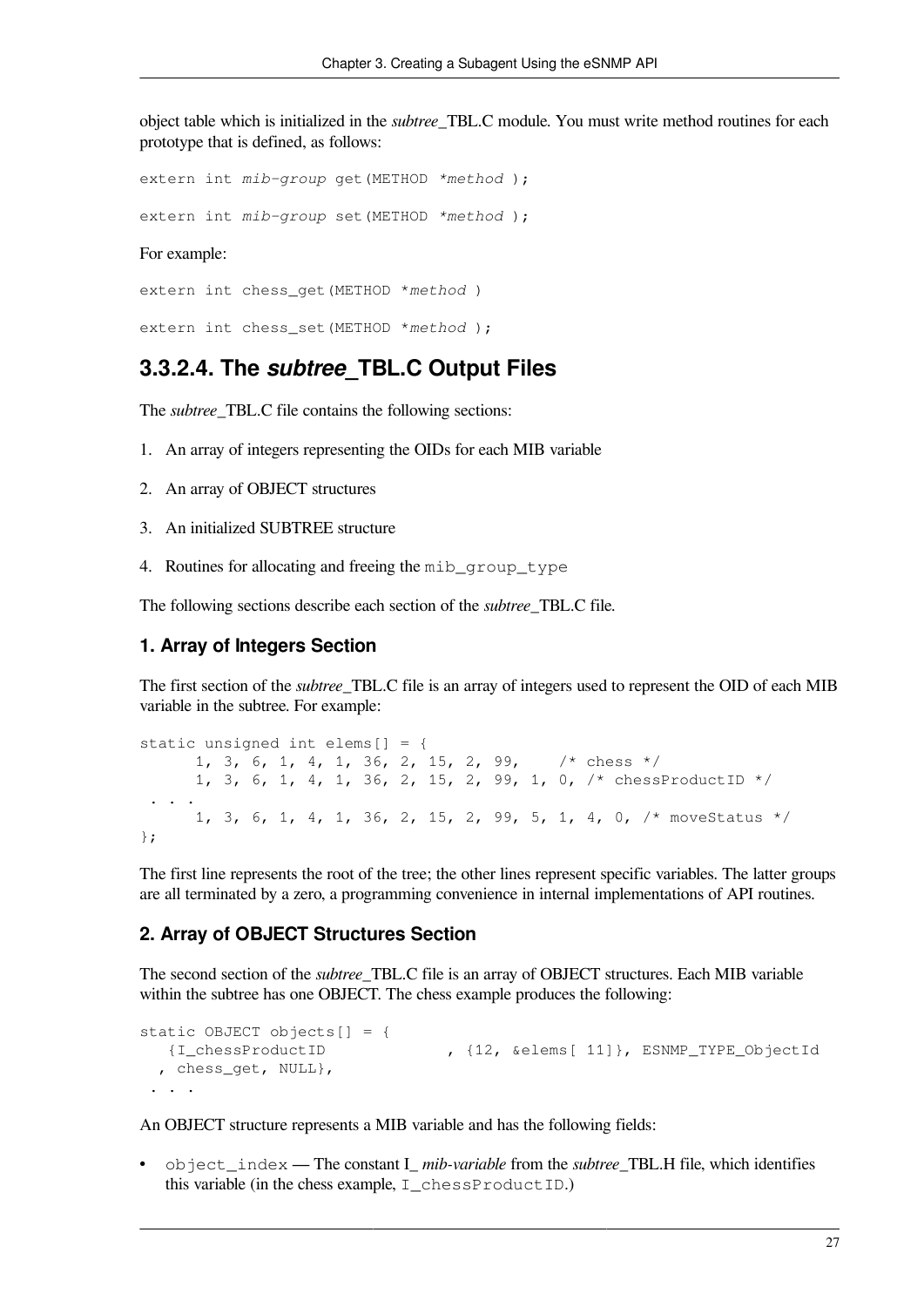object table which is initialized in the *subtree*\_TBL.C module. You must write method routines for each prototype that is defined, as follows:

extern int *mib-group* get(METHOD *\*method* );

extern int *mib-group* set(METHOD *\*method* );

For example:

extern int chess\_get(METHOD \**method* )

<span id="page-34-0"></span>extern int chess\_set(METHOD \**method* );

#### **3.3.2.4. The** *subtree***\_TBL.C Output Files**

The *subtree*\_TBL.C file contains the following sections:

- 1. An array of integers representing the OIDs for each MIB variable
- 2. An array of OBJECT structures
- 3. An initialized SUBTREE structure
- 4. Routines for allocating and freeing the mib\_group\_type

The following sections describe each section of the *subtree*\_TBL.C file.

#### **1. Array of Integers Section**

The first section of the *subtree*\_TBL.C file is an array of integers used to represent the OID of each MIB variable in the subtree. For example:

static unsigned int elems[] = { 1, 3, 6, 1, 4, 1, 36, 2, 15, 2, 99, /\* chess \*/ 1, 3, 6, 1, 4, 1, 36, 2, 15, 2, 99, 1, 0, /\* chessProductID \*/ . . . 1, 3, 6, 1, 4, 1, 36, 2, 15, 2, 99, 5, 1, 4, 0, /\* moveStatus \*/ };

The first line represents the root of the tree; the other lines represent specific variables. The latter groups are all terminated by a zero, a programming convenience in internal implementations of API routines.

#### **2. Array of OBJECT Structures Section**

The second section of the *subtree*\_TBL.C file is an array of OBJECT structures. Each MIB variable within the subtree has one OBJECT. The chess example produces the following:

```
static OBJECT objects[ ] = { } {I_chessProductID , {12, &elems[ 11]}, ESNMP_TYPE_ObjectId 
  , chess_get, NULL}, 
 . . .
```
An OBJECT structure represents a MIB variable and has the following fields:

• object index — The constant I *mib-variable* from the *subtree* TBL.H file, which identifies this variable (in the chess example,  $I$  chessProductID.)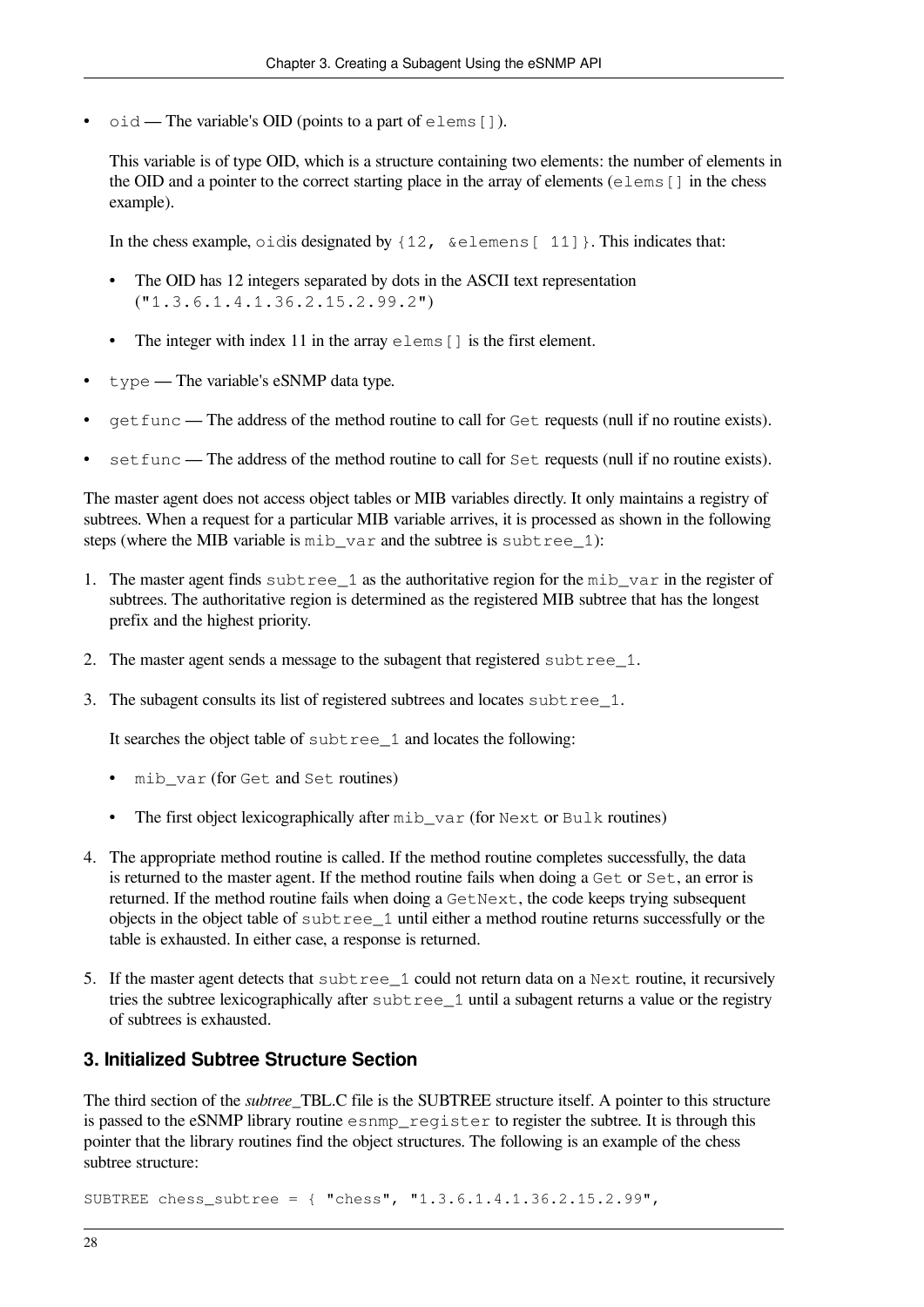$\circ$ id — The variable's OID (points to a part of elems []).

This variable is of type OID, which is a structure containing two elements: the number of elements in the OID and a pointer to the correct starting place in the array of elements (elems[] in the chess example).

In the chess example, oidis designated by  $\{12, \& \text{elements} \, | \, 11\}$ . This indicates that:

- The OID has 12 integers separated by dots in the ASCII text representation ("1.3.6.1.4.1.36.2.15.2.99.2")
- The integer with index 11 in the array  $\epsilon$  lems [] is the first element.
- type The variable's eSNMP data type.
- getfunc The address of the method routine to call for Get requests (null if no routine exists).
- set func The address of the method routine to call for Set requests (null if no routine exists).

The master agent does not access object tables or MIB variables directly. It only maintains a registry of subtrees. When a request for a particular MIB variable arrives, it is processed as shown in the following steps (where the MIB variable is  $m$ ib var and the subtree is subtree 1):

- 1. The master agent finds subtree 1 as the authoritative region for the mib\_var in the register of subtrees. The authoritative region is determined as the registered MIB subtree that has the longest prefix and the highest priority.
- 2. The master agent sends a message to the subagent that registered subtree\_1.
- 3. The subagent consults its list of registered subtrees and locates subtree\_1.

It searches the object table of subtree 1 and locates the following:

- mib var (for Get and Set routines)
- The first object lexicographically after mib\_var (for Next or Bulk routines)
- 4. The appropriate method routine is called. If the method routine completes successfully, the data is returned to the master agent. If the method routine fails when doing a Get or Set, an error is returned. If the method routine fails when doing a GetNext, the code keeps trying subsequent objects in the object table of subtree\_1 until either a method routine returns successfully or the table is exhausted. In either case, a response is returned.
- 5. If the master agent detects that subtree 1 could not return data on a Next routine, it recursively tries the subtree lexicographically after subtree 1 until a subagent returns a value or the registry of subtrees is exhausted.

#### **3. Initialized Subtree Structure Section**

The third section of the *subtree*\_TBL.C file is the SUBTREE structure itself. A pointer to this structure is passed to the eSNMP library routine esnmp\_register to register the subtree. It is through this pointer that the library routines find the object structures. The following is an example of the chess subtree structure:

SUBTREE chess\_subtree = { "chess", "1.3.6.1.4.1.36.2.15.2.99",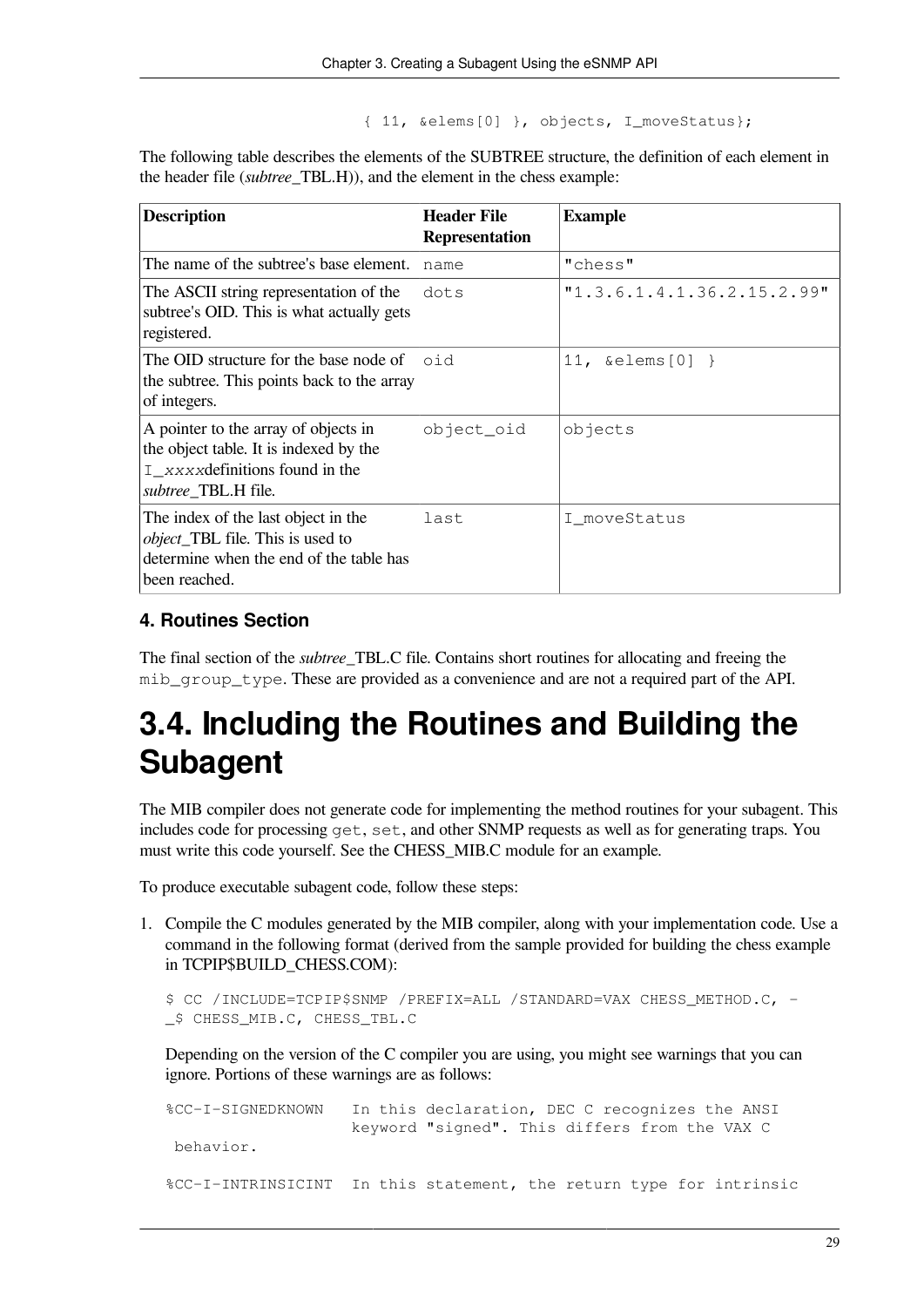{ 11, &elems[0] }, objects, I\_moveStatus};

The following table describes the elements of the SUBTREE structure, the definition of each element in the header file (*subtree*\_TBL.H)), and the element in the chess example:

| <b>Description</b>                                                                                                                          | <b>Header File</b><br><b>Representation</b> | <b>Example</b>             |
|---------------------------------------------------------------------------------------------------------------------------------------------|---------------------------------------------|----------------------------|
| The name of the subtree's base element.                                                                                                     | name                                        | "chess"                    |
| The ASCII string representation of the<br>subtree's OID. This is what actually gets<br>registered.                                          | dots                                        | "1.3.6.1.4.1.36.2.15.2.99" |
| The OID structure for the base node of<br>the subtree. This points back to the array<br>of integers.                                        | oid                                         | 11, $\&$ elems $[0]$ }     |
| A pointer to the array of objects in<br>the object table. It is indexed by the<br>$I$ xxxx definitions found in the<br>subtree_TBL.H file.  | object_oid                                  | objects                    |
| The index of the last object in the<br><i>object</i> _TBL file. This is used to<br>determine when the end of the table has<br>been reached. | last                                        | I moveStatus               |

#### **4. Routines Section**

The final section of the *subtree*\_TBL.C file. Contains short routines for allocating and freeing the mib group type. These are provided as a convenience and are not a required part of the API.

# **3.4. Including the Routines and Building the Subagent**

The MIB compiler does not generate code for implementing the method routines for your subagent. This includes code for processing get, set, and other SNMP requests as well as for generating traps. You must write this code yourself. See the CHESS\_MIB.C module for an example.

To produce executable subagent code, follow these steps:

1. Compile the C modules generated by the MIB compiler, along with your implementation code. Use a command in the following format (derived from the sample provided for building the chess example in TCPIP\$BUILD\_CHESS.COM):

```
$ CC /INCLUDE=TCPIP$SNMP /PREFIX=ALL /STANDARD=VAX CHESS_METHOD.C, -
_$ CHESS_MIB.C, CHESS_TBL.C
```
Depending on the version of the C compiler you are using, you might see warnings that you can ignore. Portions of these warnings are as follows:

```
%CC-I-SIGNEDKNOWN In this declaration, DEC C recognizes the ANSI
                     keyword "signed". This differs from the VAX C
 behavior.
%CC-I-INTRINSICINT In this statement, the return type for intrinsic
```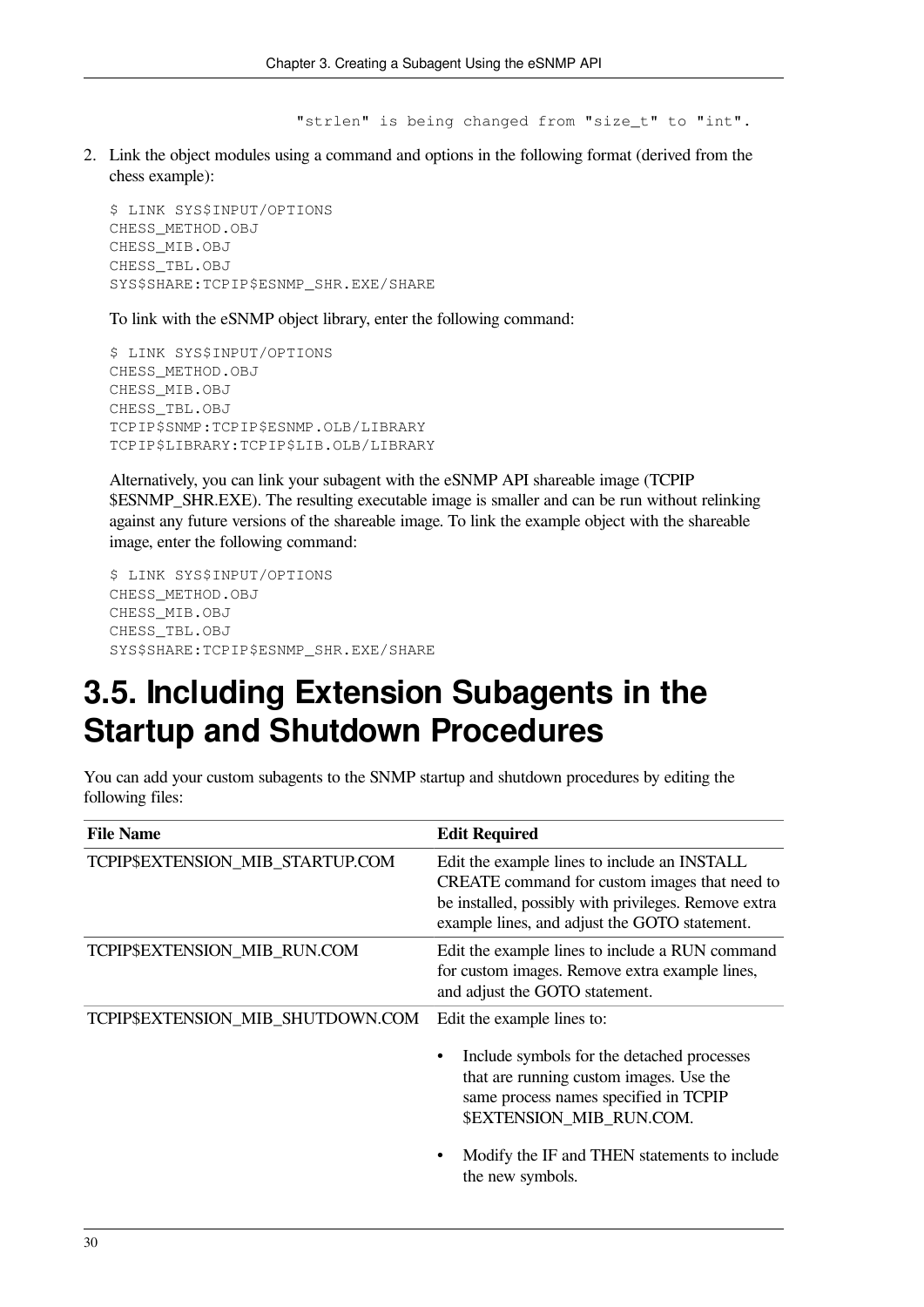"strlen" is being changed from "size\_t" to "int".

2. Link the object modules using a command and options in the following format (derived from the chess example):

```
$ LINK SYS$INPUT/OPTIONS
CHESS_METHOD.OBJ
CHESS_MIB.OBJ
CHESS_TBL.OBJ
SYS$SHARE:TCPIP$ESNMP_SHR.EXE/SHARE
```
To link with the eSNMP object library, enter the following command:

```
$ LINK SYS$INPUT/OPTIONS
CHESS_METHOD.OBJ
CHESS_MIB.OBJ
CHESS_TBL.OBJ
TCPIP$SNMP:TCPIP$ESNMP.OLB/LIBRARY
TCPIP$LIBRARY:TCPIP$LIB.OLB/LIBRARY
```
Alternatively, you can link your subagent with the eSNMP API shareable image (TCPIP \$ESNMP\_SHR.EXE). The resulting executable image is smaller and can be run without relinking against any future versions of the shareable image. To link the example object with the shareable image, enter the following command:

```
$ LINK SYS$INPUT/OPTIONS
CHESS_METHOD.OBJ
CHESS_MIB.OBJ
CHESS_TBL.OBJ
SYS$SHARE:TCPIP$ESNMP_SHR.EXE/SHARE
```
# **3.5. Including Extension Subagents in the Startup and Shutdown Procedures**

You can add your custom subagents to the SNMP startup and shutdown procedures by editing the following files:

| <b>File Name</b>                  | <b>Edit Required</b>                                                                                                                                                                                                                                         |
|-----------------------------------|--------------------------------------------------------------------------------------------------------------------------------------------------------------------------------------------------------------------------------------------------------------|
| TCPIP\$EXTENSION_MIB_STARTUP.COM  | Edit the example lines to include an INSTALL<br>CREATE command for custom images that need to<br>be installed, possibly with privileges. Remove extra<br>example lines, and adjust the GOTO statement.                                                       |
| TCPIP\$EXTENSION_MIB_RUN.COM      | Edit the example lines to include a RUN command<br>for custom images. Remove extra example lines,<br>and adjust the GOTO statement.                                                                                                                          |
| TCPIP\$EXTENSION_MIB_SHUTDOWN.COM | Edit the example lines to:<br>Include symbols for the detached processes<br>that are running custom images. Use the<br>same process names specified in TCPIP<br>\$EXTENSION MIB RUN.COM.<br>Modify the IF and THEN statements to include<br>the new symbols. |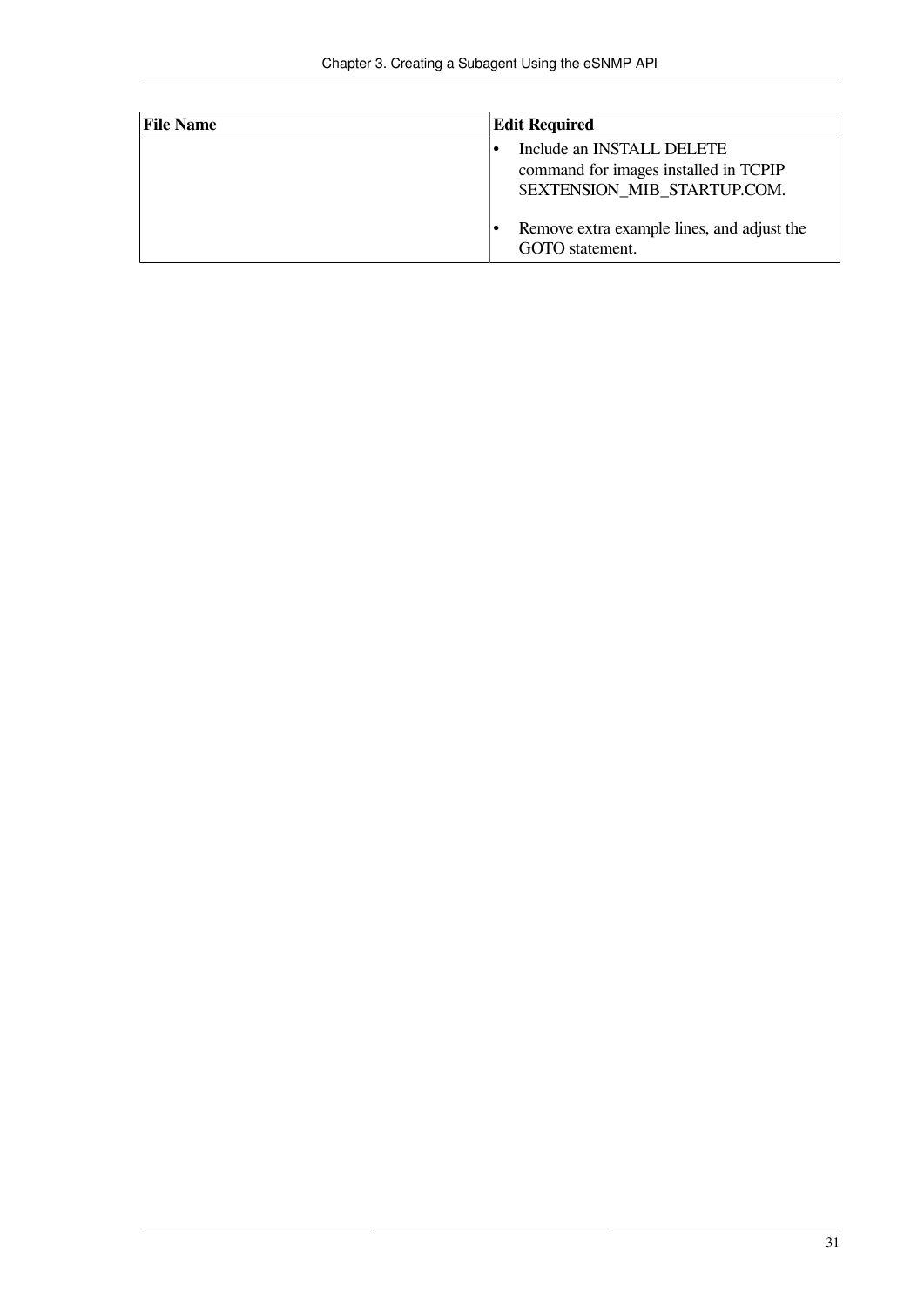| <b>File Name</b> | <b>Edit Required</b>                                                                               |
|------------------|----------------------------------------------------------------------------------------------------|
|                  | Include an INSTALL DELETE<br>command for images installed in TCPIP<br>\$EXTENSION MIB STARTUP.COM. |
|                  | Remove extra example lines, and adjust the<br>GOTO statement.                                      |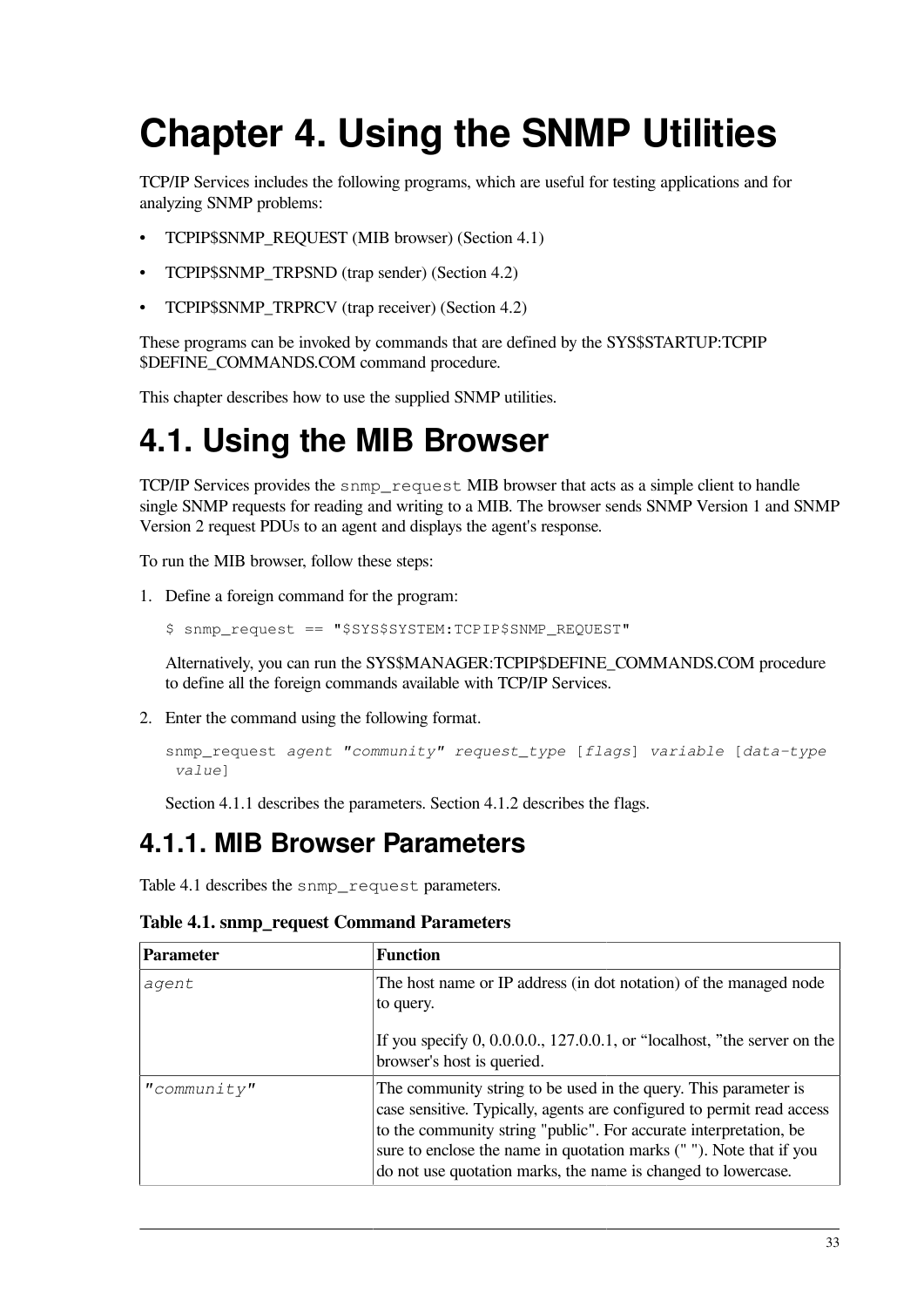# **Chapter 4. Using the SNMP Utilities**

TCP/IP Services includes the following programs, which are useful for testing applications and for analyzing SNMP problems:

- TCPIP\$SNMP\_REQUEST (MIB browser) [\(Section](#page-40-0) 4.1)
- TCPIP\$SNMP\_TRPSND (trap sender) ([Section](#page-48-0) 4.2)
- TCPIP\$SNMP\_TRPRCV (trap receiver) ([Section](#page-48-0) 4.2)

These programs can be invoked by commands that are defined by the SYS\$STARTUP:TCPIP \$DEFINE\_COMMANDS.COM command procedure.

<span id="page-40-0"></span>This chapter describes how to use the supplied SNMP utilities.

# **4.1. Using the MIB Browser**

TCP/IP Services provides the snmp\_request MIB browser that acts as a simple client to handle single SNMP requests for reading and writing to a MIB. The browser sends SNMP Version 1 and SNMP Version 2 request PDUs to an agent and displays the agent's response.

To run the MIB browser, follow these steps:

- 1. Define a foreign command for the program:
	- \$ snmp\_request == "\$SYS\$SYSTEM:TCPIP\$SNMP\_REQUEST"

Alternatively, you can run the SYS\$MANAGER:TCPIP\$DEFINE\_COMMANDS.COM procedure to define all the foreign commands available with TCP/IP Services.

2. Enter the command using the following format.

```
snmp_request agent "community" request_type [flags] variable [data-type
 value]
```
[Section](#page-40-1) 4.1.1 describes the parameters. [Section](#page-41-0) 4.1.2 describes the flags.

### <span id="page-40-1"></span>**4.1.1. MIB Browser Parameters**

<span id="page-40-2"></span>[Table](#page-40-2) 4.1 describes the snmp\_request parameters.

| <b>Parameter</b> | <b>Function</b>                                                                                                                                                                                                                                                                                                                                       |
|------------------|-------------------------------------------------------------------------------------------------------------------------------------------------------------------------------------------------------------------------------------------------------------------------------------------------------------------------------------------------------|
| agent            | The host name or IP address (in dot notation) of the managed node<br>to query.<br>If you specify $0, 0.0.0.0$ , 127.0.0.1, or "localhost, "the server on the<br>browser's host is queried.                                                                                                                                                            |
| "commonity"      | The community string to be used in the query. This parameter is<br>case sensitive. Typically, agents are configured to permit read access<br>to the community string "public". For accurate interpretation, be<br>sure to enclose the name in quotation marks (""). Note that if you<br>do not use quotation marks, the name is changed to lowercase. |

**Table 4.1. snmp\_request Command Parameters**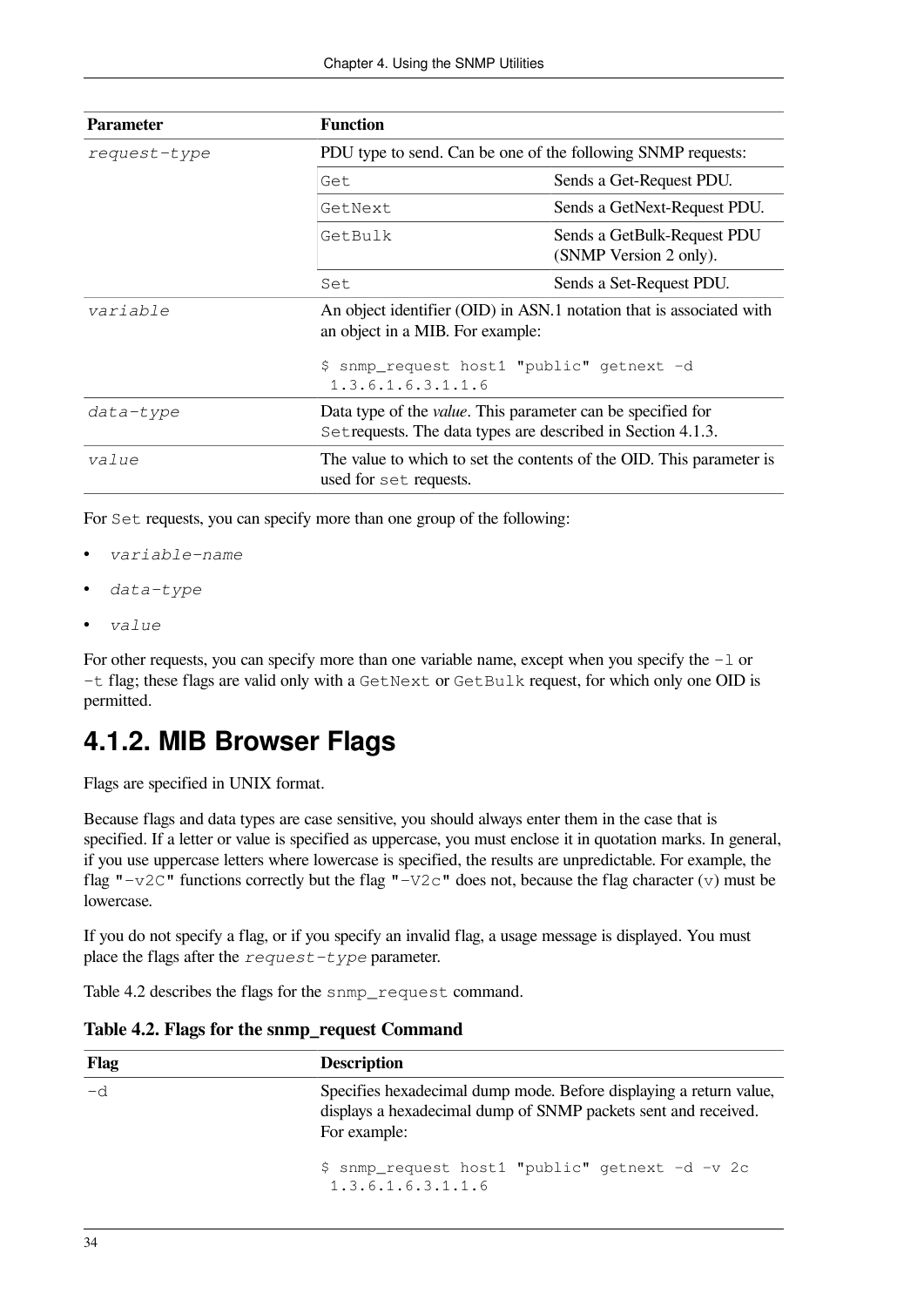| <b>Parameter</b> | <b>Function</b>                                                                                                                                                            |                                                       |
|------------------|----------------------------------------------------------------------------------------------------------------------------------------------------------------------------|-------------------------------------------------------|
| request-type     | PDU type to send. Can be one of the following SNMP requests:                                                                                                               |                                                       |
|                  | Get.                                                                                                                                                                       | Sends a Get-Request PDU.                              |
|                  | GetNext                                                                                                                                                                    | Sends a GetNext-Request PDU.                          |
|                  | GetBulk                                                                                                                                                                    | Sends a GetBulk-Request PDU<br>(SNMP Version 2 only). |
|                  | Set                                                                                                                                                                        | Sends a Set-Request PDU.                              |
| variable         | An object identifier (OID) in ASN.1 notation that is associated with<br>an object in a MIB. For example:<br>\$ snmp_request host1 "public" getnext -d<br>1.3.6.1.6.3.1.1.6 |                                                       |
| data-type        | Data type of the <i>value</i> . This parameter can be specified for<br>Set requests. The data types are described in Section 4.1.3.                                        |                                                       |
| value            | The value to which to set the contents of the OID. This parameter is<br>used for set requests.                                                                             |                                                       |

For Set requests, you can specify more than one group of the following:

- *variable-name*
- *data-type*
- *value*

For other requests, you can specify more than one variable name, except when you specify the -l or -t flag; these flags are valid only with a GetNext or GetBulk request, for which only one OID is permitted.

### <span id="page-41-0"></span>**4.1.2. MIB Browser Flags**

Flags are specified in UNIX format.

Because flags and data types are case sensitive, you should always enter them in the case that is specified. If a letter or value is specified as uppercase, you must enclose it in quotation marks. In general, if you use uppercase letters where lowercase is specified, the results are unpredictable. For example, the flag " $-v2C$ " functions correctly but the flag " $-v2c$ " does not, because the flag character (v) must be lowercase.

If you do not specify a flag, or if you specify an invalid flag, a usage message is displayed. You must place the flags after the *request-type* parameter.

<span id="page-41-1"></span>[Table](#page-41-1) 4.2 describes the flags for the snmp\_request command.

| Flag | <b>Description</b>                                                                                                                                   |
|------|------------------------------------------------------------------------------------------------------------------------------------------------------|
| -d   | Specifies hexadecimal dump mode. Before displaying a return value,<br>displays a hexadecimal dump of SNMP packets sent and received.<br>For example: |
|      | \$ snmp_request host1 "public" getnext -d -v 2c<br>1.3.6.1.6.3.1.1.6                                                                                 |

**Table 4.2. Flags for the snmp\_request Command**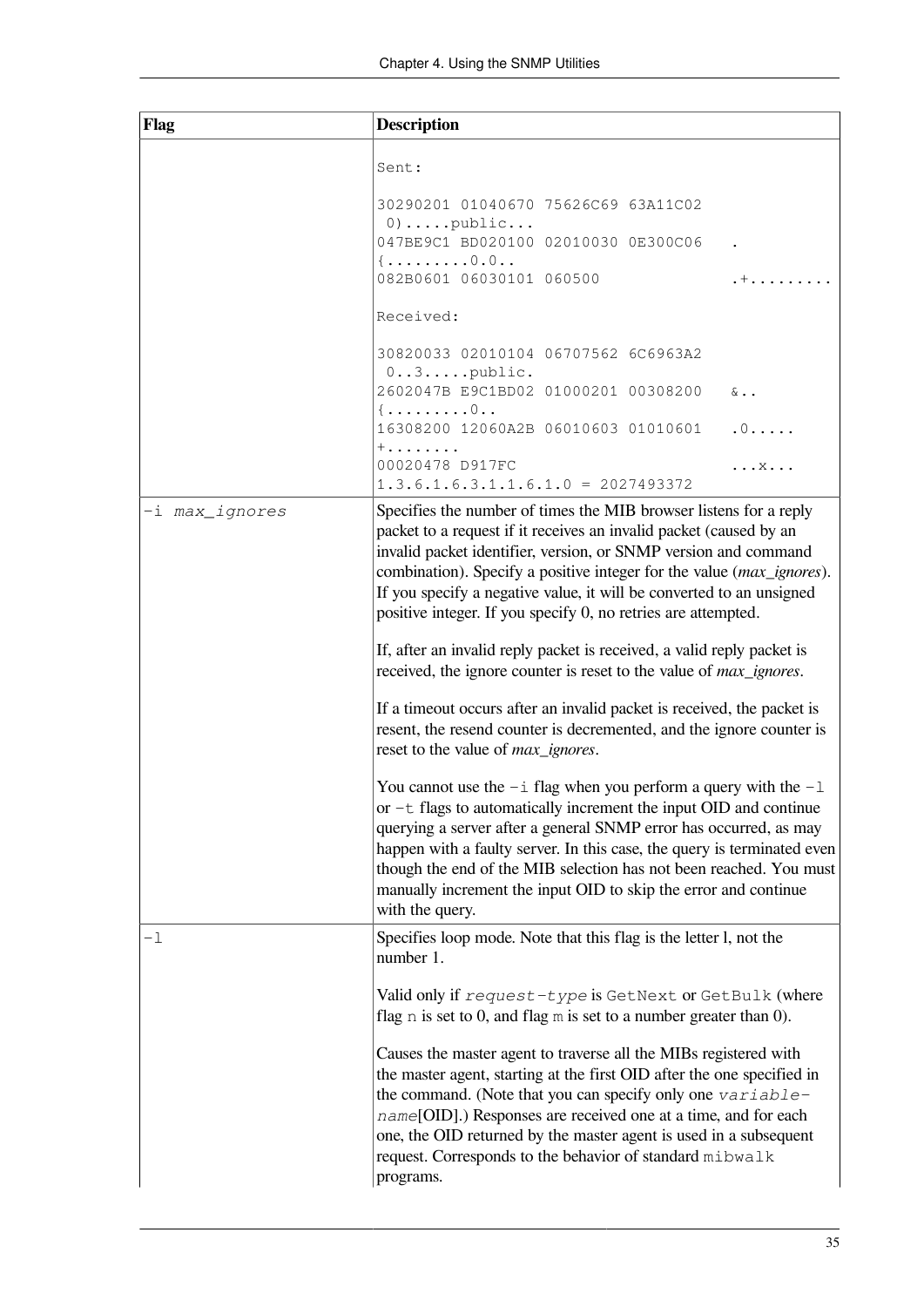| Flag           | <b>Description</b>                                                                                                                                                                                                                                                                                                                                                                                                                                                                                                                                                                                                                                                                                                                                                                                                                                                                                                                                                                                                                                                                                                                                                                                                                   |              |
|----------------|--------------------------------------------------------------------------------------------------------------------------------------------------------------------------------------------------------------------------------------------------------------------------------------------------------------------------------------------------------------------------------------------------------------------------------------------------------------------------------------------------------------------------------------------------------------------------------------------------------------------------------------------------------------------------------------------------------------------------------------------------------------------------------------------------------------------------------------------------------------------------------------------------------------------------------------------------------------------------------------------------------------------------------------------------------------------------------------------------------------------------------------------------------------------------------------------------------------------------------------|--------------|
|                | Sent:                                                                                                                                                                                                                                                                                                                                                                                                                                                                                                                                                                                                                                                                                                                                                                                                                                                                                                                                                                                                                                                                                                                                                                                                                                |              |
|                | 30290201 01040670 75626C69 63A11C02<br>$0)$ public<br>047BE9C1 BD020100 02010030 0E300C06                                                                                                                                                                                                                                                                                                                                                                                                                                                                                                                                                                                                                                                                                                                                                                                                                                                                                                                                                                                                                                                                                                                                            |              |
|                | ${, \ldots 0.0}$<br>082B0601 06030101 060500                                                                                                                                                                                                                                                                                                                                                                                                                                                                                                                                                                                                                                                                                                                                                                                                                                                                                                                                                                                                                                                                                                                                                                                         | . +          |
|                | Received:                                                                                                                                                                                                                                                                                                                                                                                                                                                                                                                                                                                                                                                                                                                                                                                                                                                                                                                                                                                                                                                                                                                                                                                                                            |              |
|                | 30820033 02010104 06707562 6C6963A2<br>$0 \ldots 3 \ldots$ . public.                                                                                                                                                                                                                                                                                                                                                                                                                                                                                                                                                                                                                                                                                                                                                                                                                                                                                                                                                                                                                                                                                                                                                                 |              |
|                | 2602047B E9C1BD02 01000201 00308200<br>${, \ldots 0}$                                                                                                                                                                                                                                                                                                                                                                                                                                                                                                                                                                                                                                                                                                                                                                                                                                                                                                                                                                                                                                                                                                                                                                                | $\delta$     |
|                | 16308200 12060A2B 06010603 01010601<br>$+ \ldots \ldots \ldots$                                                                                                                                                                                                                                                                                                                                                                                                                                                                                                                                                                                                                                                                                                                                                                                                                                                                                                                                                                                                                                                                                                                                                                      | .0           |
|                | 00020478 D917FC<br>$1.3.6.1.6.3.1.1.6.1.0 = 2027493372$                                                                                                                                                                                                                                                                                                                                                                                                                                                                                                                                                                                                                                                                                                                                                                                                                                                                                                                                                                                                                                                                                                                                                                              | . X <b>.</b> |
| -i max_ignores | Specifies the number of times the MIB browser listens for a reply<br>packet to a request if it receives an invalid packet (caused by an<br>invalid packet identifier, version, or SNMP version and command<br>combination). Specify a positive integer for the value (max_ignores).<br>If you specify a negative value, it will be converted to an unsigned<br>positive integer. If you specify 0, no retries are attempted.<br>If, after an invalid reply packet is received, a valid reply packet is<br>received, the ignore counter is reset to the value of <i>max_ignores</i> .<br>If a timeout occurs after an invalid packet is received, the packet is<br>resent, the resend counter is decremented, and the ignore counter is<br>reset to the value of max_ignores.<br>You cannot use the $-i$ flag when you perform a query with the $-1$<br>or -t flags to automatically increment the input OID and continue<br>querying a server after a general SNMP error has occurred, as may<br>happen with a faulty server. In this case, the query is terminated even<br>though the end of the MIB selection has not been reached. You must<br>manually increment the input OID to skip the error and continue<br>with the query. |              |
| -1             | Specifies loop mode. Note that this flag is the letter 1, not the<br>number 1.                                                                                                                                                                                                                                                                                                                                                                                                                                                                                                                                                                                                                                                                                                                                                                                                                                                                                                                                                                                                                                                                                                                                                       |              |
|                | Valid only if request-type is GetNext or GetBulk (where<br>flag $n$ is set to 0, and flag $m$ is set to a number greater than 0).                                                                                                                                                                                                                                                                                                                                                                                                                                                                                                                                                                                                                                                                                                                                                                                                                                                                                                                                                                                                                                                                                                    |              |
|                | Causes the master agent to traverse all the MIBs registered with<br>the master agent, starting at the first OID after the one specified in<br>the command. (Note that you can specify only one $variable$<br>name[OID].) Responses are received one at a time, and for each<br>one, the OID returned by the master agent is used in a subsequent<br>request. Corresponds to the behavior of standard mibwalk<br>programs.                                                                                                                                                                                                                                                                                                                                                                                                                                                                                                                                                                                                                                                                                                                                                                                                            |              |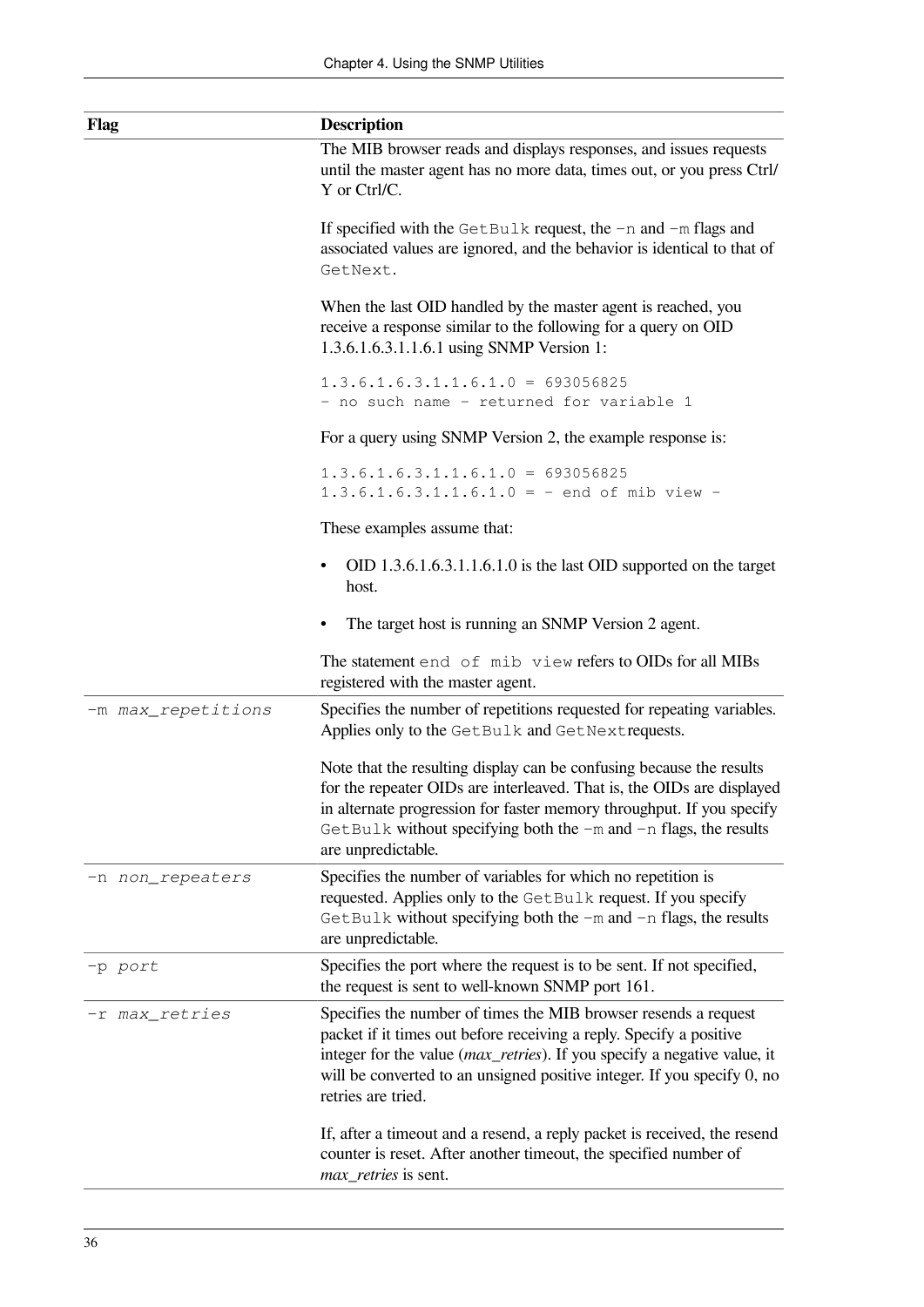| <b>Flag</b>        | <b>Description</b>                                                                                                                                                                                                                                                                                                           |
|--------------------|------------------------------------------------------------------------------------------------------------------------------------------------------------------------------------------------------------------------------------------------------------------------------------------------------------------------------|
|                    | The MIB browser reads and displays responses, and issues requests<br>until the master agent has no more data, times out, or you press Ctrl/<br>Y or Ctrl/C.                                                                                                                                                                  |
|                    | If specified with the GetBulk request, the $-n$ and $-m$ flags and<br>associated values are ignored, and the behavior is identical to that of<br>GetNext.                                                                                                                                                                    |
|                    | When the last OID handled by the master agent is reached, you<br>receive a response similar to the following for a query on OID<br>1.3.6.1.6.3.1.1.6.1 using SNMP Version 1:                                                                                                                                                 |
|                    | $1.3.6.1.6.3.1.1.6.1.0 = 693056825$<br>- no such name - returned for variable 1                                                                                                                                                                                                                                              |
|                    | For a query using SNMP Version 2, the example response is:                                                                                                                                                                                                                                                                   |
|                    | $1.3.6.1.6.3.1.1.6.1.0 = 693056825$<br>$1.3.6.1.6.3.1.1.6.1.0 = -$ end of mib view -                                                                                                                                                                                                                                         |
|                    | These examples assume that:                                                                                                                                                                                                                                                                                                  |
|                    | OID 1.3.6.1.6.3.1.1.6.1.0 is the last OID supported on the target<br>٠<br>host.                                                                                                                                                                                                                                              |
|                    | The target host is running an SNMP Version 2 agent.                                                                                                                                                                                                                                                                          |
|                    | The statement end of mib view refers to OIDs for all MIBs<br>registered with the master agent.                                                                                                                                                                                                                               |
| -m max_repetitions | Specifies the number of repetitions requested for repeating variables.<br>Applies only to the GetBulk and GetNextrequests.                                                                                                                                                                                                   |
|                    | Note that the resulting display can be confusing because the results<br>for the repeater OIDs are interleaved. That is, the OIDs are displayed<br>in alternate progression for faster memory throughput. If you specify<br>GetBulk without specifying both the -m and -n flags, the results<br>are unpredictable.            |
| -n non_repeaters   | Specifies the number of variables for which no repetition is<br>requested. Applies only to the GetBulk request. If you specify<br>$GetBulk$ without specifying both the $-m$ and $-n$ flags, the results<br>are unpredictable.                                                                                               |
| -p port            | Specifies the port where the request is to be sent. If not specified,<br>the request is sent to well-known SNMP port 161.                                                                                                                                                                                                    |
| -r max_retries     | Specifies the number of times the MIB browser resends a request<br>packet if it times out before receiving a reply. Specify a positive<br>integer for the value ( <i>max_retries</i> ). If you specify a negative value, it<br>will be converted to an unsigned positive integer. If you specify 0, no<br>retries are tried. |
|                    | If, after a timeout and a resend, a reply packet is received, the resend<br>counter is reset. After another timeout, the specified number of<br>max_retries is sent.                                                                                                                                                         |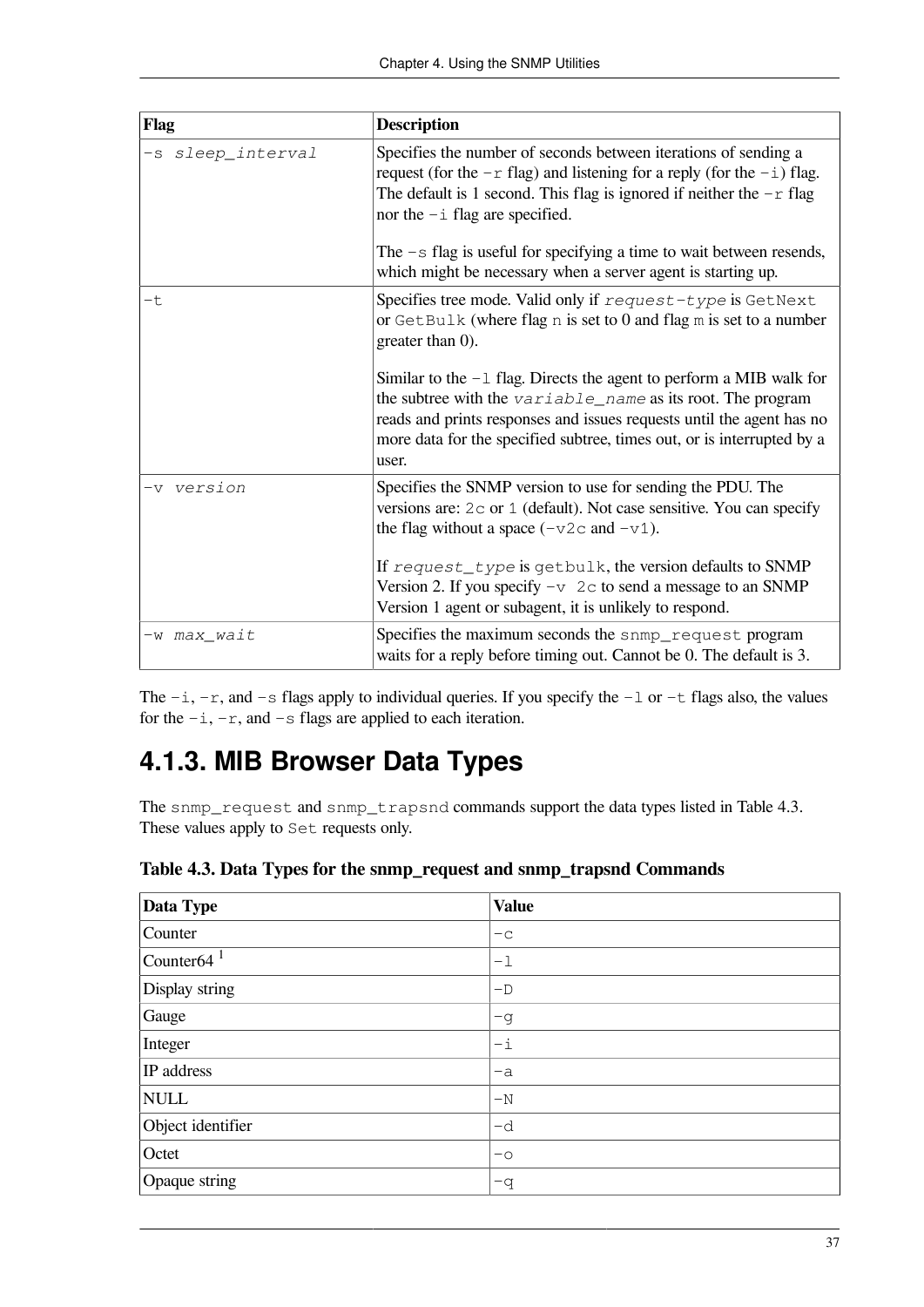| Flag              | <b>Description</b>                                                                                                                                                                                                                                                                                                                     |
|-------------------|----------------------------------------------------------------------------------------------------------------------------------------------------------------------------------------------------------------------------------------------------------------------------------------------------------------------------------------|
| -s sleep_interval | Specifies the number of seconds between iterations of sending a<br>request (for the $-r$ flag) and listening for a reply (for the $-i$ ) flag.<br>The default is 1 second. This flag is ignored if neither the $-r$ flag<br>nor the $-i$ flag are specified.<br>The $-s$ flag is useful for specifying a time to wait between resends, |
|                   | which might be necessary when a server agent is starting up.                                                                                                                                                                                                                                                                           |
| -t                | Specifies tree mode. Valid only if request-type is GetNext<br>or $GetBulk$ (where flag n is set to 0 and flag m is set to a number<br>greater than 0).                                                                                                                                                                                 |
|                   | Similar to the $-1$ flag. Directs the agent to perform a MIB walk for<br>the subtree with the variable_name as its root. The program<br>reads and prints responses and issues requests until the agent has no<br>more data for the specified subtree, times out, or is interrupted by a<br>user.                                       |
| -v version        | Specifies the SNMP version to use for sending the PDU. The<br>versions are: $2c$ or $1$ (default). Not case sensitive. You can specify<br>the flag without a space $(-\nu 2c$ and $-\nu 1)$ .                                                                                                                                          |
|                   | If request_type is getbulk, the version defaults to SNMP<br>Version 2. If you specify $-v$ 2c to send a message to an SNMP<br>Version 1 agent or subagent, it is unlikely to respond.                                                                                                                                                  |
| -w max_wait       | Specifies the maximum seconds the snmp_request program<br>waits for a reply before timing out. Cannot be 0. The default is 3.                                                                                                                                                                                                          |

The  $-i$ ,  $-r$ , and  $-s$  flags apply to individual queries. If you specify the  $-1$  or  $-t$  flags also, the values for the  $-i$ ,  $-r$ , and  $-s$  flags are applied to each iteration.

### <span id="page-44-0"></span>**4.1.3. MIB Browser Data Types**

The snmp\_request and snmp\_trapsnd commands support the data types listed in [Table](#page-44-1) 4.3. These values apply to Set requests only.

| <b>Data Type</b>  | <b>Value</b>     |
|-------------------|------------------|
| Counter           | $-c$             |
| Counter64 $1$     | $^{-1}$          |
| Display string    | $-\mathbb{D}$    |
| Gauge             | $-q$             |
| Integer           | $-\underline{i}$ |
| IP address        | $-a$             |
| NULL              | $-N$             |
| Object identifier | -d               |
| Octet             | $-\circ$         |
| Opaque string     | $-q$             |

<span id="page-44-1"></span>**Table 4.3. Data Types for the snmp\_request and snmp\_trapsnd Commands**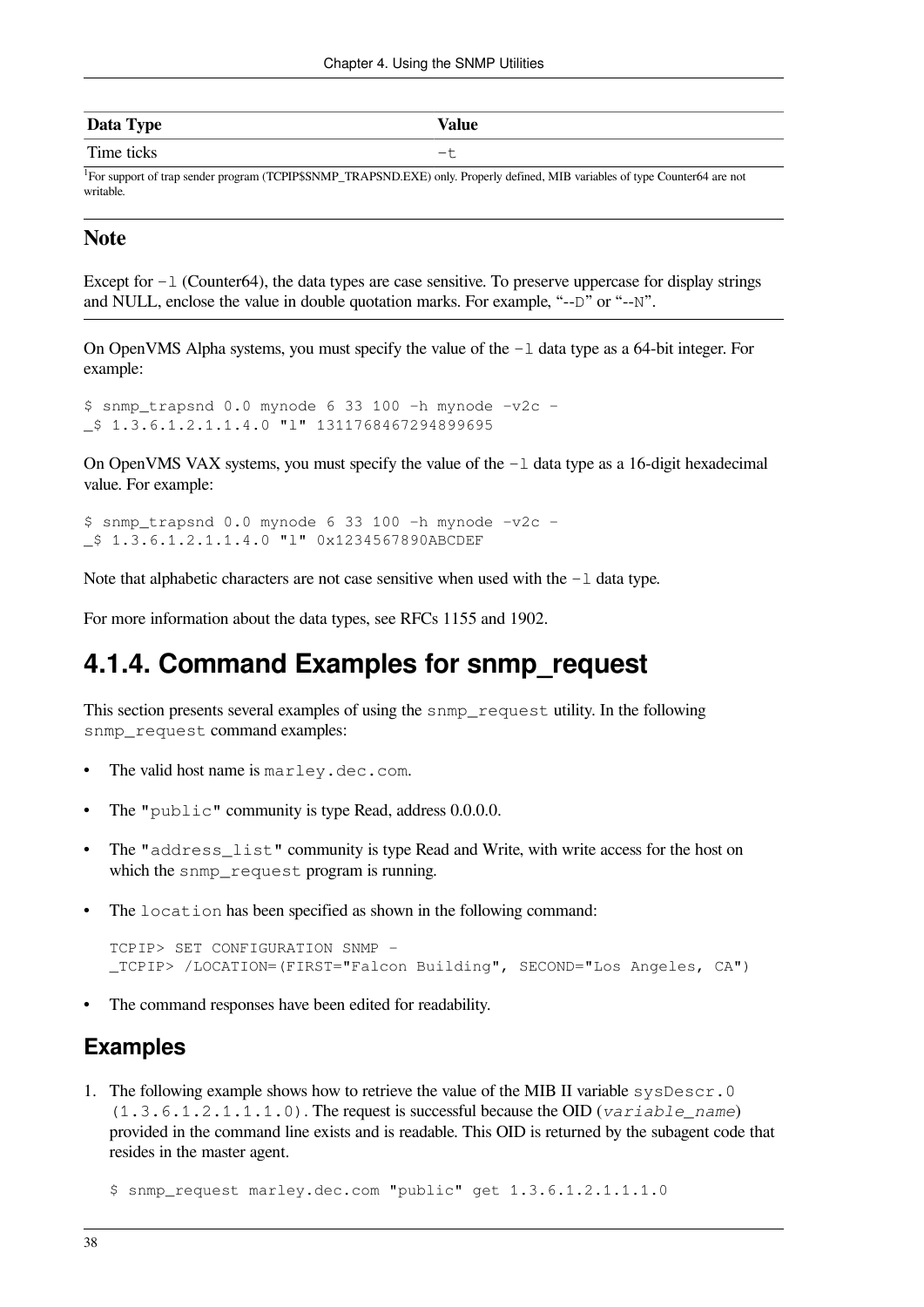| Data Type  | <b>Value</b> |
|------------|--------------|
| Time ticks | ๛            |

<sup>1</sup>For support of trap sender program (TCPIP\$SNMP\_TRAPSND.EXE) only. Properly defined, MIB variables of type Counter64 are not writable.

#### **Note**

Except for  $-1$  (Counter64), the data types are case sensitive. To preserve uppercase for display strings and NULL, enclose the value in double quotation marks. For example, "--D" or "--N".

On OpenVMS Alpha systems, you must specify the value of the  $-1$  data type as a 64-bit integer. For example:

```
$ snmp trapsnd 0.0 mynode 6 33 100 -h mynode -v2c -
_$ 1.3.6.1.2.1.1.4.0 "l" 1311768467294899695
```
On OpenVMS VAX systems, you must specify the value of the  $-1$  data type as a 16-digit hexadecimal value. For example:

 $$$  snmp\_trapsnd 0.0 mynode 6 33 100 -h mynode -v2c -\_\$ 1.3.6.1.2.1.1.4.0 "l" 0x1234567890ABCDEF

Note that alphabetic characters are not case sensitive when used with the  $-1$  data type.

For more information about the data types, see RFCs 1155 and 1902.

### **4.1.4. Command Examples for snmp\_request**

This section presents several examples of using the snmp\_request utility. In the following snmp\_request command examples:

- The valid host name is marley.dec.com.
- The "public" community is type Read, address 0.0.0.0.
- The "address\_list" community is type Read and Write, with write access for the host on which the snmp\_request program is running.
- The location has been specified as shown in the following command:

```
TCPIP> SET CONFIGURATION SNMP -
_TCPIP> /LOCATION=(FIRST="Falcon Building", SECOND="Los Angeles, CA")
```
The command responses have been edited for readability.

#### **Examples**

1. The following example shows how to retrieve the value of the MIB II variable sysDescr.0 (1.3.6.1.2.1.1.1.0). The request is successful because the OID (*variable\_name*) provided in the command line exists and is readable. This OID is returned by the subagent code that resides in the master agent.

\$ snmp\_request marley.dec.com "public" get 1.3.6.1.2.1.1.1.0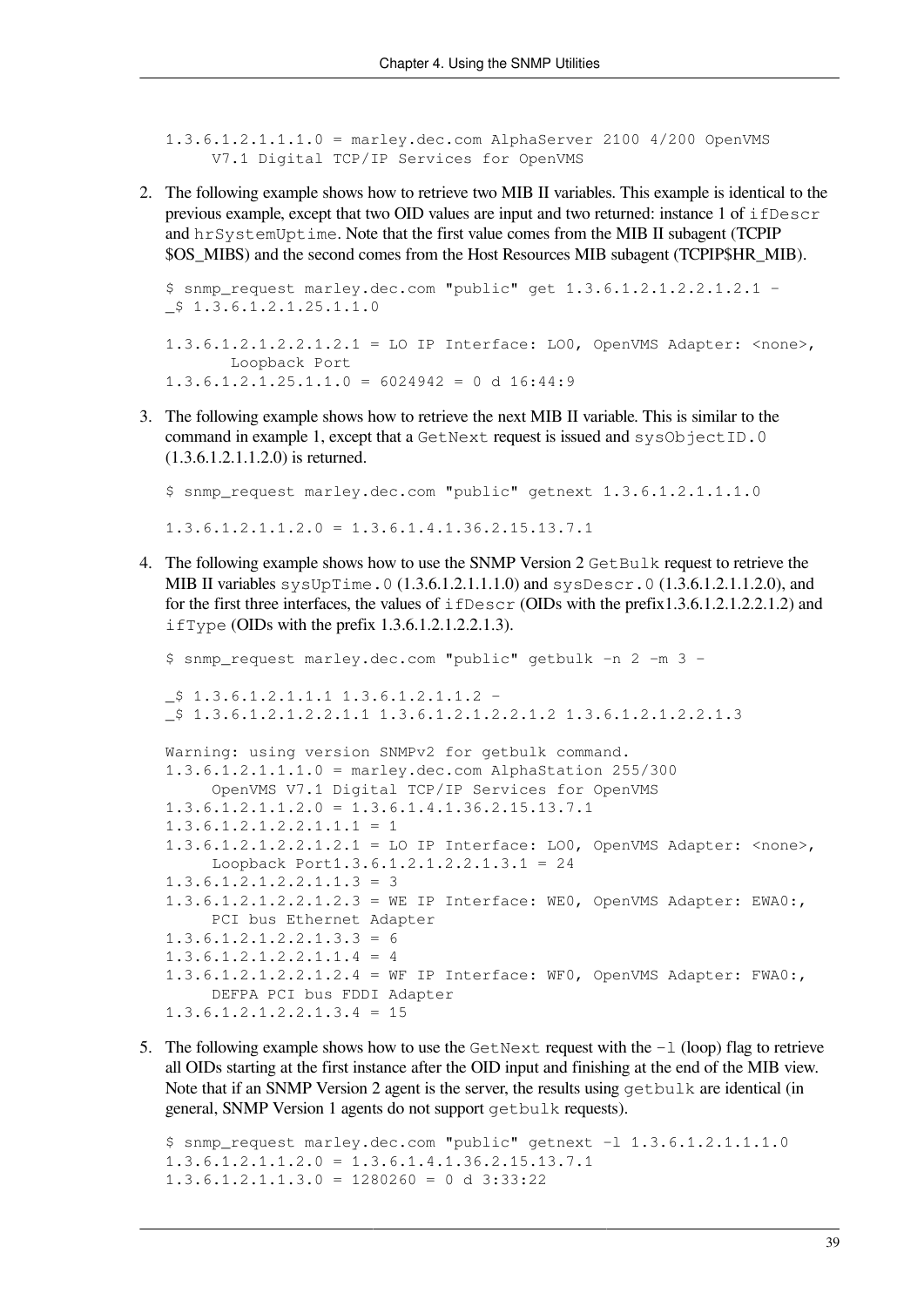1.3.6.1.2.1.1.1.0 = marley.dec.com AlphaServer 2100 4/200 OpenVMS V7.1 Digital TCP/IP Services for OpenVMS

2. The following example shows how to retrieve two MIB II variables. This example is identical to the previous example, except that two OID values are input and two returned: instance 1 of ifDescr and hrSystemUptime. Note that the first value comes from the MIB II subagent (TCPIP \$OS\_MIBS) and the second comes from the Host Resources MIB subagent (TCPIP\$HR\_MIB).

```
$ snmp_request marley.dec.com "public" get 1.3.6.1.2.1.2.2.1.2.1 -
$1.3.6.1.2.1.25.1.1.01.3.6.1.2.1.2.2.1.2.1 = LO IP Interface: LO0, OpenVMS Adapter: <none>,
        Loopback Port
```

```
1.3.6.1.2.1.25.1.1.0 = 6024942 = 0 d 16:44:9
```
3. The following example shows how to retrieve the next MIB II variable. This is similar to the command in example 1, except that a GetNext request is issued and sysObjectID.0 (1.3.6.1.2.1.1.2.0) is returned.

\$ snmp\_request marley.dec.com "public" getnext 1.3.6.1.2.1.1.1.0 1.3.6.1.2.1.1.2.0 = 1.3.6.1.4.1.36.2.15.13.7.1

4. The following example shows how to use the SNMP Version 2 GetBulk request to retrieve the MIB II variables sysUpTime.0 (1.3.6.1.2.1.1.1.0) and sysDescr.0 (1.3.6.1.2.1.1.2.0), and for the first three interfaces, the values of  $i$  fDescr (OIDs with the prefix1.3.6.1.2.1.2.2.1.2) and ifType (OIDs with the prefix 1.3.6.1.2.1.2.2.1.3).

```
$ snmp_request marley.dec.com "public" getbulk -n 2 -m 3 -
\frac{1}{2} $ 1.3.6.1.2.1.1.1.1 1.3.6.1.2.1.1.2 -
_$ 1.3.6.1.2.1.2.2.1.1 1.3.6.1.2.1.2.2.1.2 1.3.6.1.2.1.2.2.1.3
Warning: using version SNMPv2 for getbulk command.
1.3.6.1.2.1.1.1.0 = marley.dec.com AlphaStation 255/300
      OpenVMS V7.1 Digital TCP/IP Services for OpenVMS
1.3.6.1.2.1.1.2.0 = 1.3.6.1.4.1.36.2.15.13.7.11.3.6.1.2.1.2.2.1.1.1 = 11.3.6.1.2.1.2.2.1.2.1 = LO IP Interface: LO0, OpenVMS Adapter: <none>,
      Loopback Port1.3.6.1.2.1.2.2.1.3.1 = 24
1.3.6.1.2.1.2.2.1.1.3 = 31.3.6.1.2.1.2.2.1.2.3 = WE IP Interface: WE0, OpenVMS Adapter: EWA0:,
      PCI bus Ethernet Adapter
1.3.6.1.2.1.2.2.1.3.3 = 61.3.6.1.2.1.2.2.1.1.4 = 41.3.6.1.2.1.2.2.1.2.4 = WF IP Interface: WF0, OpenVMS Adapter: FWA0:,
      DEFPA PCI bus FDDI Adapter
1.3.6.1.2.1.2.2.1.3.4 = 15
```
5. The following example shows how to use the GetNext request with the  $-1$  (loop) flag to retrieve all OIDs starting at the first instance after the OID input and finishing at the end of the MIB view. Note that if an SNMP Version 2 agent is the server, the results using  $\alpha$ etbulk are identical (in general, SNMP Version 1 agents do not support getbulk requests).

\$ snmp\_request marley.dec.com "public" getnext -l 1.3.6.1.2.1.1.1.0  $1.3.6.1.2.1.1.2.0 = 1.3.6.1.4.1.36.2.15.13.7.1$  $1.3.6.1.2.1.1.3.0 = 1280260 = 0 d 3:33:22$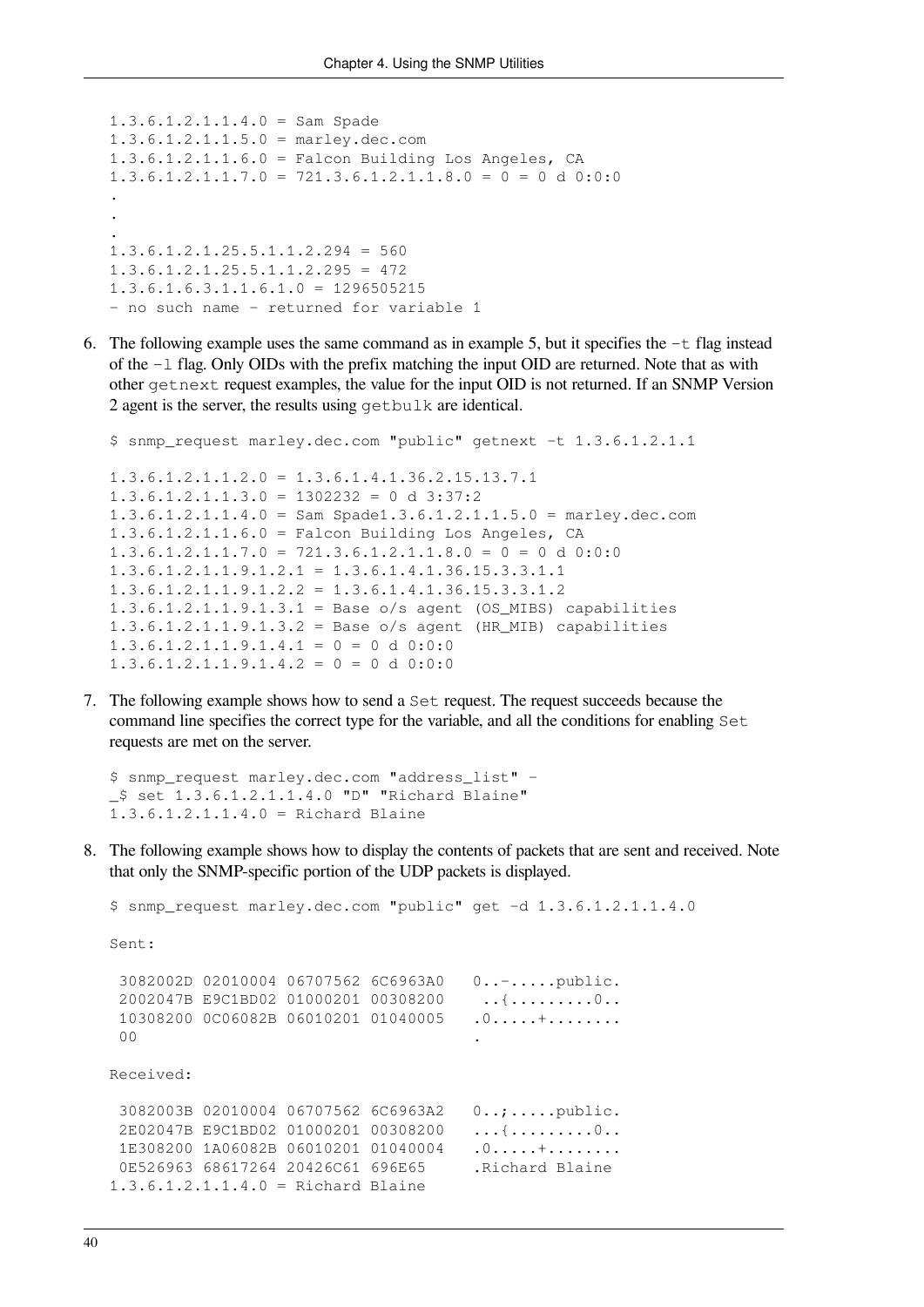```
1.3.6.1.2.1.1.4.0 = Sam Spade
1.3.6.1.2.1.1.5.0 = marley.dec.com
1.3.6.1.2.1.1.6.0 = Falcon Building Los Angeles, CA
1.3.6.1.2.1.1.7.0 = 721.3.6.1.2.1.1.8.0 = 0 = 0 d 0:0:0
.
.
.
1.3.6.1.2.1.25.5.1.1.2.294 = 5601.3.6.1.2.1.25.5.1.1.2.295 = 4721.3.6.1.6.3.1.1.6.1.0 = 1296505215- no such name - returned for variable 1
```
6. The following example uses the same command as in example 5, but it specifies the  $-t$  flag instead of the -l flag. Only OIDs with the prefix matching the input OID are returned. Note that as with other getnext request examples, the value for the input OID is not returned. If an SNMP Version 2 agent is the server, the results using getbulk are identical.

```
$ snmp_request marley.dec.com "public" getnext -t 1.3.6.1.2.1.1
1.3.6.1.2.1.1.2.0 = 1.3.6.1.4.1.36.2.15.13.7.11.3.6.1.2.1.1.3.0 = 1302232 = 0 d 3:37:21.3.6.1.2.1.1.4.0 = Sam Spade1.3.6.1.2.1.1.5.0 = marley.dec.com
1.3.6.1.2.1.1.6.0 = Falcon Building Los Angeles, CA
1.3.6.1.2.1.1.7.0 = 721.3.6.1.2.1.1.8.0 = 0 = 0 d 0:0:0
1.3.6.1.2.1.1.9.1.2.1 = 1.3.6.1.4.1.36.15.3.3.1.11.3.6.1.2.1.1.9.1.2.2 = 1.3.6.1.4.1.36.15.3.3.1.21.3.6.1.2.1.1.9.1.3.1 = Base o/s agent (OS_MIBS) capabilities
1.3.6.1.2.1.1.9.1.3.2 = Base o/s agent (HR_MIB) capabilities
1.3.6.1.2.1.1.9.1.4.1 = 0 = 0 d 0:0:01.3.6.1.2.1.1.9.1.4.2 = 0 = 0 d 0:0:0
```
7. The following example shows how to send a Set request. The request succeeds because the command line specifies the correct type for the variable, and all the conditions for enabling Set requests are met on the server.

```
$ snmp_request marley.dec.com "address_list" -
_$ set 1.3.6.1.2.1.1.4.0 "D" "Richard Blaine"
1.3.6.1.2.1.1.4.0 = Richard Blaine
```
8. The following example shows how to display the contents of packets that are sent and received. Note that only the SNMP-specific portion of the UDP packets is displayed.

```
$ snmp_request marley.dec.com "public" get -d 1.3.6.1.2.1.1.4.0
Sent:
  3082002D 02010004 06707562 6C6963A0 0..-.....public.
 2002047B E9C1BD02 01000201 00308200 ..{.........0..
 10308200 0C06082B 06010201 01040005 .0.....+........
00 \cdotReceived:
  3082003B 02010004 06707562 6C6963A2 0..;.....public.
  2E02047B E9C1BD02 01000201 00308200 ...{.........0..
  1E308200 1A06082B 06010201 01040004 .0.....+........
 0E526963 68617264 20426C61 696E65 .Richard Blaine
1.3.6.1.2.1.1.4.0 = Richard Blaine
```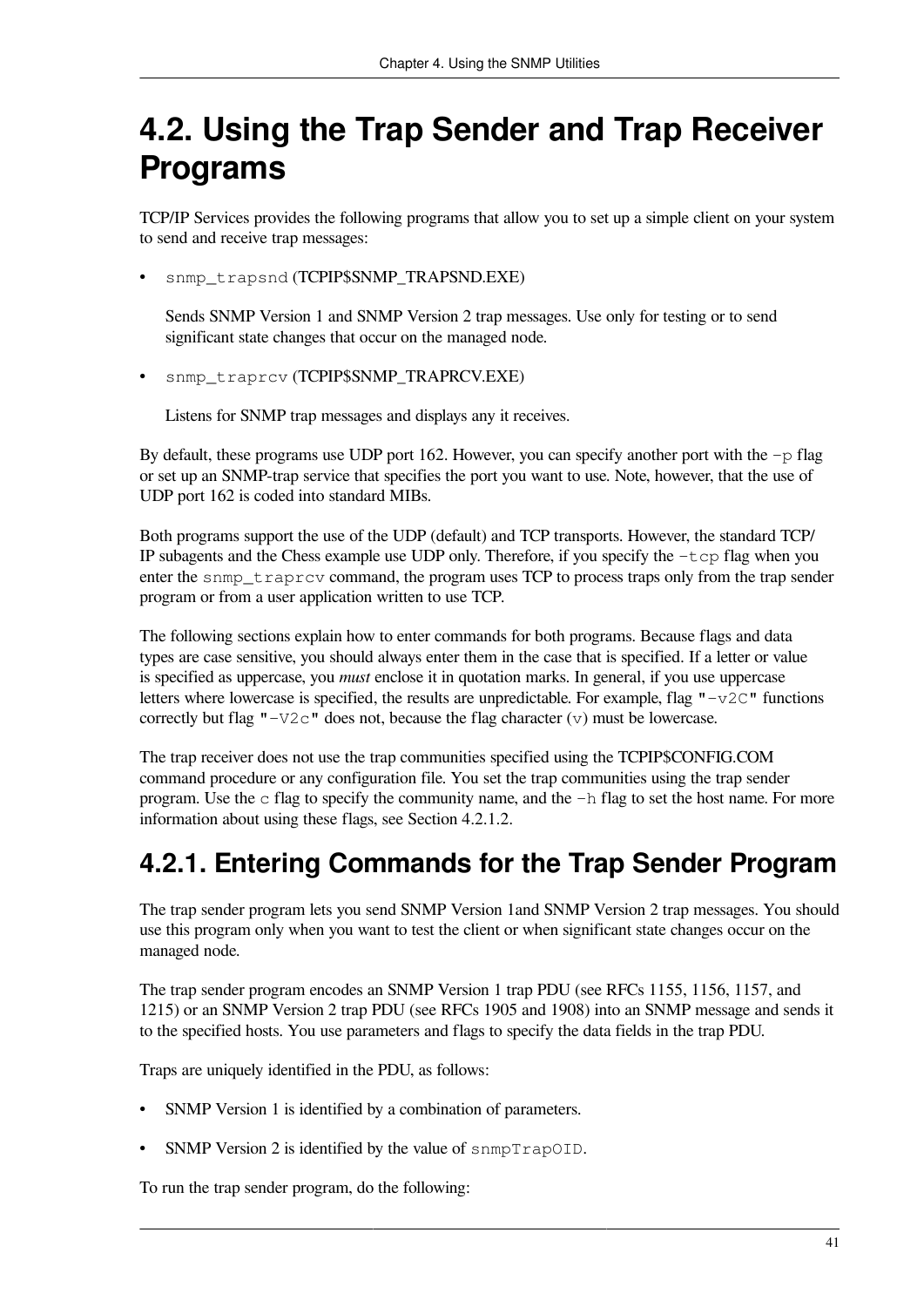# <span id="page-48-0"></span>**4.2. Using the Trap Sender and Trap Receiver Programs**

TCP/IP Services provides the following programs that allow you to set up a simple client on your system to send and receive trap messages:

• snmp\_trapsnd (TCPIP\$SNMP\_TRAPSND.EXE)

Sends SNMP Version 1 and SNMP Version 2 trap messages. Use only for testing or to send significant state changes that occur on the managed node.

snmp\_traprcv (TCPIP\$SNMP\_TRAPRCV.EXE)

Listens for SNMP trap messages and displays any it receives.

By default, these programs use UDP port 162. However, you can specify another port with the  $-p$  flag or set up an SNMP-trap service that specifies the port you want to use. Note, however, that the use of UDP port 162 is coded into standard MIBs.

Both programs support the use of the UDP (default) and TCP transports. However, the standard TCP/ IP subagents and the Chess example use UDP only. Therefore, if you specify the  $-\text{top}$  flag when you enter the snmp<sub>traprcv</sub> command, the program uses TCP to process traps only from the trap sender program or from a user application written to use TCP.

The following sections explain how to enter commands for both programs. Because flags and data types are case sensitive, you should always enter them in the case that is specified. If a letter or value is specified as uppercase, you *must* enclose it in quotation marks. In general, if you use uppercase letters where lowercase is specified, the results are unpredictable. For example, flag  $"-\nu2C"$  functions correctly but flag " $-V2c$ " does not, because the flag character (v) must be lowercase.

The trap receiver does not use the trap communities specified using the TCPIP\$CONFIG.COM command procedure or any configuration file. You set the trap communities using the trap sender program. Use the c flag to specify the community name, and the -h flag to set the host name. For more information about using these flags, see [Section](#page-50-0) 4.2.1.2.

# **4.2.1. Entering Commands for the Trap Sender Program**

The trap sender program lets you send SNMP Version 1and SNMP Version 2 trap messages. You should use this program only when you want to test the client or when significant state changes occur on the managed node.

The trap sender program encodes an SNMP Version 1 trap PDU (see RFCs 1155, 1156, 1157, and 1215) or an SNMP Version 2 trap PDU (see RFCs 1905 and 1908) into an SNMP message and sends it to the specified hosts. You use parameters and flags to specify the data fields in the trap PDU.

Traps are uniquely identified in the PDU, as follows:

- SNMP Version 1 is identified by a combination of parameters.
- SNMP Version 2 is identified by the value of snmpTrapOID.

To run the trap sender program, do the following: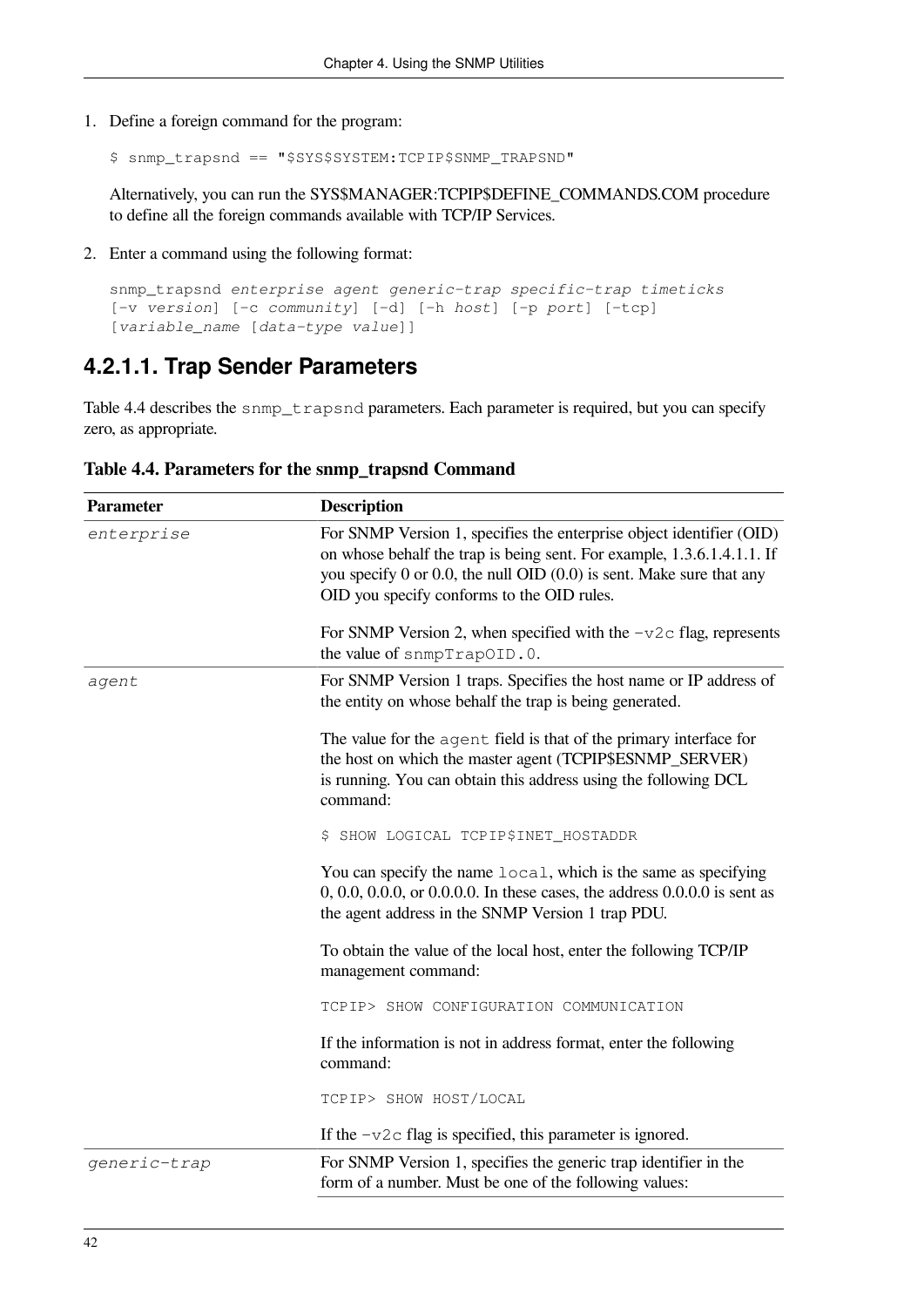1. Define a foreign command for the program:

```
$ snmp_trapsnd == "$SYS$SYSTEM:TCPIP$SNMP_TRAPSND"
```
Alternatively, you can run the SYS\$MANAGER:TCPIP\$DEFINE\_COMMANDS.COM procedure to define all the foreign commands available with TCP/IP Services.

2. Enter a command using the following format:

```
snmp_trapsnd enterprise agent generic-trap specific-trap timeticks
[-v version] [-c community] [-d] [-h host] [-p port] [-tcp]
[variable_name [data-type value]]
```
#### **4.2.1.1. Trap Sender Parameters**

[Table](#page-49-0) 4.4 describes the snmp\_trapsnd parameters. Each parameter is required, but you can specify zero, as appropriate.

| <b>Parameter</b> | <b>Description</b>                                                                                                                                                                                                                                                          |
|------------------|-----------------------------------------------------------------------------------------------------------------------------------------------------------------------------------------------------------------------------------------------------------------------------|
| enterprise       | For SNMP Version 1, specifies the enterprise object identifier (OID)<br>on whose behalf the trap is being sent. For example, 1.3.6.1.4.1.1. If<br>you specify $0$ or $0.0$ , the null OID $(0.0)$ is sent. Make sure that any<br>OID you specify conforms to the OID rules. |
|                  | For SNMP Version 2, when specified with the $-\nu 2c$ flag, represents<br>the value of snmpTrapOID.0.                                                                                                                                                                       |
| agent            | For SNMP Version 1 traps. Specifies the host name or IP address of<br>the entity on whose behalf the trap is being generated.                                                                                                                                               |
|                  | The value for the agent field is that of the primary interface for<br>the host on which the master agent (TCPIP\$ESNMP_SERVER)<br>is running. You can obtain this address using the following DCL<br>command:                                                               |
|                  | \$ SHOW LOGICAL TCPIP\$INET_HOSTADDR                                                                                                                                                                                                                                        |
|                  | You can specify the name local, which is the same as specifying<br>0, 0.0, 0.0.0, or 0.0.0.0. In these cases, the address 0.0.0.0 is sent as<br>the agent address in the SNMP Version 1 trap PDU.                                                                           |
|                  | To obtain the value of the local host, enter the following TCP/IP<br>management command:                                                                                                                                                                                    |
|                  | TCPIP> SHOW CONFIGURATION COMMUNICATION                                                                                                                                                                                                                                     |
|                  | If the information is not in address format, enter the following<br>command:                                                                                                                                                                                                |
|                  | TCPIP> SHOW HOST/LOCAL                                                                                                                                                                                                                                                      |
|                  | If the $-v2c$ flag is specified, this parameter is ignored.                                                                                                                                                                                                                 |
| generic-trap     | For SNMP Version 1, specifies the generic trap identifier in the<br>form of a number. Must be one of the following values:                                                                                                                                                  |

<span id="page-49-0"></span>**Table 4.4. Parameters for the snmp\_trapsnd Command**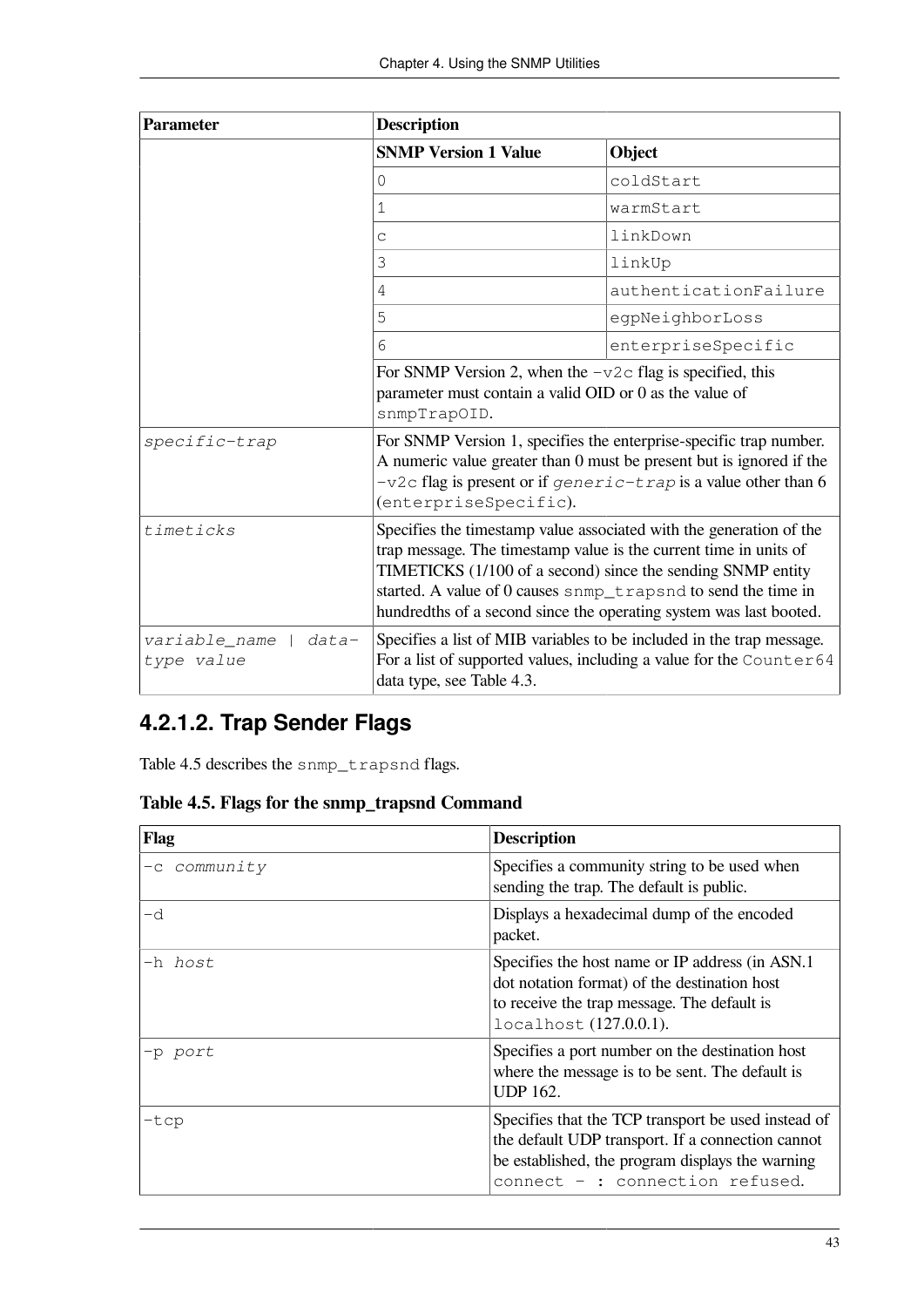| <b>Parameter</b>                       | <b>Description</b>                                                                                                                                                                                                                                                                                                                             |                       |
|----------------------------------------|------------------------------------------------------------------------------------------------------------------------------------------------------------------------------------------------------------------------------------------------------------------------------------------------------------------------------------------------|-----------------------|
|                                        | <b>SNMP Version 1 Value</b>                                                                                                                                                                                                                                                                                                                    | Object                |
|                                        | 0                                                                                                                                                                                                                                                                                                                                              | coldStart             |
|                                        | $\mathbf 1$                                                                                                                                                                                                                                                                                                                                    | warmStart             |
|                                        | C                                                                                                                                                                                                                                                                                                                                              | linkDown              |
|                                        | 3                                                                                                                                                                                                                                                                                                                                              | linkUp                |
|                                        | $\overline{4}$                                                                                                                                                                                                                                                                                                                                 | authenticationFailure |
|                                        | 5                                                                                                                                                                                                                                                                                                                                              | eqpNeighborLoss       |
|                                        | 6                                                                                                                                                                                                                                                                                                                                              | enterpriseSpecific    |
|                                        | For SNMP Version 2, when the $-v2c$ flag is specified, this<br>parameter must contain a valid OID or 0 as the value of<br>snmpTrapOID.                                                                                                                                                                                                         |                       |
|                                        |                                                                                                                                                                                                                                                                                                                                                |                       |
|                                        |                                                                                                                                                                                                                                                                                                                                                |                       |
| specific-trap                          | For SNMP Version 1, specifies the enterprise-specific trap number.<br>A numeric value greater than 0 must be present but is ignored if the<br>$-v2c$ flag is present or if generic-trap is a value other than 6<br>(enterpriseSpecific).                                                                                                       |                       |
| timeticks                              | Specifies the timestamp value associated with the generation of the<br>trap message. The timestamp value is the current time in units of<br>TIMETICKS (1/100 of a second) since the sending SNMP entity<br>started. A value of 0 causes snmp_trapsnd to send the time in<br>hundredths of a second since the operating system was last booted. |                       |
| variable_name  <br>data-<br>type value | Specifies a list of MIB variables to be included in the trap message.<br>For a list of supported values, including a value for the Counter64<br>data type, see Table 4.3.                                                                                                                                                                      |                       |

### <span id="page-50-0"></span>**4.2.1.2. Trap Sender Flags**

[Table](#page-50-1) 4.5 describes the snmp\_trapsnd flags.

<span id="page-50-1"></span>**Table 4.5. Flags for the snmp\_trapsnd Command**

| Flag           | <b>Description</b>                                                                                                                                                                              |
|----------------|-------------------------------------------------------------------------------------------------------------------------------------------------------------------------------------------------|
| -c community   | Specifies a community string to be used when<br>sending the trap. The default is public.                                                                                                        |
| -d             | Displays a hexadecimal dump of the encoded<br>packet.                                                                                                                                           |
| -h <i>host</i> | Specifies the host name or IP address (in ASN.1)<br>dot notation format) of the destination host<br>to receive the trap message. The default is<br>localhost (127.0.0.1).                       |
| -p port        | Specifies a port number on the destination host<br>where the message is to be sent. The default is<br><b>UDP 162.</b>                                                                           |
| -tcp           | Specifies that the TCP transport be used instead of<br>the default UDP transport. If a connection cannot<br>be established, the program displays the warning<br>connect - : connection refused. |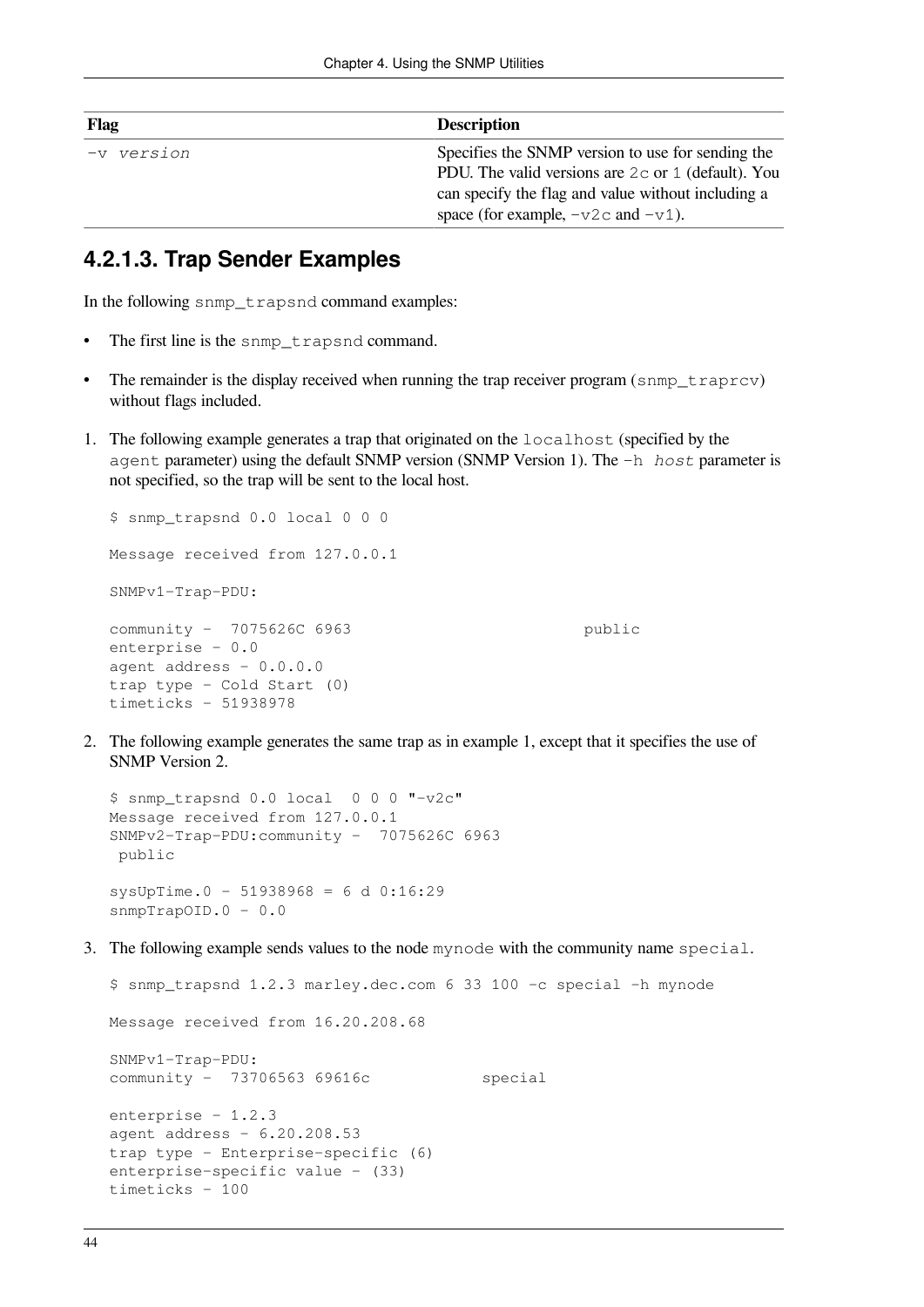| Flag        | <b>Description</b>                                                                                                                                                                                                       |
|-------------|--------------------------------------------------------------------------------------------------------------------------------------------------------------------------------------------------------------------------|
| '-v version | Specifies the SNMP version to use for sending the<br>PDU. The valid versions are $2c$ or 1 (default). You<br>can specify the flag and value without including a<br>space (for example, $-\text{v2c}$ and $-\text{v1}$ ). |

#### **4.2.1.3. Trap Sender Examples**

In the following snmp\_trapsnd command examples:

- The first line is the snmp\_trapsnd command.
- The remainder is the display received when running the trap receiver program (snmp\_traprcv) without flags included.
- 1. The following example generates a trap that originated on the localhost (specified by the agent parameter) using the default SNMP version (SNMP Version 1). The -h *host* parameter is not specified, so the trap will be sent to the local host.

```
$ snmp_trapsnd 0.0 local 0 0 0
Message received from 127.0.0.1
SNMPv1-Trap-PDU:
community - 7075626C 6963 public
enterprise - 0.0
agent address - 0.0.0.0
trap type - Cold Start (0)
timeticks - 51938978
```
2. The following example generates the same trap as in example 1, except that it specifies the use of SNMP Version 2.

```
$ snmp_trapsnd 0.0 local 0 0 0 "-v2c"
Message received from 127.0.0.1
SNMPv2-Trap-PDU:community - 7075626C 6963 
 public
sysUpTime.0 - 51938968 = 6 d 0:16:29snmpTrapOID.0 - 0.0
```
3. The following example sends values to the node mynode with the community name special.

```
$ snmp_trapsnd 1.2.3 marley.dec.com 6 33 100 -c special -h mynode
Message received from 16.20.208.68
SNMPv1-Trap-PDU:
community - 73706563 69616c special
enterprise - 1.2.3
agent address - 6.20.208.53
trap type - Enterprise-specific (6)
enterprise-specific value - (33)
timeticks - 100
```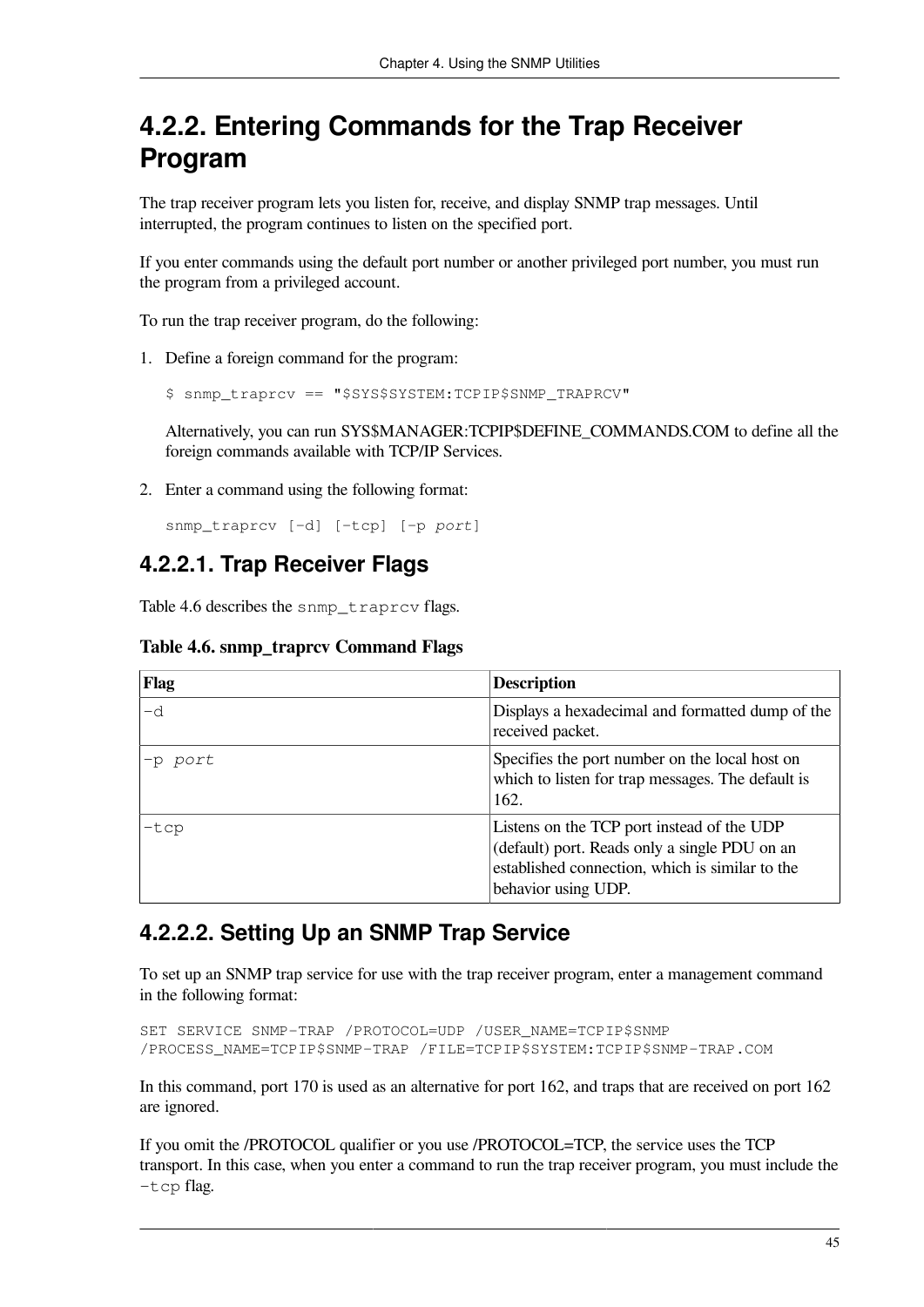## **4.2.2. Entering Commands for the Trap Receiver Program**

The trap receiver program lets you listen for, receive, and display SNMP trap messages. Until interrupted, the program continues to listen on the specified port.

If you enter commands using the default port number or another privileged port number, you must run the program from a privileged account.

To run the trap receiver program, do the following:

1. Define a foreign command for the program:

```
$ snmp_traprcv == "$SYS$SYSTEM:TCPIP$SNMP_TRAPRCV"
```
Alternatively, you can run SYS\$MANAGER:TCPIP\$DEFINE\_COMMANDS.COM to define all the foreign commands available with TCP/IP Services.

2. Enter a command using the following format:

snmp\_traprcv [-d] [-tcp] [-p *port*]

#### **4.2.2.1. Trap Receiver Flags**

<span id="page-52-0"></span>[Table](#page-52-0) 4.6 describes the snmp traprcv flags.

| <b>Table 4.6. snmp_traprcv Command Flags</b> |  |  |  |
|----------------------------------------------|--|--|--|
|----------------------------------------------|--|--|--|

| Flag    | <b>Description</b>                                                                                                                                                    |
|---------|-----------------------------------------------------------------------------------------------------------------------------------------------------------------------|
| -d      | Displays a hexadecimal and formatted dump of the<br>received packet.                                                                                                  |
| -p port | Specifies the port number on the local host on<br>which to listen for trap messages. The default is<br>162.                                                           |
| $-tcp$  | Listens on the TCP port instead of the UDP<br>(default) port. Reads only a single PDU on an<br>established connection, which is similar to the<br>behavior using UDP. |

#### **4.2.2.2. Setting Up an SNMP Trap Service**

To set up an SNMP trap service for use with the trap receiver program, enter a management command in the following format:

SET SERVICE SNMP-TRAP /PROTOCOL=UDP /USER\_NAME=TCPIP\$SNMP /PROCESS\_NAME=TCPIP\$SNMP-TRAP /FILE=TCPIP\$SYSTEM:TCPIP\$SNMP-TRAP.COM

In this command, port 170 is used as an alternative for port 162, and traps that are received on port 162 are ignored.

If you omit the /PROTOCOL qualifier or you use /PROTOCOL=TCP, the service uses the TCP transport. In this case, when you enter a command to run the trap receiver program, you must include the -tcp flag.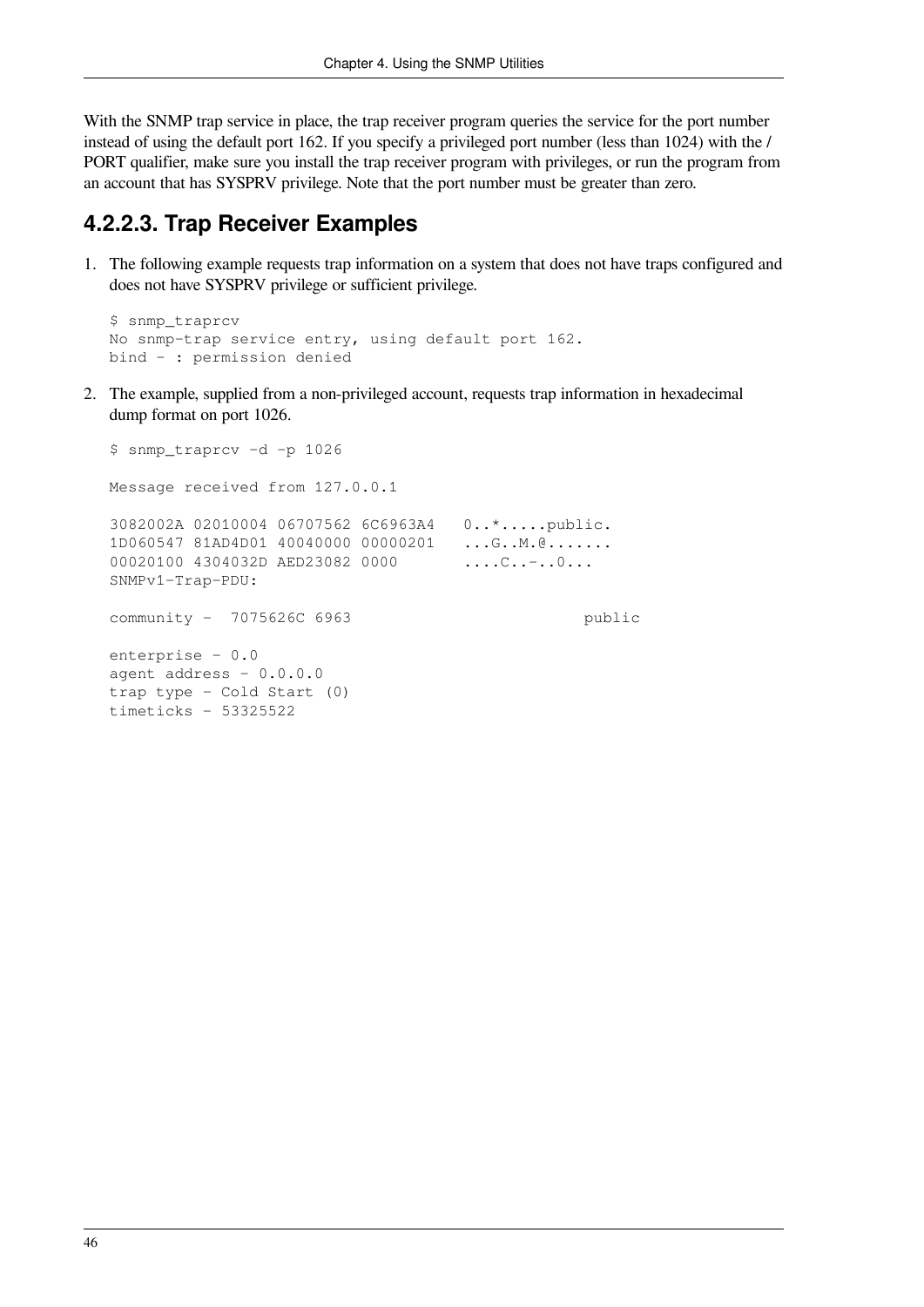With the SNMP trap service in place, the trap receiver program queries the service for the port number instead of using the default port 162. If you specify a privileged port number (less than 1024) with the / PORT qualifier, make sure you install the trap receiver program with privileges, or run the program from an account that has SYSPRV privilege. Note that the port number must be greater than zero.

#### **4.2.2.3. Trap Receiver Examples**

1. The following example requests trap information on a system that does not have traps configured and does not have SYSPRV privilege or sufficient privilege.

```
$ snmp_traprcv
No snmp-trap service entry, using default port 162.
bind - : permission denied
```
2. The example, supplied from a non-privileged account, requests trap information in hexadecimal dump format on port 1026.

```
$ snmp_traprcv -d -p 1026
Message received from 127.0.0.1
3082002A 02010004 06707562 6C6963A4 0..*.....public.
1D060547 81AD4D01 40040000 00000201 ...G..M.@.......
00020100 4304032D AED23082 0000 ....C..-..0...
SNMPv1-Trap-PDU:
community - 7075626C 6963 public
enterprise - 0.0
agent address -0.0.0.0trap type - Cold Start (0)
timeticks - 53325522
```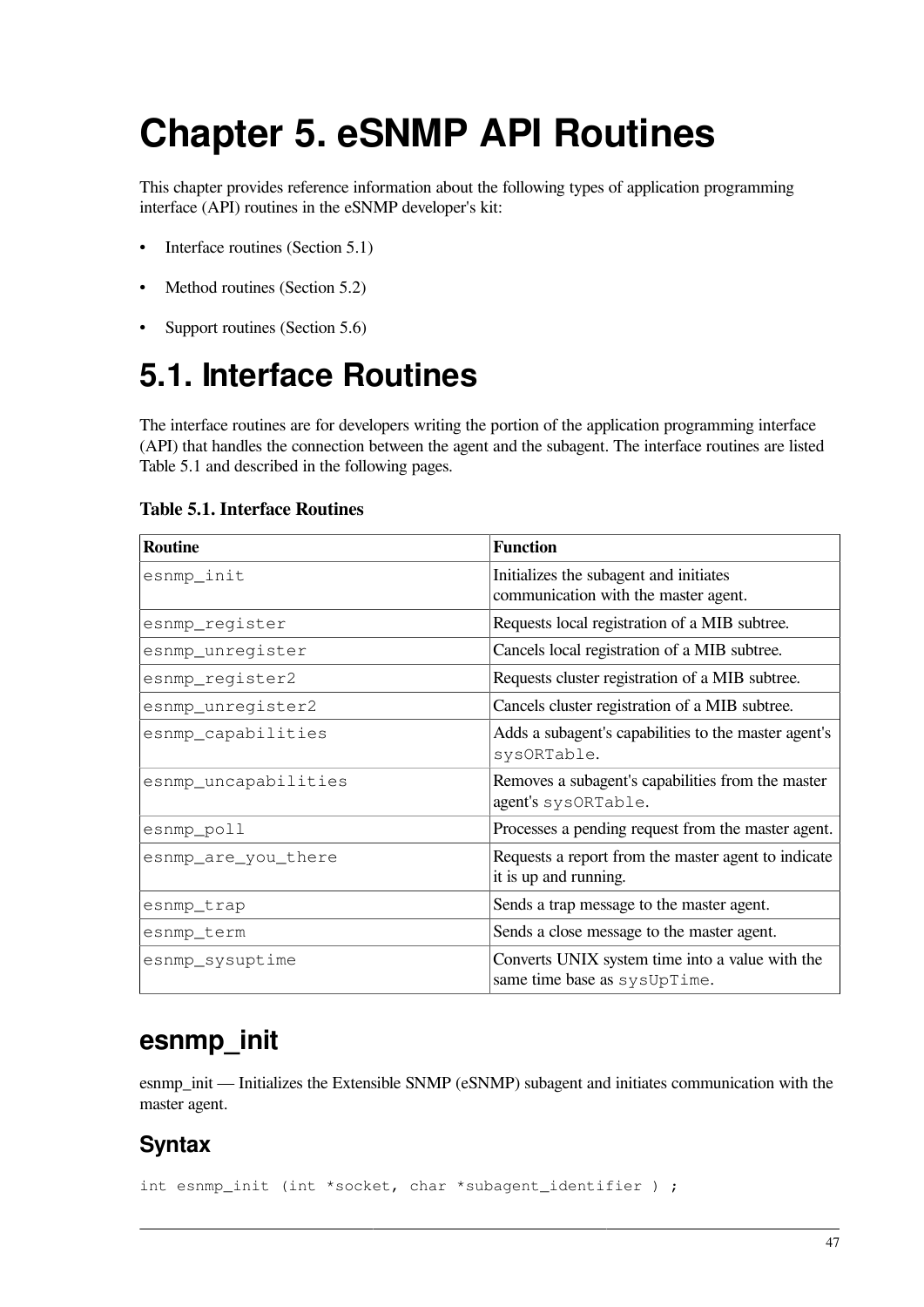# **Chapter 5. eSNMP API Routines**

This chapter provides reference information about the following types of application programming interface (API) routines in the eSNMP developer's kit:

- Interface routines [\(Section](#page-54-0) 5.1)
- Method routines ([Section](#page-67-0) 5.2)
- Support routines [\(Section](#page-75-0) 5.6)

# <span id="page-54-0"></span>**5.1. Interface Routines**

The interface routines are for developers writing the portion of the application programming interface (API) that handles the connection between the agent and the subagent. The interface routines are listed [Table](#page-54-1) 5.1 and described in the following pages.

#### <span id="page-54-1"></span>**Table 5.1. Interface Routines**

| <b>Routine</b>       | <b>Function</b>                                                                 |
|----------------------|---------------------------------------------------------------------------------|
| esnmp_init           | Initializes the subagent and initiates<br>communication with the master agent.  |
| esnmp_register       | Requests local registration of a MIB subtree.                                   |
| esnmp_unregister     | Cancels local registration of a MIB subtree.                                    |
| esnmp_register2      | Requests cluster registration of a MIB subtree.                                 |
| esnmp_unregister2    | Cancels cluster registration of a MIB subtree.                                  |
| esnmp_capabilities   | Adds a subagent's capabilities to the master agent's<br>sysORTable.             |
| esnmp_uncapabilities | Removes a subagent's capabilities from the master<br>agent's sysORTable.        |
| esnmp_poll           | Processes a pending request from the master agent.                              |
| esnmp_are_you_there  | Requests a report from the master agent to indicate<br>it is up and running.    |
| esnmp_trap           | Sends a trap message to the master agent.                                       |
| esnmp_term           | Sends a close message to the master agent.                                      |
| esnmp_sysuptime      | Converts UNIX system time into a value with the<br>same time base as sysUpTime. |

### **esnmp\_init**

esnmp\_init — Initializes the Extensible SNMP (eSNMP) subagent and initiates communication with the master agent.

#### **Syntax**

int esnmp\_init (int \*socket, char \*subagent\_identifier ) ;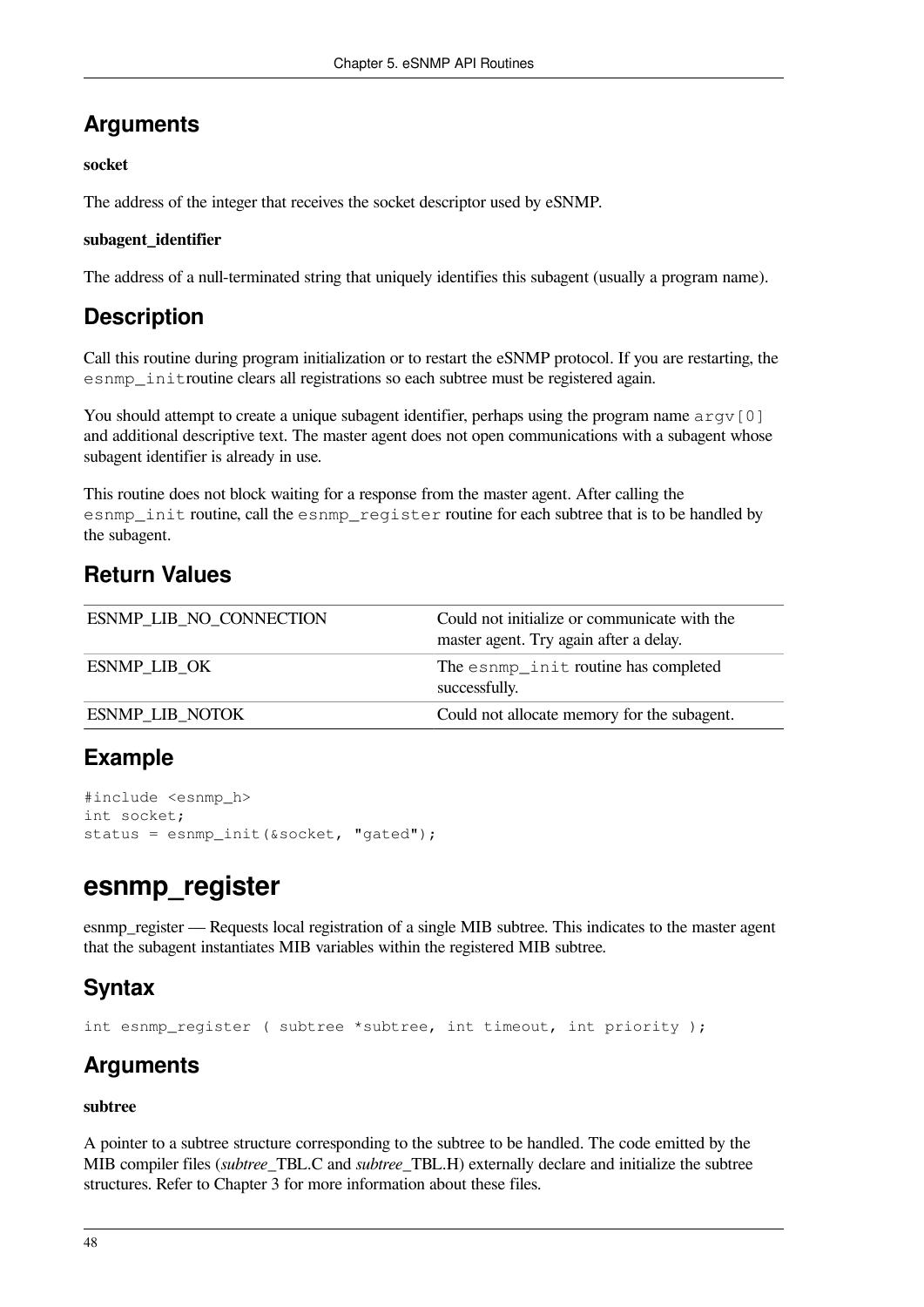#### **Arguments**

#### **socket**

The address of the integer that receives the socket descriptor used by eSNMP.

#### **subagent\_identifier**

The address of a null-terminated string that uniquely identifies this subagent (usually a program name).

### **Description**

Call this routine during program initialization or to restart the eSNMP protocol. If you are restarting, the esnmp\_initroutine clears all registrations so each subtree must be registered again.

You should attempt to create a unique subagent identifier, perhaps using the program name  $\alpha$ rgv[0] and additional descriptive text. The master agent does not open communications with a subagent whose subagent identifier is already in use.

This routine does not block waiting for a response from the master agent. After calling the esnmp\_init routine, call the esnmp\_register routine for each subtree that is to be handled by the subagent.

#### **Return Values**

| <b>ESNMP LIB NO CONNECTION</b> | Could not initialize or communicate with the<br>master agent. Try again after a delay. |
|--------------------------------|----------------------------------------------------------------------------------------|
| <b>ESNMP LIB OK</b>            | The esnmp_init routine has completed<br>successfully.                                  |
| <b>ESNMP LIB NOTOK</b>         | Could not allocate memory for the subagent.                                            |

#### **Example**

```
#include <esnmp_h>
int socket;
status = esnmp_init(&socket, "gated");
```
### **esnmp\_register**

esnmp register — Requests local registration of a single MIB subtree. This indicates to the master agent that the subagent instantiates MIB variables within the registered MIB subtree.

### **Syntax**

```
int esnmp_register ( subtree *subtree, int timeout, int priority );
```
### **Arguments**

#### **subtree**

A pointer to a subtree structure corresponding to the subtree to be handled. The code emitted by the MIB compiler files (*subtree*\_TBL.C and *subtree*\_TBL.H) externally declare and initialize the subtree structures. Refer to [Chapter](#page-26-0) 3 for more information about these files.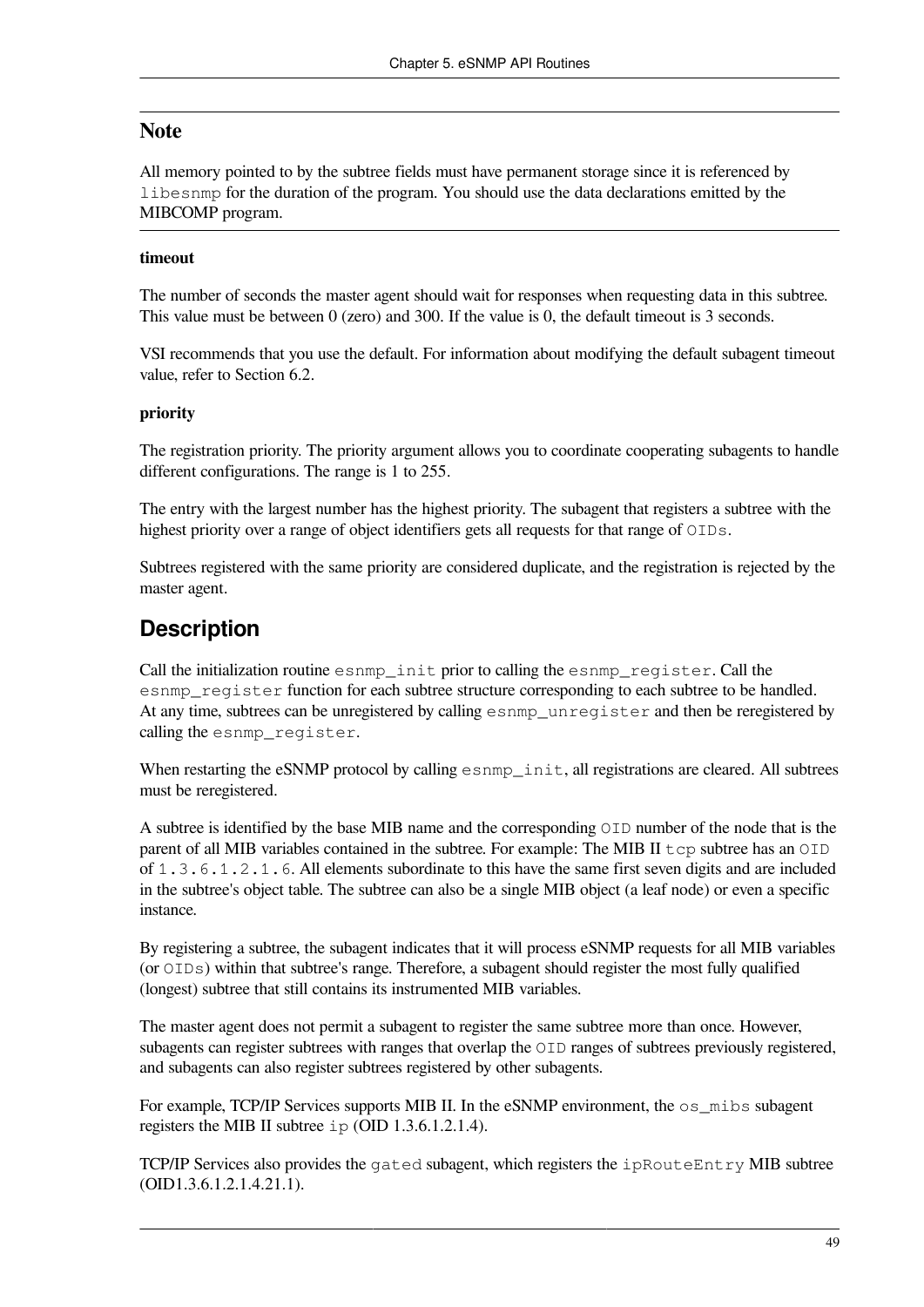#### **Note**

All memory pointed to by the subtree fields must have permanent storage since it is referenced by libesnmp for the duration of the program. You should use the data declarations emitted by the MIBCOMP program.

#### **timeout**

The number of seconds the master agent should wait for responses when requesting data in this subtree. This value must be between 0 (zero) and 300. If the value is 0, the default timeout is 3 seconds.

VSI recommends that you use the default. For information about modifying the default subagent timeout value, refer to [Section](#page-100-0) 6.2.

#### **priority**

The registration priority. The priority argument allows you to coordinate cooperating subagents to handle different configurations. The range is 1 to 255.

The entry with the largest number has the highest priority. The subagent that registers a subtree with the highest priority over a range of object identifiers gets all requests for that range of  $\overline{OLDs}$ .

Subtrees registered with the same priority are considered duplicate, and the registration is rejected by the master agent.

#### **Description**

Call the initialization routine esnmp\_init prior to calling the esnmp\_register. Call the esnmp\_register function for each subtree structure corresponding to each subtree to be handled. At any time, subtrees can be unregistered by calling esnmp\_unregister and then be reregistered by calling the esnmp register.

When restarting the eSNMP protocol by calling esnmp\_init, all registrations are cleared. All subtrees must be reregistered.

A subtree is identified by the base MIB name and the corresponding OID number of the node that is the parent of all MIB variables contained in the subtree. For example: The MIB II  $\pm$  cp subtree has an  $\circ$ ID of 1.3.6.1.2.1.6. All elements subordinate to this have the same first seven digits and are included in the subtree's object table. The subtree can also be a single MIB object (a leaf node) or even a specific instance.

By registering a subtree, the subagent indicates that it will process eSNMP requests for all MIB variables (or OIDs) within that subtree's range. Therefore, a subagent should register the most fully qualified (longest) subtree that still contains its instrumented MIB variables.

The master agent does not permit a subagent to register the same subtree more than once. However, subagents can register subtrees with ranges that overlap the OID ranges of subtrees previously registered, and subagents can also register subtrees registered by other subagents.

For example, TCP/IP Services supports MIB II. In the eSNMP environment, the  $\circ$ s mibs subagent registers the MIB II subtree ip (OID 1.3.6.1.2.1.4).

TCP/IP Services also provides the gated subagent, which registers the  $ipRootE$ ntry MIB subtree (OID1.3.6.1.2.1.4.21.1).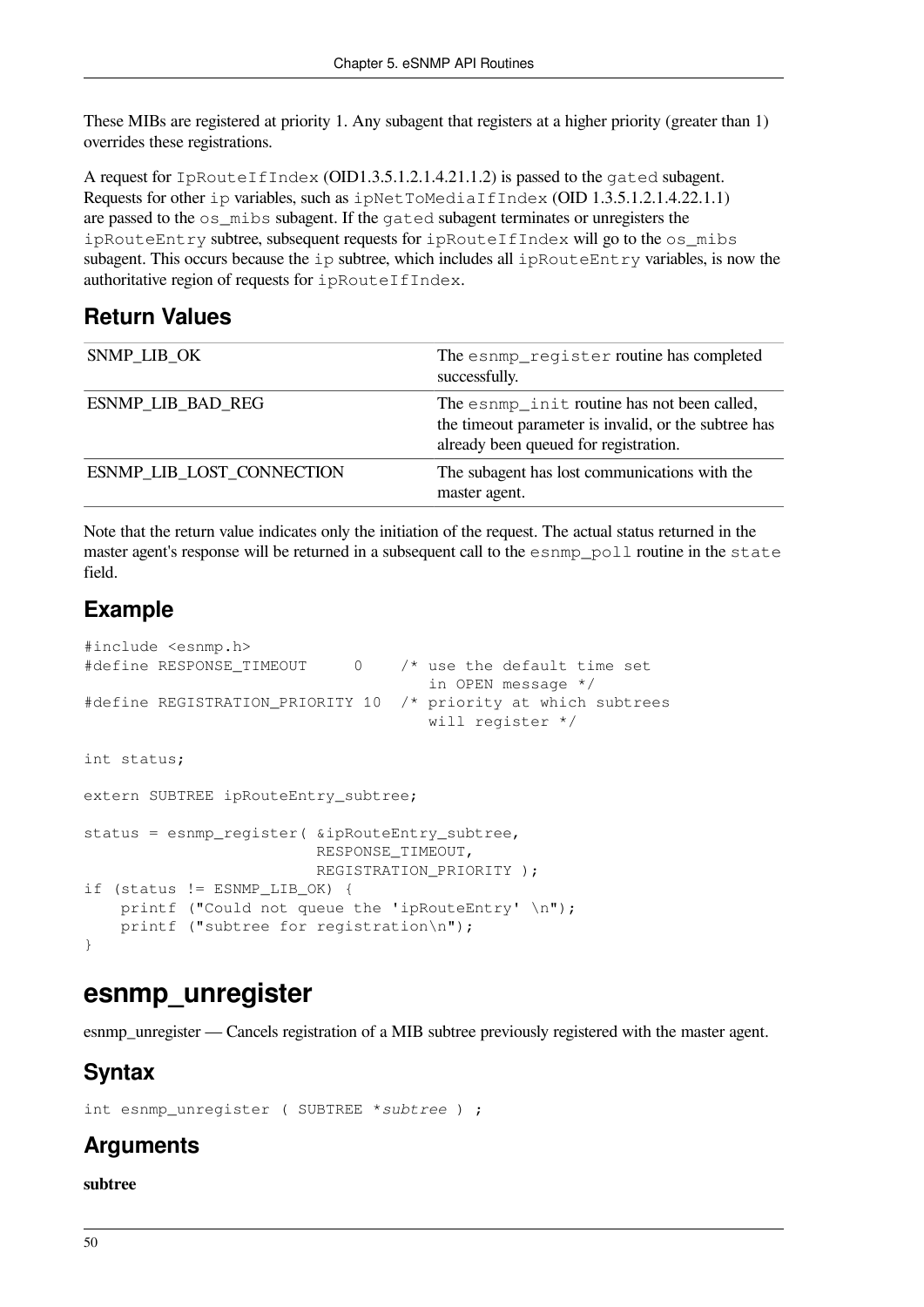These MIBs are registered at priority 1. Any subagent that registers at a higher priority (greater than 1) overrides these registrations.

A request for IpRouteIfIndex (OID1.3.5.1.2.1.4.21.1.2) is passed to the gated subagent. Requests for other ip variables, such as ipNetToMediaIfIndex (OID 1.3.5.1.2.1.4.22.1.1) are passed to the os\_mibs subagent. If the gated subagent terminates or unregisters the ipRouteEntry subtree, subsequent requests for ipRouteIfIndex will go to the os\_mibs subagent. This occurs because the ip subtree, which includes all ipRouteEntry variables, is now the authoritative region of requests for ipRouteIfIndex.

#### **Return Values**

| SNMP_LIB_OK               | The esnmp_register routine has completed<br>successfully.                                                                                    |
|---------------------------|----------------------------------------------------------------------------------------------------------------------------------------------|
| <b>ESNMP LIB BAD REG</b>  | The esnmp_init routine has not been called,<br>the timeout parameter is invalid, or the subtree has<br>already been queued for registration. |
| ESNMP_LIB_LOST_CONNECTION | The subagent has lost communications with the<br>master agent.                                                                               |

Note that the return value indicates only the initiation of the request. The actual status returned in the master agent's response will be returned in a subsequent call to the esnmp\_poll routine in the state field.

#### **Example**

```
#include <esnmp.h>
#define RESPONSE_TIMEOUT 0 /* use the default time set
                                      in OPEN message */
#define REGISTRATION_PRIORITY 10 /* priority at which subtrees
                                      will register */
int status;
extern SUBTREE ipRouteEntry_subtree;
status = esnmp_register( &ipRouteEntry_subtree,
                          RESPONSE_TIMEOUT,
                          REGISTRATION_PRIORITY );
if (status != ESNMP_LIB_OK) {
   printf ("Could not queue the 'ipRouteEntry' \n");
     printf ("subtree for registration\n");
}
```
### **esnmp\_unregister**

esnmp\_unregister — Cancels registration of a MIB subtree previously registered with the master agent.

### **Syntax**

int esnmp\_unregister ( SUBTREE \**subtree* ) ;

### **Arguments**

#### **subtree**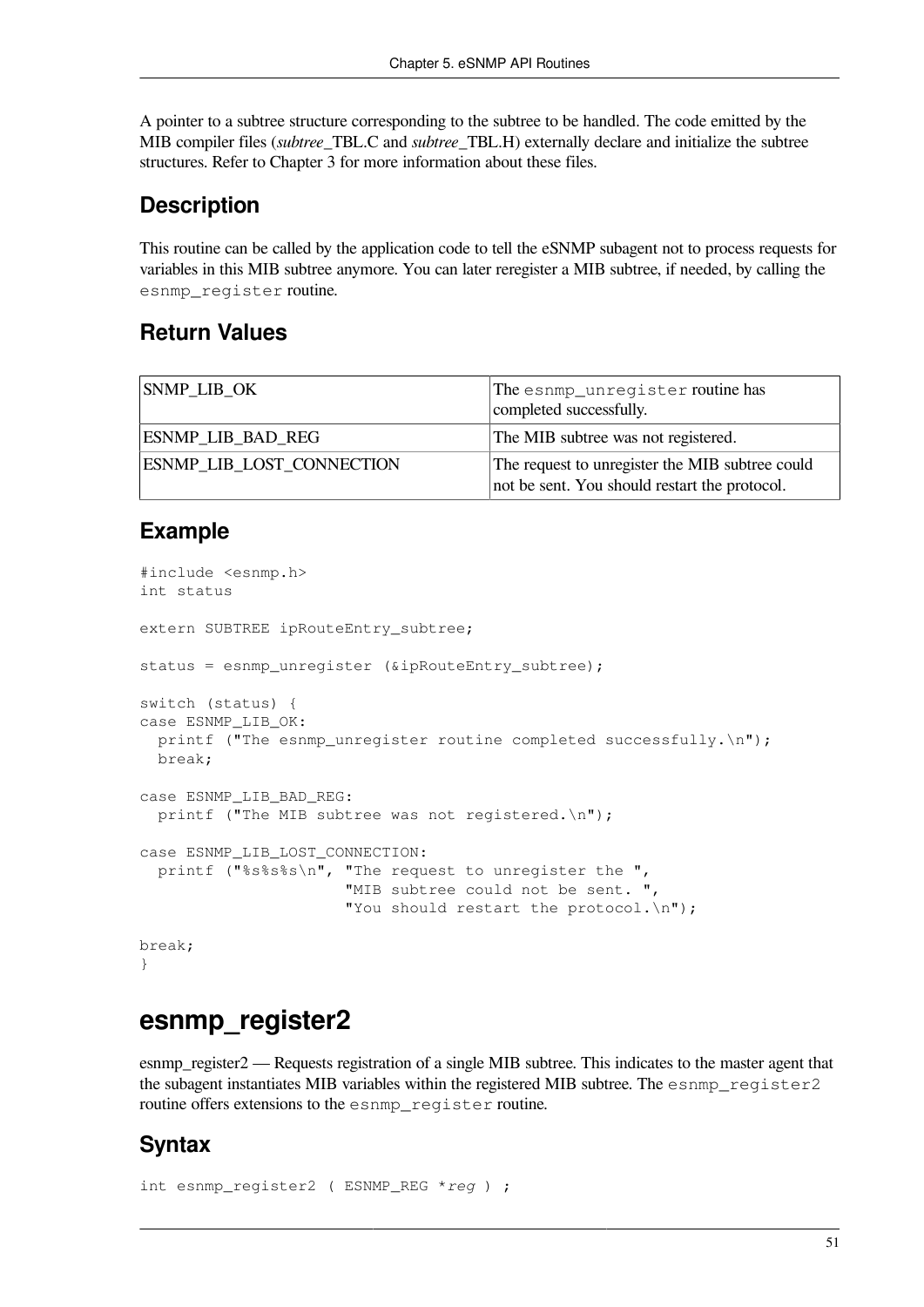A pointer to a subtree structure corresponding to the subtree to be handled. The code emitted by the MIB compiler files (*subtree*\_TBL.C and *subtree*\_TBL.H) externally declare and initialize the subtree structures. Refer to [Chapter](#page-26-0) 3 for more information about these files.

#### **Description**

This routine can be called by the application code to tell the eSNMP subagent not to process requests for variables in this MIB subtree anymore. You can later reregister a MIB subtree, if needed, by calling the esnmp\_register routine.

#### **Return Values**

| <b>SNMP LIB OK</b>               | The esnmp_unregister routine has<br>completed successfully.                                      |
|----------------------------------|--------------------------------------------------------------------------------------------------|
| <b>ESNMP LIB BAD REG</b>         | The MIB subtree was not registered.                                                              |
| <b>ESNMP LIB LOST CONNECTION</b> | The request to unregister the MIB subtree could<br>not be sent. You should restart the protocol. |

#### **Example**

```
#include <esnmp.h>
int status
extern SUBTREE ipRouteEntry_subtree;
status = esnmp_unregister (&ipRouteEntry_subtree);
switch (status) {
case ESNMP_LIB_OK:
  printf ("The esnmp unregister routine completed successfully.\n\cdot \cdot \cdot);
  break;
case ESNMP_LIB_BAD_REG:
  printf ("The MIB subtree was not registered.\n");
case ESNMP_LIB_LOST_CONNECTION:
   printf ("%s%s%s\n", "The request to unregister the ",
                        "MIB subtree could not be sent. ",
                        "You should restart the protocol.\n");
break;
}
```
### **esnmp\_register2**

esnmp\_register2 — Requests registration of a single MIB subtree. This indicates to the master agent that the subagent instantiates MIB variables within the registered MIB subtree. The esnmp\_register2 routine offers extensions to the esnmp\_register routine.

#### **Syntax**

```
int esnmp_register2 ( ESNMP_REG *reg ) ;
```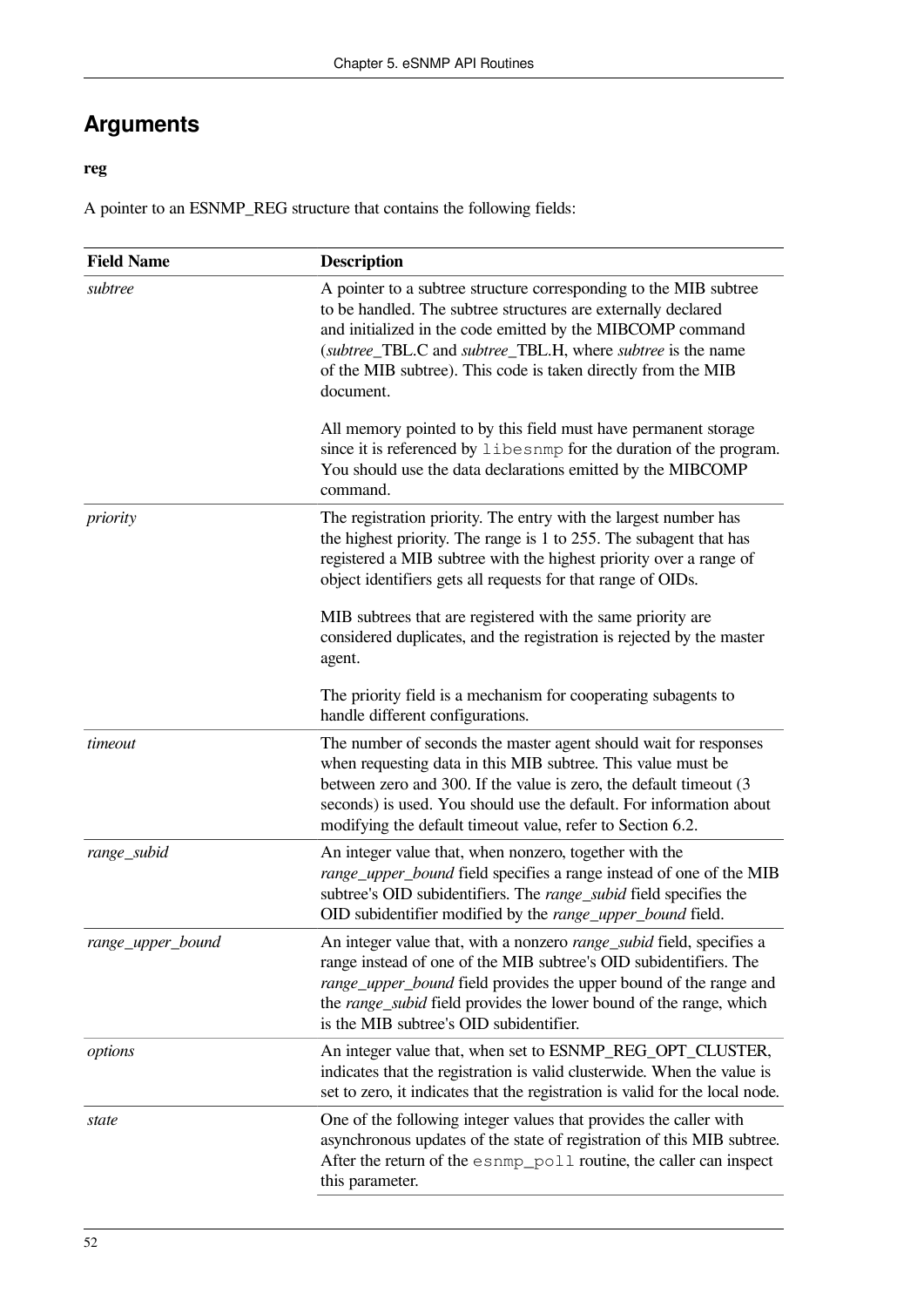### **Arguments**

#### **reg**

A pointer to an ESNMP\_REG structure that contains the following fields:

| <b>Field Name</b> | <b>Description</b>                                                                                                                                                                                                                                                                                                                            |
|-------------------|-----------------------------------------------------------------------------------------------------------------------------------------------------------------------------------------------------------------------------------------------------------------------------------------------------------------------------------------------|
| subtree           | A pointer to a subtree structure corresponding to the MIB subtree<br>to be handled. The subtree structures are externally declared<br>and initialized in the code emitted by the MIBCOMP command<br>(subtree_TBL.C and subtree_TBL.H, where subtree is the name<br>of the MIB subtree). This code is taken directly from the MIB<br>document. |
|                   | All memory pointed to by this field must have permanent storage<br>since it is referenced by libesnmp for the duration of the program.<br>You should use the data declarations emitted by the MIBCOMP<br>command.                                                                                                                             |
| priority          | The registration priority. The entry with the largest number has<br>the highest priority. The range is 1 to 255. The subagent that has<br>registered a MIB subtree with the highest priority over a range of<br>object identifiers gets all requests for that range of OIDs.                                                                  |
|                   | MIB subtrees that are registered with the same priority are<br>considered duplicates, and the registration is rejected by the master<br>agent.<br>The priority field is a mechanism for cooperating subagents to                                                                                                                              |
|                   | handle different configurations.                                                                                                                                                                                                                                                                                                              |
| timeout           | The number of seconds the master agent should wait for responses<br>when requesting data in this MIB subtree. This value must be<br>between zero and 300. If the value is zero, the default timeout (3)<br>seconds) is used. You should use the default. For information about<br>modifying the default timeout value, refer to Section 6.2.  |
| range_subid       | An integer value that, when nonzero, together with the<br>range_upper_bound field specifies a range instead of one of the MIB<br>subtree's OID subidentifiers. The range_subid field specifies the<br>OID subidentifier modified by the range_upper_bound field.                                                                              |
| range_upper_bound | An integer value that, with a nonzero range_subid field, specifies a<br>range instead of one of the MIB subtree's OID subidentifiers. The<br>range_upper_bound field provides the upper bound of the range and<br>the range_subid field provides the lower bound of the range, which<br>is the MIB subtree's OID subidentifier.               |
| options           | An integer value that, when set to ESNMP_REG_OPT_CLUSTER,<br>indicates that the registration is valid clusterwide. When the value is<br>set to zero, it indicates that the registration is valid for the local node.                                                                                                                          |
| state             | One of the following integer values that provides the caller with<br>asynchronous updates of the state of registration of this MIB subtree.<br>After the return of the esnmp_poll routine, the caller can inspect<br>this parameter.                                                                                                          |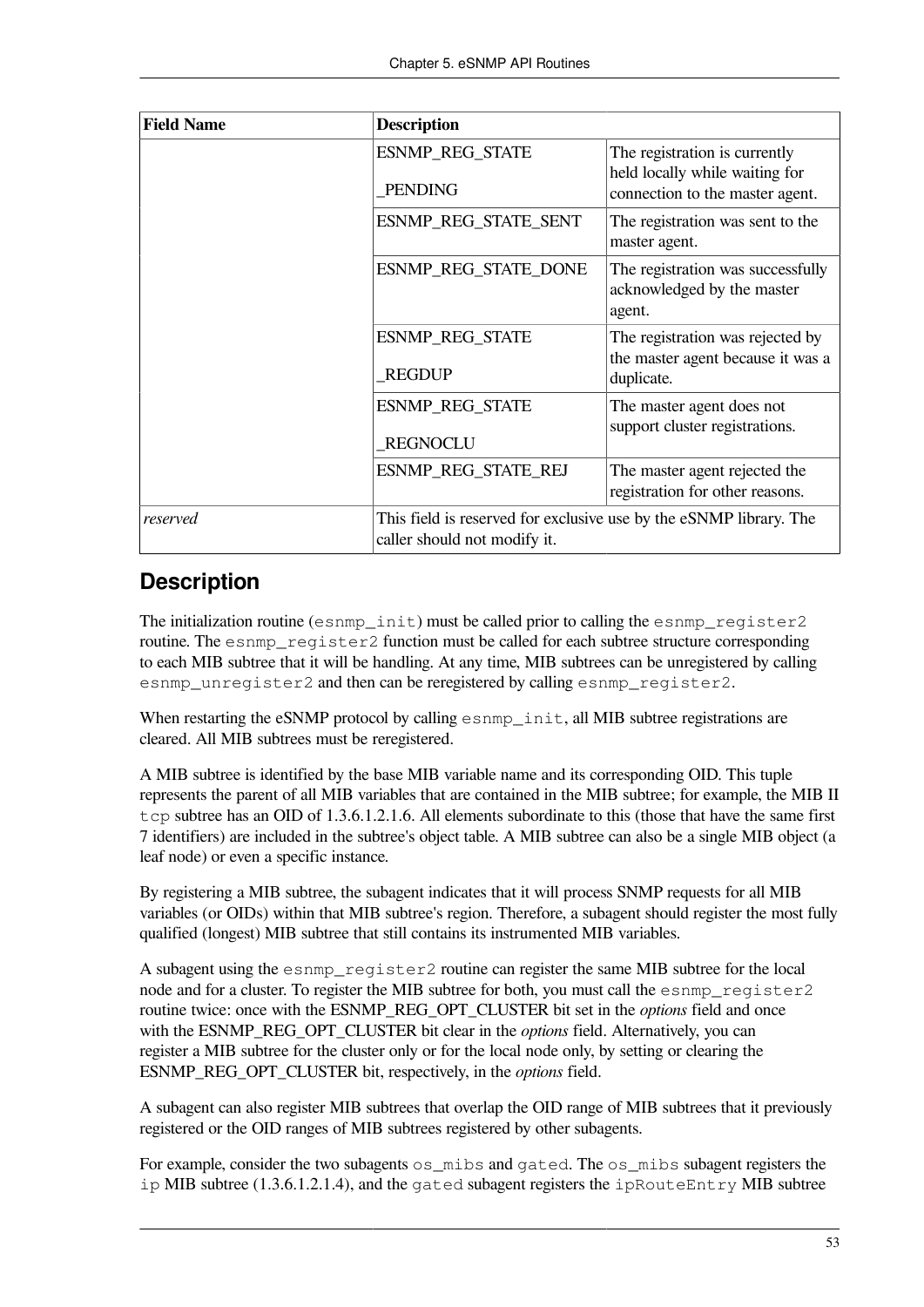| <b>Field Name</b> | <b>Description</b>                                                                                 |                                                                                                    |
|-------------------|----------------------------------------------------------------------------------------------------|----------------------------------------------------------------------------------------------------|
|                   | <b>ESNMP_REG_STATE</b><br><b>PENDING</b>                                                           | The registration is currently<br>held locally while waiting for<br>connection to the master agent. |
|                   | ESNMP_REG_STATE_SENT                                                                               | The registration was sent to the<br>master agent.                                                  |
|                   | ESNMP_REG_STATE_DONE                                                                               | The registration was successfully<br>acknowledged by the master<br>agent.                          |
|                   | <b>ESNMP_REG_STATE</b><br><b>REGDUP</b>                                                            | The registration was rejected by<br>the master agent because it was a<br>duplicate.                |
|                   | <b>ESNMP_REG_STATE</b><br><b>REGNOCLU</b>                                                          | The master agent does not<br>support cluster registrations.                                        |
|                   | ESNMP_REG_STATE_REJ                                                                                | The master agent rejected the<br>registration for other reasons.                                   |
| reserved          | This field is reserved for exclusive use by the eSNMP library. The<br>caller should not modify it. |                                                                                                    |

#### **Description**

The initialization routine (esnmp  $init$ ) must be called prior to calling the esnmp register 2 routine. The esnmp\_register2 function must be called for each subtree structure corresponding to each MIB subtree that it will be handling. At any time, MIB subtrees can be unregistered by calling esnmp\_unregister2 and then can be reregistered by calling esnmp\_register2.

When restarting the eSNMP protocol by calling esnmp\_init, all MIB subtree registrations are cleared. All MIB subtrees must be reregistered.

A MIB subtree is identified by the base MIB variable name and its corresponding OID. This tuple represents the parent of all MIB variables that are contained in the MIB subtree; for example, the MIB II tcp subtree has an OID of  $1.3.6.1.2.1.6$ . All elements subordinate to this (those that have the same first 7 identifiers) are included in the subtree's object table. A MIB subtree can also be a single MIB object (a leaf node) or even a specific instance.

By registering a MIB subtree, the subagent indicates that it will process SNMP requests for all MIB variables (or OIDs) within that MIB subtree's region. Therefore, a subagent should register the most fully qualified (longest) MIB subtree that still contains its instrumented MIB variables.

A subagent using the esnmp\_register2 routine can register the same MIB subtree for the local node and for a cluster. To register the MIB subtree for both, you must call the esnmp\_register2 routine twice: once with the ESNMP\_REG\_OPT\_CLUSTER bit set in the *options* field and once with the ESNMP\_REG\_OPT\_CLUSTER bit clear in the *options* field. Alternatively, you can register a MIB subtree for the cluster only or for the local node only, by setting or clearing the ESNMP\_REG\_OPT\_CLUSTER bit, respectively, in the *options* field.

A subagent can also register MIB subtrees that overlap the OID range of MIB subtrees that it previously registered or the OID ranges of MIB subtrees registered by other subagents.

For example, consider the two subagents os\_mibs and gated. The os\_mibs subagent registers the  $ip$  MIB subtree (1.3.6.1.2.1.4), and the gated subagent registers the  $ip$ RouteEntry MIB subtree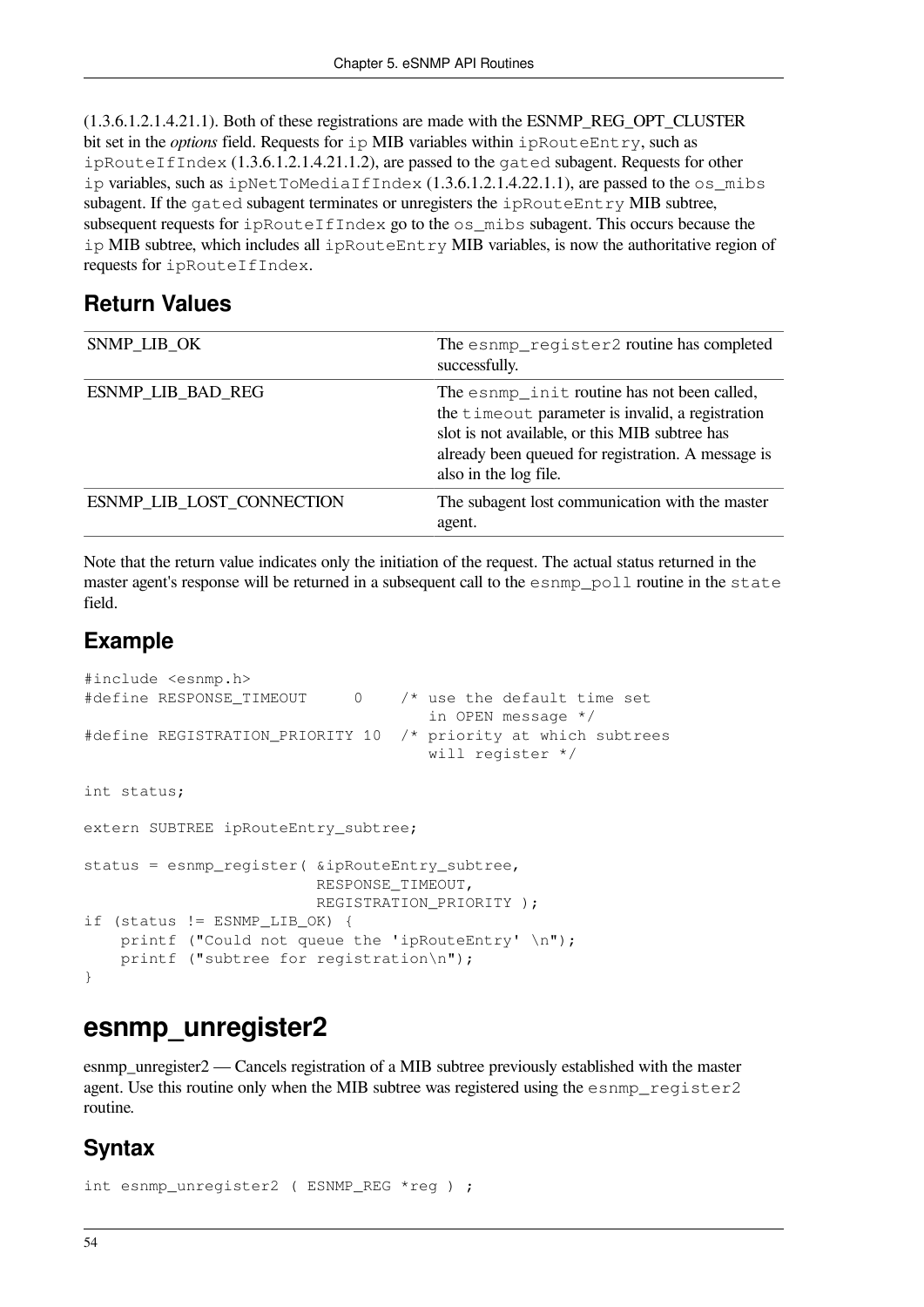(1.3.6.1.2.1.4.21.1). Both of these registrations are made with the ESNMP\_REG\_OPT\_CLUSTER bit set in the *options* field. Requests for ip MIB variables within ipRouteEntry, such as ipRouteIfIndex (1.3.6.1.2.1.4.21.1.2), are passed to the gated subagent. Requests for other ip variables, such as ipNetToMediaIfIndex  $(1.3.6.1.2.1.4.22.1.1)$ , are passed to the os\_mibs subagent. If the gated subagent terminates or unregisters the ipRouteEntry MIB subtree, subsequent requests for ipRouteIfIndex go to the os mibs subagent. This occurs because the ip MIB subtree, which includes all ipRouteEntry MIB variables, is now the authoritative region of requests for ipRouteIfIndex.

#### **Return Values**

| SNMP_LIB_OK               | The esnmp_register2 routine has completed<br>successfully.                                                                                                                                                                       |
|---------------------------|----------------------------------------------------------------------------------------------------------------------------------------------------------------------------------------------------------------------------------|
| ESNMP_LIB_BAD_REG         | The esnmp_init routine has not been called,<br>the timeout parameter is invalid, a registration<br>slot is not available, or this MIB subtree has<br>already been queued for registration. A message is<br>also in the log file. |
| ESNMP LIB LOST CONNECTION | The subagent lost communication with the master<br>agent.                                                                                                                                                                        |

Note that the return value indicates only the initiation of the request. The actual status returned in the master agent's response will be returned in a subsequent call to the esnmp\_poll routine in the state field.

#### **Example**

```
#include <esnmp.h>
#define RESPONSE_TIMEOUT 0 /* use the default time set
                                      in OPEN message */
#define REGISTRATION_PRIORITY 10 /* priority at which subtrees
                                      will register */
int status;
extern SUBTREE ipRouteEntry_subtree;
status = esnmp_register( &ipRouteEntry_subtree,
                          RESPONSE_TIMEOUT,
                          REGISTRATION_PRIORITY );
if (status != ESNMP_LIB_OK) {
   printf ("Could not queue the 'ipRouteEntry' \n");
    printf ("subtree for registration\n");
}
```
### **esnmp\_unregister2**

esnmp unregister2 — Cancels registration of a MIB subtree previously established with the master agent. Use this routine only when the MIB subtree was registered using the esnmp\_register2 routine.

#### **Syntax**

```
int esnmp_unregister2 ( ESNMP_REG *reg ) ;
```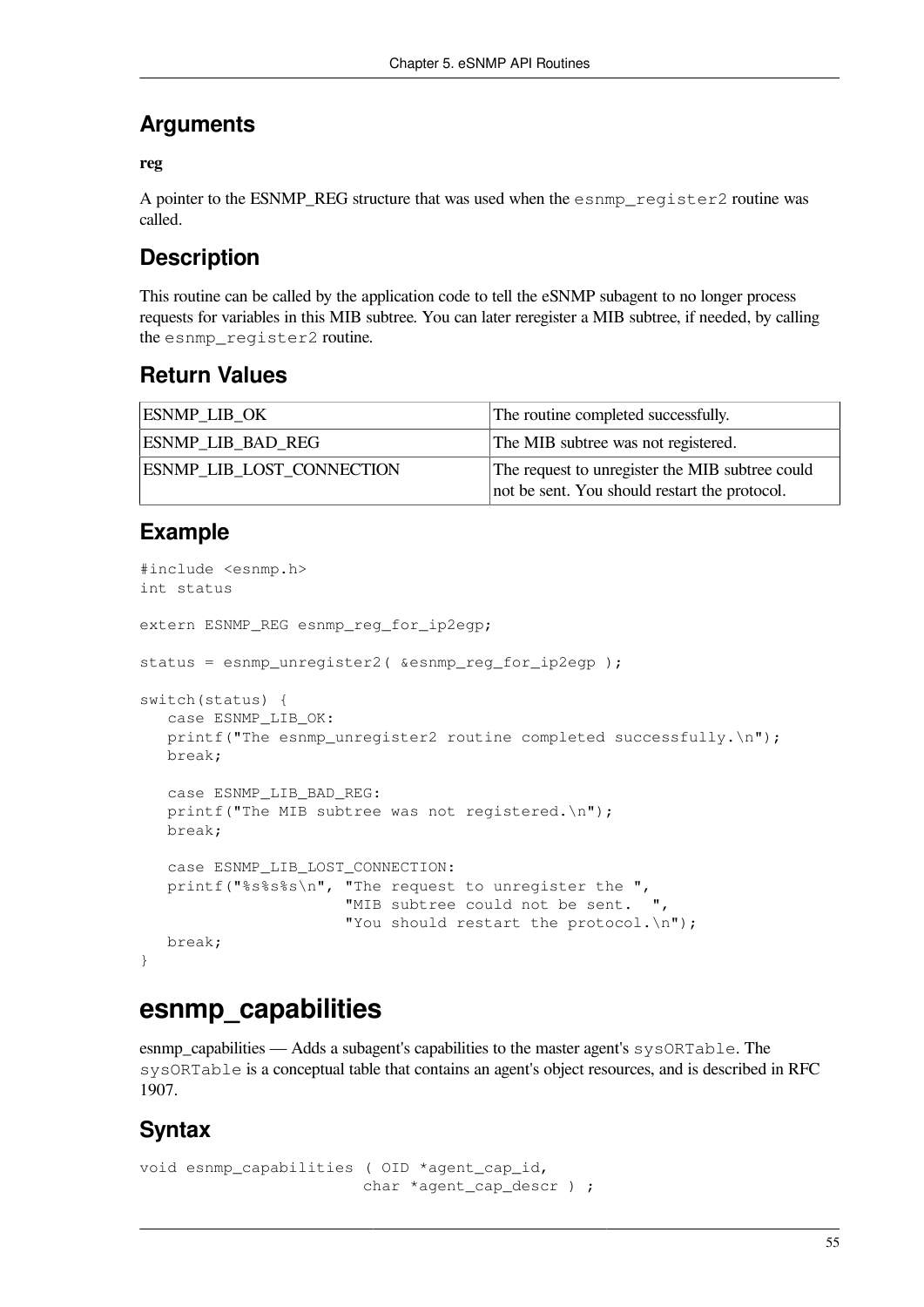#### **Arguments**

#### **reg**

A pointer to the ESNMP\_REG structure that was used when the esnmp\_register2 routine was called.

#### **Description**

This routine can be called by the application code to tell the eSNMP subagent to no longer process requests for variables in this MIB subtree. You can later reregister a MIB subtree, if needed, by calling the esnmp\_register2 routine.

#### **Return Values**

| <b>ESNMP LIB OK</b>              | The routine completed successfully.                                                              |
|----------------------------------|--------------------------------------------------------------------------------------------------|
| <b>ESNMP LIB BAD REG</b>         | The MIB subtree was not registered.                                                              |
| <b>ESNMP LIB LOST CONNECTION</b> | The request to unregister the MIB subtree could<br>not be sent. You should restart the protocol. |

#### **Example**

```
#include <esnmp.h>
int status
extern ESNMP_REG esnmp_reg_for_ip2egp;
status = esnmp_unregister2( &esnmp_reg_for_ip2egp );
switch(status) {
   case ESNMP_LIB_OK:
   printf("The esnmp_unreqister2 routine completed successfully.\n\cdot \cdot \cdot;
   break;
    case ESNMP_LIB_BAD_REG:
   printf("The MIB subtree was not registered.\n");
    break;
    case ESNMP_LIB_LOST_CONNECTION:
    printf("%s%s%s\n", "The request to unregister the ",
                       "MIB subtree could not be sent.
                       "You should restart the protocol.\n");
    break;
}
```
### **esnmp\_capabilities**

esnmp\_capabilities — Adds a subagent's capabilities to the master agent's sysORTable. The sysORTable is a conceptual table that contains an agent's object resources, and is described in RFC 1907.

#### **Syntax**

```
void esnmp capabilities ( OID *agent cap id,
                         char *agent_cap_descr ) ;
```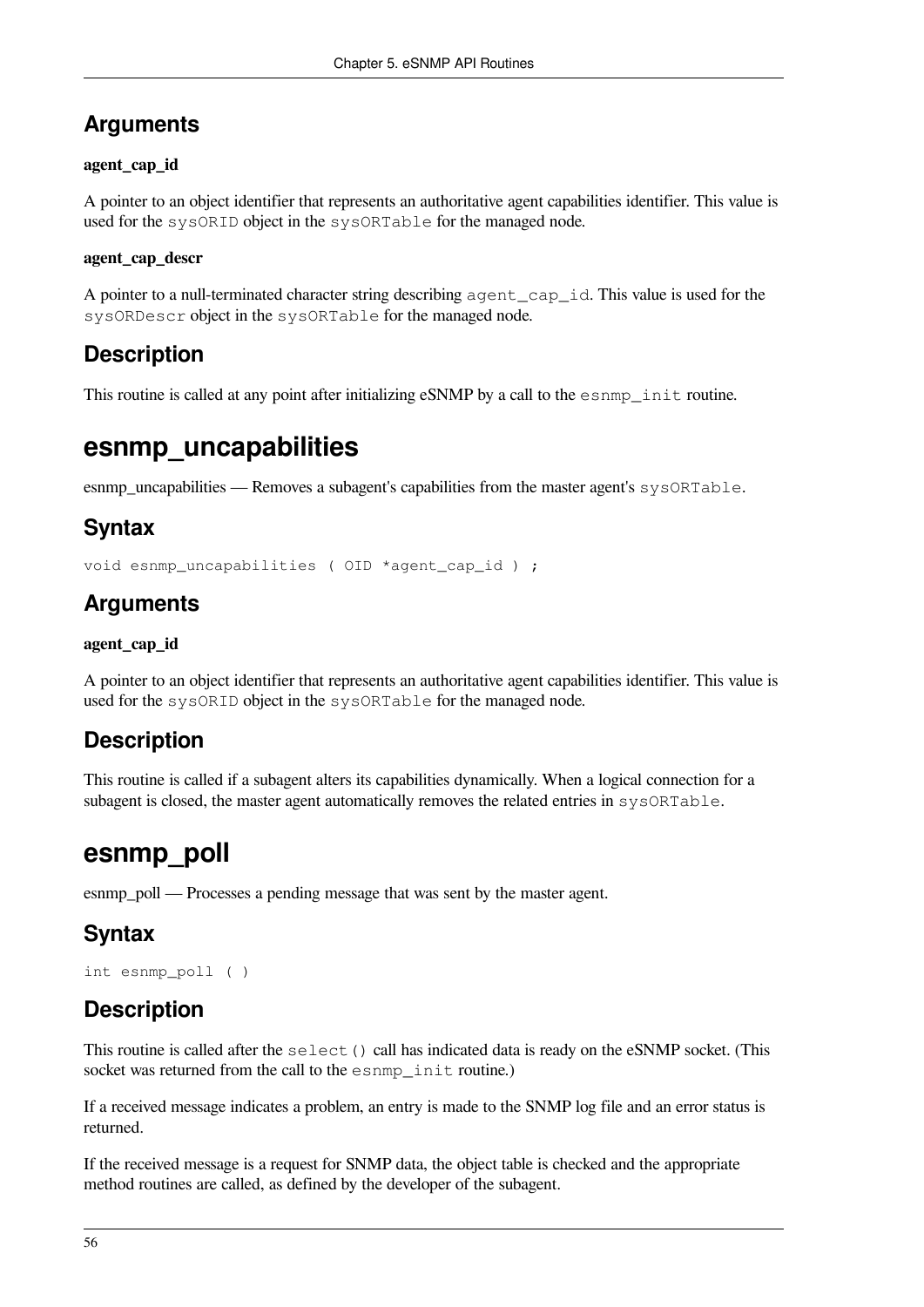#### **Arguments**

#### **agent\_cap\_id**

A pointer to an object identifier that represents an authoritative agent capabilities identifier. This value is used for the sysORID object in the sysORTable for the managed node.

#### **agent\_cap\_descr**

A pointer to a null-terminated character string describing agent\_cap\_id. This value is used for the sysORDescr object in the sysORTable for the managed node.

#### **Description**

This routine is called at any point after initializing eSNMP by a call to the esnmp\_init routine.

### **esnmp\_uncapabilities**

esnmp uncapabilities — Removes a subagent's capabilities from the master agent's  $sysORTable$ .

#### **Syntax**

```
void esnmp_uncapabilities ( OID *agent_cap_id ) ;
```
#### **Arguments**

#### **agent\_cap\_id**

A pointer to an object identifier that represents an authoritative agent capabilities identifier. This value is used for the sysORID object in the sysORTable for the managed node.

#### **Description**

This routine is called if a subagent alters its capabilities dynamically. When a logical connection for a subagent is closed, the master agent automatically removes the related entries in sysORTable.

### **esnmp\_poll**

esnmp poll — Processes a pending message that was sent by the master agent.

### **Syntax**

```
int esnmp_poll ( )
```
#### **Description**

This routine is called after the select() call has indicated data is ready on the eSNMP socket. (This socket was returned from the call to the esnmp\_init routine.)

If a received message indicates a problem, an entry is made to the SNMP log file and an error status is returned.

If the received message is a request for SNMP data, the object table is checked and the appropriate method routines are called, as defined by the developer of the subagent.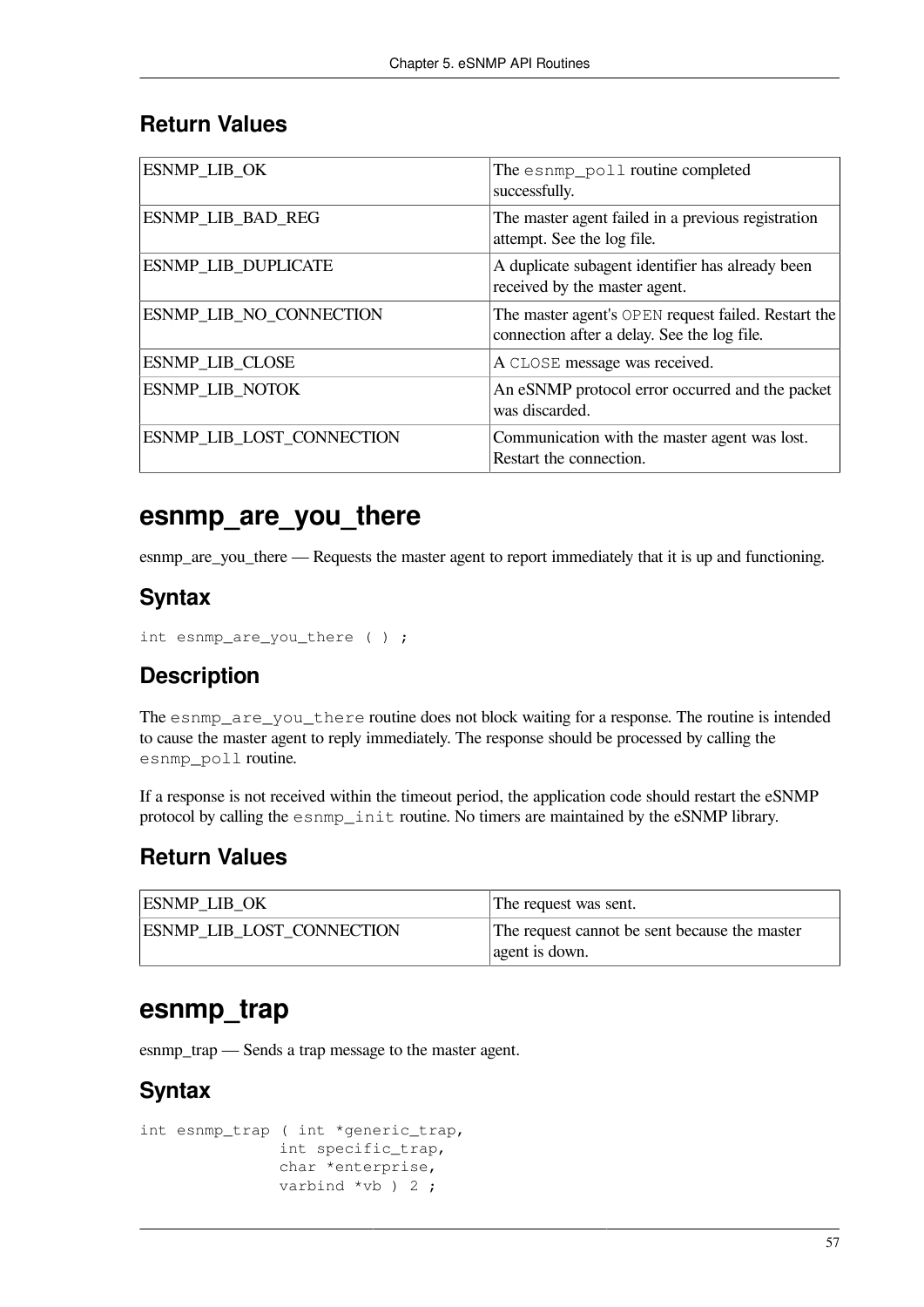#### **Return Values**

| ESNMP_LIB_OK               | The esnmp_poll routine completed<br>successfully.                                                  |
|----------------------------|----------------------------------------------------------------------------------------------------|
| ESNMP_LIB_BAD_REG          | The master agent failed in a previous registration<br>attempt. See the log file.                   |
| <b>ESNMP_LIB_DUPLICATE</b> | A duplicate subagent identifier has already been<br>received by the master agent.                  |
| ESNMP_LIB_NO_CONNECTION    | The master agent's OPEN request failed. Restart the<br>connection after a delay. See the log file. |
| <b>ESNMP_LIB_CLOSE</b>     | A CLOSE message was received.                                                                      |
| <b>ESNMP LIB NOTOK</b>     | An eSNMP protocol error occurred and the packet<br>was discarded.                                  |
| ESNMP LIB LOST CONNECTION  | Communication with the master agent was lost.<br>Restart the connection.                           |

#### **esnmp\_are\_you\_there**

esnmp are you there — Requests the master agent to report immediately that it is up and functioning.

#### **Syntax**

```
int esnmp_are_you_there ( ) ;
```
#### **Description**

The esnmp\_are\_you\_there routine does not block waiting for a response. The routine is intended to cause the master agent to reply immediately. The response should be processed by calling the esnmp\_poll routine.

If a response is not received within the timeout period, the application code should restart the eSNMP protocol by calling the esnmp\_init routine. No timers are maintained by the eSNMP library.

#### **Return Values**

| <b>ESNMP LIB OK</b>              | The request was sent.                                           |
|----------------------------------|-----------------------------------------------------------------|
| <b>ESNMP LIB LOST CONNECTION</b> | The request cannot be sent because the master<br>agent is down. |

### **esnmp\_trap**

esnmp\_trap — Sends a trap message to the master agent.

#### **Syntax**

```
int esnmp_trap ( int *generic_trap,
                int specific_trap,
                char *enterprise,
               varbind *vb ) 2;
```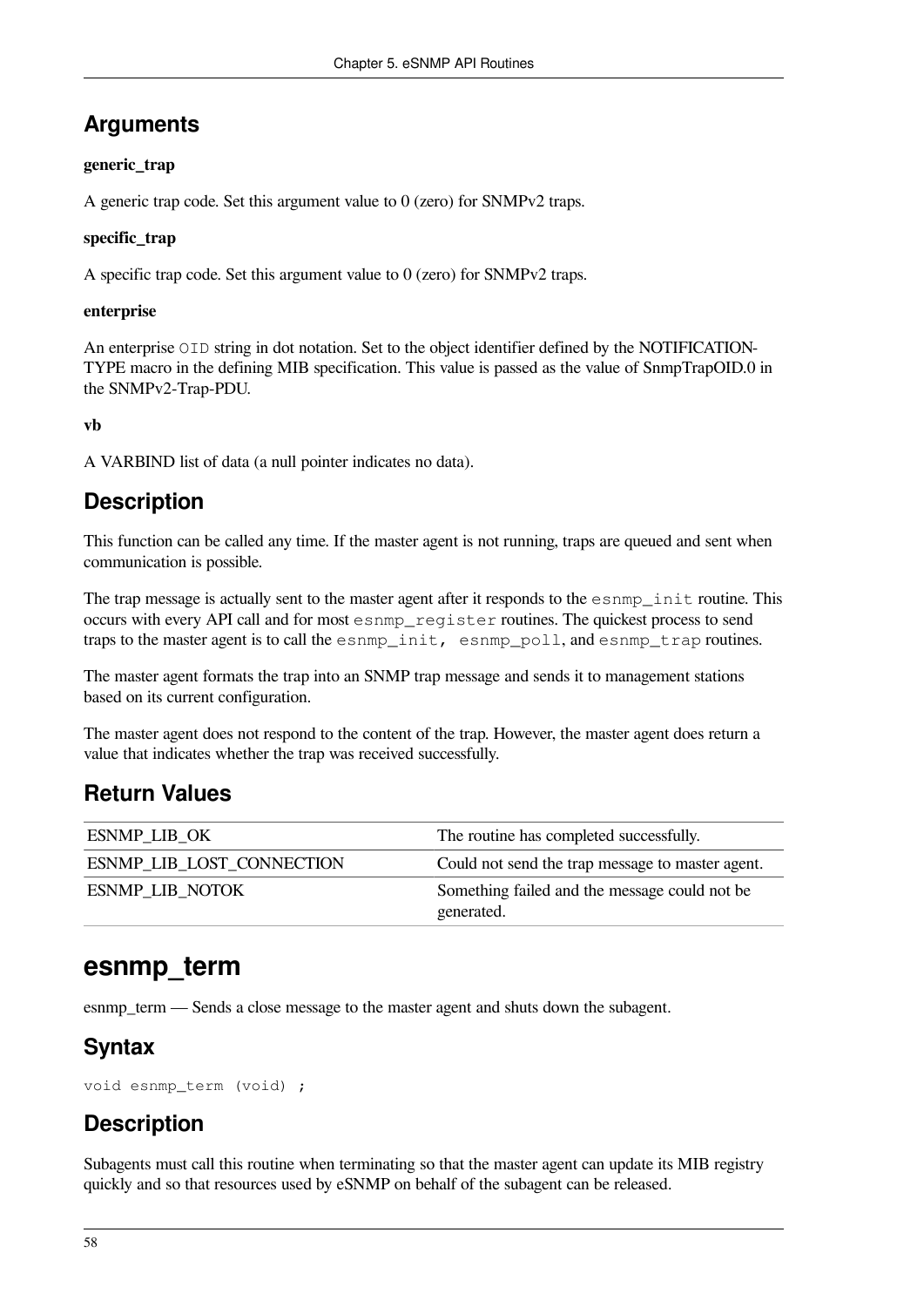#### **Arguments**

#### **generic\_trap**

A generic trap code. Set this argument value to 0 (zero) for SNMPv2 traps.

#### **specific\_trap**

A specific trap code. Set this argument value to 0 (zero) for SNMPv2 traps.

#### **enterprise**

An enterprise OID string in dot notation. Set to the object identifier defined by the NOTIFICATION-TYPE macro in the defining MIB specification. This value is passed as the value of SnmpTrapOID.0 in the SNMPv2-Trap-PDU.

**vb**

A VARBIND list of data (a null pointer indicates no data).

#### **Description**

This function can be called any time. If the master agent is not running, traps are queued and sent when communication is possible.

The trap message is actually sent to the master agent after it responds to the esnmp\_init routine. This occurs with every API call and for most esnmp\_register routines. The quickest process to send traps to the master agent is to call the esnmp\_init, esnmp\_poll, and esnmp\_trap routines.

The master agent formats the trap into an SNMP trap message and sends it to management stations based on its current configuration.

The master agent does not respond to the content of the trap. However, the master agent does return a value that indicates whether the trap was received successfully.

#### **Return Values**

| <b>ESNMP LIB OK</b>              | The routine has completed successfully.          |
|----------------------------------|--------------------------------------------------|
| <b>ESNMP LIB LOST CONNECTION</b> | Could not send the trap message to master agent. |
| <b>ESNMP LIB NOTOK</b>           | Something failed and the message could not be    |
|                                  | generated.                                       |

### **esnmp\_term**

esnmp\_term — Sends a close message to the master agent and shuts down the subagent.

#### **Syntax**

void esnmp\_term (void) ;

### **Description**

Subagents must call this routine when terminating so that the master agent can update its MIB registry quickly and so that resources used by eSNMP on behalf of the subagent can be released.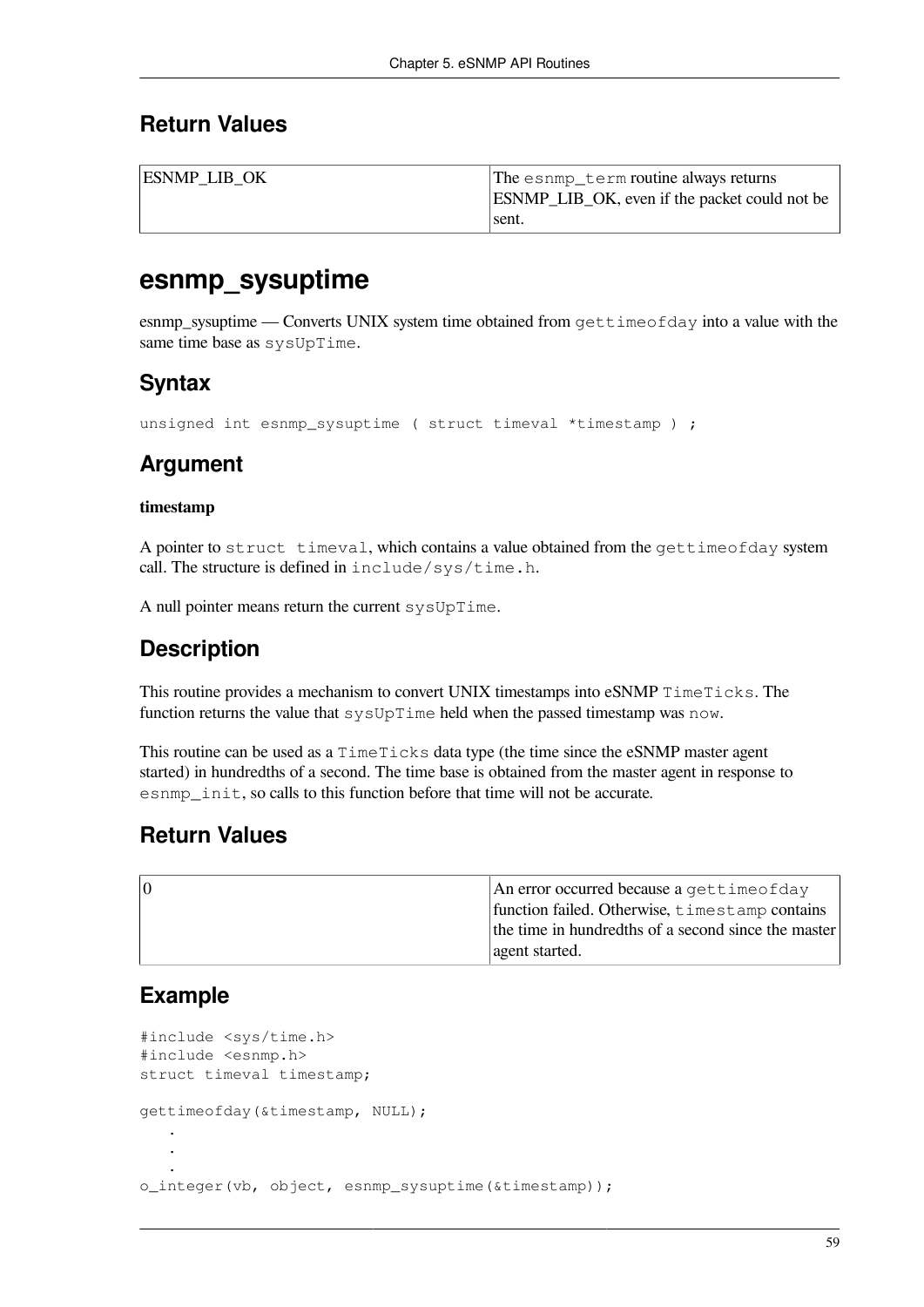#### **Return Values**

| <b>ESNMP LIB OK</b> | The esnmp_term routine always returns                |
|---------------------|------------------------------------------------------|
|                     | <b>ESNMP_LIB_OK, even if the packet could not be</b> |
|                     | sent.                                                |

#### **esnmp\_sysuptime**

esnmp sysuptime — Converts UNIX system time obtained from  $\text{gettimeofday}$  into a value with the same time base as sysUpTime.

#### **Syntax**

unsigned int esnmp\_sysuptime ( struct timeval \*timestamp ) ;

### **Argument**

#### **timestamp**

A pointer to struct timeval, which contains a value obtained from the gettimeofday system call. The structure is defined in include/sys/time.h.

A null pointer means return the current sysUpTime.

#### **Description**

This routine provides a mechanism to convert UNIX timestamps into eSNMP TimeTicks. The function returns the value that sysUpTime held when the passed timestamp was now.

This routine can be used as a TimeTicks data type (the time since the eSNMP master agent started) in hundredths of a second. The time base is obtained from the master agent in response to esnmp init, so calls to this function before that time will not be accurate.

#### **Return Values**

| 10 | An error occurred because a gettime of day          |
|----|-----------------------------------------------------|
|    | function failed. Otherwise, timestamp contains      |
|    | the time in hundredths of a second since the master |
|    | agent started.                                      |

#### **Example**

```
#include <sys/time.h>
#include <esnmp.h>
struct timeval timestamp;
gettimeofday(&timestamp, NULL);
 .
 .
 .
o_integer(vb, object, esnmp_sysuptime(&timestamp));
```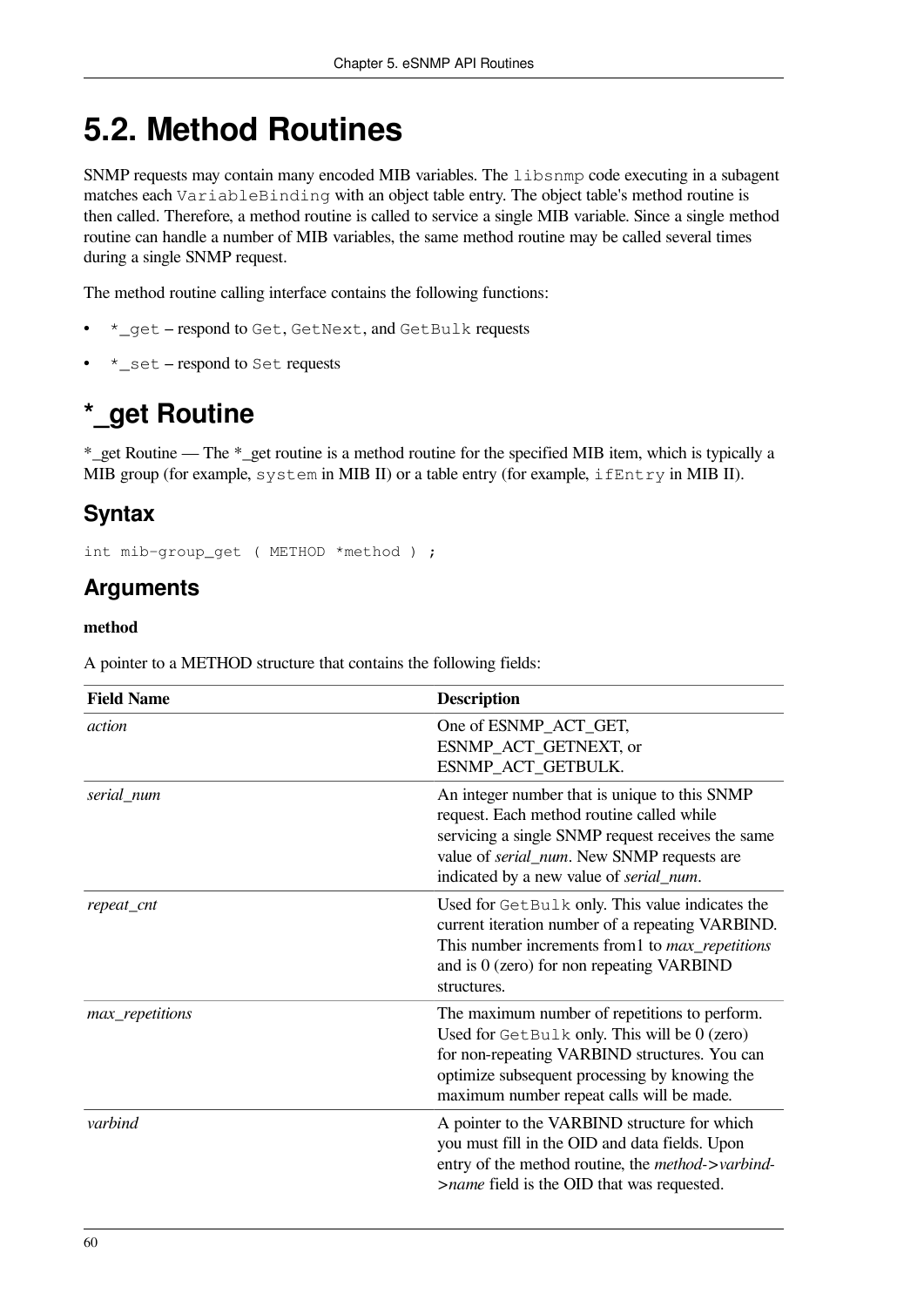# <span id="page-67-0"></span>**5.2. Method Routines**

SNMP requests may contain many encoded MIB variables. The libsnmp code executing in a subagent matches each VariableBinding with an object table entry. The object table's method routine is then called. Therefore, a method routine is called to service a single MIB variable. Since a single method routine can handle a number of MIB variables, the same method routine may be called several times during a single SNMP request.

The method routine calling interface contains the following functions:

- \*\_get respond to Get, GetNext, and GetBulk requests
- \*\_set respond to Set requests

# **\*\_get Routine**

\*\_get Routine — The \*\_get routine is a method routine for the specified MIB item, which is typically a MIB group (for example, system in MIB II) or a table entry (for example, ifEntry in MIB II).

#### **Syntax**

int mib-group\_get ( METHOD \*method ) ;

#### **Arguments**

#### **method**

A pointer to a METHOD structure that contains the following fields:

| <b>Field Name</b> | <b>Description</b>                                                                                                                                                                                                                               |
|-------------------|--------------------------------------------------------------------------------------------------------------------------------------------------------------------------------------------------------------------------------------------------|
| action            | One of ESNMP_ACT_GET,<br>ESNMP_ACT_GETNEXT, or<br>ESNMP_ACT_GETBULK.                                                                                                                                                                             |
| serial_num        | An integer number that is unique to this SNMP<br>request. Each method routine called while<br>servicing a single SNMP request receives the same<br>value of <i>serial_num</i> . New SNMP requests are<br>indicated by a new value of serial_num. |
| repeat_cnt        | Used for GetBulk only. This value indicates the<br>current iteration number of a repeating VARBIND.<br>This number increments from 1 to <i>max_repetitions</i><br>and is $0$ (zero) for non repeating VARBIND<br>structures.                     |
| max_repetitions   | The maximum number of repetitions to perform.<br>Used for GetBulk only. This will be 0 (zero)<br>for non-repeating VARBIND structures. You can<br>optimize subsequent processing by knowing the<br>maximum number repeat calls will be made.     |
| varbind           | A pointer to the VARBIND structure for which<br>you must fill in the OID and data fields. Upon<br>entry of the method routine, the <i>method-&gt;varbind-</i><br>>name field is the OID that was requested.                                      |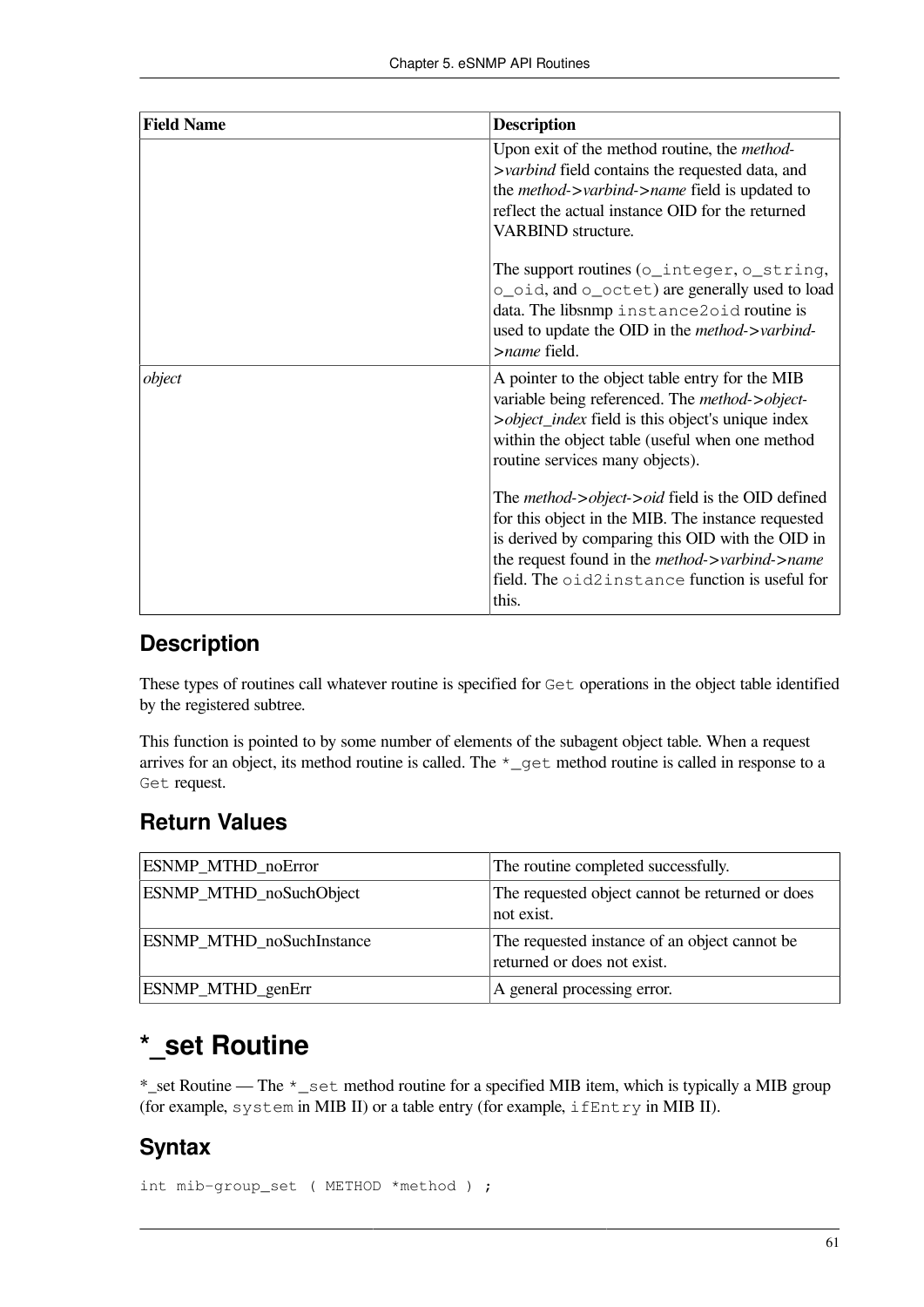| <b>Field Name</b> | <b>Description</b>                                                                                                                                                                                                                                                                                |
|-------------------|---------------------------------------------------------------------------------------------------------------------------------------------------------------------------------------------------------------------------------------------------------------------------------------------------|
|                   | Upon exit of the method routine, the <i>method</i> -<br>>varbind field contains the requested data, and<br>the <i>method-&gt;varbind-&gt;name</i> field is updated to<br>reflect the actual instance OID for the returned<br><b>VARBIND</b> structure.                                            |
|                   | The support routines (o_integer, o_string,<br>o_oid, and o_octet) are generally used to load<br>data. The libsnmp instance2oid routine is<br>used to update the OID in the <i>method-&gt;varbind-</i><br>>name field.                                                                             |
| object            | A pointer to the object table entry for the MIB<br>variable being referenced. The <i>method-&gt;object-</i><br>>object_index field is this object's unique index<br>within the object table (useful when one method<br>routine services many objects).                                            |
|                   | The <i>method-&gt;object-&gt;oid</i> field is the OID defined<br>for this object in the MIB. The instance requested<br>is derived by comparing this OID with the OID in<br>the request found in the <i>method-&gt;varbind-&gt;name</i><br>field. The oid2instance function is useful for<br>this. |

#### **Description**

These types of routines call whatever routine is specified for Get operations in the object table identified by the registered subtree.

This function is pointed to by some number of elements of the subagent object table. When a request arrives for an object, its method routine is called. The \*\_get method routine is called in response to a Get request.

#### **Return Values**

| ESNMP_MTHD_noError        | The routine completed successfully.                                          |
|---------------------------|------------------------------------------------------------------------------|
| ESNMP_MTHD_noSuchObject   | The requested object cannot be returned or does<br>not exist.                |
| ESNMP_MTHD_noSuchInstance | The requested instance of an object cannot be<br>returned or does not exist. |
| ESNMP_MTHD_genErr         | A general processing error.                                                  |

### **\*\_set Routine**

\*\_set Routine — The \*\_set method routine for a specified MIB item, which is typically a MIB group (for example, system in MIB II) or a table entry (for example, ifEntry in MIB II).

#### **Syntax**

int mib-group\_set ( METHOD \*method ) ;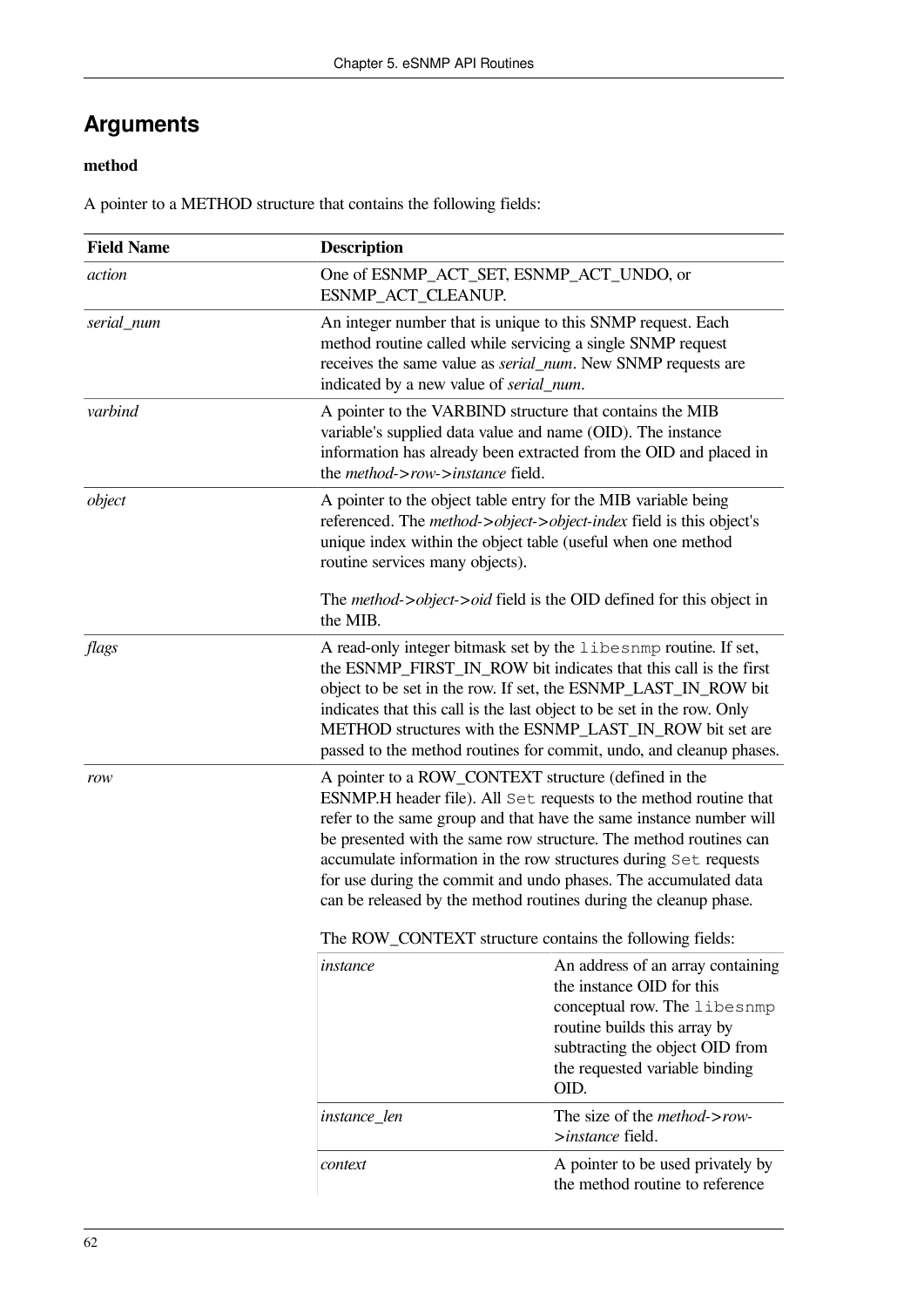### **Arguments**

#### **method**

A pointer to a METHOD structure that contains the following fields:

| <b>Field Name</b> | <b>Description</b>                                                                                                                                                                                                                                                                                                                                                                                                                                                                                                                           |                                                                                                                                                                                                             |
|-------------------|----------------------------------------------------------------------------------------------------------------------------------------------------------------------------------------------------------------------------------------------------------------------------------------------------------------------------------------------------------------------------------------------------------------------------------------------------------------------------------------------------------------------------------------------|-------------------------------------------------------------------------------------------------------------------------------------------------------------------------------------------------------------|
| action            | One of ESNMP_ACT_SET, ESNMP_ACT_UNDO, or<br>ESNMP_ACT_CLEANUP.                                                                                                                                                                                                                                                                                                                                                                                                                                                                               |                                                                                                                                                                                                             |
| serial num        | An integer number that is unique to this SNMP request. Each<br>method routine called while servicing a single SNMP request<br>receives the same value as <i>serial_num</i> . New SNMP requests are<br>indicated by a new value of serial_num.                                                                                                                                                                                                                                                                                                |                                                                                                                                                                                                             |
| varbind           | A pointer to the VARBIND structure that contains the MIB<br>variable's supplied data value and name (OID). The instance<br>information has already been extracted from the OID and placed in<br>the <i>method-&gt;row-&gt;instance</i> field.                                                                                                                                                                                                                                                                                                |                                                                                                                                                                                                             |
| object            | A pointer to the object table entry for the MIB variable being<br>referenced. The method->object->object-index field is this object's<br>unique index within the object table (useful when one method<br>routine services many objects).<br>The method->object->oid field is the OID defined for this object in<br>the MIB.                                                                                                                                                                                                                  |                                                                                                                                                                                                             |
|                   |                                                                                                                                                                                                                                                                                                                                                                                                                                                                                                                                              |                                                                                                                                                                                                             |
| flags             | A read-only integer bitmask set by the libesnmp routine. If set,<br>the ESNMP_FIRST_IN_ROW bit indicates that this call is the first<br>object to be set in the row. If set, the ESNMP_LAST_IN_ROW bit<br>indicates that this call is the last object to be set in the row. Only<br>METHOD structures with the ESNMP_LAST_IN_ROW bit set are<br>passed to the method routines for commit, undo, and cleanup phases.                                                                                                                          |                                                                                                                                                                                                             |
| row               | A pointer to a ROW_CONTEXT structure (defined in the<br>ESNMP.H header file). All Set requests to the method routine that<br>refer to the same group and that have the same instance number will<br>be presented with the same row structure. The method routines can<br>accumulate information in the row structures during Set requests<br>for use during the commit and undo phases. The accumulated data<br>can be released by the method routines during the cleanup phase.<br>The ROW_CONTEXT structure contains the following fields: |                                                                                                                                                                                                             |
|                   | instance                                                                                                                                                                                                                                                                                                                                                                                                                                                                                                                                     | An address of an array containing<br>the instance OID for this<br>conceptual row. The libesnmp<br>routine builds this array by<br>subtracting the object OID from<br>the requested variable binding<br>OID. |
|                   | instance_len                                                                                                                                                                                                                                                                                                                                                                                                                                                                                                                                 | The size of the <i>method-&gt;row-</i><br>>instance field.                                                                                                                                                  |
|                   | context                                                                                                                                                                                                                                                                                                                                                                                                                                                                                                                                      | A pointer to be used privately by<br>the method routine to reference                                                                                                                                        |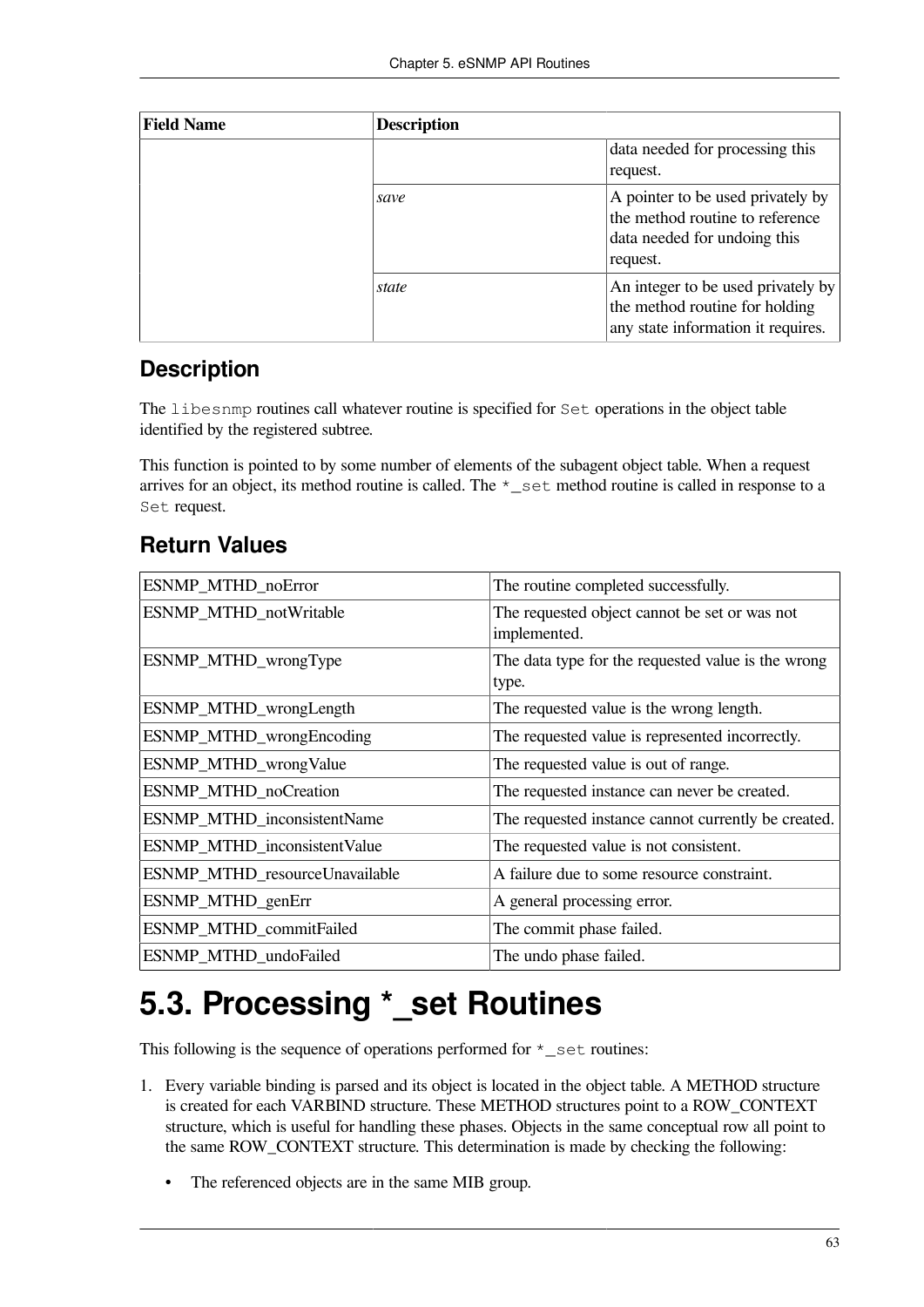| <b>Field Name</b> | <b>Description</b> |                                                                                                                  |
|-------------------|--------------------|------------------------------------------------------------------------------------------------------------------|
|                   |                    | data needed for processing this<br>request.                                                                      |
|                   | save               | A pointer to be used privately by<br>the method routine to reference<br>data needed for undoing this<br>request. |
|                   | state              | An integer to be used privately by<br>the method routine for holding<br>any state information it requires.       |

#### **Description**

The libesnmp routines call whatever routine is specified for Set operations in the object table identified by the registered subtree.

This function is pointed to by some number of elements of the subagent object table. When a request arrives for an object, its method routine is called. The \*\_set method routine is called in response to a Set request.

#### **Return Values**

| ESNMP_MTHD_noError             | The routine completed successfully.                           |
|--------------------------------|---------------------------------------------------------------|
| ESNMP_MTHD_notWritable         | The requested object cannot be set or was not<br>implemented. |
| ESNMP_MTHD_wrongType           | The data type for the requested value is the wrong<br>type.   |
| ESNMP_MTHD_wrongLength         | The requested value is the wrong length.                      |
| ESNMP_MTHD_wrongEncoding       | The requested value is represented incorrectly.               |
| ESNMP_MTHD_wrongValue          | The requested value is out of range.                          |
| ESNMP_MTHD_noCreation          | The requested instance can never be created.                  |
| ESNMP_MTHD_inconsistentName    | The requested instance cannot currently be created.           |
| ESNMP_MTHD_inconsistentValue   | The requested value is not consistent.                        |
| ESNMP_MTHD_resourceUnavailable | A failure due to some resource constraint.                    |
| ESNMP_MTHD_genErr              | A general processing error.                                   |
| ESNMP_MTHD_commitFailed        | The commit phase failed.                                      |
| ESNMP_MTHD_undoFailed          | The undo phase failed.                                        |

# **5.3. Processing \*\_set Routines**

This following is the sequence of operations performed for  $\star$  set routines:

- 1. Every variable binding is parsed and its object is located in the object table. A METHOD structure is created for each VARBIND structure. These METHOD structures point to a ROW\_CONTEXT structure, which is useful for handling these phases. Objects in the same conceptual row all point to the same ROW\_CONTEXT structure. This determination is made by checking the following:
	- The referenced objects are in the same MIB group.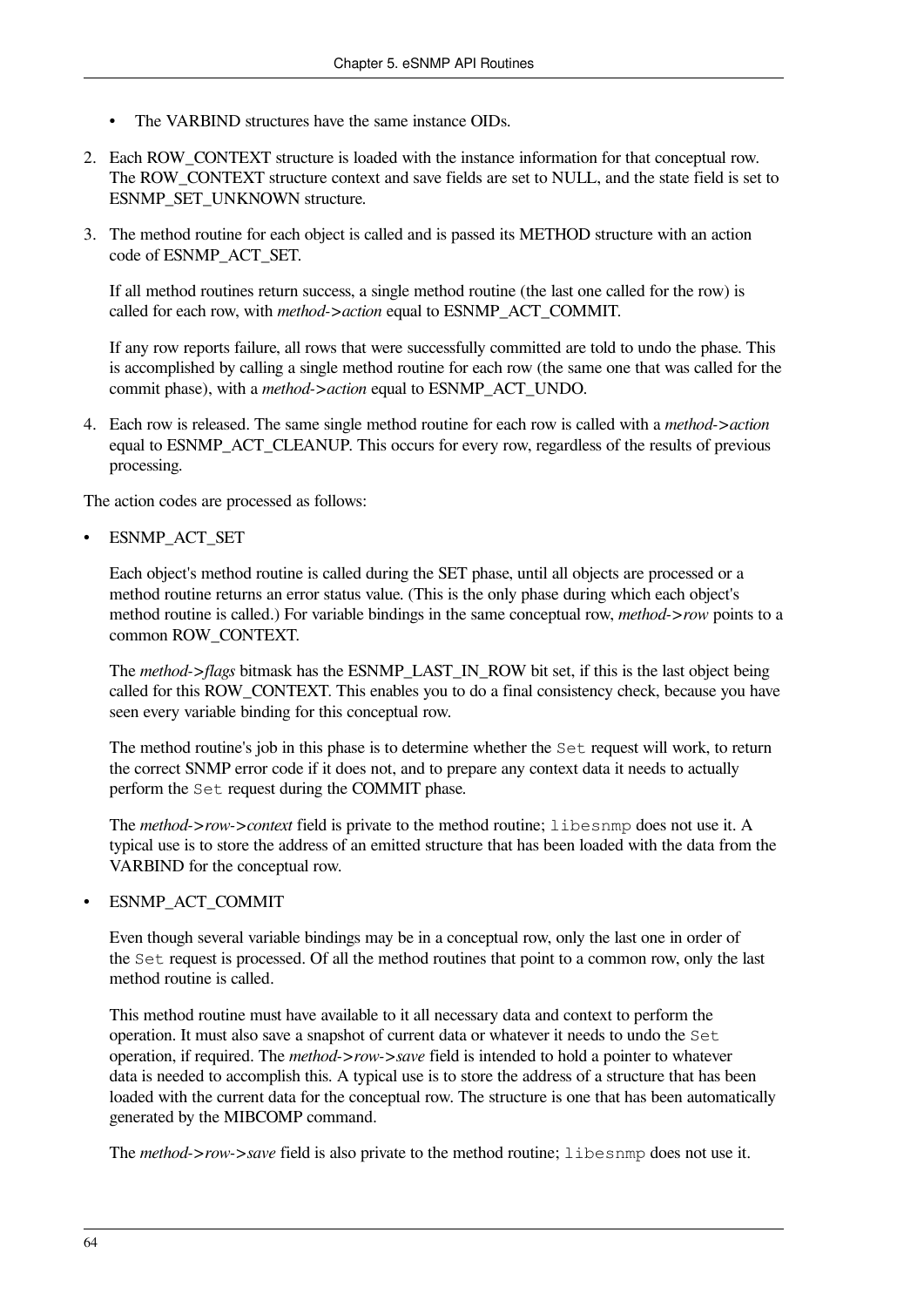- The VARBIND structures have the same instance OIDs.
- 2. Each ROW\_CONTEXT structure is loaded with the instance information for that conceptual row. The ROW\_CONTEXT structure context and save fields are set to NULL, and the state field is set to ESNMP\_SET\_UNKNOWN structure.
- 3. The method routine for each object is called and is passed its METHOD structure with an action code of ESNMP\_ACT\_SET.

If all method routines return success, a single method routine (the last one called for the row) is called for each row, with *method->action* equal to ESNMP\_ACT\_COMMIT.

If any row reports failure, all rows that were successfully committed are told to undo the phase. This is accomplished by calling a single method routine for each row (the same one that was called for the commit phase), with a *method->action* equal to ESNMP\_ACT\_UNDO.

4. Each row is released. The same single method routine for each row is called with a *method->action* equal to ESNMP\_ACT\_CLEANUP. This occurs for every row, regardless of the results of previous processing.

The action codes are processed as follows:

ESNMP\_ACT\_SET

Each object's method routine is called during the SET phase, until all objects are processed or a method routine returns an error status value. (This is the only phase during which each object's method routine is called.) For variable bindings in the same conceptual row, *method->row* points to a common ROW\_CONTEXT.

The *method->flags* bitmask has the ESNMP\_LAST\_IN\_ROW bit set, if this is the last object being called for this ROW\_CONTEXT. This enables you to do a final consistency check, because you have seen every variable binding for this conceptual row.

The method routine's job in this phase is to determine whether the Set request will work, to return the correct SNMP error code if it does not, and to prepare any context data it needs to actually perform the Set request during the COMMIT phase.

The *method->row->context* field is private to the method routine; libesnmp does not use it. A typical use is to store the address of an emitted structure that has been loaded with the data from the VARBIND for the conceptual row.

• ESNMP\_ACT\_COMMIT

Even though several variable bindings may be in a conceptual row, only the last one in order of the Set request is processed. Of all the method routines that point to a common row, only the last method routine is called.

This method routine must have available to it all necessary data and context to perform the operation. It must also save a snapshot of current data or whatever it needs to undo the Set operation, if required. The *method->row->save* field is intended to hold a pointer to whatever data is needed to accomplish this. A typical use is to store the address of a structure that has been loaded with the current data for the conceptual row. The structure is one that has been automatically generated by the MIBCOMP command.

The *method->row->save* field is also private to the method routine; libesnmp does not use it.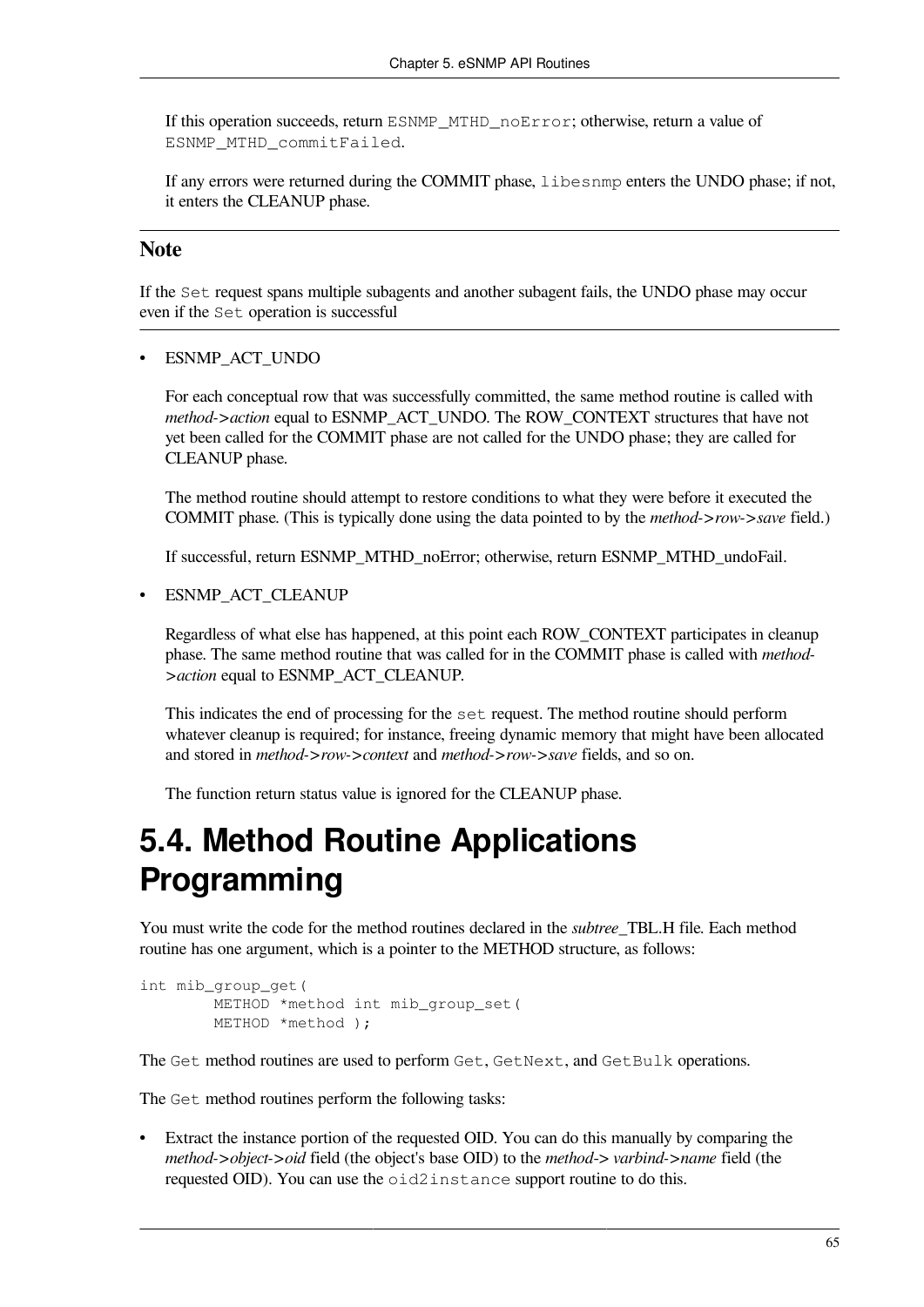If this operation succeeds, return ESNMP\_MTHD\_noError; otherwise, return a value of ESNMP\_MTHD\_commitFailed.

If any errors were returned during the COMMIT phase, libesnmp enters the UNDO phase; if not, it enters the CLEANUP phase.

### **Note**

If the Set request spans multiple subagents and another subagent fails, the UNDO phase may occur even if the Set operation is successful

ESNMP\_ACT\_UNDO

For each conceptual row that was successfully committed, the same method routine is called with *method->action* equal to ESNMP\_ACT\_UNDO. The ROW\_CONTEXT structures that have not yet been called for the COMMIT phase are not called for the UNDO phase; they are called for CLEANUP phase.

The method routine should attempt to restore conditions to what they were before it executed the COMMIT phase. (This is typically done using the data pointed to by the *method->row->save* field.)

If successful, return ESNMP\_MTHD\_noError; otherwise, return ESNMP\_MTHD\_undoFail.

• ESNMP\_ACT\_CLEANUP

Regardless of what else has happened, at this point each ROW\_CONTEXT participates in cleanup phase. The same method routine that was called for in the COMMIT phase is called with *method- >action* equal to ESNMP\_ACT\_CLEANUP.

This indicates the end of processing for the set request. The method routine should perform whatever cleanup is required; for instance, freeing dynamic memory that might have been allocated and stored in *method->row->context* and *method->row->save* fields, and so on.

The function return status value is ignored for the CLEANUP phase.

# **5.4. Method Routine Applications Programming**

You must write the code for the method routines declared in the *subtree*\_TBL.H file. Each method routine has one argument, which is a pointer to the METHOD structure, as follows:

```
int mib_group_get(
         METHOD *method int mib_group_set(
         METHOD *method );
```
The Get method routines are used to perform Get, GetNext, and GetBulk operations.

The Get method routines perform the following tasks:

• Extract the instance portion of the requested OID. You can do this manually by comparing the *method->object->oid* field (the object's base OID) to the *method*-> *varbind->name* field (the requested OID). You can use the oid2instance support routine to do this.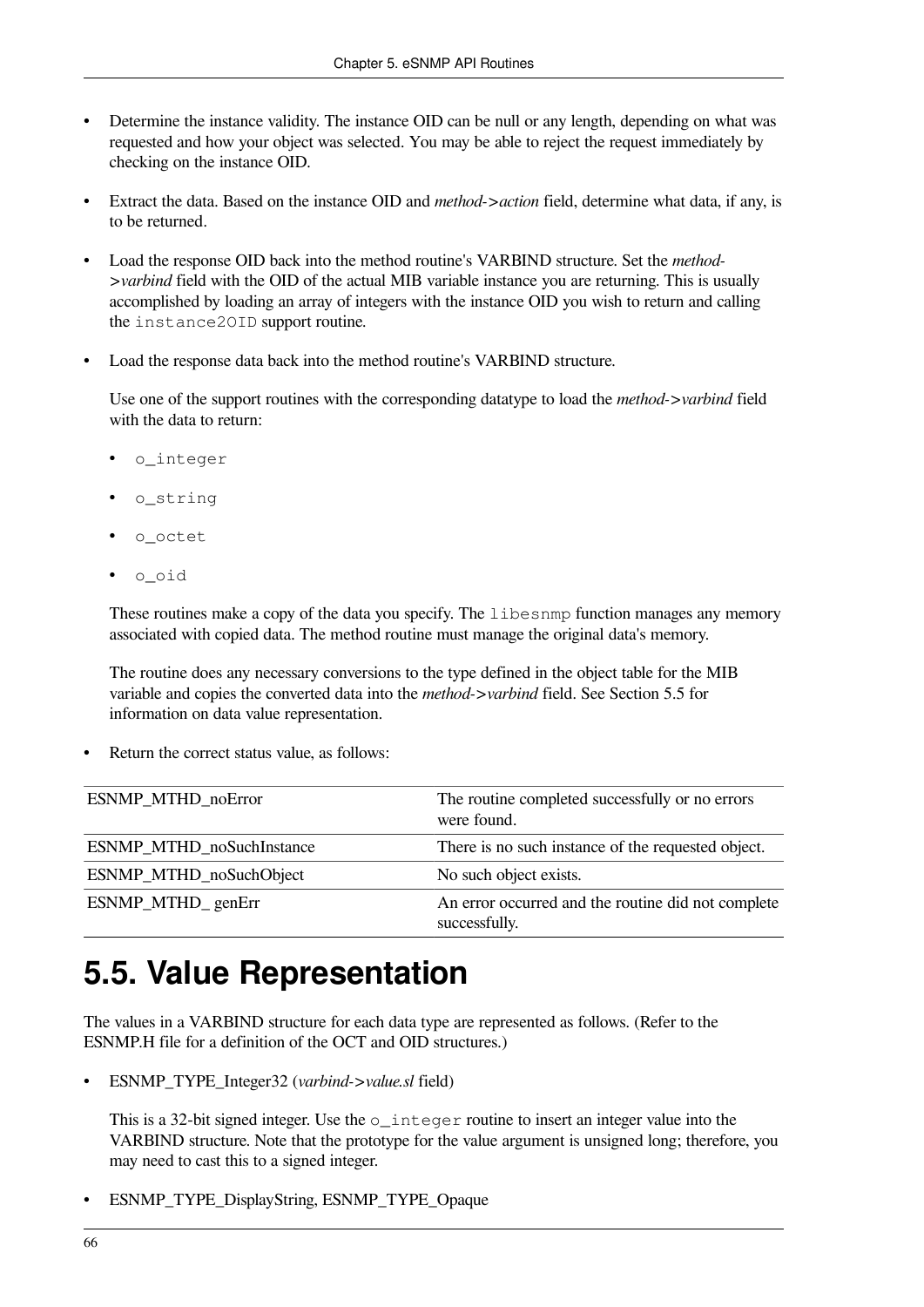- Determine the instance validity. The instance OID can be null or any length, depending on what was requested and how your object was selected. You may be able to reject the request immediately by checking on the instance OID.
- Extract the data. Based on the instance OID and *method->action* field, determine what data, if any, is to be returned.
- Load the response OID back into the method routine's VARBIND structure. Set the *method- >varbind* field with the OID of the actual MIB variable instance you are returning. This is usually accomplished by loading an array of integers with the instance OID you wish to return and calling the instance2OID support routine.
- Load the response data back into the method routine's VARBIND structure.

Use one of the support routines with the corresponding datatype to load the *method->varbind* field with the data to return:

- o\_integer
- o\_string
- o\_octet
- o\_oid

These routines make a copy of the data you specify. The libesnmp function manages any memory associated with copied data. The method routine must manage the original data's memory.

The routine does any necessary conversions to the type defined in the object table for the MIB variable and copies the converted data into the *method->varbind* field. See [Section](#page-73-0) 5.5 for information on data value representation.

Return the correct status value, as follows:

| ESNMP MTHD noError        | The routine completed successfully or no errors<br>were found.      |
|---------------------------|---------------------------------------------------------------------|
| ESNMP_MTHD_noSuchInstance | There is no such instance of the requested object.                  |
| ESNMP_MTHD_noSuchObject   | No such object exists.                                              |
| ESNMP_MTHD_genErr         | An error occurred and the routine did not complete<br>successfully. |

# <span id="page-73-0"></span>**5.5. Value Representation**

The values in a VARBIND structure for each data type are represented as follows. (Refer to the ESNMP.H file for a definition of the OCT and OID structures.)

• ESNMP\_TYPE\_Integer32 (*varbind->value.sl* field)

This is a 32-bit signed integer. Use the  $\circ$  integer routine to insert an integer value into the VARBIND structure. Note that the prototype for the value argument is unsigned long; therefore, you may need to cast this to a signed integer.

• ESNMP\_TYPE\_DisplayString, ESNMP\_TYPE\_Opaque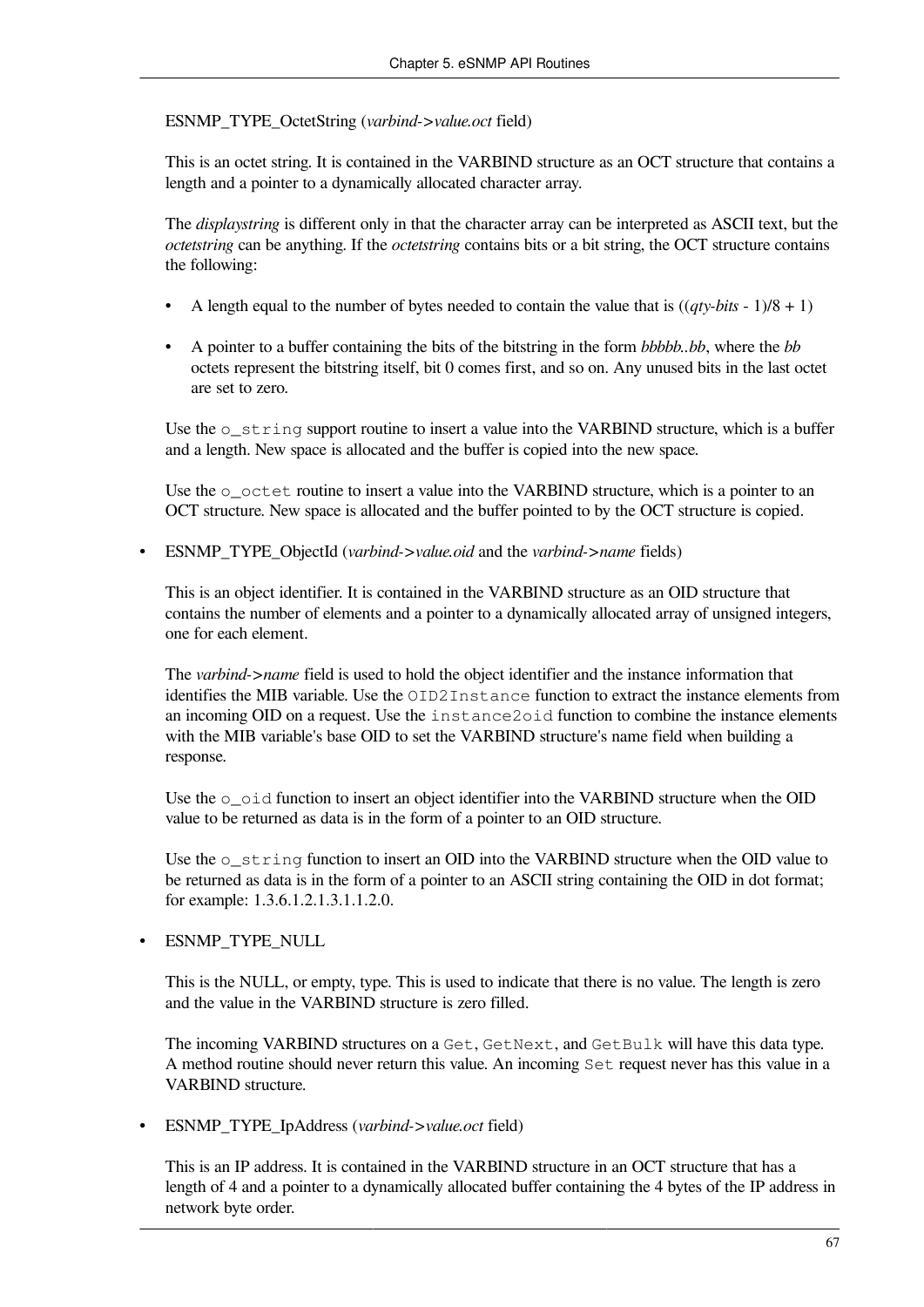ESNMP\_TYPE\_OctetString (*varbind->value.oct* field)

This is an octet string. It is contained in the VARBIND structure as an OCT structure that contains a length and a pointer to a dynamically allocated character array.

The *displaystring* is different only in that the character array can be interpreted as ASCII text, but the *octetstring* can be anything. If the *octetstring* contains bits or a bit string, the OCT structure contains the following:

- A length equal to the number of bytes needed to contain the value that is  $((qty-bits 1)/8 + 1)$
- A pointer to a buffer containing the bits of the bitstring in the form *bbbbb..bb*, where the *bb* octets represent the bitstring itself, bit 0 comes first, and so on. Any unused bits in the last octet are set to zero.

Use the  $\circ$  string support routine to insert a value into the VARBIND structure, which is a buffer and a length. New space is allocated and the buffer is copied into the new space.

Use the  $\circ$  octet routine to insert a value into the VARBIND structure, which is a pointer to an OCT structure. New space is allocated and the buffer pointed to by the OCT structure is copied.

• ESNMP\_TYPE\_ObjectId (*varbind->value.oid* and the *varbind->name* fields)

This is an object identifier. It is contained in the VARBIND structure as an OID structure that contains the number of elements and a pointer to a dynamically allocated array of unsigned integers, one for each element.

The *varbind->name* field is used to hold the object identifier and the instance information that identifies the MIB variable. Use the OID2Instance function to extract the instance elements from an incoming OID on a request. Use the instance2oid function to combine the instance elements with the MIB variable's base OID to set the VARBIND structure's name field when building a response.

Use the  $\circ$  oid function to insert an object identifier into the VARBIND structure when the OID value to be returned as data is in the form of a pointer to an OID structure.

Use the  $\circ$  string function to insert an OID into the VARBIND structure when the OID value to be returned as data is in the form of a pointer to an ASCII string containing the OID in dot format; for example: 1.3.6.1.2.1.3.1.1.2.0.

#### • ESNMP\_TYPE\_NULL

This is the NULL, or empty, type. This is used to indicate that there is no value. The length is zero and the value in the VARBIND structure is zero filled.

The incoming VARBIND structures on a Get, GetNext, and GetBulk will have this data type. A method routine should never return this value. An incoming Set request never has this value in a VARBIND structure.

• ESNMP\_TYPE\_IpAddress (*varbind->value.oct* field)

This is an IP address. It is contained in the VARBIND structure in an OCT structure that has a length of 4 and a pointer to a dynamically allocated buffer containing the 4 bytes of the IP address in network byte order.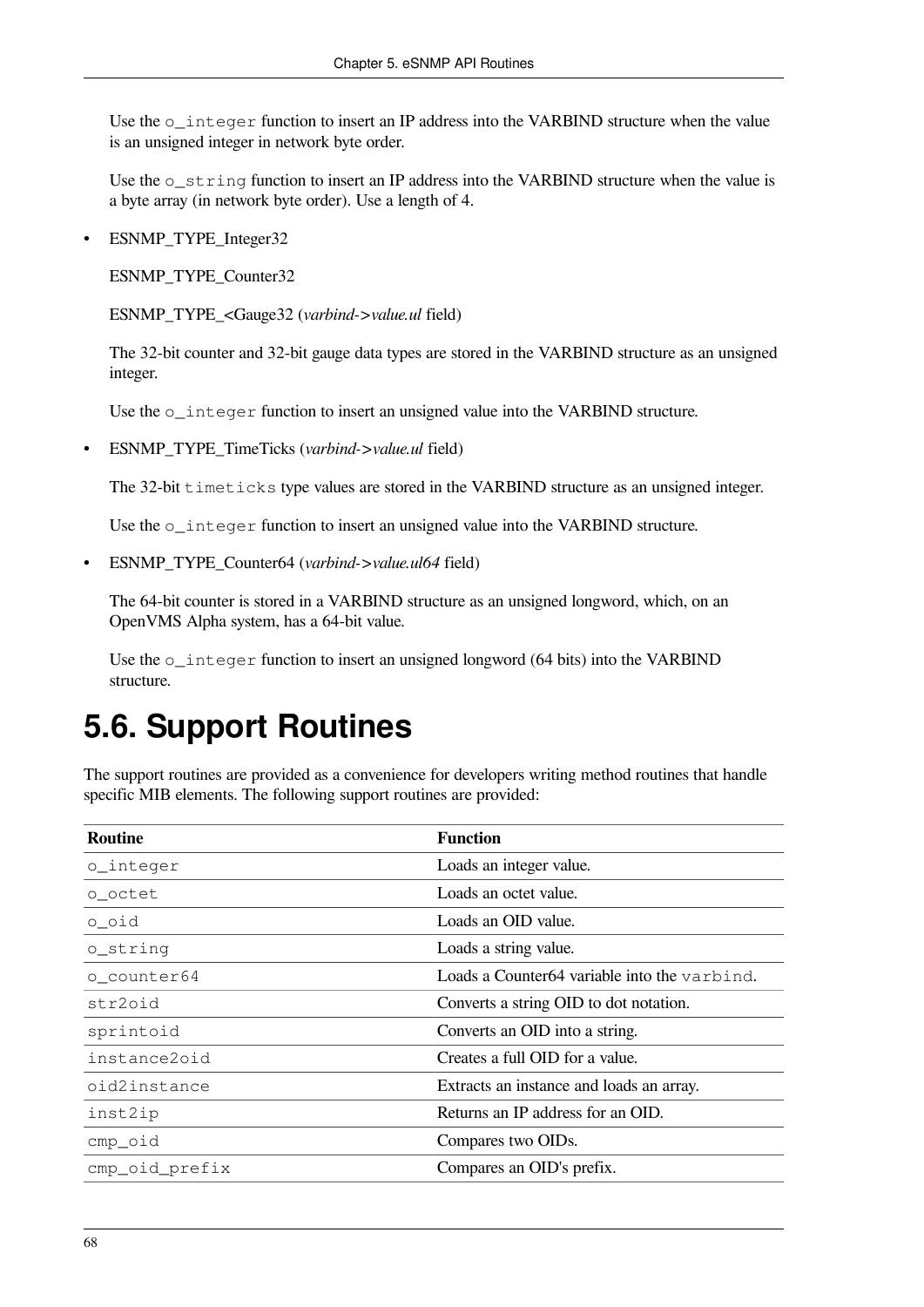Use the  $\circ$  integer function to insert an IP address into the VARBIND structure when the value is an unsigned integer in network byte order.

Use the  $\circ$  string function to insert an IP address into the VARBIND structure when the value is a byte array (in network byte order). Use a length of 4.

• ESNMP\_TYPE\_Integer32

ESNMP\_TYPE\_Counter32

ESNMP\_TYPE\_<Gauge32 (*varbind->value.ul* field)

The 32-bit counter and 32-bit gauge data types are stored in the VARBIND structure as an unsigned integer.

Use the o\_integer function to insert an unsigned value into the VARBIND structure.

• ESNMP\_TYPE\_TimeTicks (*varbind->value.ul* field)

The 32-bit timeticks type values are stored in the VARBIND structure as an unsigned integer.

Use the o\_integer function to insert an unsigned value into the VARBIND structure.

• ESNMP\_TYPE\_Counter64 (*varbind->value.ul64* field)

The 64-bit counter is stored in a VARBIND structure as an unsigned longword, which, on an OpenVMS Alpha system, has a 64-bit value.

Use the o\_integer function to insert an unsigned longword (64 bits) into the VARBIND structure.

# **5.6. Support Routines**

The support routines are provided as a convenience for developers writing method routines that handle specific MIB elements. The following support routines are provided:

| <b>Routine</b> | <b>Function</b>                              |
|----------------|----------------------------------------------|
| o_integer      | Loads an integer value.                      |
| o_octet        | Loads an octet value.                        |
| o_oid          | Loads an OID value.                          |
| o_string       | Loads a string value.                        |
| o_counter64    | Loads a Counter64 variable into the varbind. |
| str2oid        | Converts a string OID to dot notation.       |
| sprintoid      | Converts an OID into a string.               |
| instance2oid   | Creates a full OID for a value.              |
| oid2instance   | Extracts an instance and loads an array.     |
| inst2ip        | Returns an IP address for an OID.            |
| cmp_oid        | Compares two OIDs.                           |
| cmp_oid_prefix | Compares an OID's prefix.                    |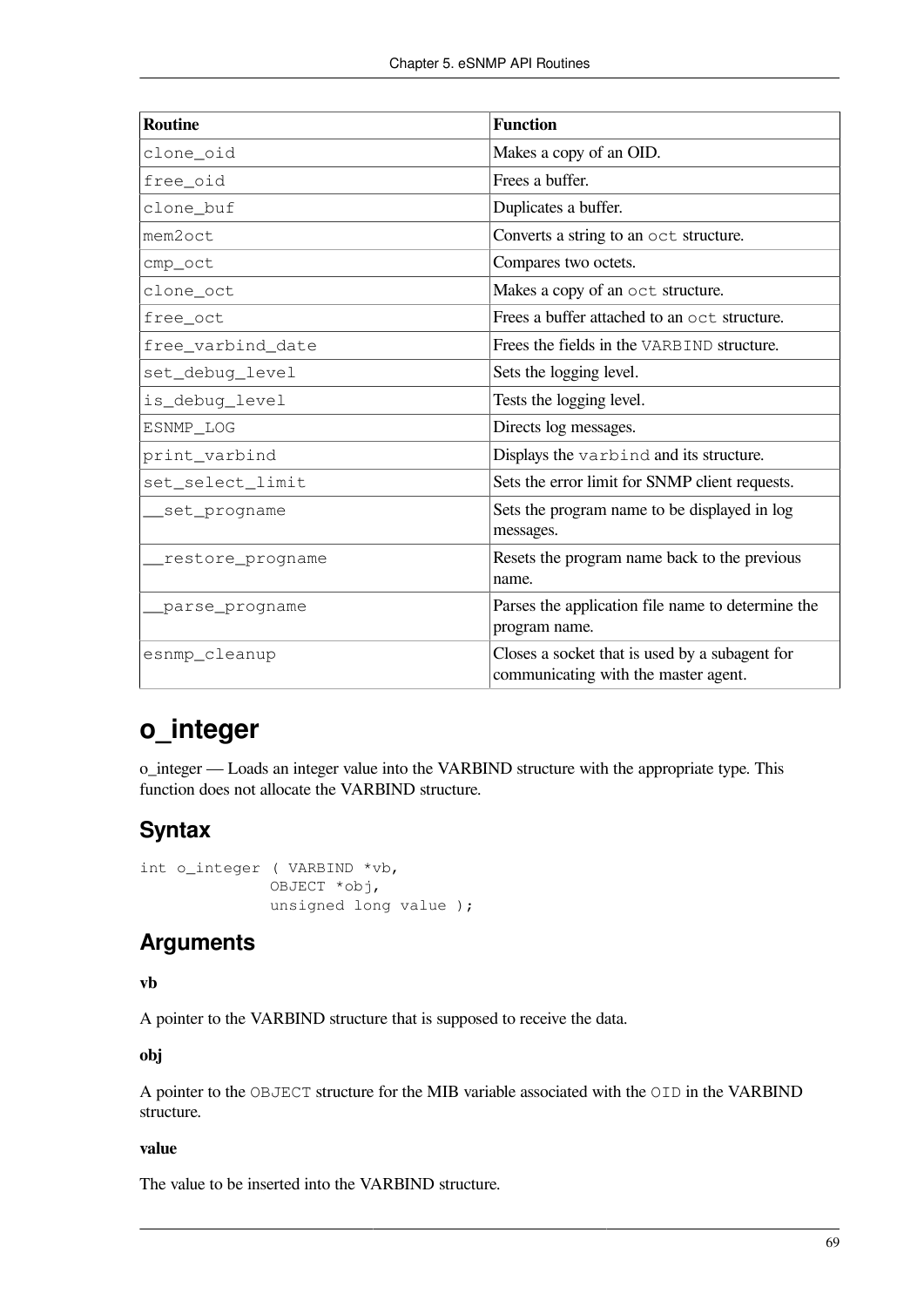| <b>Routine</b>    | <b>Function</b>                                                                        |
|-------------------|----------------------------------------------------------------------------------------|
| clone_oid         | Makes a copy of an OID.                                                                |
| free_oid          | Frees a buffer.                                                                        |
| clone_buf         | Duplicates a buffer.                                                                   |
| mem2oct           | Converts a string to an oct structure.                                                 |
| cmp_oct           | Compares two octets.                                                                   |
| clone_oct         | Makes a copy of an oct structure.                                                      |
| free_oct          | Frees a buffer attached to an oct structure.                                           |
| free_varbind_date | Frees the fields in the VARBIND structure.                                             |
| set_debuq_level   | Sets the logging level.                                                                |
| is_debuq_level    | Tests the logging level.                                                               |
| ESNMP_LOG         | Directs log messages.                                                                  |
| print_varbind     | Displays the varbind and its structure.                                                |
| set_select_limit  | Sets the error limit for SNMP client requests.                                         |
| _set_progname     | Sets the program name to be displayed in log<br>messages.                              |
| restore_progname_ | Resets the program name back to the previous<br>name.                                  |
| _parse_progname   | Parses the application file name to determine the<br>program name.                     |
| esnmp_cleanup     | Closes a socket that is used by a subagent for<br>communicating with the master agent. |

## **o\_integer**

o\_integer — Loads an integer value into the VARBIND structure with the appropriate type. This function does not allocate the VARBIND structure.

## **Syntax**

```
int o_integer ( VARBIND *vb,
               OBJECT *obj,
               unsigned long value );
```
## **Arguments**

**vb**

A pointer to the VARBIND structure that is supposed to receive the data.

**obj**

A pointer to the OBJECT structure for the MIB variable associated with the OID in the VARBIND structure.

#### **value**

The value to be inserted into the VARBIND structure.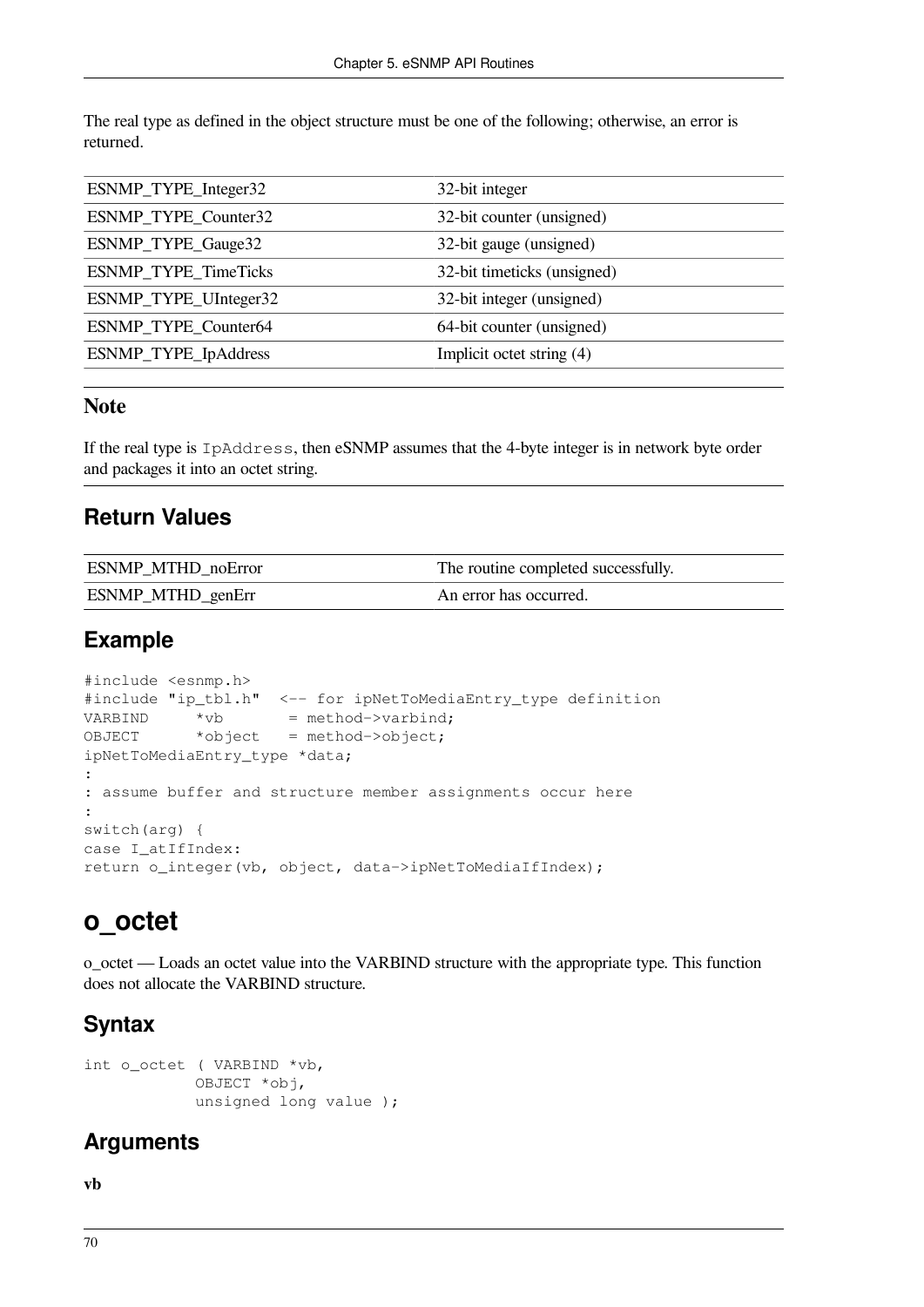The real type as defined in the object structure must be one of the following; otherwise, an error is returned.

| ESNMP_TYPE_Integer32  | 32-bit integer              |
|-----------------------|-----------------------------|
| ESNMP_TYPE_Counter32  | 32-bit counter (unsigned)   |
| ESNMP_TYPE_Gauge32    | 32-bit gauge (unsigned)     |
| ESNMP_TYPE_TimeTicks  | 32-bit timeticks (unsigned) |
| ESNMP_TYPE_UInteger32 | 32-bit integer (unsigned)   |
| ESNMP_TYPE_Counter64  | 64-bit counter (unsigned)   |
| ESNMP_TYPE_IpAddress  | Implicit octet string (4)   |

### **Note**

If the real type is IpAddress, then eSNMP assumes that the 4-byte integer is in network byte order and packages it into an octet string.

### **Return Values**

| <b>ESNMP MTHD noError</b> | The routine completed successfully. |
|---------------------------|-------------------------------------|
| <b>ESNMP_MTHD_genErr</b>  | An error has occurred.              |

## **Example**

```
#include <esnmp.h>
#include "ip_tbl.h" <-- for ipNetToMediaEntry_type definition
VARBIND *vb = method->varbind;
OBJECT *object = method->object;
ipNetToMediaEntry_type *data;
:
: assume buffer and structure member assignments occur here
:
switch(arg) {
case I_atIfIndex:
return o_integer(vb, object, data->ipNetToMediaIfIndex);
```
## **o\_octet**

o\_octet — Loads an octet value into the VARBIND structure with the appropriate type. This function does not allocate the VARBIND structure.

## **Syntax**

```
int o_octet ( VARBIND *vb,
             OBJECT *obj,
             unsigned long value );
```
## **Arguments**

**vb**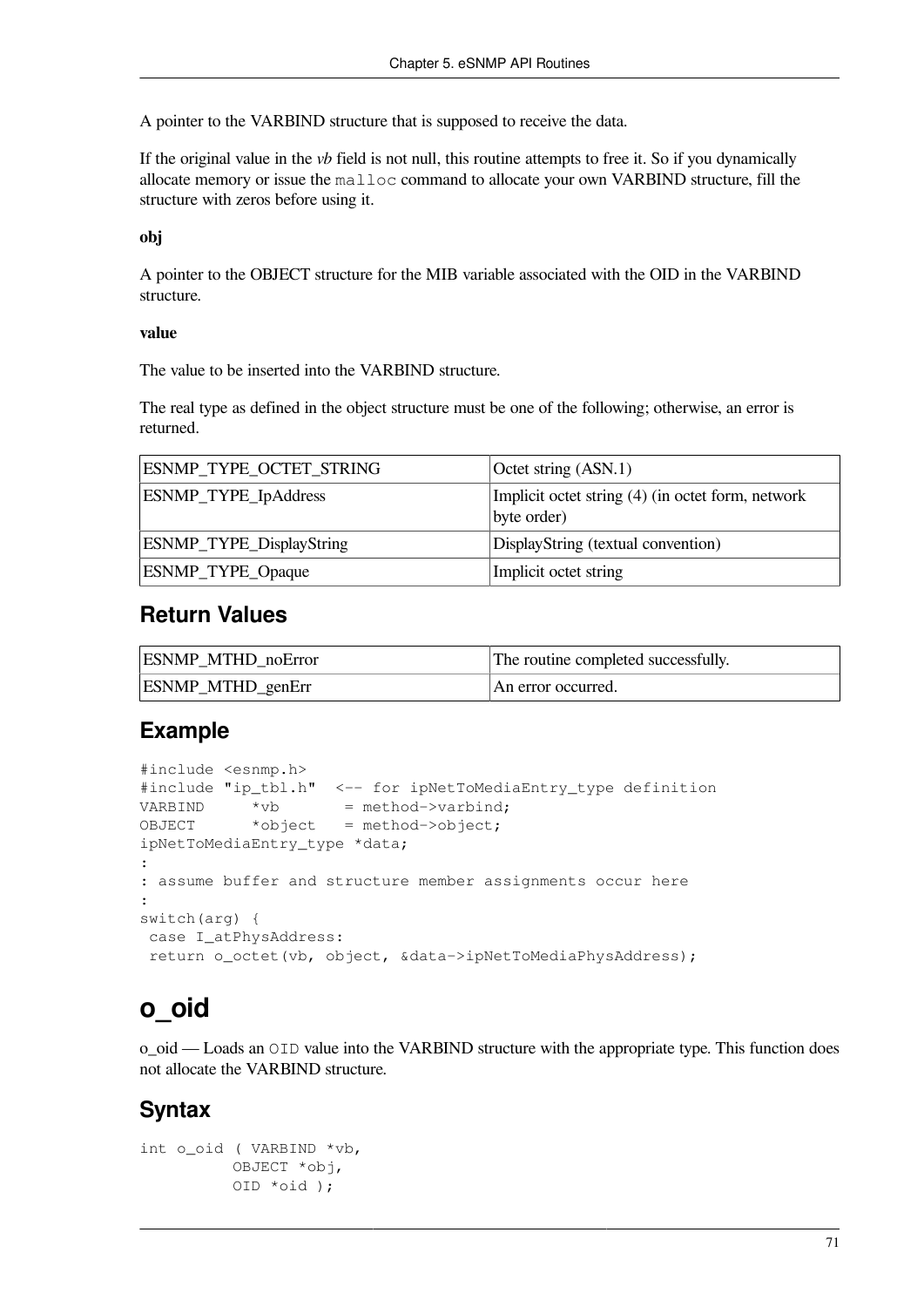A pointer to the VARBIND structure that is supposed to receive the data.

If the original value in the *vb* field is not null, this routine attempts to free it. So if you dynamically allocate memory or issue the malloc command to allocate your own VARBIND structure, fill the structure with zeros before using it.

#### **obj**

A pointer to the OBJECT structure for the MIB variable associated with the OID in the VARBIND structure.

#### **value**

The value to be inserted into the VARBIND structure.

The real type as defined in the object structure must be one of the following; otherwise, an error is returned.

| ESNMP_TYPE_OCTET_STRING  | Octet string (ASN.1)                                             |
|--------------------------|------------------------------------------------------------------|
| ESNMP_TYPE_IpAddress     | Implicit octet string (4) (in octet form, network<br>byte order) |
| ESNMP_TYPE_DisplayString | DisplayString (textual convention)                               |
| <b>ESNMP_TYPE_Opaque</b> | Implicit octet string                                            |

### **Return Values**

| <b>ESNMP MTHD noError</b> | The routine completed successfully. |
|---------------------------|-------------------------------------|
| <b>ESNMP_MTHD_genErr</b>  | An error occurred.                  |

### **Example**

```
#include <esnmp.h>
#include "ip_tbl.h" <-- for ipNetToMediaEntry_type definition
VARBIND *vb = method->varbind;
OBJECT *object = method->object;
ipNetToMediaEntry_type *data;
:
: assume buffer and structure member assignments occur here
:
switch(arg) {
 case I_atPhysAddress:
 return o_octet(vb, object, &data->ipNetToMediaPhysAddress);
```
## **o\_oid**

o\_oid — Loads an OID value into the VARBIND structure with the appropriate type. This function does not allocate the VARBIND structure.

### **Syntax**

```
int o_oid ( VARBIND *vb,
           OBJECT *obj,
           OID *oid );
```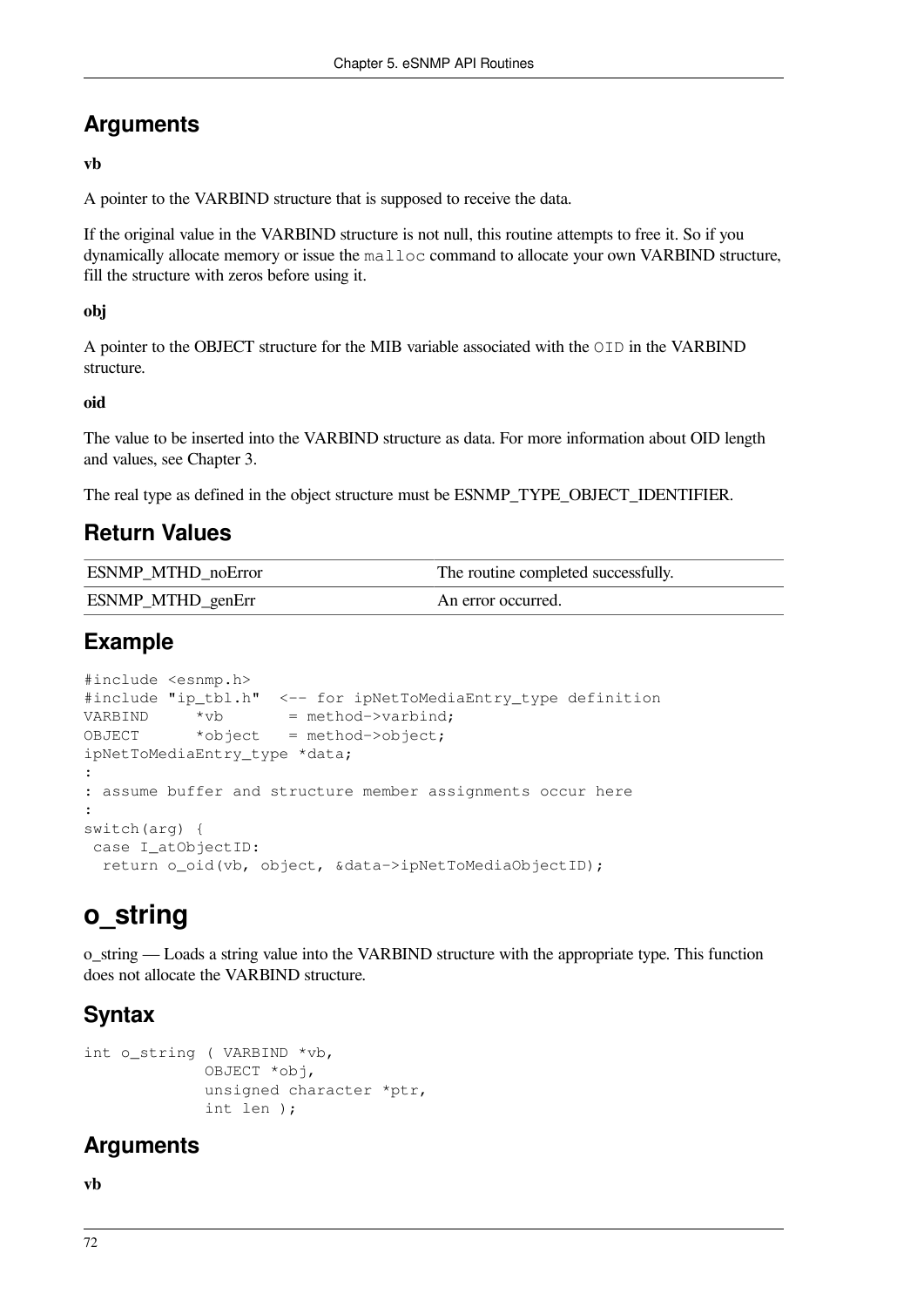## **Arguments**

#### **vb**

A pointer to the VARBIND structure that is supposed to receive the data.

If the original value in the VARBIND structure is not null, this routine attempts to free it. So if you dynamically allocate memory or issue the malloc command to allocate your own VARBIND structure, fill the structure with zeros before using it.

#### **obj**

A pointer to the OBJECT structure for the MIB variable associated with the OID in the VARBIND structure.

#### **oid**

The value to be inserted into the VARBIND structure as data. For more information about OID length and values, see [Chapter](#page-26-0) 3.

The real type as defined in the object structure must be ESNMP\_TYPE\_OBJECT\_IDENTIFIER.

## **Return Values**

| <b>ESNMP MTHD noError</b> | The routine completed successfully. |
|---------------------------|-------------------------------------|
| ESNMP_MTHD_genErr         | An error occurred.                  |

## **Example**

```
#include <esnmp.h>
#include "ip_tbl.h" <-- for ipNetToMediaEntry_type definition
VARBIND *vb = method->varbind;
OBJECT *object = method->object;
ipNetToMediaEntry_type *data;
:
: assume buffer and structure member assignments occur here
:
switch(arg) {
 case I_atObjectID:
  return o_oid(vb, object, &data->ipNetToMediaObjectID);
```
## **o\_string**

o\_string — Loads a string value into the VARBIND structure with the appropriate type. This function does not allocate the VARBIND structure.

## **Syntax**

```
int o string ( VARBIND *vb,
              OBJECT *obj,
              unsigned character *ptr,
              int len );
```
## **Arguments**

**vb**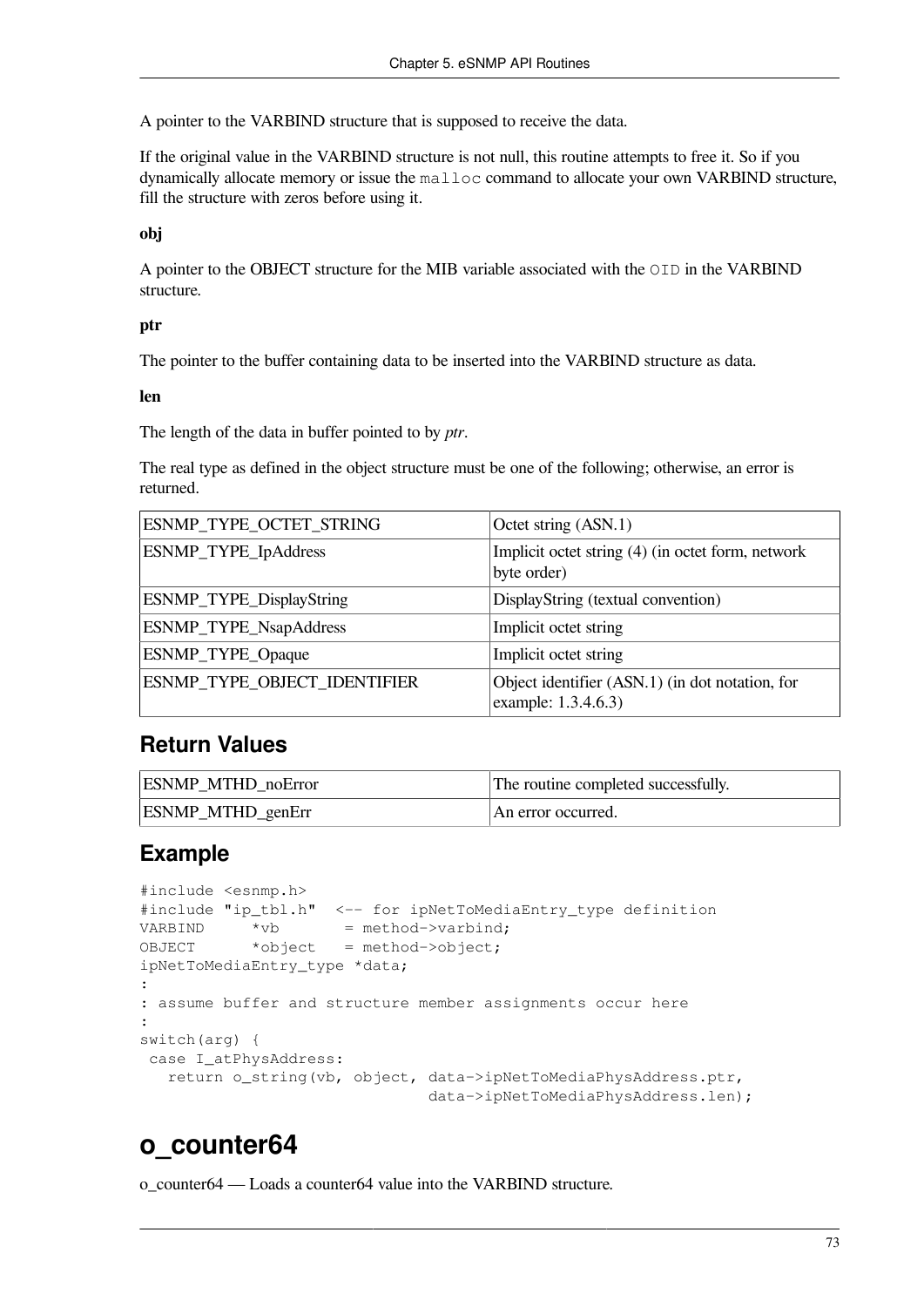A pointer to the VARBIND structure that is supposed to receive the data.

If the original value in the VARBIND structure is not null, this routine attempts to free it. So if you dynamically allocate memory or issue the malloc command to allocate your own VARBIND structure, fill the structure with zeros before using it.

#### **obj**

A pointer to the OBJECT structure for the MIB variable associated with the OID in the VARBIND structure.

#### **ptr**

The pointer to the buffer containing data to be inserted into the VARBIND structure as data.

**len**

The length of the data in buffer pointed to by *ptr*.

The real type as defined in the object structure must be one of the following; otherwise, an error is returned.

| ESNMP_TYPE_OCTET_STRING      | Octet string (ASN.1)                                                   |
|------------------------------|------------------------------------------------------------------------|
| ESNMP_TYPE_IpAddress         | Implicit octet string (4) (in octet form, network<br>byte order)       |
| ESNMP_TYPE_DisplayString     | DisplayString (textual convention)                                     |
| ESNMP_TYPE_NsapAddress       | Implicit octet string                                                  |
| ESNMP_TYPE_Opaque            | Implicit octet string                                                  |
| ESNMP_TYPE_OBJECT_IDENTIFIER | Object identifier (ASN.1) (in dot notation, for<br>example: 1.3.4.6.3) |

### **Return Values**

| <b>ESNMP MTHD noError</b> | The routine completed successfully. |
|---------------------------|-------------------------------------|
| <b>ESNMP_MTHD_genErr</b>  | An error occurred.                  |

### **Example**

```
#include <esnmp.h>
#include "ip_tbl.h" <-- for ipNetToMediaEntry_type definition
VARBIND *vb = method->varbind;<br>OBJECT *object = method->object:
            *object = method->object;
ipNetToMediaEntry_type *data;
:
: assume buffer and structure member assignments occur here
:
switch(arg) {
 case I_atPhysAddress:
    return o_string(vb, object, data->ipNetToMediaPhysAddress.ptr,
                                  data->ipNetToMediaPhysAddress.len);
```
## **o\_counter64**

o\_counter64 — Loads a counter64 value into the VARBIND structure.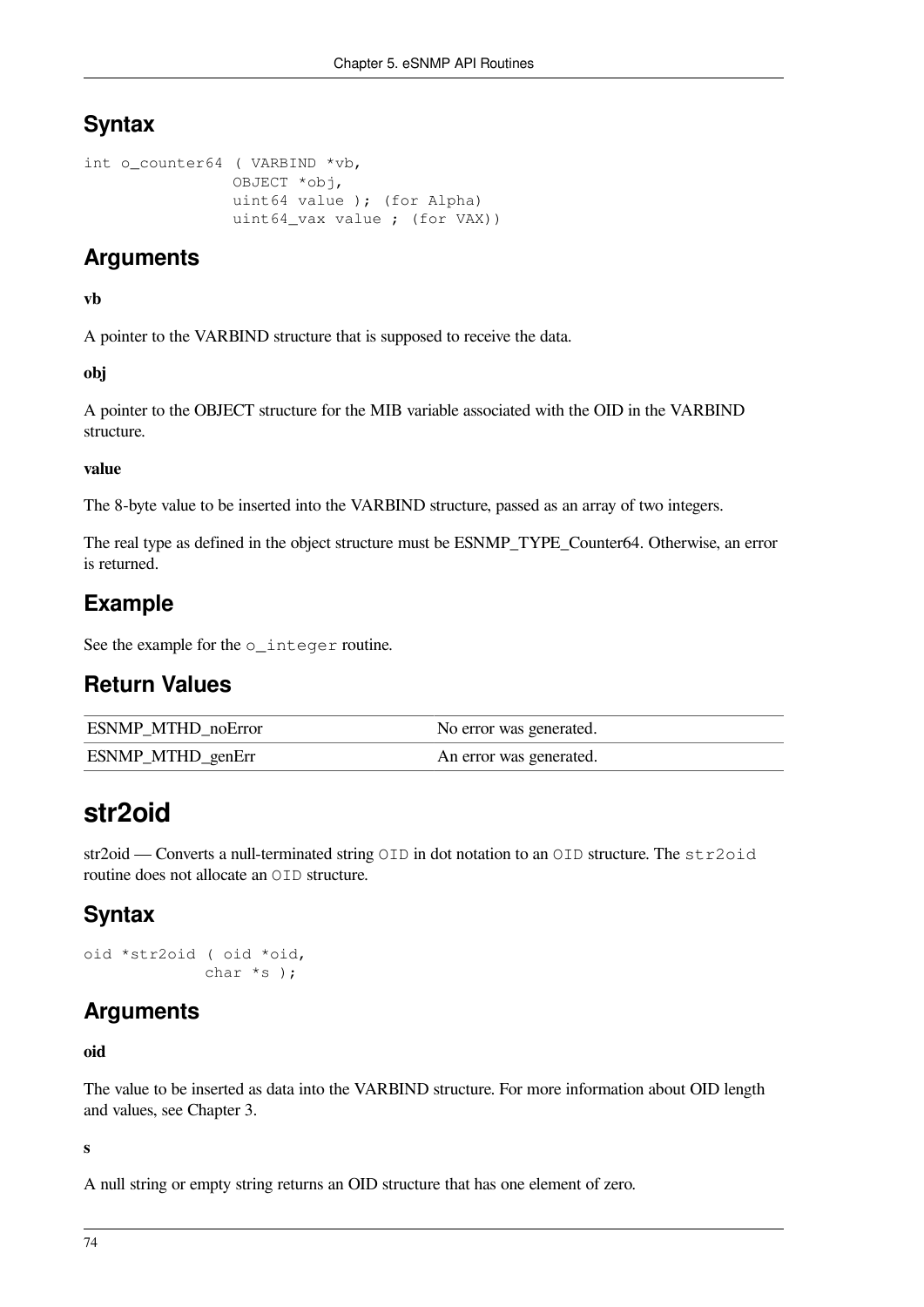## **Syntax**

```
int o_counter64 ( VARBIND *vb,
                 OBJECT *obj,
                 uint64 value ); (for Alpha)
                 uint64_vax value ; (for VAX))
```
## **Arguments**

#### **vb**

A pointer to the VARBIND structure that is supposed to receive the data.

#### **obj**

A pointer to the OBJECT structure for the MIB variable associated with the OID in the VARBIND structure.

#### **value**

The 8-byte value to be inserted into the VARBIND structure, passed as an array of two integers.

The real type as defined in the object structure must be ESNMP\_TYPE\_Counter64. Otherwise, an error is returned.

## **Example**

See the example for the o\_integer routine.

## **Return Values**

| <b>ESNMP MTHD noError</b> | No error was generated. |
|---------------------------|-------------------------|
| <b>ESNMP_MTHD_genErr</b>  | An error was generated. |

## **str2oid**

str2oid — Converts a null-terminated string  $OID$  in dot notation to an  $OID$  structure. The  $str2oid$ routine does not allocate an OID structure.

## **Syntax**

```
oid *str2oid ( oid *oid,
               char *s );
```
## **Arguments**

#### **oid**

The value to be inserted as data into the VARBIND structure. For more information about OID length and values, see [Chapter](#page-26-0) 3.

#### **s**

A null string or empty string returns an OID structure that has one element of zero.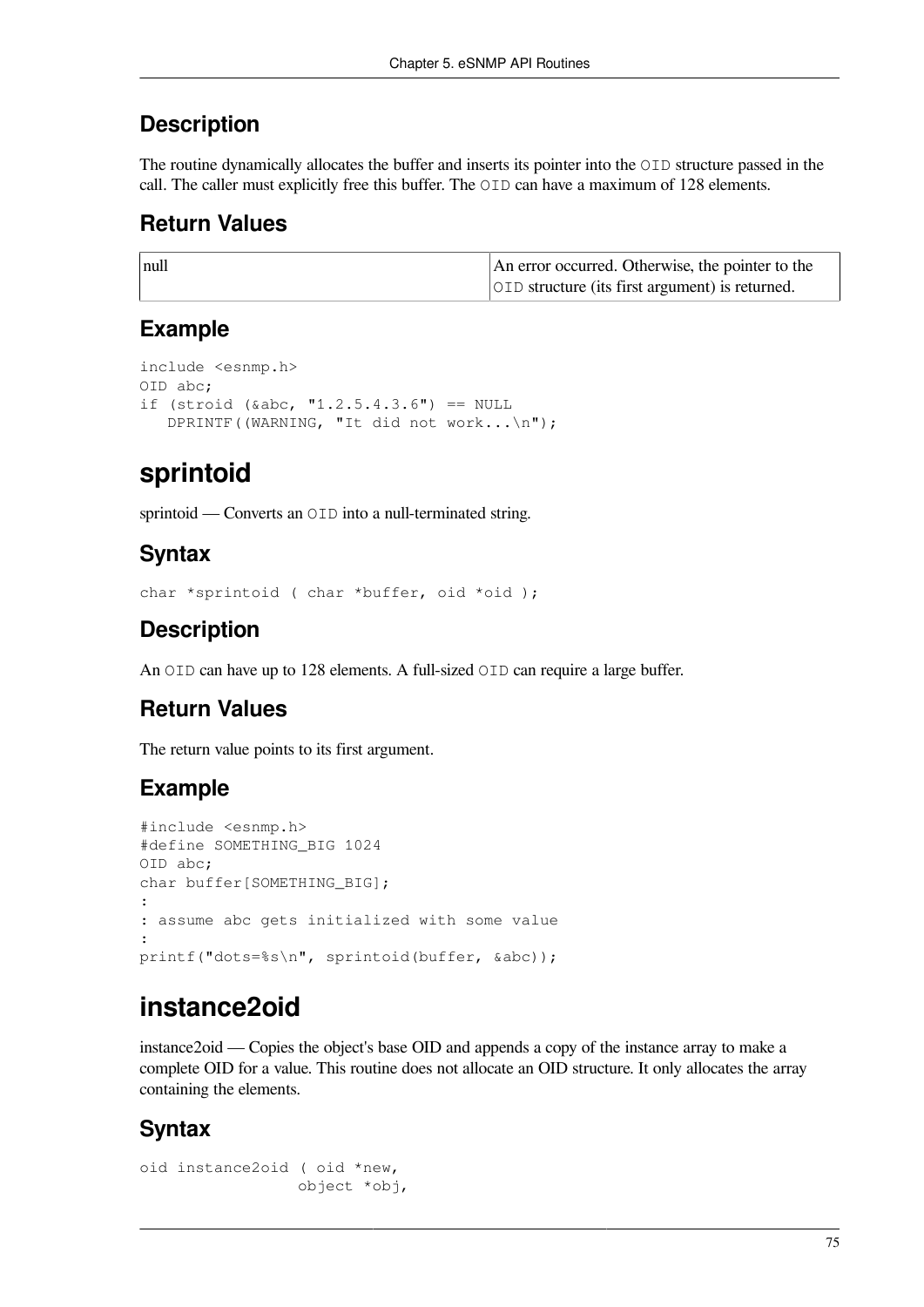### **Description**

The routine dynamically allocates the buffer and inserts its pointer into the OID structure passed in the call. The caller must explicitly free this buffer. The OID can have a maximum of 128 elements.

### **Return Values**

| null | An error occurred. Otherwise, the pointer to the       |
|------|--------------------------------------------------------|
|      | <b>OID</b> structure (its first argument) is returned. |

## **Example**

```
include <esnmp.h>
OID abc;
if (stroid (&abc, "1.2.5.4.3.6") == NULL
    DPRINTF((WARNING, "It did not work...\n");
```
## **sprintoid**

sprintoid — Converts an OID into a null-terminated string.

### **Syntax**

char \*sprintoid ( char \*buffer, oid \*oid );

## **Description**

An OID can have up to 128 elements. A full-sized OID can require a large buffer.

## **Return Values**

The return value points to its first argument.

## **Example**

```
#include <esnmp.h>
#define SOMETHING_BIG 1024
OID abc;
char buffer[SOMETHING BIG];
:
: assume abc gets initialized with some value
:
printf("dots=%s\n", sprintoid(buffer, &abc));
```
## **instance2oid**

instance2oid — Copies the object's base OID and appends a copy of the instance array to make a complete OID for a value. This routine does not allocate an OID structure. It only allocates the array containing the elements.

## **Syntax**

```
oid instance2oid ( oid *new,
                   object *obj,
```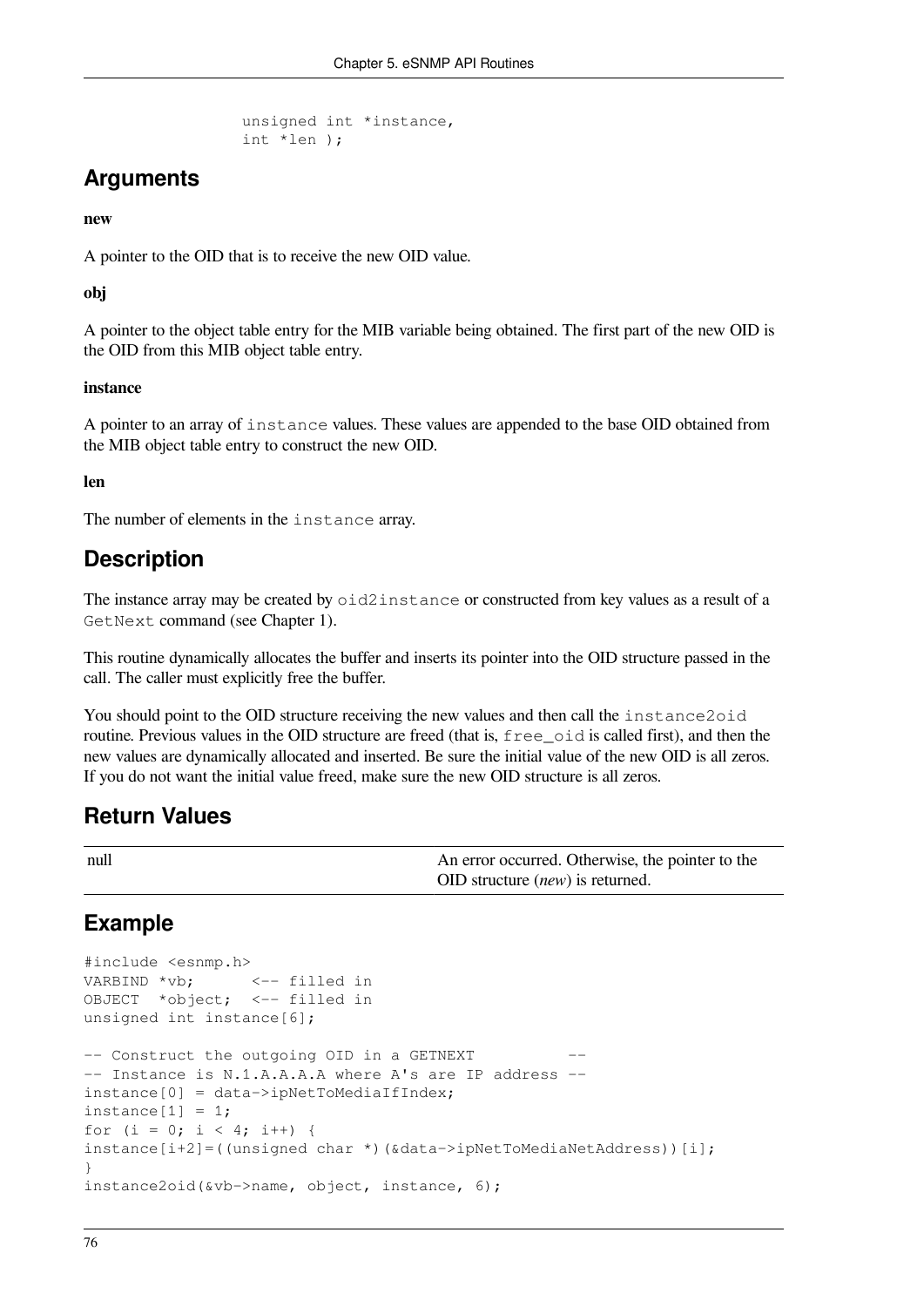```
 unsigned int *instance,
 int *len );
```
## **Arguments**

#### **new**

A pointer to the OID that is to receive the new OID value.

#### **obj**

A pointer to the object table entry for the MIB variable being obtained. The first part of the new OID is the OID from this MIB object table entry.

#### **instance**

A pointer to an array of instance values. These values are appended to the base OID obtained from the MIB object table entry to construct the new OID.

#### **len**

The number of elements in the instance array.

### **Description**

The instance array may be created by oid2instance or constructed from key values as a result of a GetNext command (see [Chapter](#page-8-0) 1).

This routine dynamically allocates the buffer and inserts its pointer into the OID structure passed in the call. The caller must explicitly free the buffer.

You should point to the OID structure receiving the new values and then call the instance2oid routine. Previous values in the OID structure are freed (that is,  $f \text{re} \in \text{oid}$  is called first), and then the new values are dynamically allocated and inserted. Be sure the initial value of the new OID is all zeros. If you do not want the initial value freed, make sure the new OID structure is all zeros.

### **Return Values**

| null | An error occurred. Otherwise, the pointer to the |
|------|--------------------------------------------------|
|      | $\vert$ OID structure <i>(new)</i> is returned.  |

### **Example**

```
#include <esnmp.h>
VARBIND *vb: \leftarrow filled in
OBJECT *object; <-- filled in
unsigned int instance[6];
-- Construct the outgoing OID in a GETNEXT
-- Instance is N.1.A.A.A.A where A's are IP address --
instance[0] = data->ipNetToMedianIfIndex;instance[1] = 1;for (i = 0; i < 4; i++) {
instance[i+2]=((unsigned char *)(&data->ipNetToMediaNetAddress))[i];
}
instance2oid(&vb->name, object, instance, 6);
```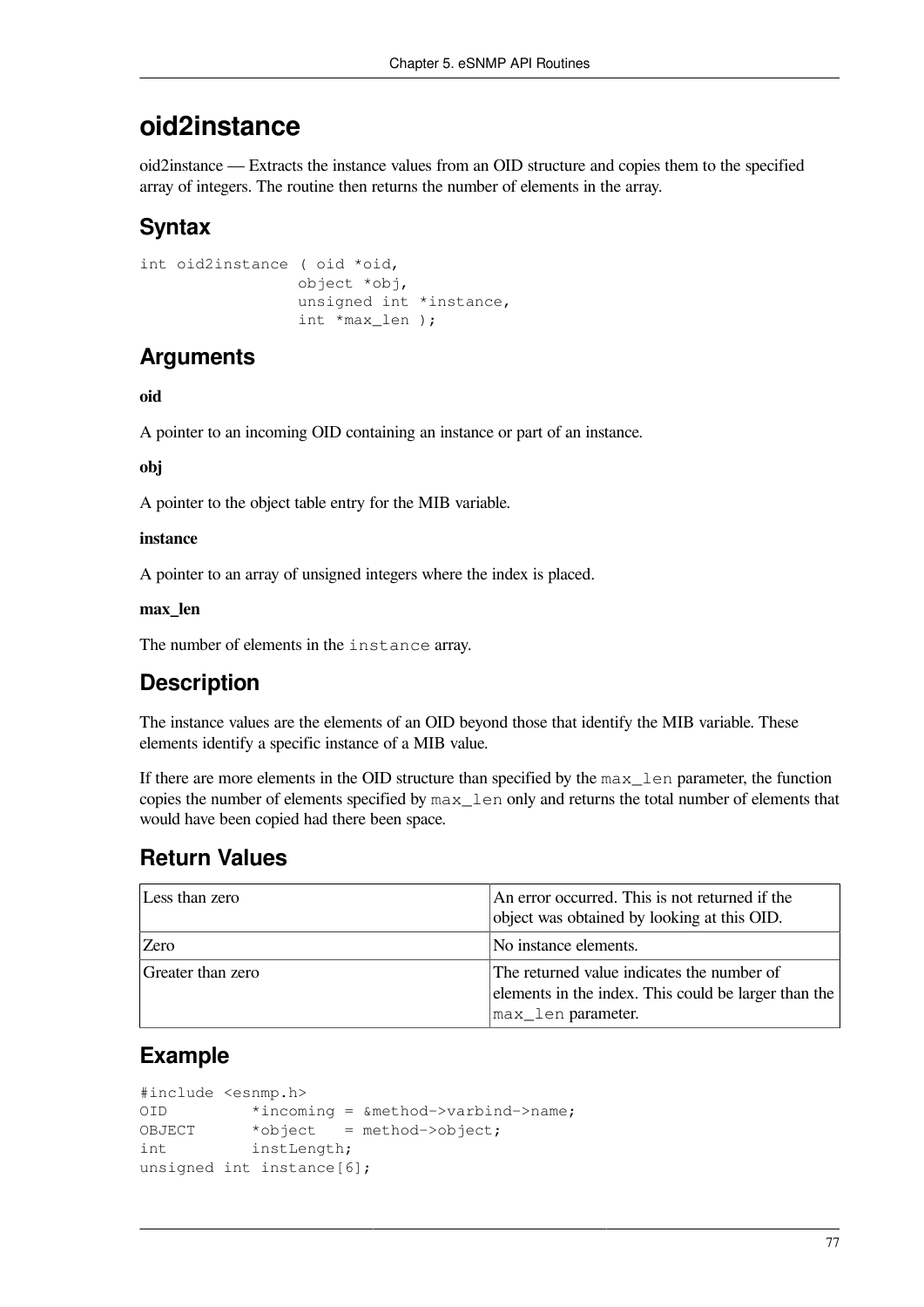## **oid2instance**

oid2instance — Extracts the instance values from an OID structure and copies them to the specified array of integers. The routine then returns the number of elements in the array.

## **Syntax**

```
int oid2instance ( oid *oid,
                   object *obj,
                   unsigned int *instance,
                   int *max_len );
```
## **Arguments**

#### **oid**

A pointer to an incoming OID containing an instance or part of an instance.

#### **obj**

A pointer to the object table entry for the MIB variable.

#### **instance**

A pointer to an array of unsigned integers where the index is placed.

#### **max\_len**

The number of elements in the instance array.

## **Description**

The instance values are the elements of an OID beyond those that identify the MIB variable. These elements identify a specific instance of a MIB value.

If there are more elements in the OID structure than specified by the max\_len parameter, the function copies the number of elements specified by  $max$  len only and returns the total number of elements that would have been copied had there been space.

## **Return Values**

| Less than zero    | An error occurred. This is not returned if the<br>object was obtained by looking at this OID.                            |
|-------------------|--------------------------------------------------------------------------------------------------------------------------|
| <b>Zero</b>       | No instance elements.                                                                                                    |
| Greater than zero | The returned value indicates the number of<br>elements in the index. This could be larger than the<br>max_len parameter. |

## **Example**

```
#include <esnmp.h>
OID *incoming = &method->varbind->name;
OBJECT *object = method->object;
int instLength;
unsigned int instance[6];
```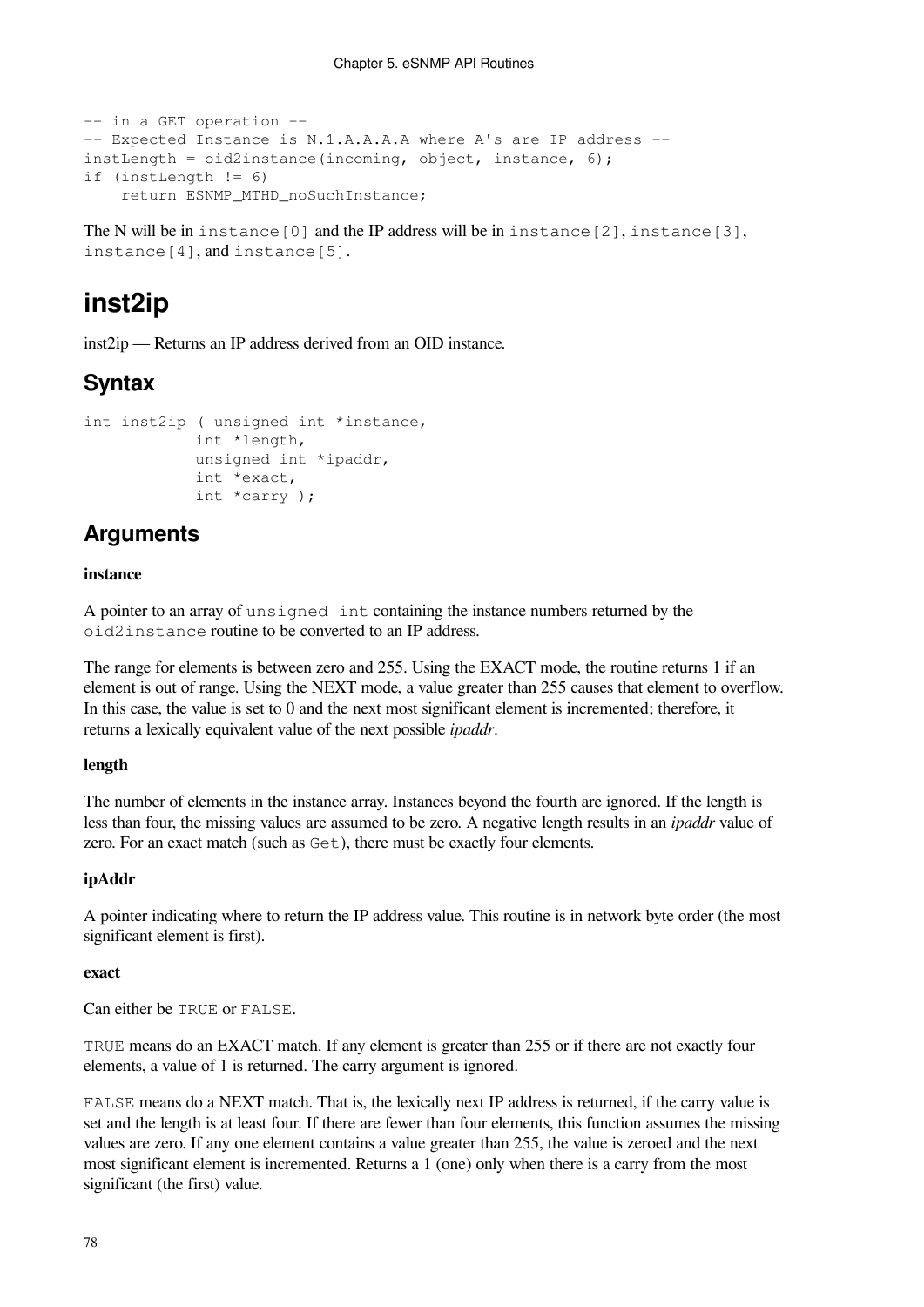```
-- in a GET operation --
-- Expected Instance is N.1.A.A.A.A where A's are IP address --
instLength = oid2instance(incoming, object, instance, 6);
if (instLength != 6)
     return ESNMP_MTHD_noSuchInstance;
```
The N will be in instance  $[0]$  and the IP address will be in instance  $[2]$ , instance  $[3]$ , instance[4], and instance[5].

## **inst2ip**

inst2ip — Returns an IP address derived from an OID instance.

## **Syntax**

```
int inst2ip ( unsigned int *instance,
             int *length,
              unsigned int *ipaddr,
              int *exact,
              int *carry );
```
## **Arguments**

#### **instance**

A pointer to an array of unsigned int containing the instance numbers returned by the oid2instance routine to be converted to an IP address.

The range for elements is between zero and 255. Using the EXACT mode, the routine returns 1 if an element is out of range. Using the NEXT mode, a value greater than 255 causes that element to overflow. In this case, the value is set to 0 and the next most significant element is incremented; therefore, it returns a lexically equivalent value of the next possible *ipaddr*.

#### **length**

The number of elements in the instance array. Instances beyond the fourth are ignored. If the length is less than four, the missing values are assumed to be zero. A negative length results in an *ipaddr* value of zero. For an exact match (such as Get), there must be exactly four elements.

#### **ipAddr**

A pointer indicating where to return the IP address value. This routine is in network byte order (the most significant element is first).

#### **exact**

Can either be TRUE or FALSE.

TRUE means do an EXACT match. If any element is greater than 255 or if there are not exactly four elements, a value of 1 is returned. The carry argument is ignored.

FALSE means do a NEXT match. That is, the lexically next IP address is returned, if the carry value is set and the length is at least four. If there are fewer than four elements, this function assumes the missing values are zero. If any one element contains a value greater than 255, the value is zeroed and the next most significant element is incremented. Returns a 1 (one) only when there is a carry from the most significant (the first) value.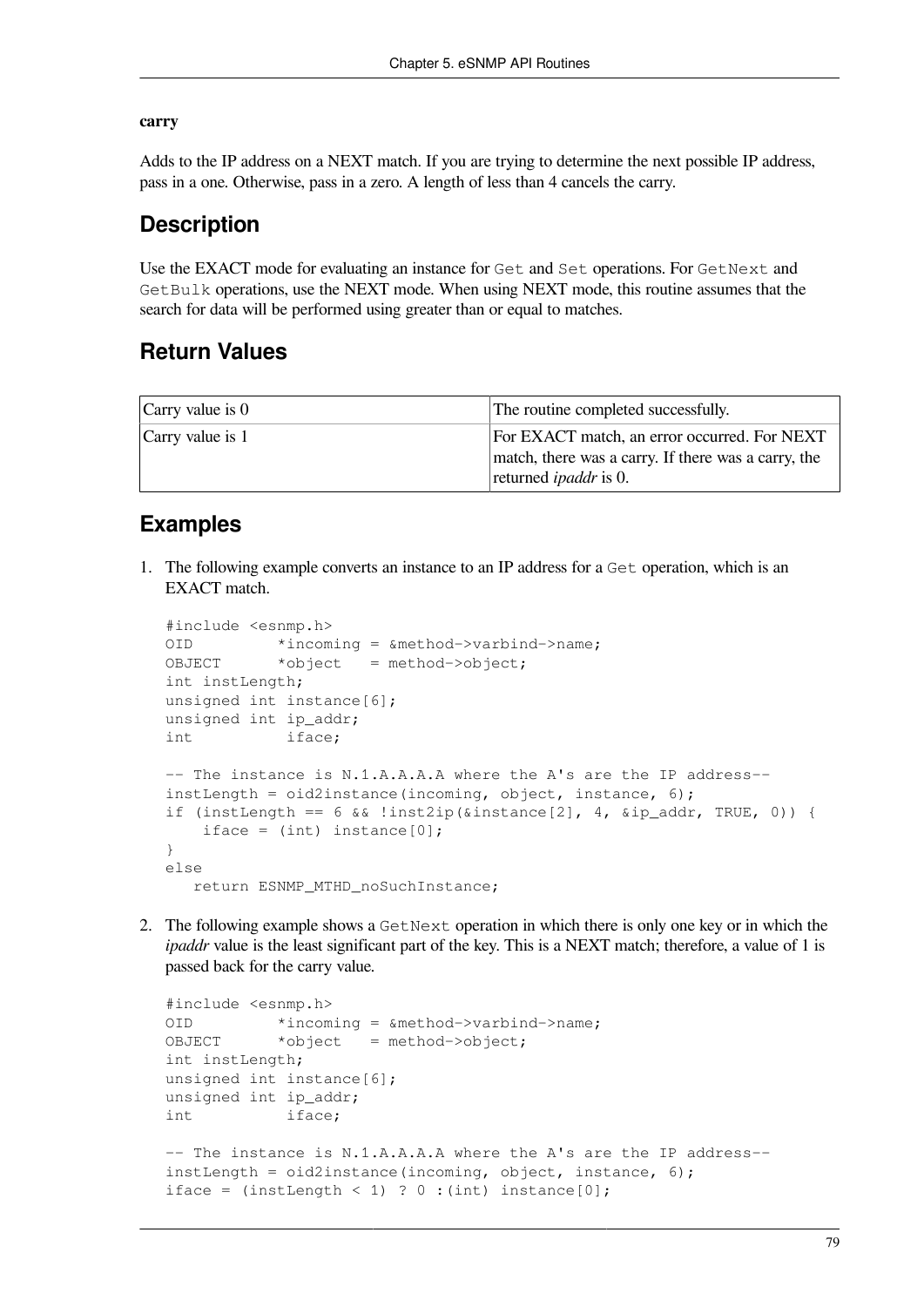#### **carry**

Adds to the IP address on a NEXT match. If you are trying to determine the next possible IP address, pass in a one. Otherwise, pass in a zero. A length of less than 4 cancels the carry.

### **Description**

Use the EXACT mode for evaluating an instance for Get and Set operations. For GetNext and GetBulk operations, use the NEXT mode. When using NEXT mode, this routine assumes that the search for data will be performed using greater than or equal to matches.

### **Return Values**

| Carry value is $0$ | The routine completed successfully.                                                                                                 |
|--------------------|-------------------------------------------------------------------------------------------------------------------------------------|
| Carry value is 1   | For EXACT match, an error occurred. For NEXT<br>match, there was a carry. If there was a carry, the<br>returned <i>ipaddr</i> is 0. |

### **Examples**

1. The following example converts an instance to an IP address for a Get operation, which is an EXACT match.

```
#include <esnmp.h>
OID *incoming = &method->varbind->name;
OBJECT *object = method->object;
int instLength;
unsigned int instance[6];
unsigned int ip_addr;
int iface;
-- The instance is N.1.A.A.A.A where the A's are the IP address--
instLength = oid2instance(incoming, object, instance, 6);
if (instLength == 6 \& 8 !inst2ip(\&instance[2], 4, \&ip_addr, TRUE, 0)) {
    iface = (int) instance[0];
}
else
    return ESNMP_MTHD_noSuchInstance;
```
2. The following example shows a GetNext operation in which there is only one key or in which the *ipaddr* value is the least significant part of the key. This is a NEXT match; therefore, a value of 1 is passed back for the carry value.

```
#include <esnmp.h>
OID *incoming = &method->varbind->name;
OBJECT *object = method->object;
int instLength;
unsigned int instance[6];
unsigned int ip_addr;
int iface;
-- The instance is N.1.A.A.A.A where the A's are the IP address--
instLength = oid2instance(incoming, object, instance, 6);
iface = (instLength < 1) ? 0 :(int) instance[0];
```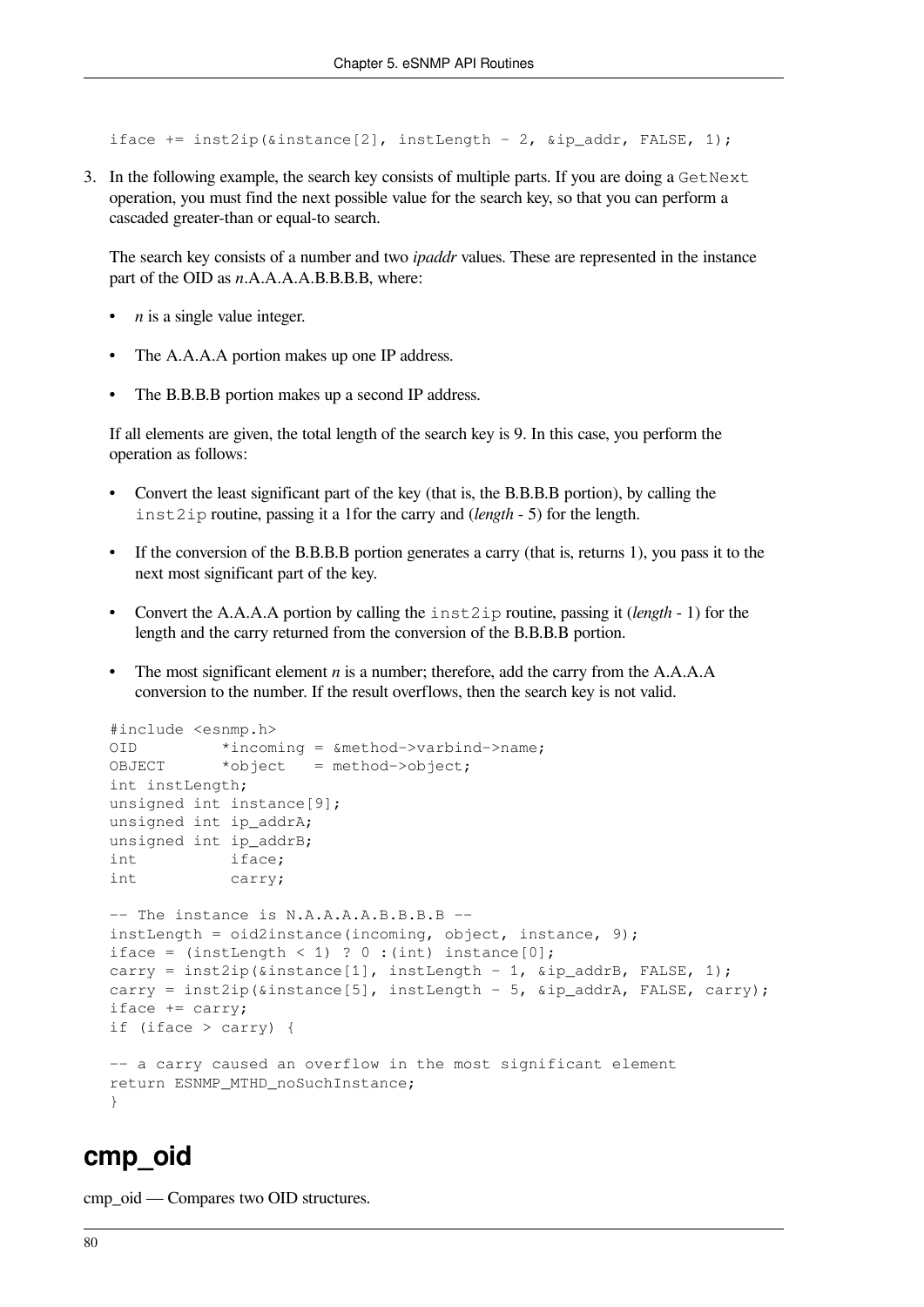iface += inst2ip(&instance[2], instLength - 2, &ip\_addr, FALSE, 1);

3. In the following example, the search key consists of multiple parts. If you are doing a GetNext operation, you must find the next possible value for the search key, so that you can perform a cascaded greater-than or equal-to search.

The search key consists of a number and two *ipaddr* values. These are represented in the instance part of the OID as *n*.A.A.A.A.B.B.B.B, where:

- *n* is a single value integer.
- The A.A.A.A portion makes up one IP address.
- The B.B.B.B portion makes up a second IP address.

If all elements are given, the total length of the search key is 9. In this case, you perform the operation as follows:

- Convert the least significant part of the key (that is, the B.B.B.B portion), by calling the inst2ip routine, passing it a 1for the carry and (*length* - 5) for the length.
- If the conversion of the B.B.B.B portion generates a carry (that is, returns 1), you pass it to the next most significant part of the key.
- Convert the A.A.A.A portion by calling the inst2ip routine, passing it (*length* 1) for the length and the carry returned from the conversion of the B.B.B.B portion.
- The most significant element *n* is a number; therefore, add the carry from the A.A.A.A. conversion to the number. If the result overflows, then the search key is not valid.

```
#include <esnmp.h>
OID *incoming = &method->varbind->name;
OBJECT *object = method->object;
int instLength;
unsigned int instance[9];
unsigned int ip_addrA;
unsigned int ip addrB;
int iface;
int carry;
-- The instance is N.A.A.A.A.B.B.B.B --
instLength = oid2instance(incoming, object, instance, 9);
iface = (instLength < 1) ? 0 :(int) instance[0];
carry = inst2ip(&instance[1], instLength - 1, &ip addrB, FALSE, 1);
carry = inst2ip(&instance[5], instLength - 5, &ip addrA, FALSE, carry);
iface += carry;
if (iface > carry) {
-- a carry caused an overflow in the most significant element
return ESNMP_MTHD_noSuchInstance;
}
```
### **cmp\_oid**

cmp\_oid — Compares two OID structures.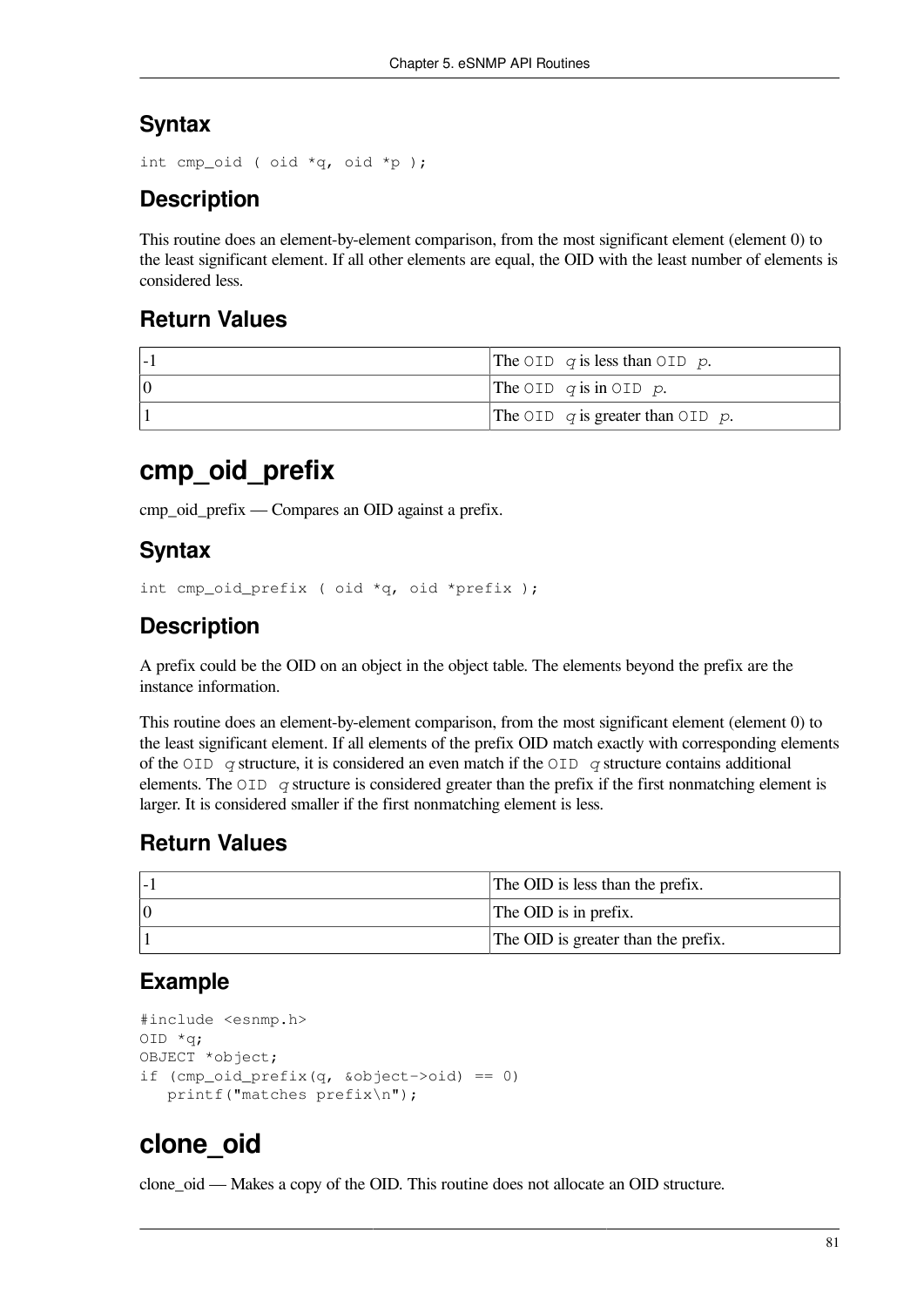## **Syntax**

```
int cmp_oid ( oid *q, oid *p );
```
## **Description**

This routine does an element-by-element comparison, from the most significant element (element 0) to the least significant element. If all other elements are equal, the OID with the least number of elements is considered less.

## **Return Values**

| The OID q is less than OID p.         |
|---------------------------------------|
| The OID $q$ is in OID $p$ .           |
| The OID $q$ is greater than OID $p$ . |

## **cmp\_oid\_prefix**

cmp\_oid\_prefix — Compares an OID against a prefix.

## **Syntax**

```
int cmp_oid_prefix ( oid *q, oid *prefix );
```
## **Description**

A prefix could be the OID on an object in the object table. The elements beyond the prefix are the instance information.

This routine does an element-by-element comparison, from the most significant element (element 0) to the least significant element. If all elements of the prefix OID match exactly with corresponding elements of the OID *q* structure, it is considered an even match if the OID *q* structure contains additional elements. The  $\overline{OID}$  *q* structure is considered greater than the prefix if the first nonmatching element is larger. It is considered smaller if the first nonmatching element is less.

## **Return Values**

| The OID is less than the prefix.    |
|-------------------------------------|
| The OID is in prefix.               |
| The OID is greater than the prefix. |

## **Example**

```
#include <esnmp.h>
OID *q;
OBJECT *object;
if (cmp\_oid\_prefix(q, \&object->oid) == 0) printf("matches prefix\n");
```
## **clone\_oid**

clone oid — Makes a copy of the OID. This routine does not allocate an OID structure.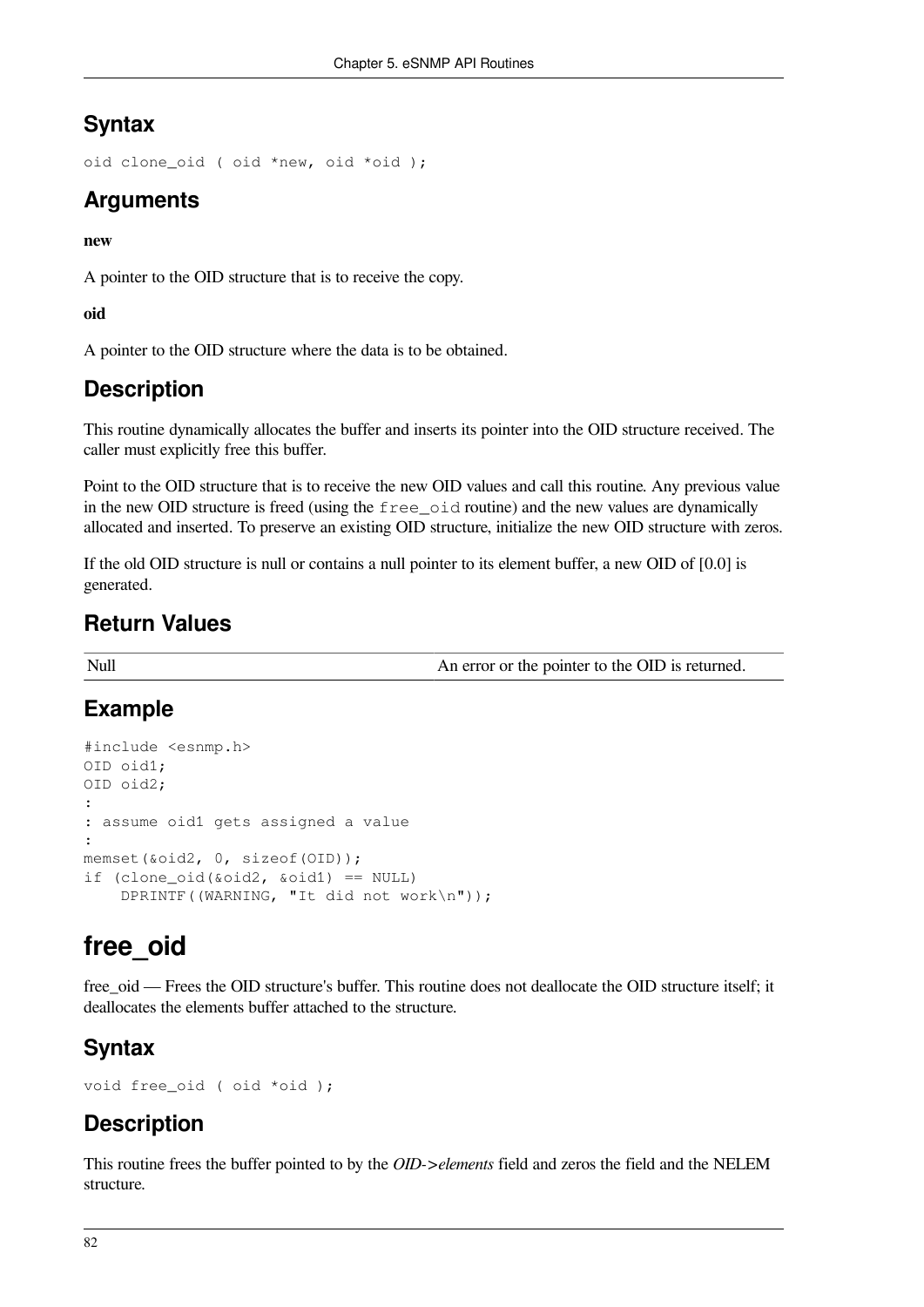## **Syntax**

```
oid clone_oid ( oid *new, oid *oid );
```
## **Arguments**

#### **new**

A pointer to the OID structure that is to receive the copy.

**oid**

A pointer to the OID structure where the data is to be obtained.

## **Description**

This routine dynamically allocates the buffer and inserts its pointer into the OID structure received. The caller must explicitly free this buffer.

Point to the OID structure that is to receive the new OID values and call this routine. Any previous value in the new OID structure is freed (using the free\_oid routine) and the new values are dynamically allocated and inserted. To preserve an existing OID structure, initialize the new OID structure with zeros.

If the old OID structure is null or contains a null pointer to its element buffer, a new OID of [0.0] is generated.

## **Return Values**

Null An error or the pointer to the OID is returned.

## **Example**

```
#include <esnmp.h>
OID oid1;
OID oid2;
:
: assume oid1 gets assigned a value
:
memset(&oid2, 0, sizeof(OID));
if (clone_oid(&oid2, &oid1) == NULL)
     DPRINTF((WARNING, "It did not work\n"));
```
## **free\_oid**

free\_oid — Frees the OID structure's buffer. This routine does not deallocate the OID structure itself; it deallocates the elements buffer attached to the structure.

## **Syntax**

```
void free_oid ( oid *oid );
```
## **Description**

This routine frees the buffer pointed to by the *OID->elements* field and zeros the field and the NELEM structure.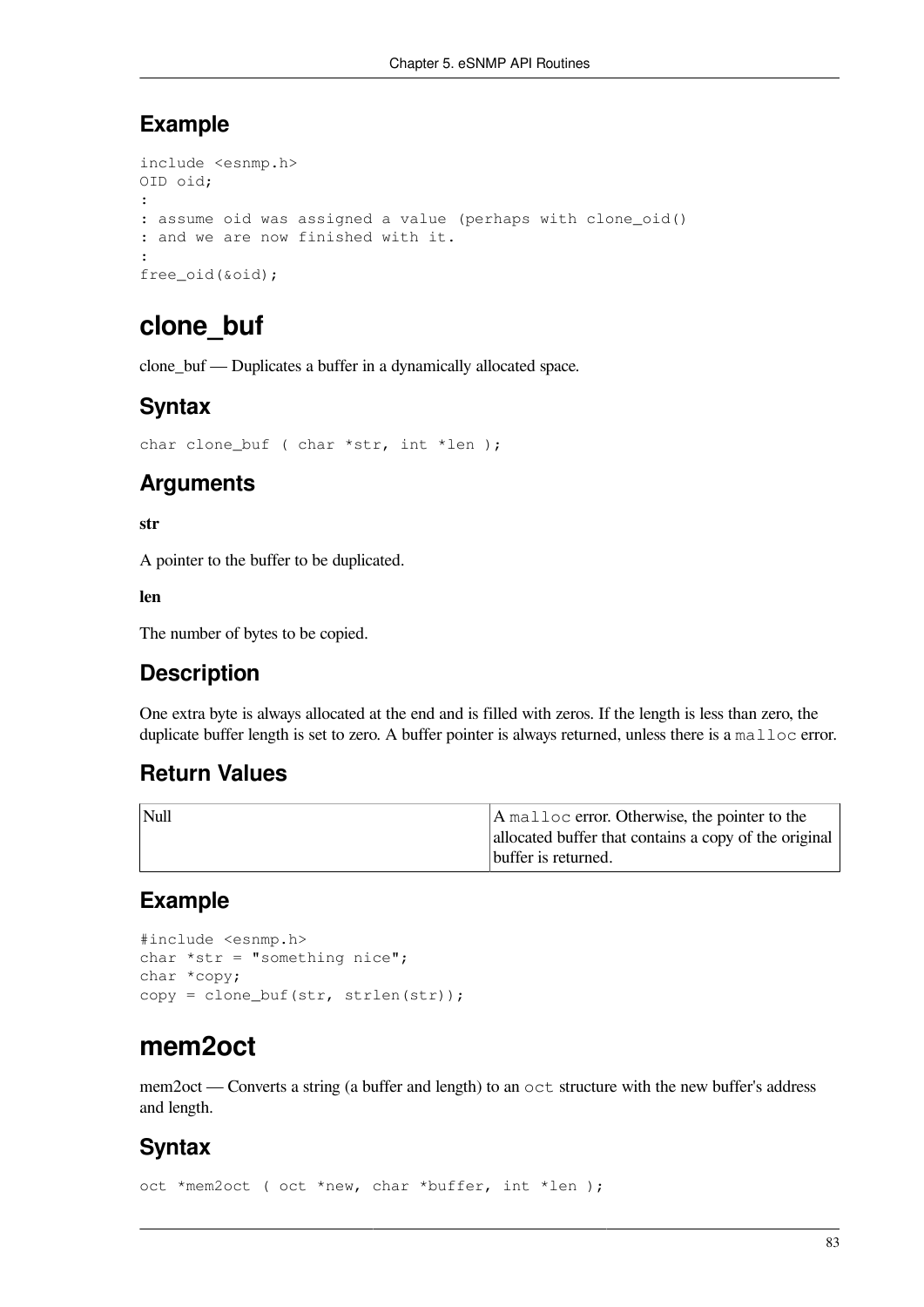## **Example**

```
include <esnmp.h>
OID oid;
:
: assume oid was assigned a value (perhaps with clone_oid()
: and we are now finished with it.
:
free_oid(&oid);
```
## **clone\_buf**

clone\_buf — Duplicates a buffer in a dynamically allocated space.

## **Syntax**

```
char clone_buf ( char *str, int *len );
```
## **Arguments**

#### **str**

A pointer to the buffer to be duplicated.

#### **len**

The number of bytes to be copied.

## **Description**

One extra byte is always allocated at the end and is filled with zeros. If the length is less than zero, the duplicate buffer length is set to zero. A buffer pointer is always returned, unless there is a malloc error.

## **Return Values**

| $\vert$ Null | A malloc error. Otherwise, the pointer to the         |
|--------------|-------------------------------------------------------|
|              | allocated buffer that contains a copy of the original |
|              | buffer is returned.                                   |

## **Example**

```
#include <esnmp.h>
char *str = "something nice";
char *copy;
copy = clone_buf(str, strlen(str));
```
## **mem2oct**

mem2oct — Converts a string (a buffer and length) to an oct structure with the new buffer's address and length.

## **Syntax**

oct \*mem2oct ( oct \*new, char \*buffer, int \*len );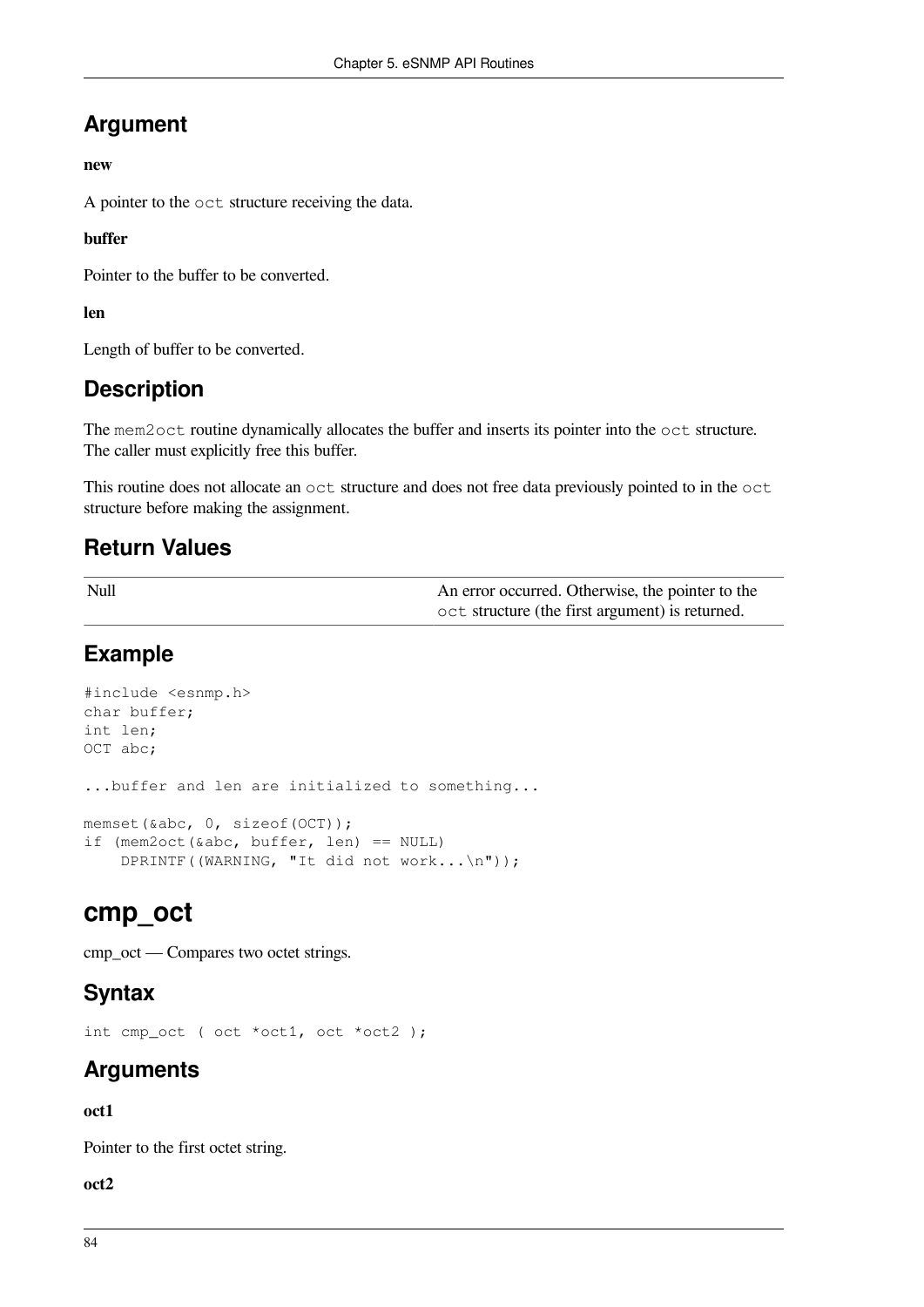## **Argument**

#### **new**

A pointer to the oct structure receiving the data.

#### **buffer**

Pointer to the buffer to be converted.

**len**

Length of buffer to be converted.

## **Description**

The mem2oct routine dynamically allocates the buffer and inserts its pointer into the oct structure. The caller must explicitly free this buffer.

This routine does not allocate an oct structure and does not free data previously pointed to in the oct structure before making the assignment.

## **Return Values**

| Null | An error occurred. Otherwise, the pointer to the |
|------|--------------------------------------------------|
|      | oct structure (the first argument) is returned.  |

## **Example**

```
#include <esnmp.h>
char buffer;
int len;
OCT abc;
...buffer and len are initialized to something...
memset(&abc, 0, sizeof(OCT));
if (mem2oct(&abc, buffer, len) == NULL)
     DPRINTF((WARNING, "It did not work...\n"));
```
## **cmp\_oct**

cmp\_oct — Compares two octet strings.

## **Syntax**

int cmp oct ( oct \*oct1, oct \*oct2 );

## **Arguments**

### **oct1**

Pointer to the first octet string.

**oct2**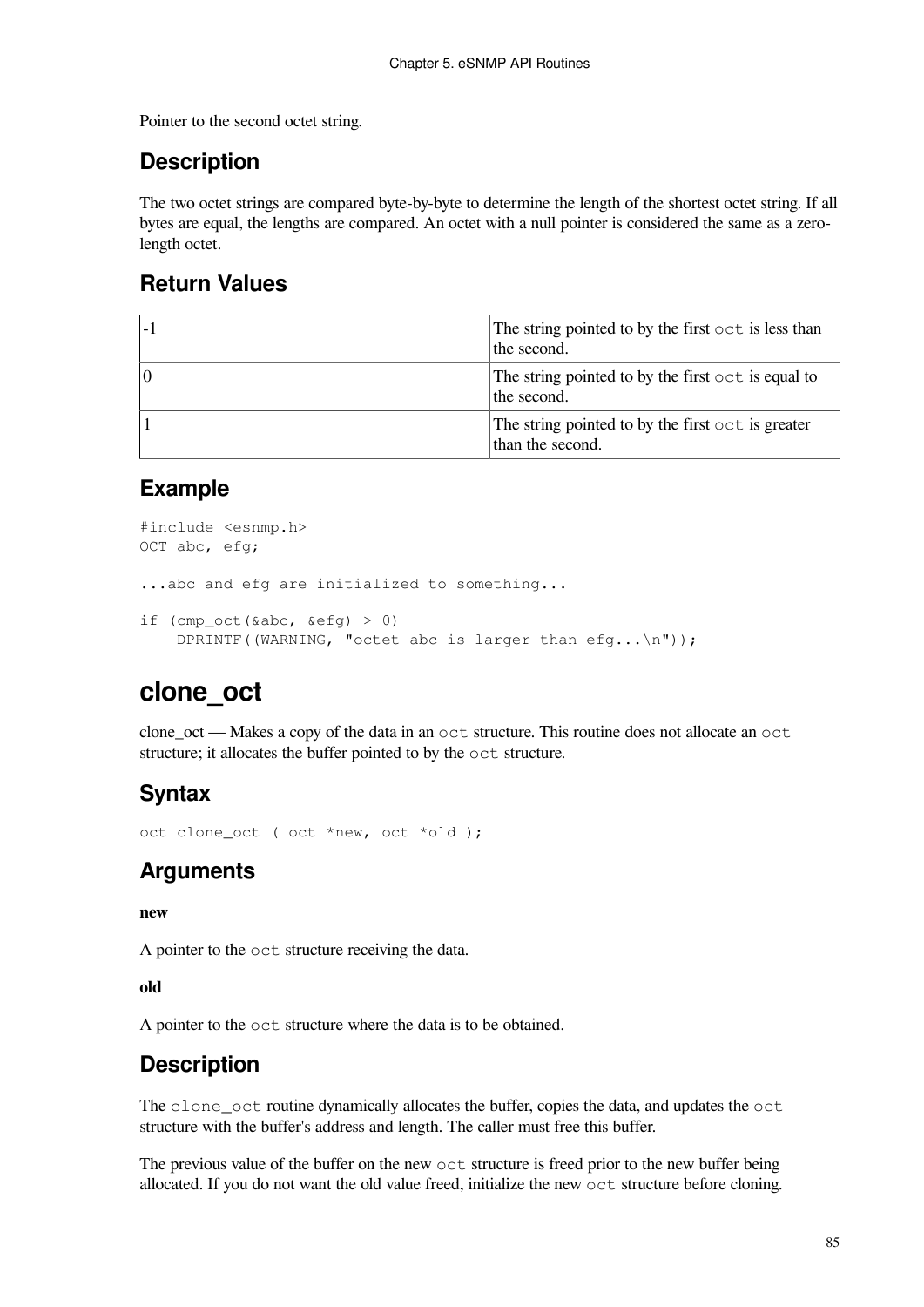Pointer to the second octet string.

## **Description**

The two octet strings are compared byte-by-byte to determine the length of the shortest octet string. If all bytes are equal, the lengths are compared. An octet with a null pointer is considered the same as a zerolength octet.

## **Return Values**

| The string pointed to by the first oct is less than<br>the second.    |
|-----------------------------------------------------------------------|
| The string pointed to by the first oct is equal to<br>the second.     |
| The string pointed to by the first oct is greater<br>than the second. |

### **Example**

```
#include <esnmp.h>
OCT abc, efg;
...abc and efg are initialized to something...
if (cmp oct(\&abc, \&efc fg) > 0)
    DPRINTF((WARNING, "octet abc is larger than efg...\n\timesn"));
```
## **clone\_oct**

clone\_oct — Makes a copy of the data in an oct structure. This routine does not allocate an oct structure; it allocates the buffer pointed to by the oct structure.

## **Syntax**

oct clone\_oct ( oct \*new, oct \*old );

## **Arguments**

#### **new**

A pointer to the oct structure receiving the data.

#### **old**

A pointer to the oct structure where the data is to be obtained.

## **Description**

The clone\_oct routine dynamically allocates the buffer, copies the data, and updates the oct structure with the buffer's address and length. The caller must free this buffer.

The previous value of the buffer on the new oct structure is freed prior to the new buffer being allocated. If you do not want the old value freed, initialize the new oct structure before cloning.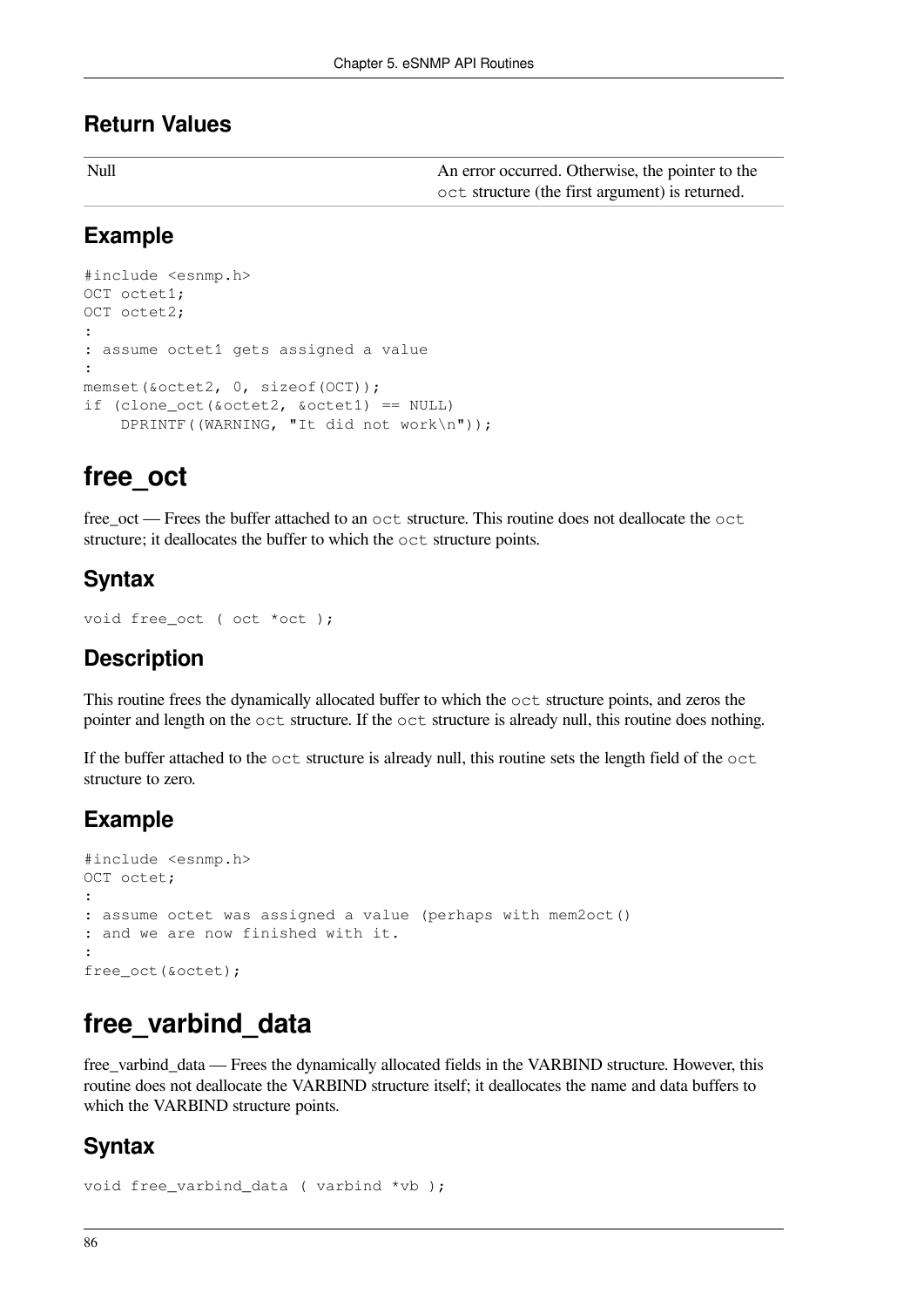### **Return Values**

| Null | An error occurred. Otherwise, the pointer to the |
|------|--------------------------------------------------|
|      | oct structure (the first argument) is returned.  |

### **Example**

```
#include <esnmp.h>
OCT octet1;
OCT octet2;
:
: assume octet1 gets assigned a value
:
memset(&octet2, 0, sizeof(OCT));
if (clone oct(&octet2, &octet1) == NULL DPRINTF((WARNING, "It did not work\n"));
```
## **free\_oct**

free\_oct — Frees the buffer attached to an oct structure. This routine does not deallocate the oct structure; it deallocates the buffer to which the oct structure points.

## **Syntax**

```
void free_oct ( oct *oct );
```
## **Description**

This routine frees the dynamically allocated buffer to which the oct structure points, and zeros the pointer and length on the oct structure. If the oct structure is already null, this routine does nothing.

If the buffer attached to the oct structure is already null, this routine sets the length field of the oct structure to zero.

## **Example**

```
#include <esnmp.h>
OCT octet;
:
: assume octet was assigned a value (perhaps with mem2oct()
: and we are now finished with it.
:
free_oct(&octet);
```
## **free\_varbind\_data**

free\_varbind\_data — Frees the dynamically allocated fields in the VARBIND structure. However, this routine does not deallocate the VARBIND structure itself; it deallocates the name and data buffers to which the VARBIND structure points.

### **Syntax**

```
void free_varbind_data ( varbind *vb );
```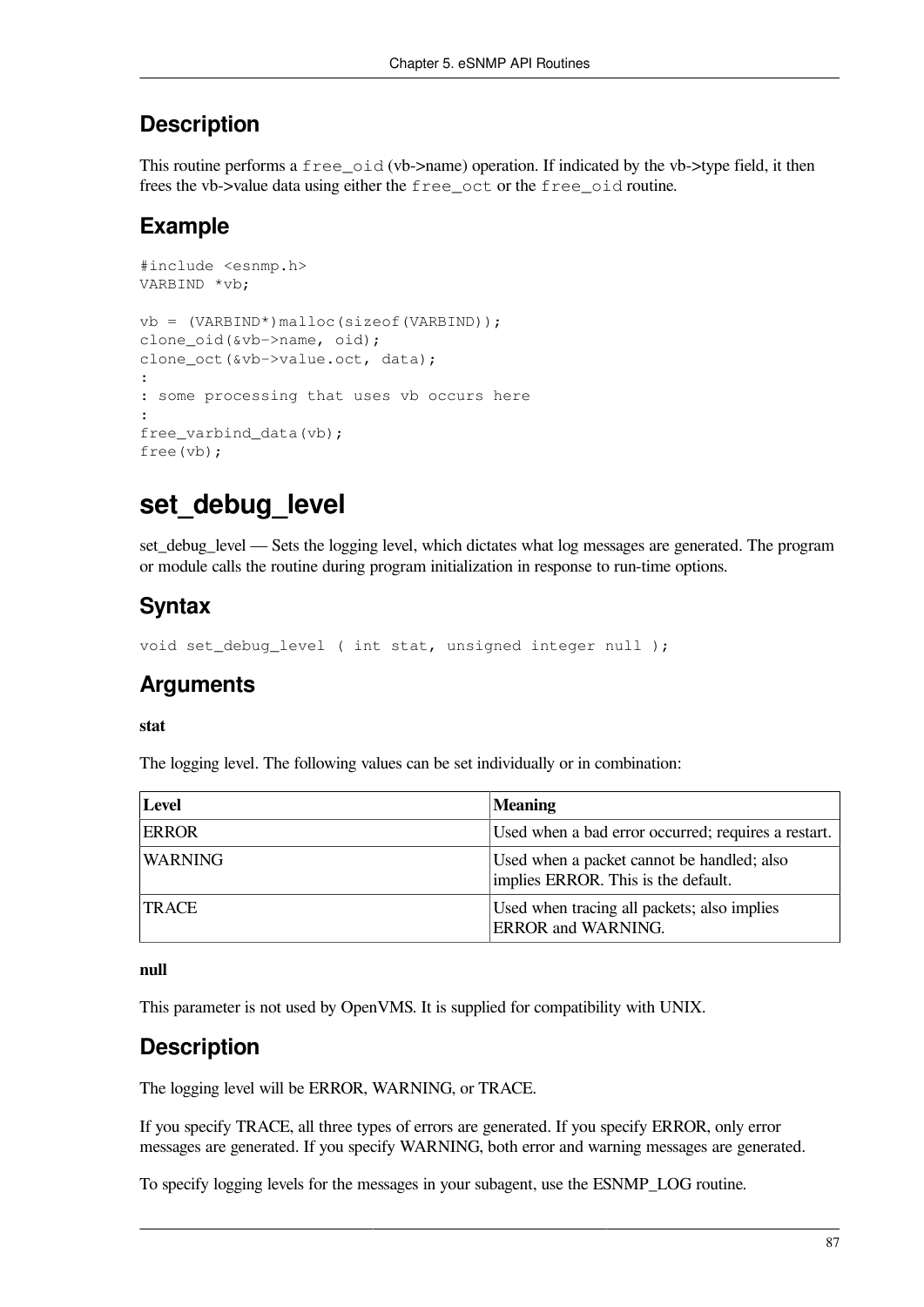## **Description**

This routine performs a free\_oid (vb->name) operation. If indicated by the vb->type field, it then frees the vb->value data using either the free\_oct or the free\_oid routine.

## **Example**

```
#include <esnmp.h>
VARBIND *vb;
vb = (VARBIND*)malloc(sizeof(VARBIND));
clone_oid(&vb->name, oid);
clone_oct(&vb->value.oct, data);
:
: some processing that uses vb occurs here
:
free_varbind_data(vb);
free(vb);
```
## set debug level

set debug level — Sets the logging level, which dictates what log messages are generated. The program or module calls the routine during program initialization in response to run-time options.

## **Syntax**

void set\_debug\_level ( int stat, unsigned integer null );

## **Arguments**

**stat**

The logging level. The following values can be set individually or in combination:

| <b>Level</b>   | <b>Meaning</b>                                                                    |
|----------------|-----------------------------------------------------------------------------------|
| <b>ERROR</b>   | Used when a bad error occurred; requires a restart.                               |
| <b>WARNING</b> | Used when a packet cannot be handled; also<br>implies ERROR. This is the default. |
| <b>TRACE</b>   | Used when tracing all packets; also implies<br><b>ERROR</b> and <b>WARNING</b> .  |

**null**

This parameter is not used by OpenVMS. It is supplied for compatibility with UNIX.

## **Description**

The logging level will be ERROR, WARNING, or TRACE.

If you specify TRACE, all three types of errors are generated. If you specify ERROR, only error messages are generated. If you specify WARNING, both error and warning messages are generated.

To specify logging levels for the messages in your subagent, use the ESNMP\_LOG routine.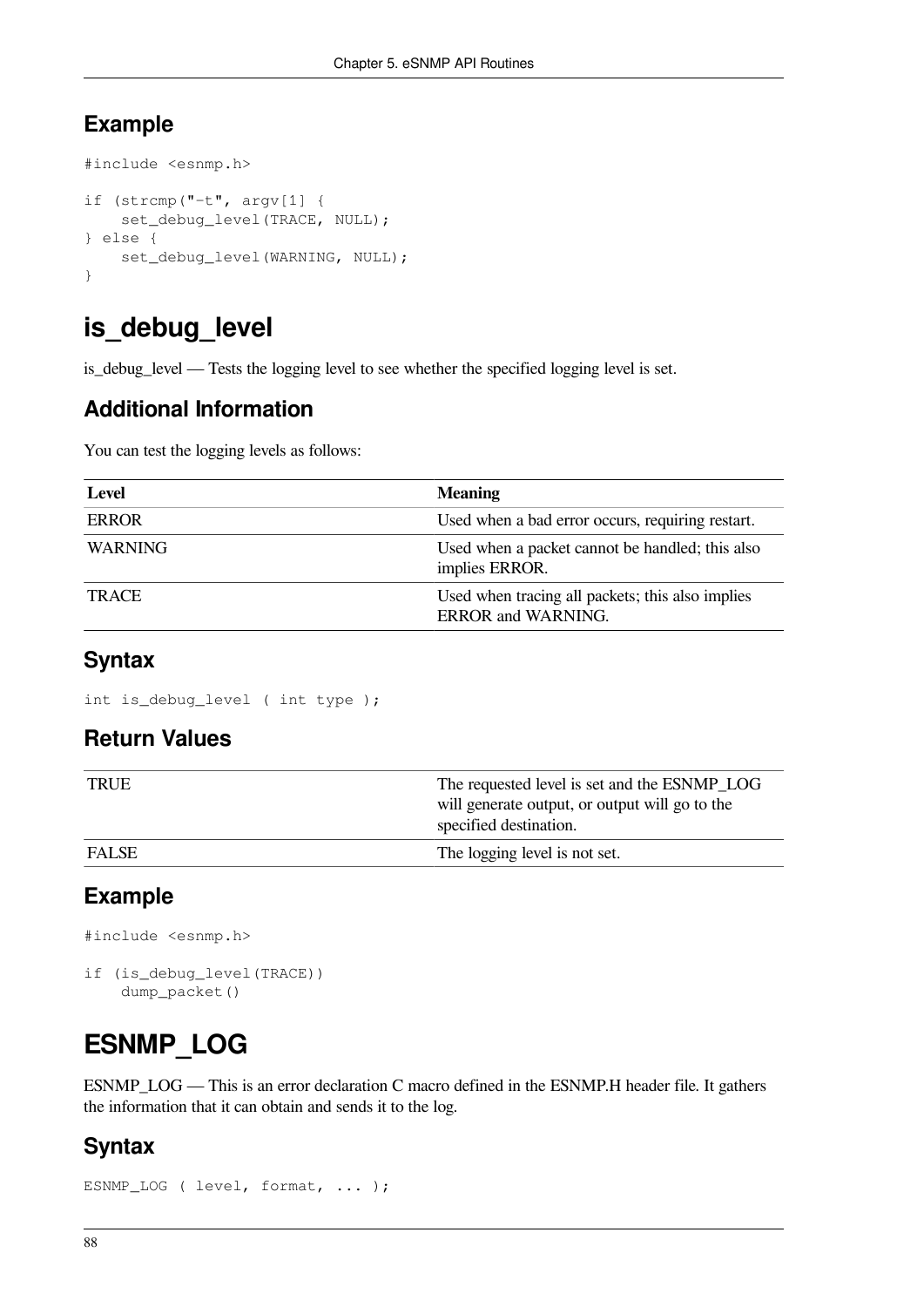## **Example**

```
#include <esnmp.h>
if (strcmp("-t", argv[1] {
     set_debug_level(TRACE, NULL);
} else {
     set_debug_level(WARNING, NULL);
}
```
## **is\_debug\_level**

is\_debug\_level — Tests the logging level to see whether the specified logging level is set.

## **Additional Information**

You can test the logging levels as follows:

| <b>Level</b>   | <b>Meaning</b>                                                                |
|----------------|-------------------------------------------------------------------------------|
| <b>ERROR</b>   | Used when a bad error occurs, requiring restart.                              |
| <b>WARNING</b> | Used when a packet cannot be handled; this also<br>implies ERROR.             |
| <b>TRACE</b>   | Used when tracing all packets; this also implies<br><b>ERROR</b> and WARNING. |

## **Syntax**

int is\_debug\_level ( int type );

### **Return Values**

| <b>TRUE</b>  | The requested level is set and the ESNMP_LOG<br>will generate output, or output will go to the<br>specified destination. |
|--------------|--------------------------------------------------------------------------------------------------------------------------|
| <b>FALSE</b> | The logging level is not set.                                                                                            |

## **Example**

#include <esnmp.h>

```
if (is_debug_level(TRACE))
     dump_packet()
```
## **ESNMP\_LOG**

ESNMP\_LOG — This is an error declaration C macro defined in the ESNMP.H header file. It gathers the information that it can obtain and sends it to the log.

## **Syntax**

```
ESNMP_LOG ( level, format, ... );
```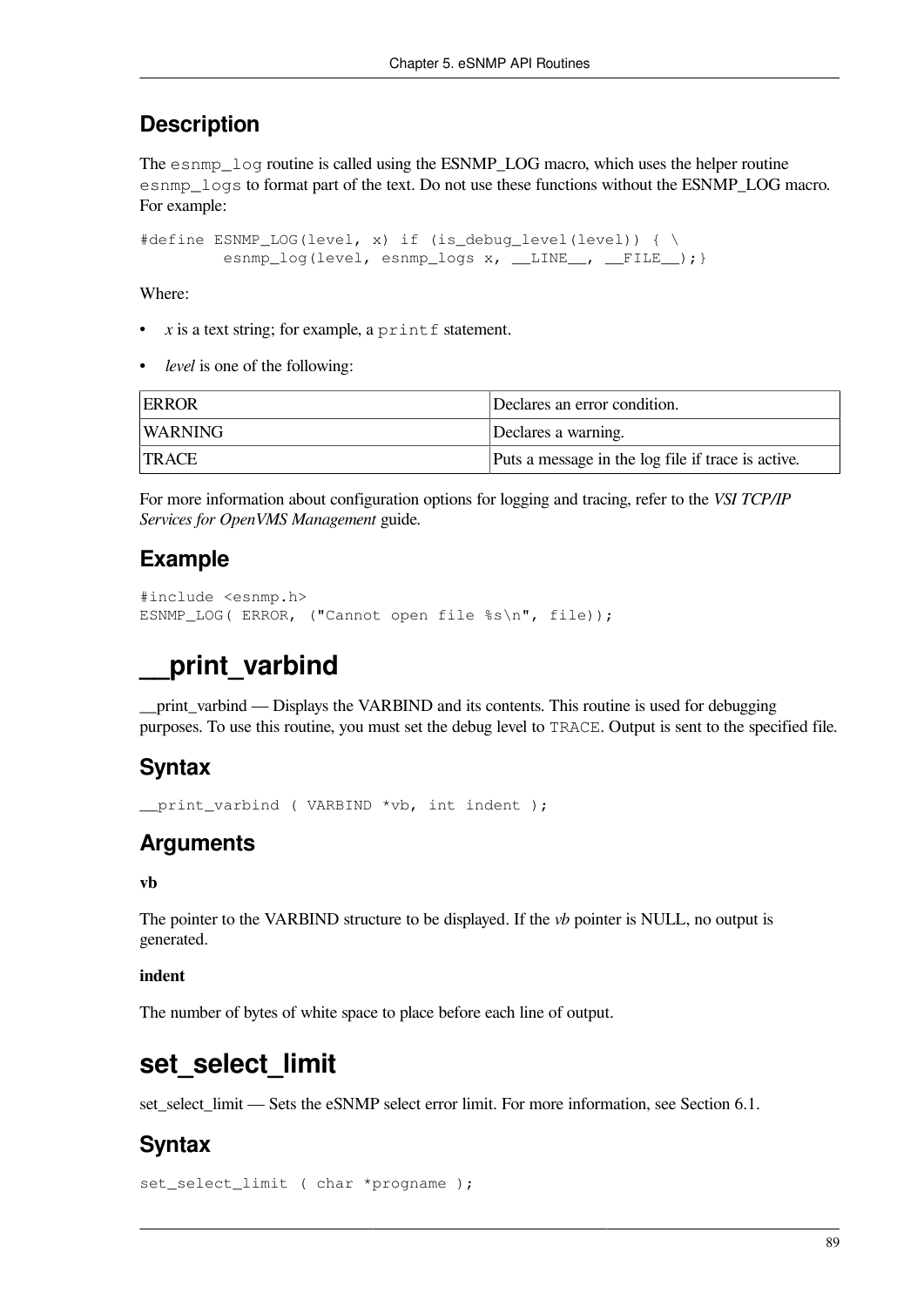### **Description**

The esnmp  $log$  routine is called using the ESNMP LOG macro, which uses the helper routine esnmp\_logs to format part of the text. Do not use these functions without the ESNMP\_LOG macro. For example:

#define ESNMP\_LOG(level, x) if (is\_debug\_level(level)) { \ esnmp\_log(level, esnmp\_logs x, \_\_LINE\_\_, \_\_FILE\_\_); }

Where:

- $x$  is a text string; for example, a printf statement.
- *level* is one of the following:

| <b>ERROR</b> | Declares an error condition.                       |
|--------------|----------------------------------------------------|
| WARNING      | Declares a warning.                                |
| TRACE        | Puts a message in the log file if trace is active. |

For more information about configuration options for logging and tracing, refer to the *VSI TCP/IP Services for OpenVMS Management* guide.

### **Example**

```
#include <esnmp.h>
ESNMP_LOG( ERROR, ("Cannot open file %s\n", file));
```
## **\_\_print\_varbind**

print varbind — Displays the VARBIND and its contents. This routine is used for debugging purposes. To use this routine, you must set the debug level to TRACE. Output is sent to the specified file.

### **Syntax**

\_\_print\_varbind ( VARBIND \*vb, int indent );

## **Arguments**

#### **vb**

The pointer to the VARBIND structure to be displayed. If the *vb* pointer is NULL, no output is generated.

#### **indent**

The number of bytes of white space to place before each line of output.

## set select limit

set\_select\_limit — Sets the eSNMP select error limit. For more information, see [Section](#page-100-0) 6.1.

### **Syntax**

set\_select\_limit ( char \*progname );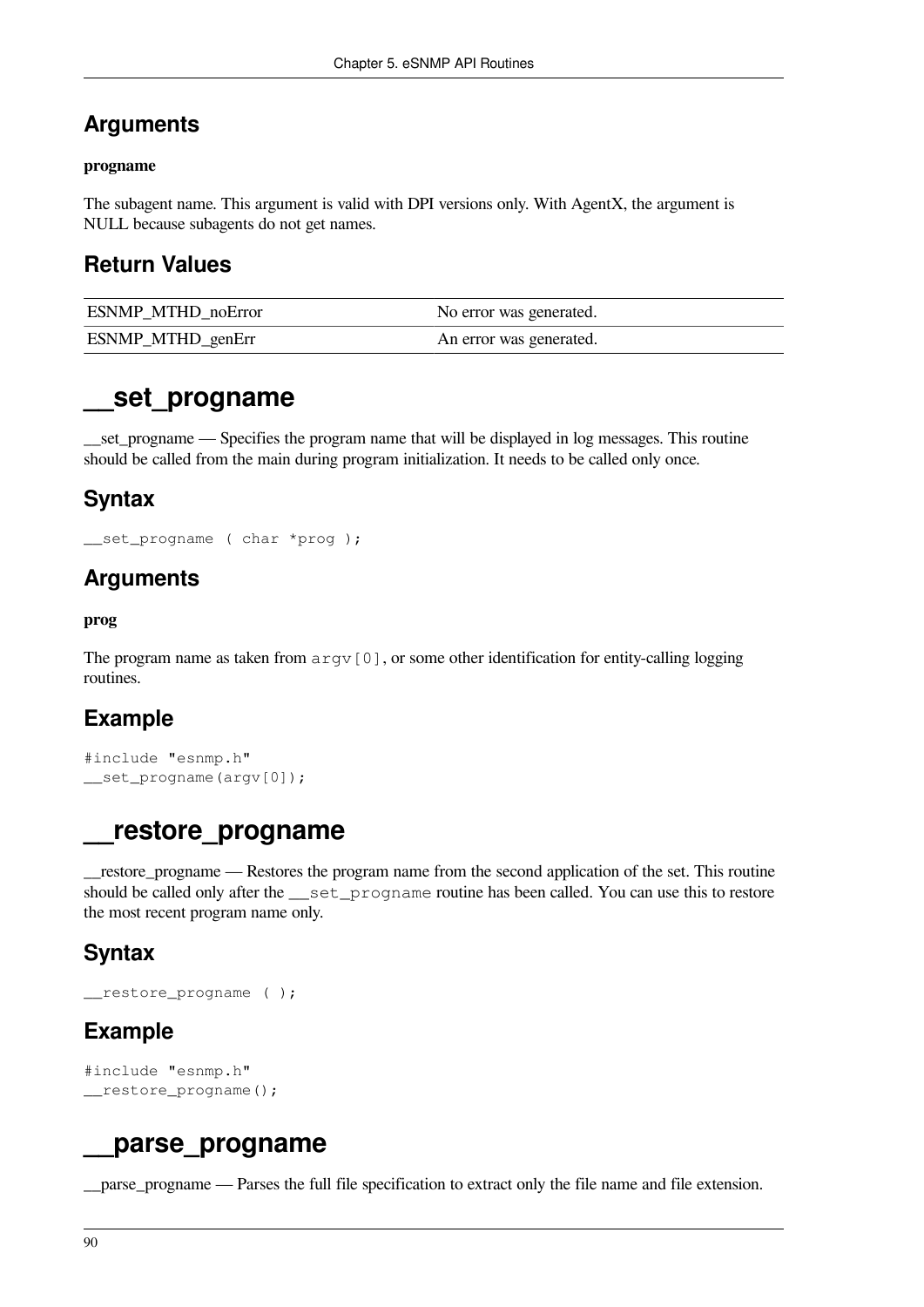### **Arguments**

#### **progname**

The subagent name. This argument is valid with DPI versions only. With AgentX, the argument is NULL because subagents do not get names.

### **Return Values**

| <b>ESNMP MTHD noError</b> | No error was generated. |
|---------------------------|-------------------------|
| ESNMP_MTHD_genErr         | An error was generated. |

## **\_\_set\_progname**

set progname — Specifies the program name that will be displayed in log messages. This routine should be called from the main during program initialization. It needs to be called only once.

### **Syntax**

```
__set_progname ( char *prog );
```
### **Arguments**

#### **prog**

The program name as taken from  $argv[0]$ , or some other identification for entity-calling logging routines.

## **Example**

```
#include "esnmp.h"
__set_progname(argv[0]);
```
## **\_\_restore\_progname**

\_\_restore\_progname — Restores the program name from the second application of the set. This routine should be called only after the set progname routine has been called. You can use this to restore the most recent program name only.

## **Syntax**

```
__restore_progname ( );
```
## **Example**

```
#include "esnmp.h"
__restore_progname();
```
## **\_\_parse\_progname**

\_\_parse\_progname — Parses the full file specification to extract only the file name and file extension.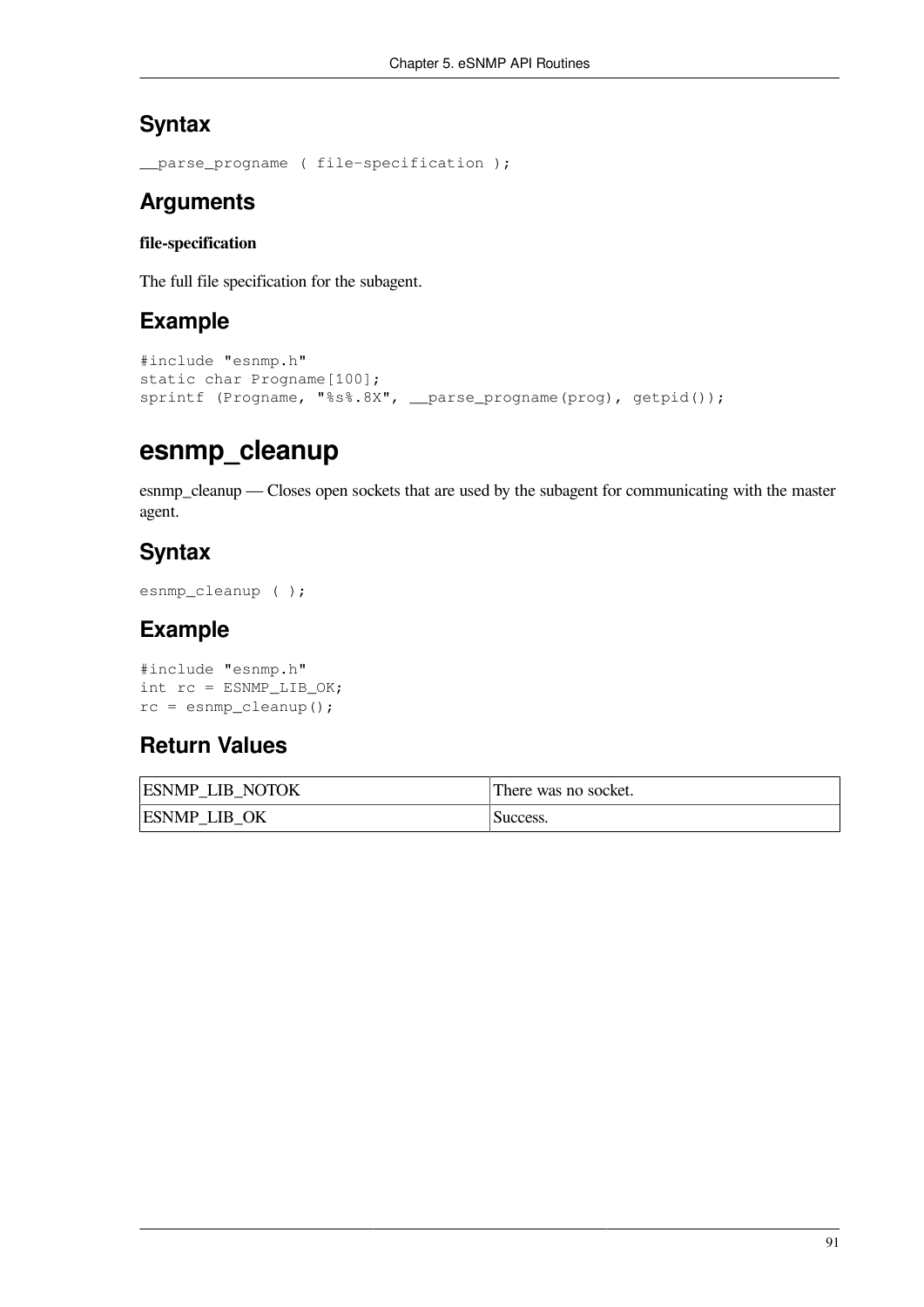## **Syntax**

```
__parse_progname ( file-specification );
```
## **Arguments**

### **file-specification**

The full file specification for the subagent.

## **Example**

```
#include "esnmp.h"
static char Progname[100];
sprintf (Progname, "%s%.8X", __parse_progname(prog), getpid());
```
## **esnmp\_cleanup**

esnmp\_cleanup — Closes open sockets that are used by the subagent for communicating with the master agent.

## **Syntax**

```
esnmp_cleanup ( );
```
## **Example**

```
#include "esnmp.h"
int rc = ESNMP_LIB_OK;
rc = esnmp_cleanup();
```
## **Return Values**

| <b>ESNMP LIB NOTOK</b> | There was no socket. |
|------------------------|----------------------|
| <b>ESNMP LIB OK</b>    | Success.             |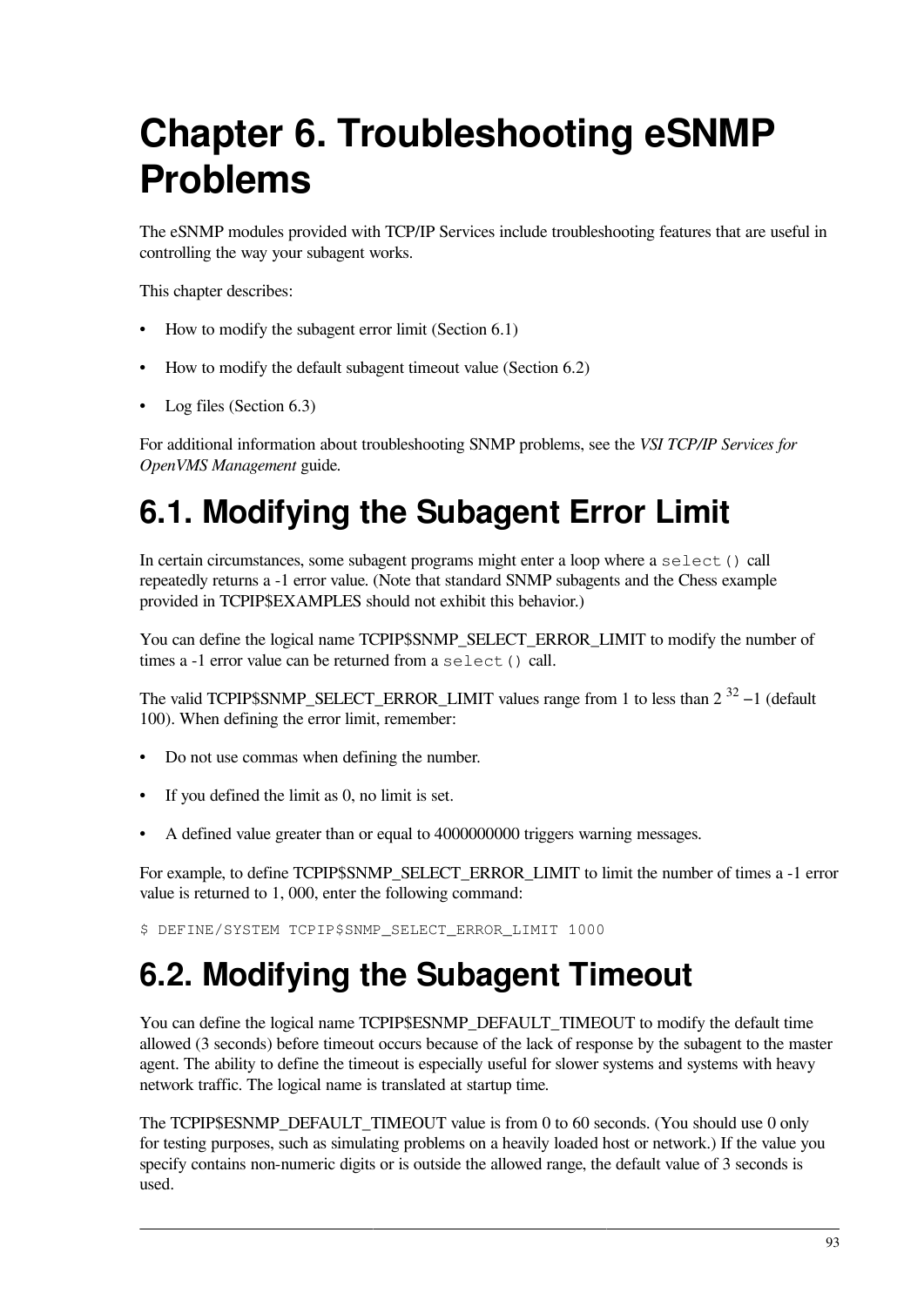# **Chapter 6. Troubleshooting eSNMP Problems**

The eSNMP modules provided with TCP/IP Services include troubleshooting features that are useful in controlling the way your subagent works.

This chapter describes:

- How to modify the subagent error limit ([Section](#page-100-0) 6.1)
- How to modify the default subagent timeout value ([Section](#page-100-1) 6.2)
- Log files [\(Section](#page-101-0) 6.3)

For additional information about troubleshooting SNMP problems, see the *VSI TCP/IP Services for OpenVMS Management* guide.

# <span id="page-100-0"></span>**6.1. Modifying the Subagent Error Limit**

In certain circumstances, some subagent programs might enter a loop where a select() call repeatedly returns a -1 error value. (Note that standard SNMP subagents and the Chess example provided in TCPIP\$EXAMPLES should not exhibit this behavior.)

You can define the logical name TCPIP\$SNMP\_SELECT\_ERROR\_LIMIT to modify the number of times a -1 error value can be returned from a select() call.

The valid TCPIP\$SNMP\_SELECT\_ERROR\_LIMIT values range from 1 to less than  $2^{32} - 1$  (default 100). When defining the error limit, remember:

- Do not use commas when defining the number.
- If you defined the limit as 0, no limit is set.
- A defined value greater than or equal to 4000000000 triggers warning messages.

For example, to define TCPIP\$SNMP\_SELECT\_ERROR\_LIMIT to limit the number of times a -1 error value is returned to 1, 000, enter the following command:

<span id="page-100-1"></span>\$ DEFINE/SYSTEM TCPIP\$SNMP\_SELECT\_ERROR\_LIMIT 1000

# **6.2. Modifying the Subagent Timeout**

You can define the logical name TCPIP\$ESNMP\_DEFAULT\_TIMEOUT to modify the default time allowed (3 seconds) before timeout occurs because of the lack of response by the subagent to the master agent. The ability to define the timeout is especially useful for slower systems and systems with heavy network traffic. The logical name is translated at startup time.

The TCPIP\$ESNMP\_DEFAULT\_TIMEOUT value is from 0 to 60 seconds. (You should use 0 only for testing purposes, such as simulating problems on a heavily loaded host or network.) If the value you specify contains non-numeric digits or is outside the allowed range, the default value of 3 seconds is used.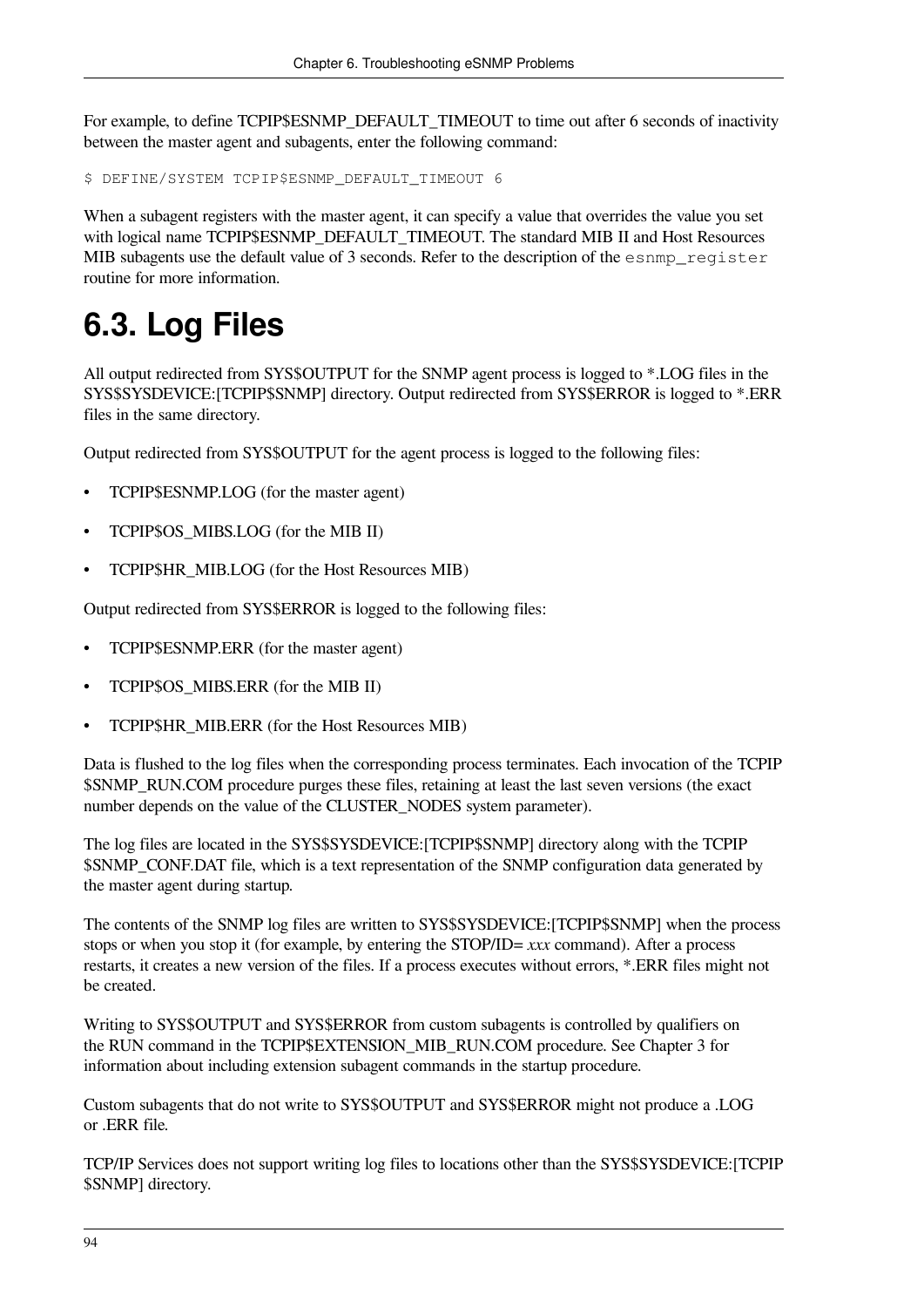For example, to define TCPIP\$ESNMP\_DEFAULT\_TIMEOUT to time out after 6 seconds of inactivity between the master agent and subagents, enter the following command:

\$ DEFINE/SYSTEM TCPIP\$ESNMP\_DEFAULT\_TIMEOUT 6

When a subagent registers with the master agent, it can specify a value that overrides the value you set with logical name TCPIP\$ESNMP\_DEFAULT\_TIMEOUT. The standard MIB II and Host Resources MIB subagents use the default value of 3 seconds. Refer to the description of the esnmp register routine for more information.

# <span id="page-101-0"></span>**6.3. Log Files**

All output redirected from SYS\$OUTPUT for the SNMP agent process is logged to \*.LOG files in the SYS\$SYSDEVICE:[TCPIP\$SNMP] directory. Output redirected from SYS\$ERROR is logged to \*.ERR files in the same directory.

Output redirected from SYS\$OUTPUT for the agent process is logged to the following files:

- TCPIP\$ESNMP.LOG (for the master agent)
- TCPIP\$OS\_MIBS.LOG (for the MIB II)
- TCPIP\$HR\_MIB.LOG (for the Host Resources MIB)

Output redirected from SYS\$ERROR is logged to the following files:

- TCPIP\$ESNMP.ERR (for the master agent)
- TCPIP\$OS\_MIBS.ERR (for the MIB II)
- TCPIP\$HR\_MIB.ERR (for the Host Resources MIB)

Data is flushed to the log files when the corresponding process terminates. Each invocation of the TCPIP \$SNMP\_RUN.COM procedure purges these files, retaining at least the last seven versions (the exact number depends on the value of the CLUSTER\_NODES system parameter).

The log files are located in the SYS\$SYSDEVICE:[TCPIP\$SNMP] directory along with the TCPIP \$SNMP\_CONF.DAT file, which is a text representation of the SNMP configuration data generated by the master agent during startup.

The contents of the SNMP log files are written to SYS\$SYSDEVICE:[TCPIP\$SNMP] when the process stops or when you stop it (for example, by entering the STOP/ID= *xxx* command). After a process restarts, it creates a new version of the files. If a process executes without errors, \*.ERR files might not be created.

Writing to SYS\$OUTPUT and SYS\$ERROR from custom subagents is controlled by qualifiers on the RUN command in the TCPIP\$EXTENSION\_MIB\_RUN.COM procedure. See [Chapter](#page-26-0) 3 for information about including extension subagent commands in the startup procedure.

Custom subagents that do not write to SYS\$OUTPUT and SYS\$ERROR might not produce a .LOG or .ERR file.

TCP/IP Services does not support writing log files to locations other than the SYS\$SYSDEVICE:[TCPIP \$SNMP] directory.